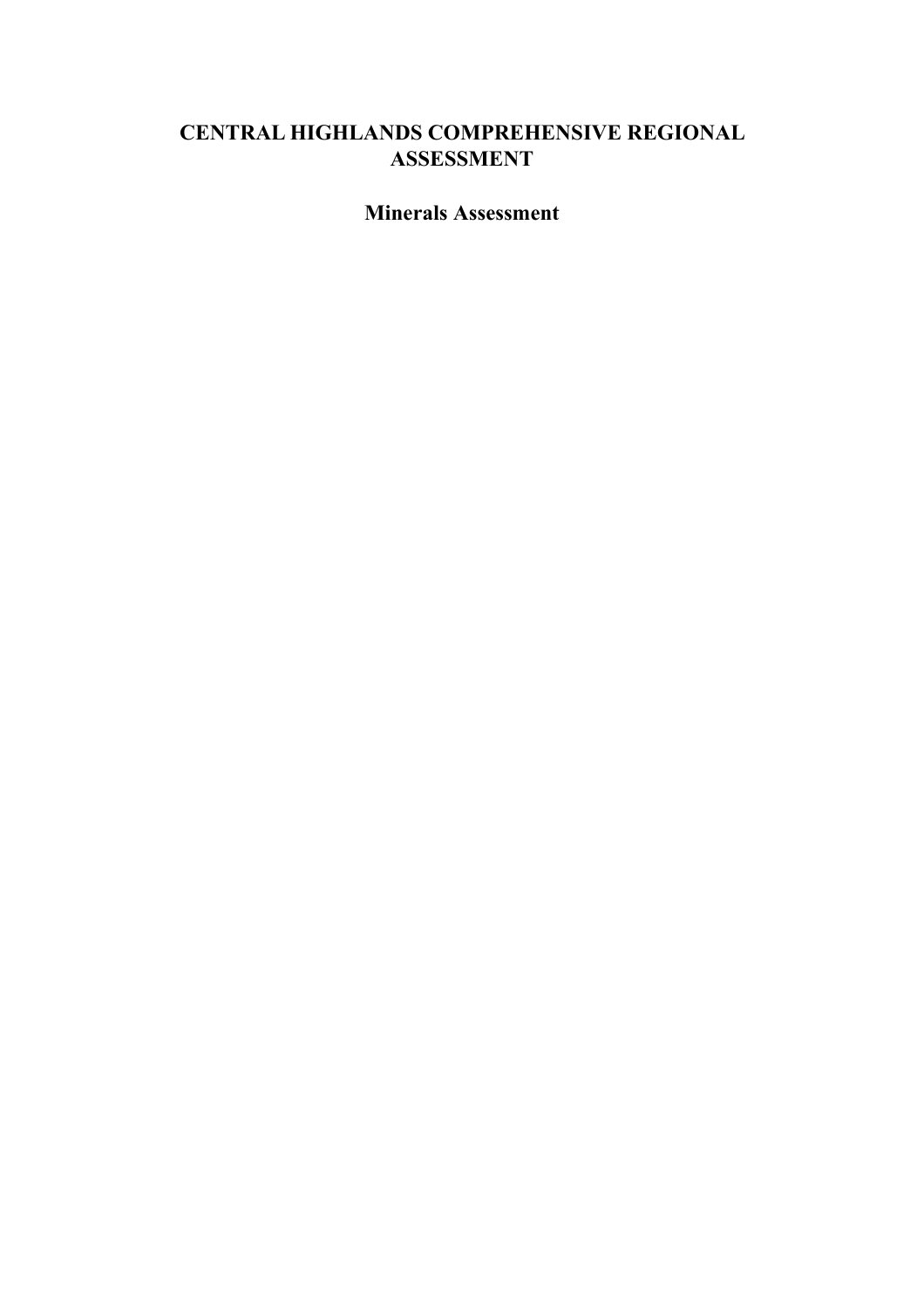# **CENTRAL HIGHLANDS COMPREHENSIVE REGIONAL ASSESSMENT**

**Minerals Assessment**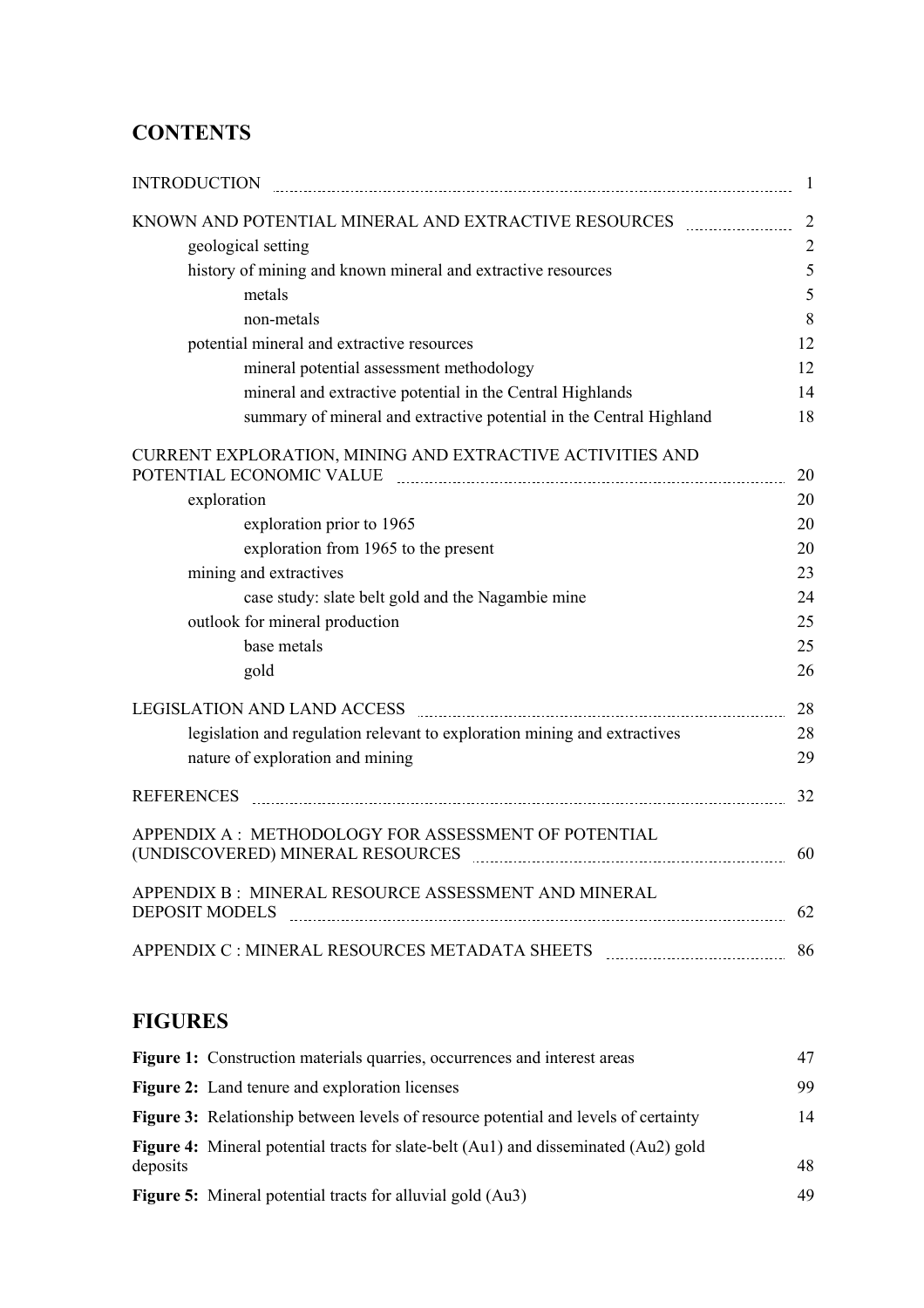# **CONTENTS**

| <b>INTRODUCTION</b>                                                                                                                                              | 1              |
|------------------------------------------------------------------------------------------------------------------------------------------------------------------|----------------|
| KNOWN AND POTENTIAL MINERAL AND EXTRACTIVE RESOURCES                                                                                                             | $\overline{2}$ |
| geological setting                                                                                                                                               | $\overline{2}$ |
| history of mining and known mineral and extractive resources                                                                                                     | $\mathfrak s$  |
| metals                                                                                                                                                           | 5              |
| non-metals                                                                                                                                                       | 8              |
| potential mineral and extractive resources                                                                                                                       | 12             |
| mineral potential assessment methodology                                                                                                                         | 12             |
| mineral and extractive potential in the Central Highlands                                                                                                        | 14             |
| summary of mineral and extractive potential in the Central Highland                                                                                              | 18             |
| CURRENT EXPLORATION, MINING AND EXTRACTIVE ACTIVITIES AND                                                                                                        | 20             |
| exploration                                                                                                                                                      | 20             |
| exploration prior to 1965                                                                                                                                        | 20             |
| exploration from 1965 to the present                                                                                                                             | 20             |
| mining and extractives                                                                                                                                           | 23             |
| case study: slate belt gold and the Nagambie mine                                                                                                                | 24             |
| outlook for mineral production                                                                                                                                   | 25             |
| base metals                                                                                                                                                      | 25             |
| gold                                                                                                                                                             | 26             |
| LEGISLATION AND LAND ACCESS THE CONTROL CONTROL AND LAND ACCESS THE CONTROL CONTROL CONTROL CONTROL CONTROL COMM                                                 | 28             |
| legislation and regulation relevant to exploration mining and extractives                                                                                        | 28             |
| nature of exploration and mining                                                                                                                                 | 29             |
|                                                                                                                                                                  | 32             |
| APPENDIX A: METHODOLOGY FOR ASSESSMENT OF POTENTIAL<br>(UNDISCOVERED) MINERAL RESOURCES EXAMPLES AND INTERNATIONAL PRESENTION CONTROL INTERNATIONAL PRESENTATION | 60             |
| APPENDIX B: MINERAL RESOURCE ASSESSMENT AND MINERAL<br><b>DEPOSIT MODELS</b>                                                                                     | 62             |
|                                                                                                                                                                  | 86             |
|                                                                                                                                                                  |                |

# **FIGURES**

|          | Figure 1: Construction materials quarries, occurrences and interest areas                  | 47 |
|----------|--------------------------------------------------------------------------------------------|----|
|          | <b>Figure 2:</b> Land tenure and exploration licenses                                      | 99 |
|          | <b>Figure 3:</b> Relationship between levels of resource potential and levels of certainty | 14 |
| deposits | <b>Figure 4:</b> Mineral potential tracts for slate-belt (Au1) and disseminated (Au2) gold | 48 |
|          | <b>Figure 5:</b> Mineral potential tracts for alluvial gold (Au3)                          | 49 |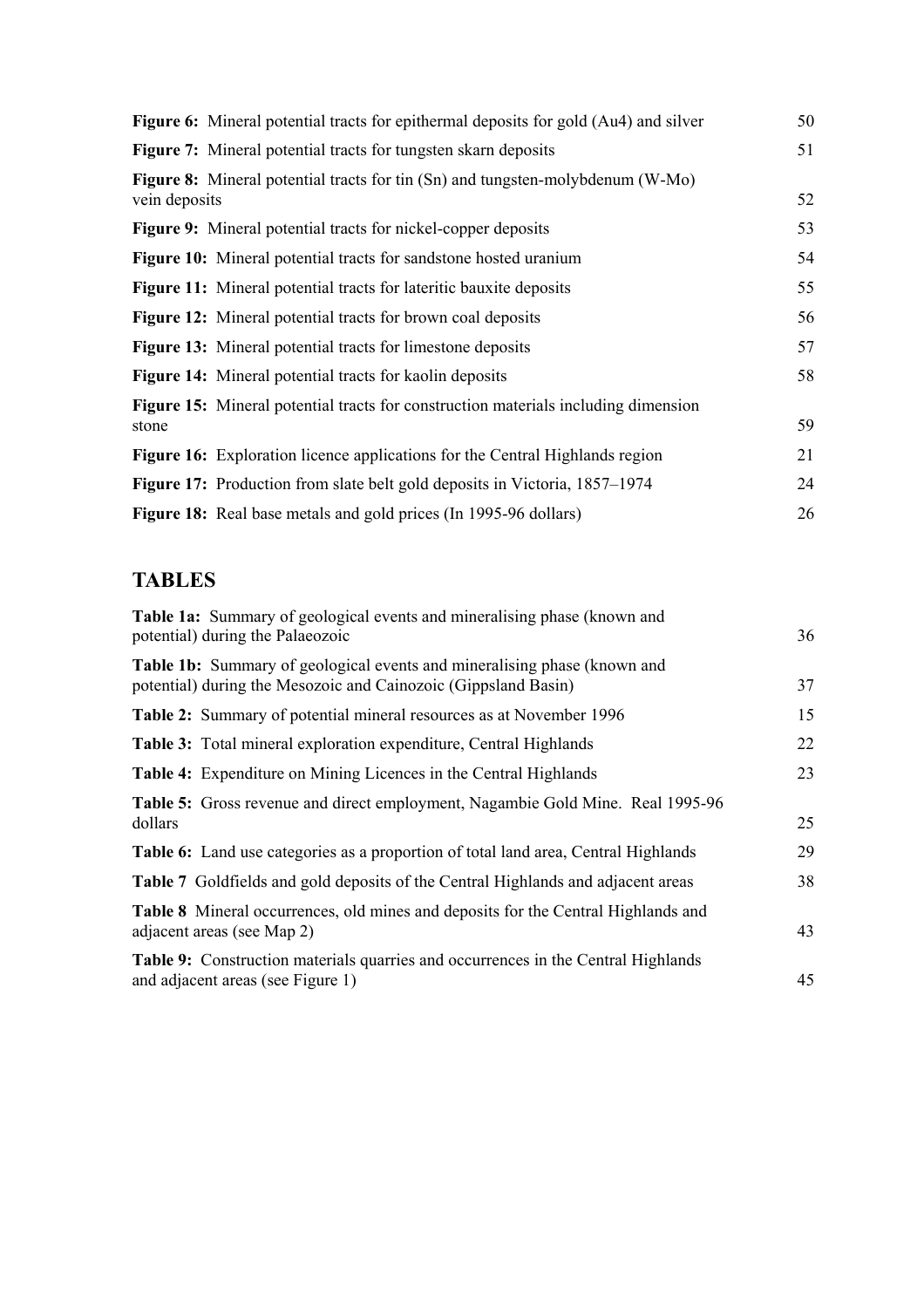| <b>Figure 6:</b> Mineral potential tracts for epithermal deposits for gold (Au4) and silver            | 50 |
|--------------------------------------------------------------------------------------------------------|----|
| <b>Figure 7:</b> Mineral potential tracts for tungsten skarn deposits                                  | 51 |
| <b>Figure 8:</b> Mineral potential tracts for tin (Sn) and tungsten-molybdenum (W-Mo)<br>vein deposits | 52 |
| <b>Figure 9:</b> Mineral potential tracts for nickel-copper deposits                                   | 53 |
| Figure 10: Mineral potential tracts for sandstone hosted uranium                                       | 54 |
| <b>Figure 11:</b> Mineral potential tracts for lateritic bauxite deposits                              | 55 |
| <b>Figure 12:</b> Mineral potential tracts for brown coal deposits                                     | 56 |
| <b>Figure 13:</b> Mineral potential tracts for limestone deposits                                      | 57 |
| <b>Figure 14:</b> Mineral potential tracts for kaolin deposits                                         | 58 |
| <b>Figure 15:</b> Mineral potential tracts for construction materials including dimension<br>stone     | 59 |
| <b>Figure 16:</b> Exploration licence applications for the Central Highlands region                    | 21 |
| <b>Figure 17:</b> Production from slate belt gold deposits in Victoria, 1857–1974                      | 24 |
| <b>Figure 18:</b> Real base metals and gold prices (In 1995-96 dollars)                                | 26 |

# **TABLES**

| <b>Table 1a:</b> Summary of geological events and mineralising phase (known and<br>potential) during the Palaeozoic                               | 36 |
|---------------------------------------------------------------------------------------------------------------------------------------------------|----|
| <b>Table 1b:</b> Summary of geological events and mineralising phase (known and<br>potential) during the Mesozoic and Cainozoic (Gippsland Basin) | 37 |
| <b>Table 2:</b> Summary of potential mineral resources as at November 1996                                                                        | 15 |
| Table 3: Total mineral exploration expenditure, Central Highlands                                                                                 | 22 |
| <b>Table 4:</b> Expenditure on Mining Licences in the Central Highlands                                                                           | 23 |
| Table 5: Gross revenue and direct employment, Nagambie Gold Mine. Real 1995-96<br>dollars                                                         | 25 |
| <b>Table 6:</b> Land use categories as a proportion of total land area, Central Highlands                                                         | 29 |
| <b>Table 7</b> Goldfields and gold deposits of the Central Highlands and adjacent areas                                                           | 38 |
| <b>Table 8</b> Mineral occurrences, old mines and deposits for the Central Highlands and<br>adjacent areas (see Map 2)                            | 43 |
| <b>Table 9:</b> Construction materials quarries and occurrences in the Central Highlands<br>and adjacent areas (see Figure 1)                     | 45 |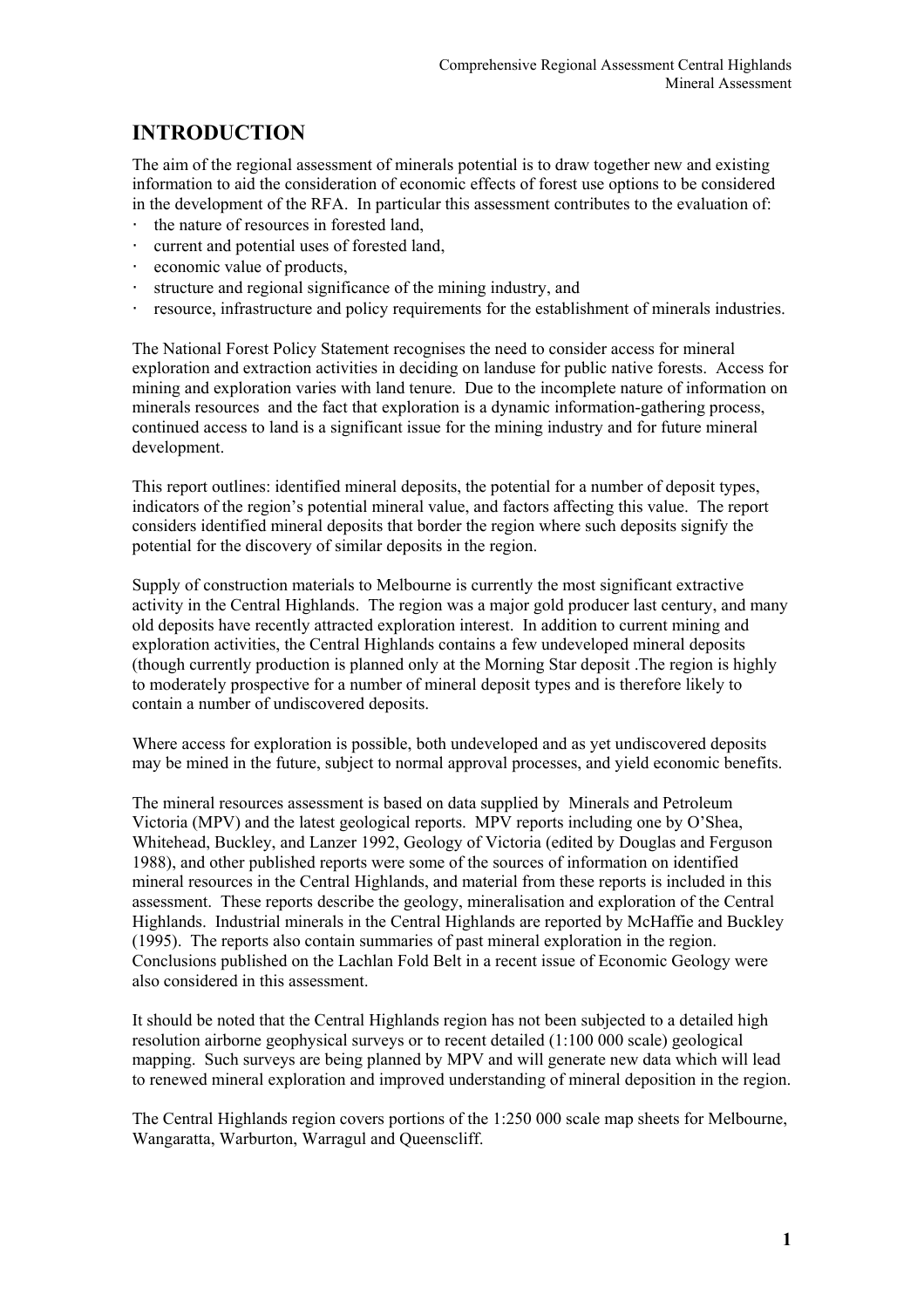# **INTRODUCTION**

The aim of the regional assessment of minerals potential is to draw together new and existing information to aid the consideration of economic effects of forest use options to be considered in the development of the RFA. In particular this assessment contributes to the evaluation of:

- ⋅ the nature of resources in forested land,
- ⋅ current and potential uses of forested land,
- economic value of products,
- structure and regional significance of the mining industry, and
- ⋅ resource, infrastructure and policy requirements for the establishment of minerals industries.

The National Forest Policy Statement recognises the need to consider access for mineral exploration and extraction activities in deciding on landuse for public native forests. Access for mining and exploration varies with land tenure. Due to the incomplete nature of information on minerals resources and the fact that exploration is a dynamic information-gathering process, continued access to land is a significant issue for the mining industry and for future mineral development.

This report outlines: identified mineral deposits, the potential for a number of deposit types, indicators of the region's potential mineral value, and factors affecting this value. The report considers identified mineral deposits that border the region where such deposits signify the potential for the discovery of similar deposits in the region.

Supply of construction materials to Melbourne is currently the most significant extractive activity in the Central Highlands. The region was a major gold producer last century, and many old deposits have recently attracted exploration interest. In addition to current mining and exploration activities, the Central Highlands contains a few undeveloped mineral deposits (though currently production is planned only at the Morning Star deposit .The region is highly to moderately prospective for a number of mineral deposit types and is therefore likely to contain a number of undiscovered deposits.

Where access for exploration is possible, both undeveloped and as yet undiscovered deposits may be mined in the future, subject to normal approval processes, and yield economic benefits.

The mineral resources assessment is based on data supplied by Minerals and Petroleum Victoria (MPV) and the latest geological reports. MPV reports including one by O'Shea, Whitehead, Buckley, and Lanzer 1992, Geology of Victoria (edited by Douglas and Ferguson 1988), and other published reports were some of the sources of information on identified mineral resources in the Central Highlands, and material from these reports is included in this assessment. These reports describe the geology, mineralisation and exploration of the Central Highlands. Industrial minerals in the Central Highlands are reported by McHaffie and Buckley (1995). The reports also contain summaries of past mineral exploration in the region. Conclusions published on the Lachlan Fold Belt in a recent issue of Economic Geology were also considered in this assessment.

It should be noted that the Central Highlands region has not been subjected to a detailed high resolution airborne geophysical surveys or to recent detailed (1:100 000 scale) geological mapping. Such surveys are being planned by MPV and will generate new data which will lead to renewed mineral exploration and improved understanding of mineral deposition in the region.

The Central Highlands region covers portions of the 1:250 000 scale map sheets for Melbourne, Wangaratta, Warburton, Warragul and Queenscliff.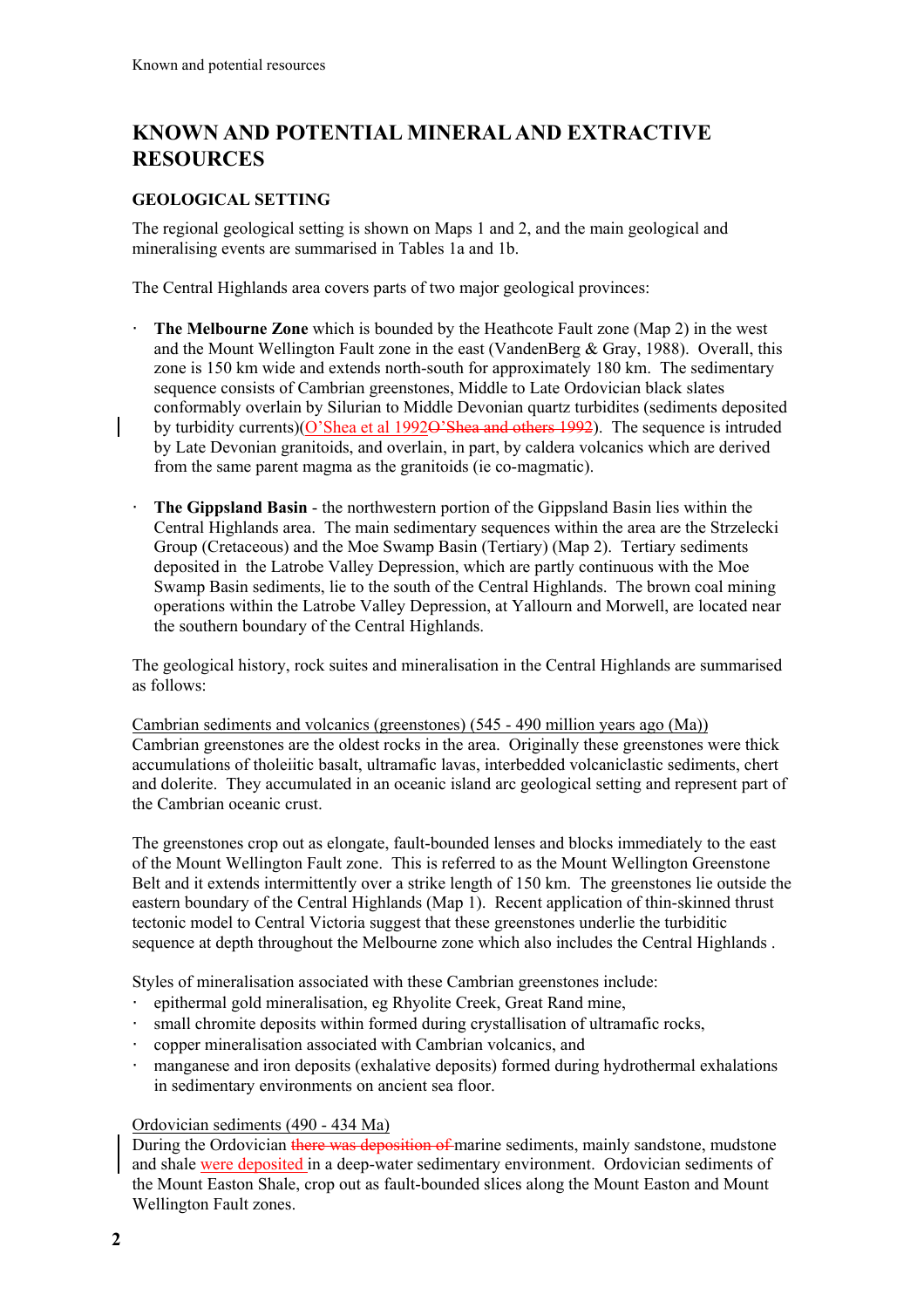# **KNOWN AND POTENTIAL MINERAL AND EXTRACTIVE RESOURCES**

# **GEOLOGICAL SETTING**

The regional geological setting is shown on Maps 1 and 2, and the main geological and mineralising events are summarised in Tables 1a and 1b.

The Central Highlands area covers parts of two major geological provinces:

- **The Melbourne Zone** which is bounded by the Heathcote Fault zone (Map 2) in the west and the Mount Wellington Fault zone in the east (VandenBerg  $& Gray, 1988$ ). Overall, this zone is 150 km wide and extends north-south for approximately 180 km. The sedimentary sequence consists of Cambrian greenstones, Middle to Late Ordovician black slates conformably overlain by Silurian to Middle Devonian quartz turbidites (sediments deposited by turbidity currents)(O'Shea et al 1992<del>O'Shea and others 1992</del>). The sequence is intruded by Late Devonian granitoids, and overlain, in part, by caldera volcanics which are derived from the same parent magma as the granitoids (ie co-magmatic).
- **The Gippsland Basin** the northwestern portion of the Gippsland Basin lies within the Central Highlands area. The main sedimentary sequences within the area are the Strzelecki Group (Cretaceous) and the Moe Swamp Basin (Tertiary) (Map 2). Tertiary sediments deposited in the Latrobe Valley Depression, which are partly continuous with the Moe Swamp Basin sediments, lie to the south of the Central Highlands. The brown coal mining operations within the Latrobe Valley Depression, at Yallourn and Morwell, are located near the southern boundary of the Central Highlands.

The geological history, rock suites and mineralisation in the Central Highlands are summarised as follows:

Cambrian sediments and volcanics (greenstones) (545 - 490 million years ago (Ma)) Cambrian greenstones are the oldest rocks in the area. Originally these greenstones were thick accumulations of tholeiitic basalt, ultramafic lavas, interbedded volcaniclastic sediments, chert and dolerite. They accumulated in an oceanic island arc geological setting and represent part of the Cambrian oceanic crust.

The greenstones crop out as elongate, fault-bounded lenses and blocks immediately to the east of the Mount Wellington Fault zone. This is referred to as the Mount Wellington Greenstone Belt and it extends intermittently over a strike length of 150 km. The greenstones lie outside the eastern boundary of the Central Highlands (Map 1). Recent application of thin-skinned thrust tectonic model to Central Victoria suggest that these greenstones underlie the turbiditic sequence at depth throughout the Melbourne zone which also includes the Central Highlands .

Styles of mineralisation associated with these Cambrian greenstones include:

- ⋅ epithermal gold mineralisation, eg Rhyolite Creek, Great Rand mine,
- small chromite deposits within formed during crystallisation of ultramafic rocks,
- copper mineralisation associated with Cambrian volcanics, and
- ⋅ manganese and iron deposits (exhalative deposits) formed during hydrothermal exhalations in sedimentary environments on ancient sea floor.

# Ordovician sediments (490 - 434 Ma)

During the Ordovician there was deposition of marine sediments, mainly sandstone, mudstone and shale were deposited in a deep-water sedimentary environment. Ordovician sediments of the Mount Easton Shale, crop out as fault-bounded slices along the Mount Easton and Mount Wellington Fault zones.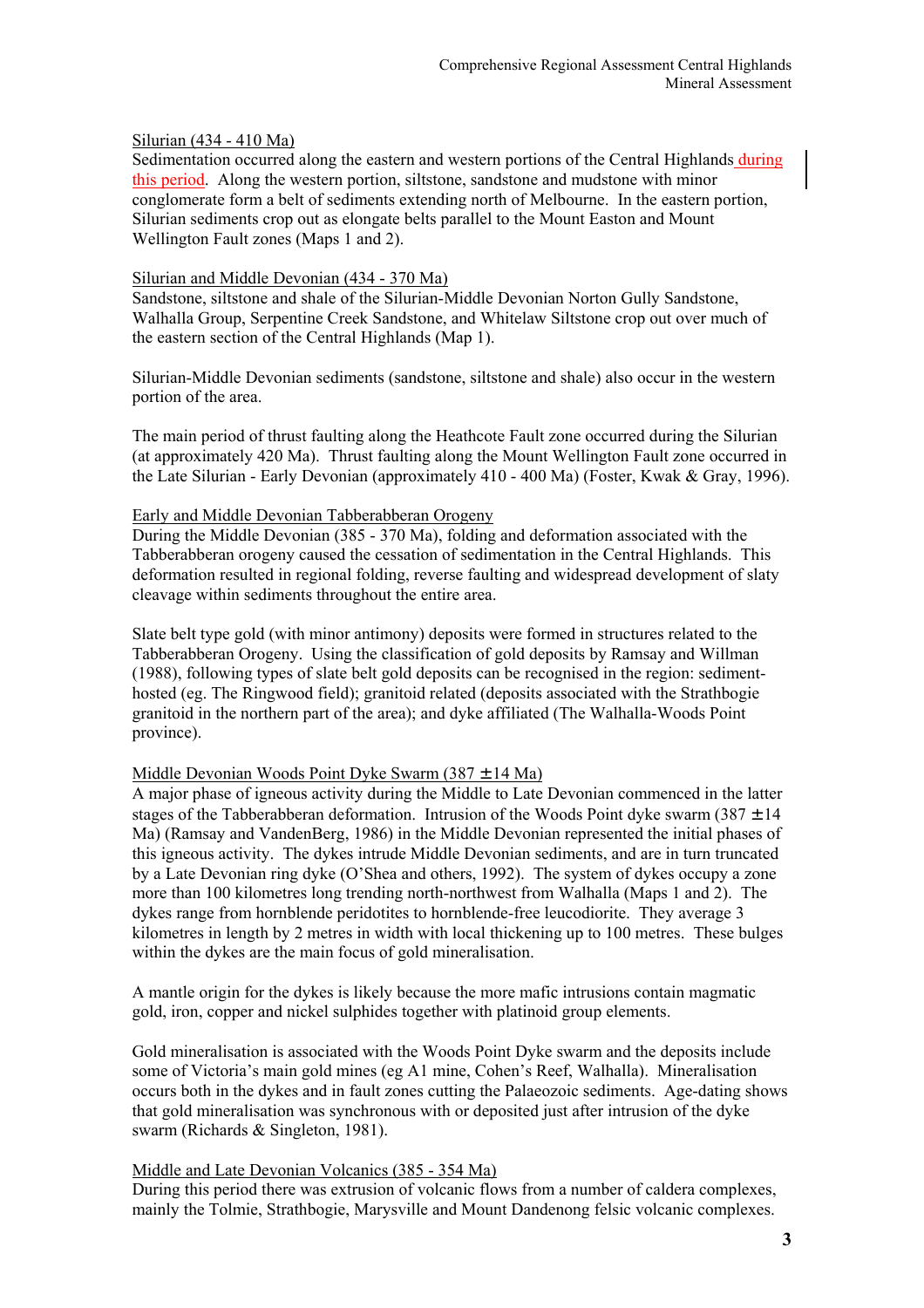### Silurian (434 - 410 Ma)

Sedimentation occurred along the eastern and western portions of the Central Highlands during this period. Along the western portion, siltstone, sandstone and mudstone with minor conglomerate form a belt of sediments extending north of Melbourne. In the eastern portion, Silurian sediments crop out as elongate belts parallel to the Mount Easton and Mount Wellington Fault zones (Maps 1 and 2).

### Silurian and Middle Devonian (434 - 370 Ma)

Sandstone, siltstone and shale of the Silurian-Middle Devonian Norton Gully Sandstone, Walhalla Group, Serpentine Creek Sandstone, and Whitelaw Siltstone crop out over much of the eastern section of the Central Highlands (Map 1).

Silurian-Middle Devonian sediments (sandstone, siltstone and shale) also occur in the western portion of the area.

The main period of thrust faulting along the Heathcote Fault zone occurred during the Silurian (at approximately 420 Ma). Thrust faulting along the Mount Wellington Fault zone occurred in the Late Silurian - Early Devonian (approximately 410 - 400 Ma) (Foster, Kwak & Gray, 1996).

#### Early and Middle Devonian Tabberabberan Orogeny

During the Middle Devonian (385 - 370 Ma), folding and deformation associated with the Tabberabberan orogeny caused the cessation of sedimentation in the Central Highlands. This deformation resulted in regional folding, reverse faulting and widespread development of slaty cleavage within sediments throughout the entire area.

Slate belt type gold (with minor antimony) deposits were formed in structures related to the Tabberabberan Orogeny. Using the classification of gold deposits by Ramsay and Willman (1988), following types of slate belt gold deposits can be recognised in the region: sedimenthosted (eg. The Ringwood field); granitoid related (deposits associated with the Strathbogie granitoid in the northern part of the area); and dyke affiliated (The Walhalla-Woods Point province).

### Middle Devonian Woods Point Dyke Swarm (387 ± 14 Ma)

A major phase of igneous activity during the Middle to Late Devonian commenced in the latter stages of the Tabberabberan deformation. Intrusion of the Woods Point dyke swarm  $(387 \pm 14)$ Ma) (Ramsay and VandenBerg, 1986) in the Middle Devonian represented the initial phases of this igneous activity. The dykes intrude Middle Devonian sediments, and are in turn truncated by a Late Devonian ring dyke (O'Shea and others, 1992). The system of dykes occupy a zone more than 100 kilometres long trending north-northwest from Walhalla (Maps 1 and 2). The dykes range from hornblende peridotites to hornblende-free leucodiorite. They average 3 kilometres in length by 2 metres in width with local thickening up to 100 metres. These bulges within the dykes are the main focus of gold mineralisation.

A mantle origin for the dykes is likely because the more mafic intrusions contain magmatic gold, iron, copper and nickel sulphides together with platinoid group elements.

Gold mineralisation is associated with the Woods Point Dyke swarm and the deposits include some of Victoria's main gold mines (eg A1 mine, Cohen's Reef, Walhalla). Mineralisation occurs both in the dykes and in fault zones cutting the Palaeozoic sediments. Age-dating shows that gold mineralisation was synchronous with or deposited just after intrusion of the dyke swarm (Richards & Singleton, 1981).

### Middle and Late Devonian Volcanics (385 - 354 Ma)

During this period there was extrusion of volcanic flows from a number of caldera complexes, mainly the Tolmie, Strathbogie, Marysville and Mount Dandenong felsic volcanic complexes.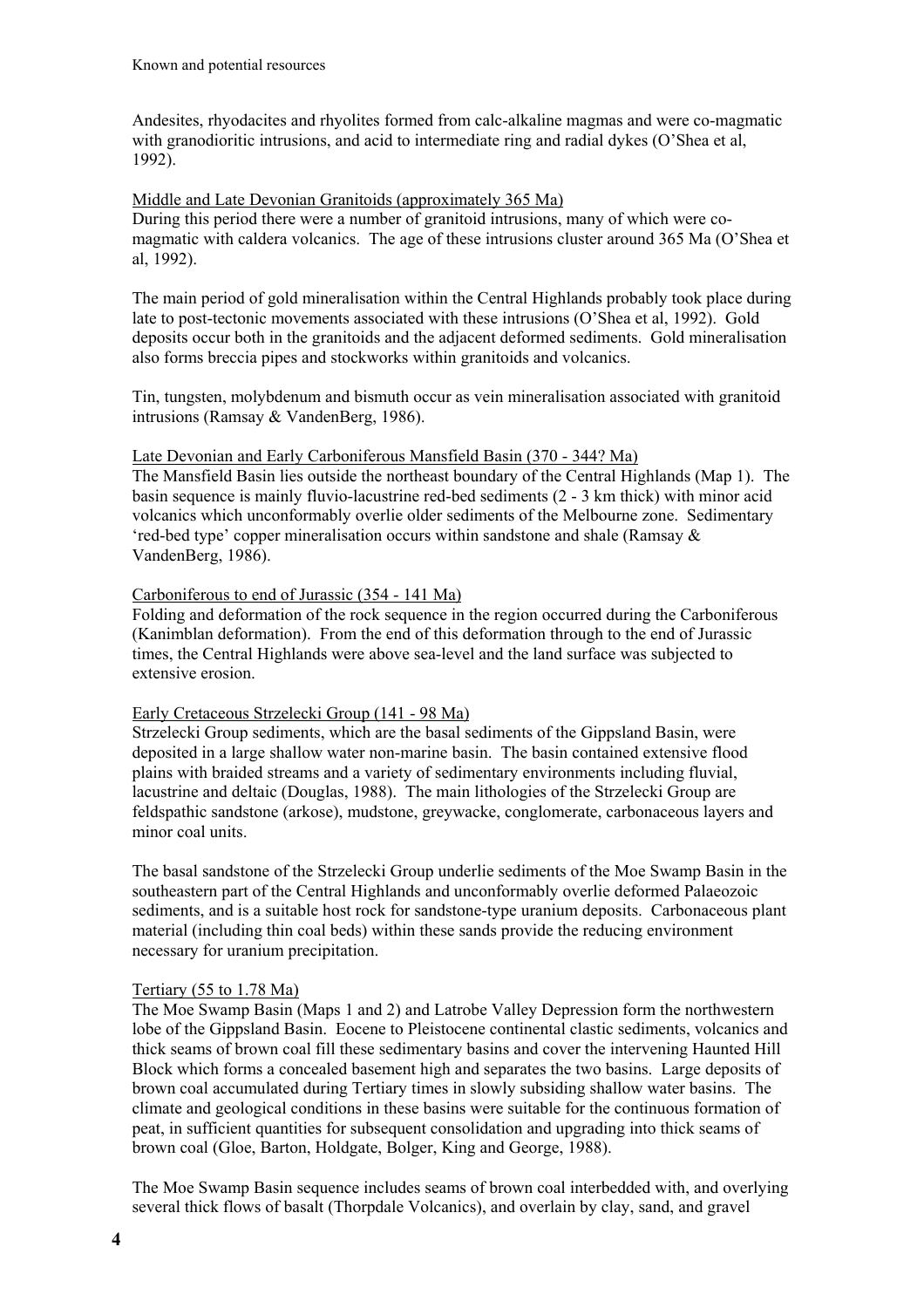Andesites, rhyodacites and rhyolites formed from calc-alkaline magmas and were co-magmatic with granodioritic intrusions, and acid to intermediate ring and radial dykes (O'Shea et al, 1992).

### Middle and Late Devonian Granitoids (approximately 365 Ma)

During this period there were a number of granitoid intrusions, many of which were comagmatic with caldera volcanics. The age of these intrusions cluster around 365 Ma (O'Shea et al, 1992).

The main period of gold mineralisation within the Central Highlands probably took place during late to post-tectonic movements associated with these intrusions (O'Shea et al, 1992). Gold deposits occur both in the granitoids and the adjacent deformed sediments. Gold mineralisation also forms breccia pipes and stockworks within granitoids and volcanics.

Tin, tungsten, molybdenum and bismuth occur as vein mineralisation associated with granitoid intrusions (Ramsay & VandenBerg, 1986).

Late Devonian and Early Carboniferous Mansfield Basin (370 - 344? Ma)

The Mansfield Basin lies outside the northeast boundary of the Central Highlands (Map 1). The basin sequence is mainly fluvio-lacustrine red-bed sediments (2 - 3 km thick) with minor acid volcanics which unconformably overlie older sediments of the Melbourne zone. Sedimentary 'red-bed type' copper mineralisation occurs within sandstone and shale (Ramsay & VandenBerg, 1986).

### Carboniferous to end of Jurassic (354 - 141 Ma)

Folding and deformation of the rock sequence in the region occurred during the Carboniferous (Kanimblan deformation). From the end of this deformation through to the end of Jurassic times, the Central Highlands were above sea-level and the land surface was subjected to extensive erosion.

### Early Cretaceous Strzelecki Group (141 - 98 Ma)

Strzelecki Group sediments, which are the basal sediments of the Gippsland Basin, were deposited in a large shallow water non-marine basin. The basin contained extensive flood plains with braided streams and a variety of sedimentary environments including fluvial, lacustrine and deltaic (Douglas, 1988). The main lithologies of the Strzelecki Group are feldspathic sandstone (arkose), mudstone, greywacke, conglomerate, carbonaceous layers and minor coal units.

The basal sandstone of the Strzelecki Group underlie sediments of the Moe Swamp Basin in the southeastern part of the Central Highlands and unconformably overlie deformed Palaeozoic sediments, and is a suitable host rock for sandstone-type uranium deposits. Carbonaceous plant material (including thin coal beds) within these sands provide the reducing environment necessary for uranium precipitation.

### Tertiary (55 to 1.78 Ma)

The Moe Swamp Basin (Maps 1 and 2) and Latrobe Valley Depression form the northwestern lobe of the Gippsland Basin. Eocene to Pleistocene continental clastic sediments, volcanics and thick seams of brown coal fill these sedimentary basins and cover the intervening Haunted Hill Block which forms a concealed basement high and separates the two basins. Large deposits of brown coal accumulated during Tertiary times in slowly subsiding shallow water basins. The climate and geological conditions in these basins were suitable for the continuous formation of peat, in sufficient quantities for subsequent consolidation and upgrading into thick seams of brown coal (Gloe, Barton, Holdgate, Bolger, King and George, 1988).

The Moe Swamp Basin sequence includes seams of brown coal interbedded with, and overlying several thick flows of basalt (Thorpdale Volcanics), and overlain by clay, sand, and gravel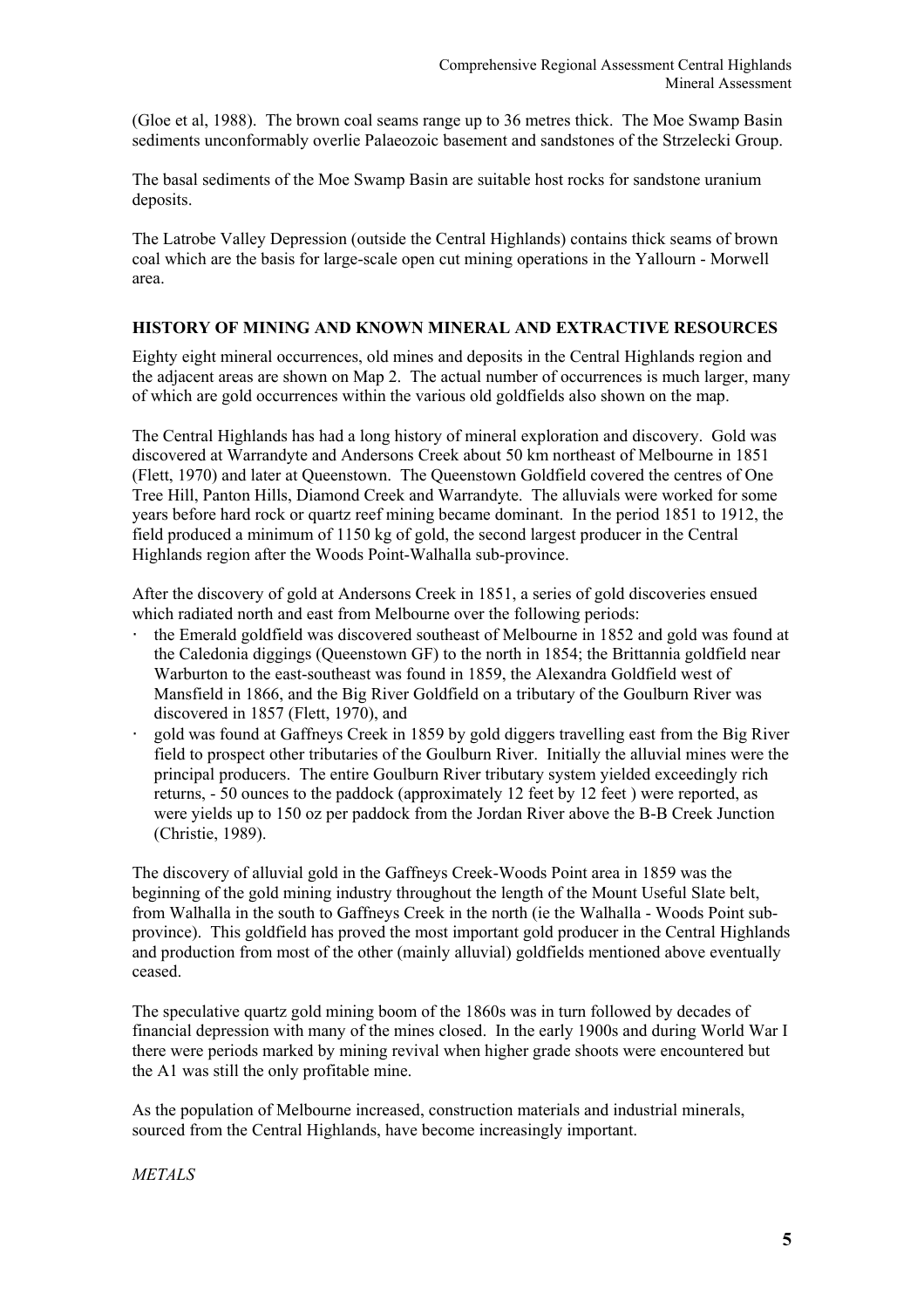(Gloe et al, 1988). The brown coal seams range up to 36 metres thick. The Moe Swamp Basin sediments unconformably overlie Palaeozoic basement and sandstones of the Strzelecki Group.

The basal sediments of the Moe Swamp Basin are suitable host rocks for sandstone uranium deposits.

The Latrobe Valley Depression (outside the Central Highlands) contains thick seams of brown coal which are the basis for large-scale open cut mining operations in the Yallourn - Morwell area.

### **HISTORY OF MINING AND KNOWN MINERAL AND EXTRACTIVE RESOURCES**

Eighty eight mineral occurrences, old mines and deposits in the Central Highlands region and the adjacent areas are shown on Map 2. The actual number of occurrences is much larger, many of which are gold occurrences within the various old goldfields also shown on the map.

The Central Highlands has had a long history of mineral exploration and discovery. Gold was discovered at Warrandyte and Andersons Creek about 50 km northeast of Melbourne in 1851 (Flett, 1970) and later at Queenstown. The Queenstown Goldfield covered the centres of One Tree Hill, Panton Hills, Diamond Creek and Warrandyte. The alluvials were worked for some years before hard rock or quartz reef mining became dominant. In the period 1851 to 1912, the field produced a minimum of 1150 kg of gold, the second largest producer in the Central Highlands region after the Woods Point-Walhalla sub-province.

After the discovery of gold at Andersons Creek in 1851, a series of gold discoveries ensued which radiated north and east from Melbourne over the following periods:

- ⋅ the Emerald goldfield was discovered southeast of Melbourne in 1852 and gold was found at the Caledonia diggings (Queenstown GF) to the north in 1854; the Brittannia goldfield near Warburton to the east-southeast was found in 1859, the Alexandra Goldfield west of Mansfield in 1866, and the Big River Goldfield on a tributary of the Goulburn River was discovered in 1857 (Flett, 1970), and
- gold was found at Gaffneys Creek in 1859 by gold diggers travelling east from the Big River field to prospect other tributaries of the Goulburn River. Initially the alluvial mines were the principal producers. The entire Goulburn River tributary system yielded exceedingly rich returns, - 50 ounces to the paddock (approximately 12 feet by 12 feet ) were reported, as were yields up to 150 oz per paddock from the Jordan River above the B-B Creek Junction (Christie, 1989).

The discovery of alluvial gold in the Gaffneys Creek-Woods Point area in 1859 was the beginning of the gold mining industry throughout the length of the Mount Useful Slate belt, from Walhalla in the south to Gaffneys Creek in the north (ie the Walhalla - Woods Point subprovince). This goldfield has proved the most important gold producer in the Central Highlands and production from most of the other (mainly alluvial) goldfields mentioned above eventually ceased.

The speculative quartz gold mining boom of the 1860s was in turn followed by decades of financial depression with many of the mines closed. In the early 1900s and during World War I there were periods marked by mining revival when higher grade shoots were encountered but the A1 was still the only profitable mine.

As the population of Melbourne increased, construction materials and industrial minerals, sourced from the Central Highlands, have become increasingly important.

### *METALS*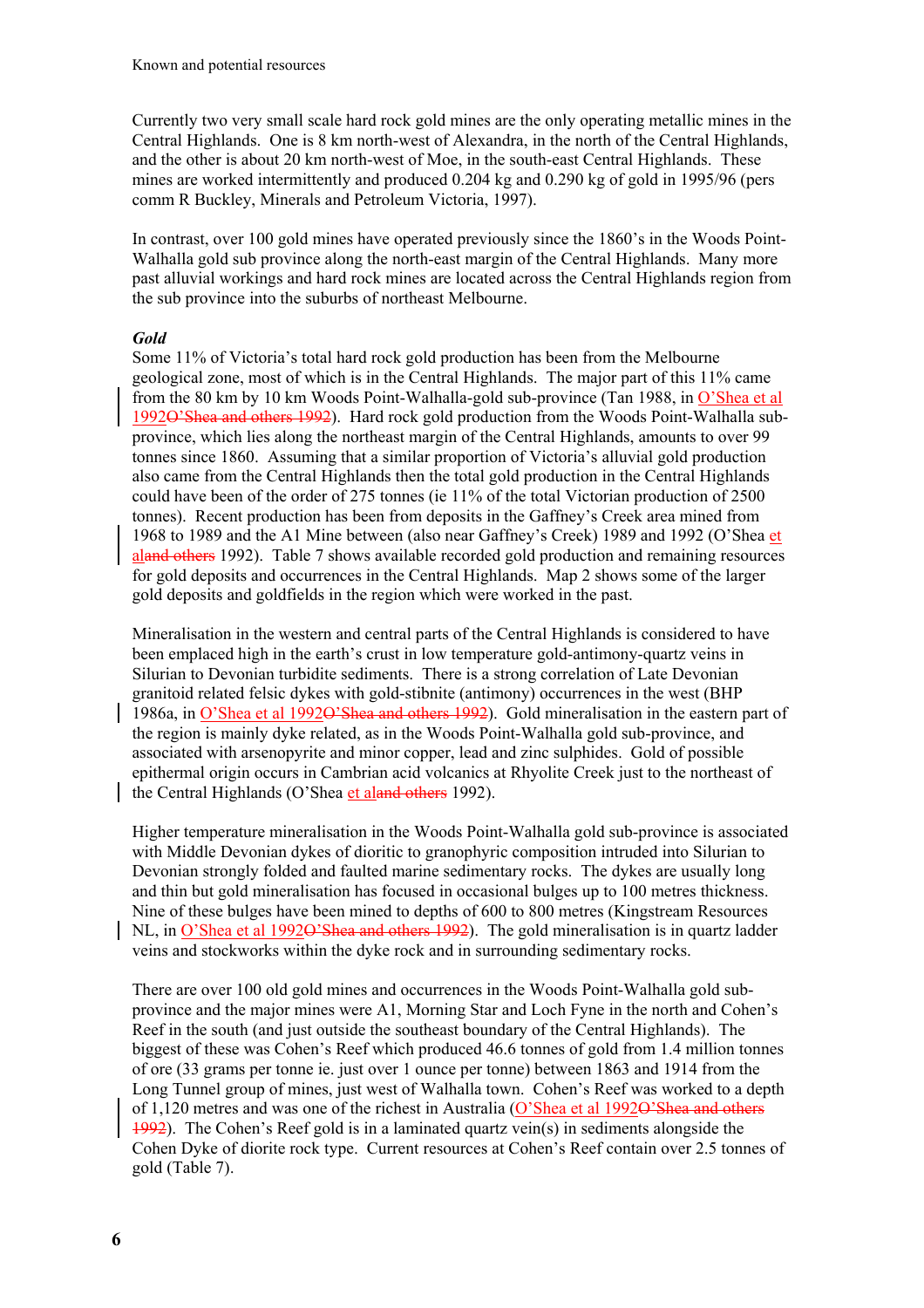Currently two very small scale hard rock gold mines are the only operating metallic mines in the Central Highlands. One is 8 km north-west of Alexandra, in the north of the Central Highlands, and the other is about 20 km north-west of Moe, in the south-east Central Highlands. These mines are worked intermittently and produced 0.204 kg and 0.290 kg of gold in 1995/96 (pers comm R Buckley, Minerals and Petroleum Victoria, 1997).

In contrast, over 100 gold mines have operated previously since the 1860's in the Woods Point-Walhalla gold sub province along the north-east margin of the Central Highlands. Many more past alluvial workings and hard rock mines are located across the Central Highlands region from the sub province into the suburbs of northeast Melbourne.

# *Gold*

Some 11% of Victoria's total hard rock gold production has been from the Melbourne geological zone, most of which is in the Central Highlands. The major part of this 11% came from the 80 km by 10 km Woods Point-Walhalla-gold sub-province (Tan 1988, in O'Shea et al 1992O'Shea and others 1992). Hard rock gold production from the Woods Point-Walhalla subprovince, which lies along the northeast margin of the Central Highlands, amounts to over 99 tonnes since 1860. Assuming that a similar proportion of Victoria's alluvial gold production also came from the Central Highlands then the total gold production in the Central Highlands could have been of the order of 275 tonnes (ie 11% of the total Victorian production of 2500 tonnes). Recent production has been from deposits in the Gaffney's Creek area mined from 1968 to 1989 and the A1 Mine between (also near Gaffney's Creek) 1989 and 1992 (O'Shea et aland others 1992). Table 7 shows available recorded gold production and remaining resources for gold deposits and occurrences in the Central Highlands. Map 2 shows some of the larger gold deposits and goldfields in the region which were worked in the past.

Mineralisation in the western and central parts of the Central Highlands is considered to have been emplaced high in the earth's crust in low temperature gold-antimony-quartz veins in Silurian to Devonian turbidite sediments. There is a strong correlation of Late Devonian granitoid related felsic dykes with gold-stibnite (antimony) occurrences in the west (BHP 1986a, in O'Shea et al 1992O'Shea and others 1992). Gold mineralisation in the eastern part of the region is mainly dyke related, as in the Woods Point-Walhalla gold sub-province, and associated with arsenopyrite and minor copper, lead and zinc sulphides. Gold of possible epithermal origin occurs in Cambrian acid volcanics at Rhyolite Creek just to the northeast of the Central Highlands (O'Shea et aland others 1992).

Higher temperature mineralisation in the Woods Point-Walhalla gold sub-province is associated with Middle Devonian dykes of dioritic to granophyric composition intruded into Silurian to Devonian strongly folded and faulted marine sedimentary rocks. The dykes are usually long and thin but gold mineralisation has focused in occasional bulges up to 100 metres thickness. Nine of these bulges have been mined to depths of 600 to 800 metres (Kingstream Resources NL, in O'Shea et al 1992<del>O'Shea and others 1992</del>). The gold mineralisation is in quartz ladder veins and stockworks within the dyke rock and in surrounding sedimentary rocks.

There are over 100 old gold mines and occurrences in the Woods Point-Walhalla gold subprovince and the major mines were A1, Morning Star and Loch Fyne in the north and Cohen's Reef in the south (and just outside the southeast boundary of the Central Highlands). The biggest of these was Cohen's Reef which produced 46.6 tonnes of gold from 1.4 million tonnes of ore (33 grams per tonne ie. just over 1 ounce per tonne) between 1863 and 1914 from the Long Tunnel group of mines, just west of Walhalla town. Cohen's Reef was worked to a depth of 1,120 metres and was one of the richest in Australia (O'Shea et al 1992O'Shea and others 1992). The Cohen's Reef gold is in a laminated quartz vein(s) in sediments alongside the Cohen Dyke of diorite rock type. Current resources at Cohen's Reef contain over 2.5 tonnes of gold (Table 7).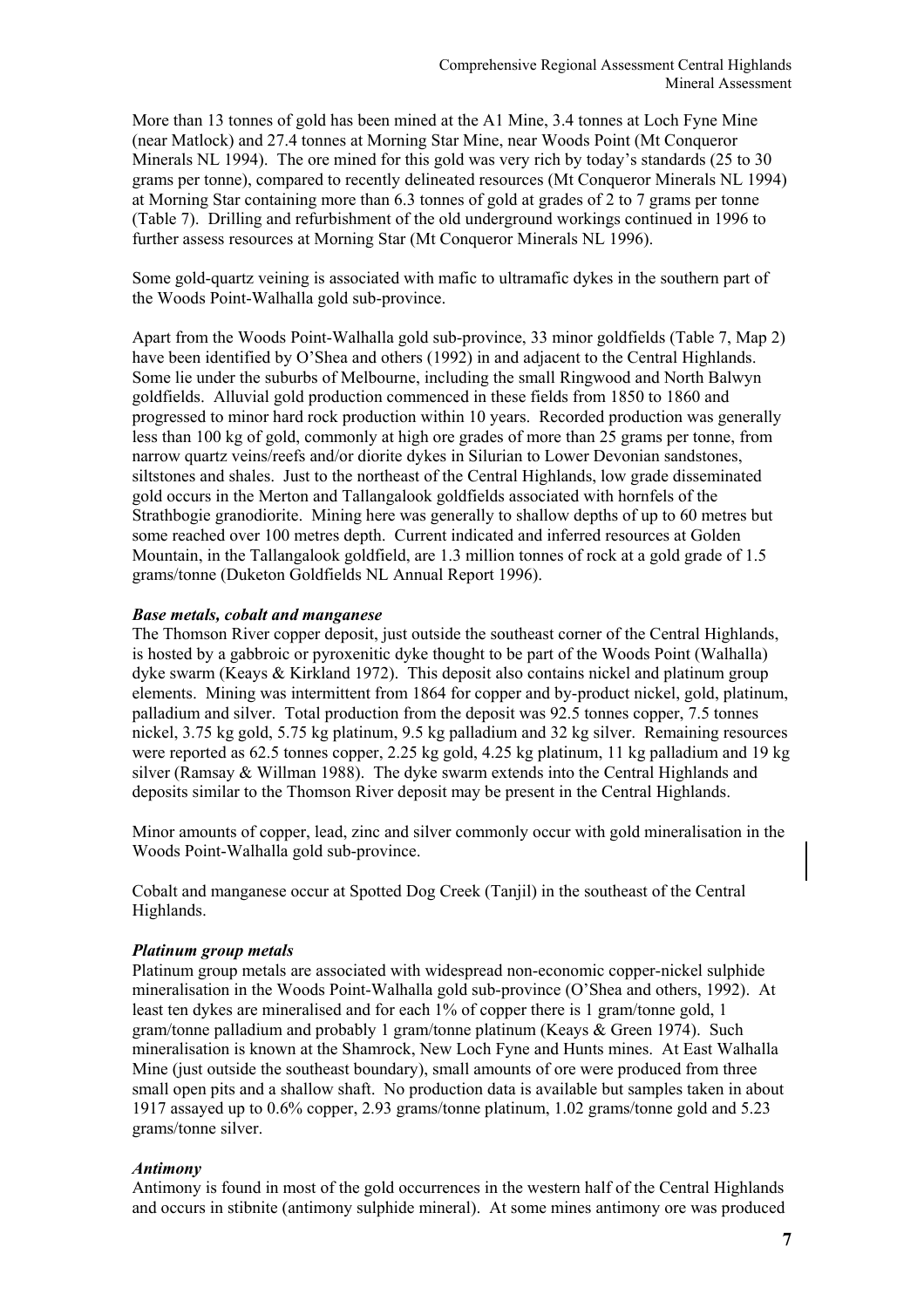More than 13 tonnes of gold has been mined at the A1 Mine, 3.4 tonnes at Loch Fyne Mine (near Matlock) and 27.4 tonnes at Morning Star Mine, near Woods Point (Mt Conqueror Minerals NL 1994). The ore mined for this gold was very rich by today's standards (25 to 30 grams per tonne), compared to recently delineated resources (Mt Conqueror Minerals NL 1994) at Morning Star containing more than 6.3 tonnes of gold at grades of 2 to 7 grams per tonne (Table 7). Drilling and refurbishment of the old underground workings continued in 1996 to further assess resources at Morning Star (Mt Conqueror Minerals NL 1996).

Some gold-quartz veining is associated with mafic to ultramafic dykes in the southern part of the Woods Point-Walhalla gold sub-province.

Apart from the Woods Point-Walhalla gold sub-province, 33 minor goldfields (Table 7, Map 2) have been identified by O'Shea and others (1992) in and adjacent to the Central Highlands. Some lie under the suburbs of Melbourne, including the small Ringwood and North Balwyn goldfields. Alluvial gold production commenced in these fields from 1850 to 1860 and progressed to minor hard rock production within 10 years. Recorded production was generally less than 100 kg of gold, commonly at high ore grades of more than 25 grams per tonne, from narrow quartz veins/reefs and/or diorite dykes in Silurian to Lower Devonian sandstones, siltstones and shales. Just to the northeast of the Central Highlands, low grade disseminated gold occurs in the Merton and Tallangalook goldfields associated with hornfels of the Strathbogie granodiorite. Mining here was generally to shallow depths of up to 60 metres but some reached over 100 metres depth. Current indicated and inferred resources at Golden Mountain, in the Tallangalook goldfield, are 1.3 million tonnes of rock at a gold grade of 1.5 grams/tonne (Duketon Goldfields NL Annual Report 1996).

### *Base metals, cobalt and manganese*

The Thomson River copper deposit, just outside the southeast corner of the Central Highlands, is hosted by a gabbroic or pyroxenitic dyke thought to be part of the Woods Point (Walhalla) dyke swarm (Keays & Kirkland 1972). This deposit also contains nickel and platinum group elements. Mining was intermittent from 1864 for copper and by-product nickel, gold, platinum, palladium and silver. Total production from the deposit was 92.5 tonnes copper, 7.5 tonnes nickel, 3.75 kg gold, 5.75 kg platinum, 9.5 kg palladium and 32 kg silver. Remaining resources were reported as 62.5 tonnes copper, 2.25 kg gold, 4.25 kg platinum, 11 kg palladium and 19 kg silver (Ramsay & Willman 1988). The dyke swarm extends into the Central Highlands and deposits similar to the Thomson River deposit may be present in the Central Highlands.

Minor amounts of copper, lead, zinc and silver commonly occur with gold mineralisation in the Woods Point-Walhalla gold sub-province.

Cobalt and manganese occur at Spotted Dog Creek (Tanjil) in the southeast of the Central Highlands.

### *Platinum group metals*

Platinum group metals are associated with widespread non-economic copper-nickel sulphide mineralisation in the Woods Point-Walhalla gold sub-province (O'Shea and others, 1992). At least ten dykes are mineralised and for each 1% of copper there is 1 gram/tonne gold, 1 gram/tonne palladium and probably 1 gram/tonne platinum (Keays & Green 1974). Such mineralisation is known at the Shamrock, New Loch Fyne and Hunts mines. At East Walhalla Mine (just outside the southeast boundary), small amounts of ore were produced from three small open pits and a shallow shaft. No production data is available but samples taken in about 1917 assayed up to 0.6% copper, 2.93 grams/tonne platinum, 1.02 grams/tonne gold and 5.23 grams/tonne silver.

### *Antimony*

Antimony is found in most of the gold occurrences in the western half of the Central Highlands and occurs in stibnite (antimony sulphide mineral). At some mines antimony ore was produced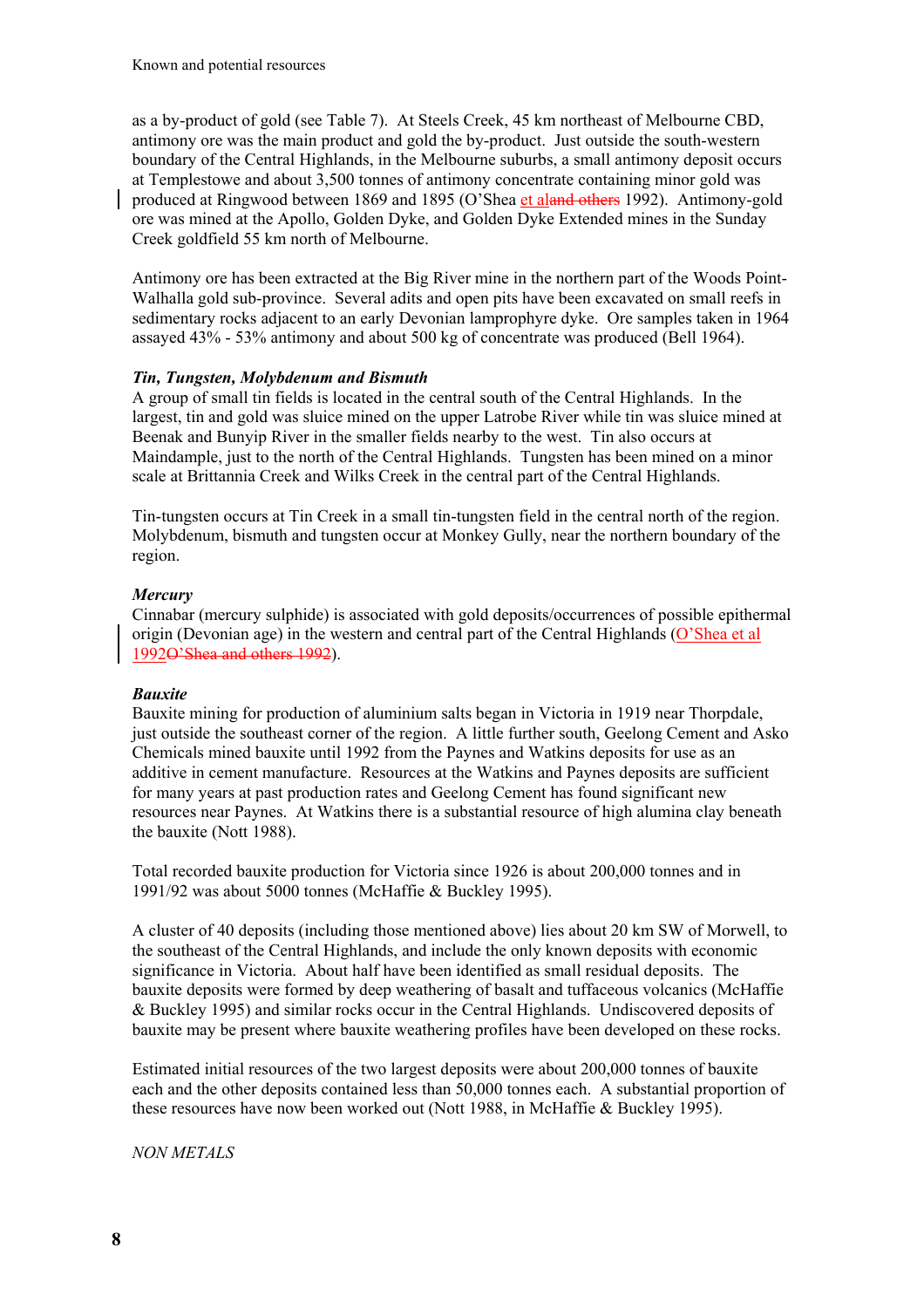as a by-product of gold (see Table 7). At Steels Creek, 45 km northeast of Melbourne CBD, antimony ore was the main product and gold the by-product. Just outside the south-western boundary of the Central Highlands, in the Melbourne suburbs, a small antimony deposit occurs at Templestowe and about 3,500 tonnes of antimony concentrate containing minor gold was produced at Ringwood between 1869 and 1895 (O'Shea et aland others 1992). Antimony-gold ore was mined at the Apollo, Golden Dyke, and Golden Dyke Extended mines in the Sunday Creek goldfield 55 km north of Melbourne.

Antimony ore has been extracted at the Big River mine in the northern part of the Woods Point-Walhalla gold sub-province. Several adits and open pits have been excavated on small reefs in sedimentary rocks adjacent to an early Devonian lamprophyre dyke. Ore samples taken in 1964 assayed 43% - 53% antimony and about 500 kg of concentrate was produced (Bell 1964).

# *Tin, Tungsten, Molybdenum and Bismuth*

A group of small tin fields is located in the central south of the Central Highlands. In the largest, tin and gold was sluice mined on the upper Latrobe River while tin was sluice mined at Beenak and Bunyip River in the smaller fields nearby to the west. Tin also occurs at Maindample, just to the north of the Central Highlands. Tungsten has been mined on a minor scale at Brittannia Creek and Wilks Creek in the central part of the Central Highlands.

Tin-tungsten occurs at Tin Creek in a small tin-tungsten field in the central north of the region. Molybdenum, bismuth and tungsten occur at Monkey Gully, near the northern boundary of the region.

# *Mercury*

Cinnabar (mercury sulphide) is associated with gold deposits/occurrences of possible epithermal origin (Devonian age) in the western and central part of the Central Highlands (O'Shea et al 1992O'Shea and others 1992).

# *Bauxite*

Bauxite mining for production of aluminium salts began in Victoria in 1919 near Thorpdale, just outside the southeast corner of the region. A little further south, Geelong Cement and Asko Chemicals mined bauxite until 1992 from the Paynes and Watkins deposits for use as an additive in cement manufacture. Resources at the Watkins and Paynes deposits are sufficient for many years at past production rates and Geelong Cement has found significant new resources near Paynes. At Watkins there is a substantial resource of high alumina clay beneath the bauxite (Nott 1988).

Total recorded bauxite production for Victoria since 1926 is about 200,000 tonnes and in 1991/92 was about 5000 tonnes (McHaffie & Buckley 1995).

A cluster of 40 deposits (including those mentioned above) lies about 20 km SW of Morwell, to the southeast of the Central Highlands, and include the only known deposits with economic significance in Victoria. About half have been identified as small residual deposits. The bauxite deposits were formed by deep weathering of basalt and tuffaceous volcanics (McHaffie & Buckley 1995) and similar rocks occur in the Central Highlands. Undiscovered deposits of bauxite may be present where bauxite weathering profiles have been developed on these rocks.

Estimated initial resources of the two largest deposits were about 200,000 tonnes of bauxite each and the other deposits contained less than 50,000 tonnes each. A substantial proportion of these resources have now been worked out (Nott 1988, in McHaffie & Buckley 1995).

*NON METALS*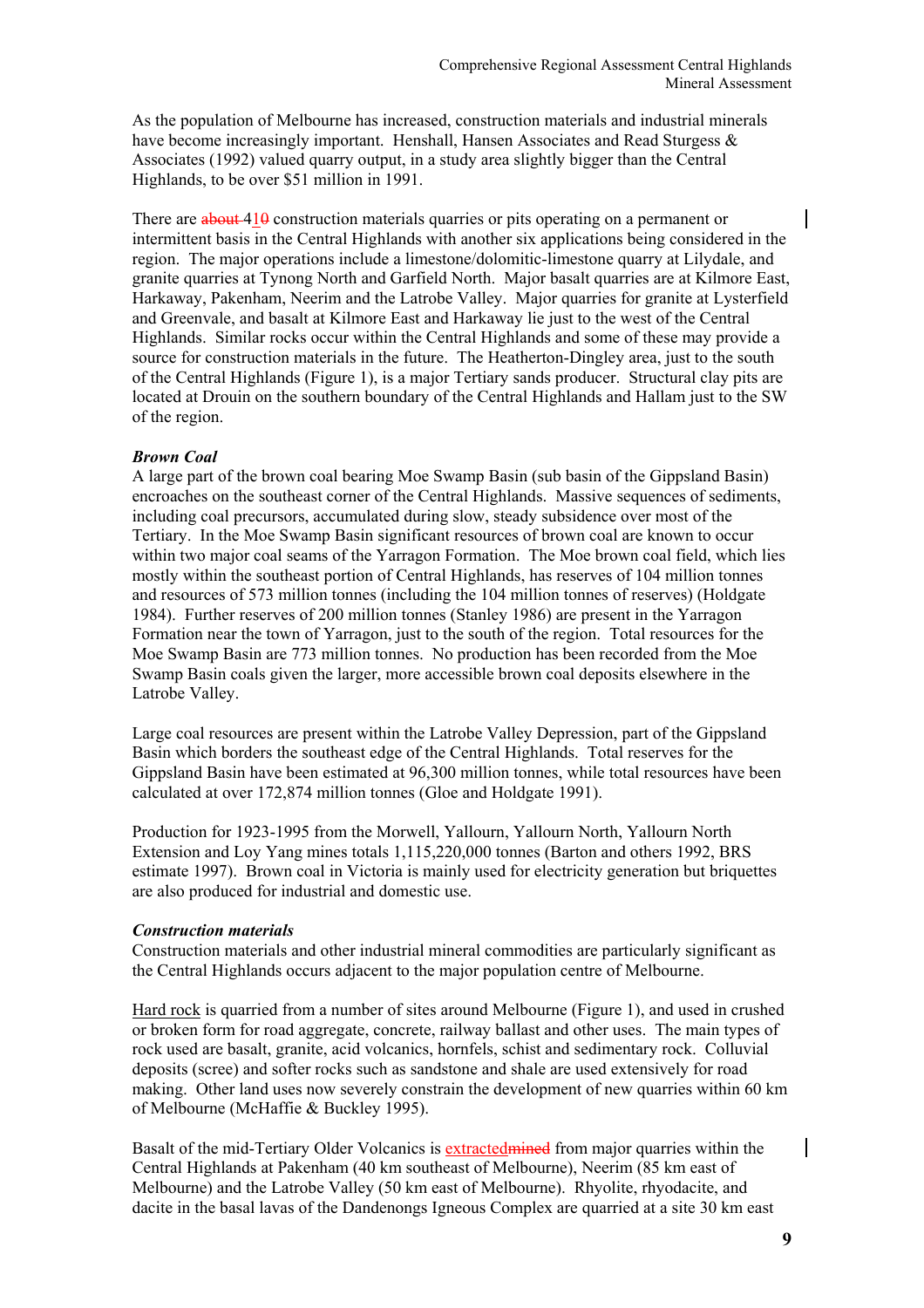As the population of Melbourne has increased, construction materials and industrial minerals have become increasingly important. Henshall, Hansen Associates and Read Sturgess  $\&$ Associates (1992) valued quarry output, in a study area slightly bigger than the Central Highlands, to be over \$51 million in 1991.

There are about 410 construction materials quarries or pits operating on a permanent or intermittent basis in the Central Highlands with another six applications being considered in the region. The major operations include a limestone/dolomitic-limestone quarry at Lilydale, and granite quarries at Tynong North and Garfield North. Major basalt quarries are at Kilmore East, Harkaway, Pakenham, Neerim and the Latrobe Valley. Major quarries for granite at Lysterfield and Greenvale, and basalt at Kilmore East and Harkaway lie just to the west of the Central Highlands. Similar rocks occur within the Central Highlands and some of these may provide a source for construction materials in the future. The Heatherton-Dingley area, just to the south of the Central Highlands (Figure 1), is a major Tertiary sands producer. Structural clay pits are located at Drouin on the southern boundary of the Central Highlands and Hallam just to the SW of the region.

### *Brown Coal*

A large part of the brown coal bearing Moe Swamp Basin (sub basin of the Gippsland Basin) encroaches on the southeast corner of the Central Highlands. Massive sequences of sediments, including coal precursors, accumulated during slow, steady subsidence over most of the Tertiary. In the Moe Swamp Basin significant resources of brown coal are known to occur within two major coal seams of the Yarragon Formation. The Moe brown coal field, which lies mostly within the southeast portion of Central Highlands, has reserves of 104 million tonnes and resources of 573 million tonnes (including the 104 million tonnes of reserves) (Holdgate 1984). Further reserves of 200 million tonnes (Stanley 1986) are present in the Yarragon Formation near the town of Yarragon, just to the south of the region. Total resources for the Moe Swamp Basin are 773 million tonnes. No production has been recorded from the Moe Swamp Basin coals given the larger, more accessible brown coal deposits elsewhere in the Latrobe Valley.

Large coal resources are present within the Latrobe Valley Depression, part of the Gippsland Basin which borders the southeast edge of the Central Highlands. Total reserves for the Gippsland Basin have been estimated at 96,300 million tonnes, while total resources have been calculated at over 172,874 million tonnes (Gloe and Holdgate 1991).

Production for 1923-1995 from the Morwell, Yallourn, Yallourn North, Yallourn North Extension and Loy Yang mines totals 1,115,220,000 tonnes (Barton and others 1992, BRS estimate 1997). Brown coal in Victoria is mainly used for electricity generation but briquettes are also produced for industrial and domestic use.

### *Construction materials*

Construction materials and other industrial mineral commodities are particularly significant as the Central Highlands occurs adjacent to the major population centre of Melbourne.

Hard rock is quarried from a number of sites around Melbourne (Figure 1), and used in crushed or broken form for road aggregate, concrete, railway ballast and other uses. The main types of rock used are basalt, granite, acid volcanics, hornfels, schist and sedimentary rock. Colluvial deposits (scree) and softer rocks such as sandstone and shale are used extensively for road making. Other land uses now severely constrain the development of new quarries within 60 km of Melbourne (McHaffie & Buckley 1995).

Basalt of the mid-Tertiary Older Volcanics is extractedmined from major quarries within the Central Highlands at Pakenham (40 km southeast of Melbourne), Neerim (85 km east of Melbourne) and the Latrobe Valley (50 km east of Melbourne). Rhyolite, rhyodacite, and dacite in the basal lavas of the Dandenongs Igneous Complex are quarried at a site 30 km east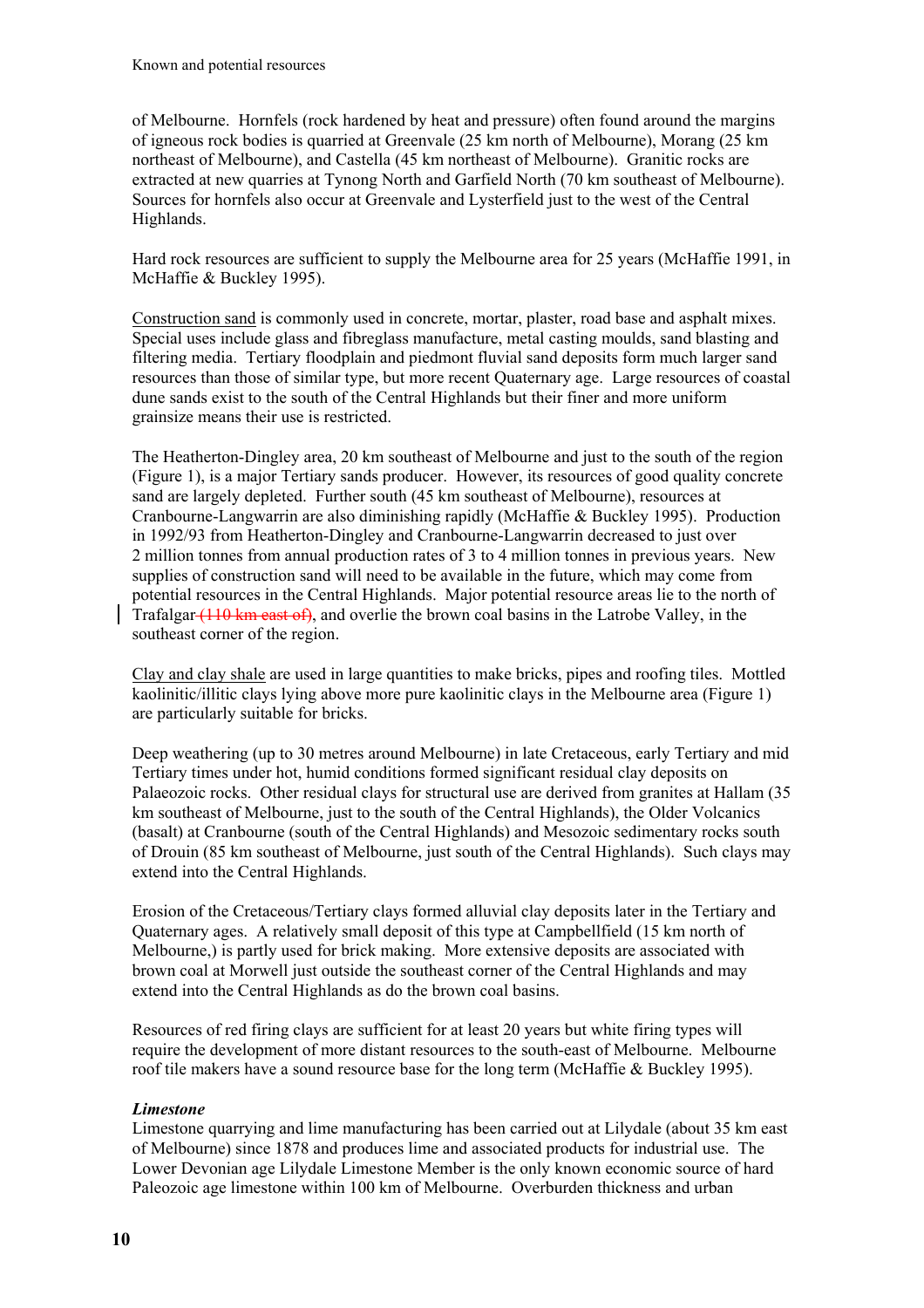of Melbourne. Hornfels (rock hardened by heat and pressure) often found around the margins of igneous rock bodies is quarried at Greenvale (25 km north of Melbourne), Morang (25 km northeast of Melbourne), and Castella (45 km northeast of Melbourne). Granitic rocks are extracted at new quarries at Tynong North and Garfield North (70 km southeast of Melbourne). Sources for hornfels also occur at Greenvale and Lysterfield just to the west of the Central Highlands.

Hard rock resources are sufficient to supply the Melbourne area for 25 years (McHaffie 1991, in McHaffie & Buckley 1995).

Construction sand is commonly used in concrete, mortar, plaster, road base and asphalt mixes. Special uses include glass and fibreglass manufacture, metal casting moulds, sand blasting and filtering media. Tertiary floodplain and piedmont fluvial sand deposits form much larger sand resources than those of similar type, but more recent Quaternary age. Large resources of coastal dune sands exist to the south of the Central Highlands but their finer and more uniform grainsize means their use is restricted.

The Heatherton-Dingley area, 20 km southeast of Melbourne and just to the south of the region (Figure 1), is a major Tertiary sands producer. However, its resources of good quality concrete sand are largely depleted. Further south (45 km southeast of Melbourne), resources at Cranbourne-Langwarrin are also diminishing rapidly (McHaffie & Buckley 1995). Production in 1992/93 from Heatherton-Dingley and Cranbourne-Langwarrin decreased to just over 2 million tonnes from annual production rates of 3 to 4 million tonnes in previous years. New supplies of construction sand will need to be available in the future, which may come from potential resources in the Central Highlands. Major potential resource areas lie to the north of Trafalgar (110 km east of), and overlie the brown coal basins in the Latrobe Valley, in the southeast corner of the region.

Clay and clay shale are used in large quantities to make bricks, pipes and roofing tiles. Mottled kaolinitic/illitic clays lying above more pure kaolinitic clays in the Melbourne area (Figure 1) are particularly suitable for bricks.

Deep weathering (up to 30 metres around Melbourne) in late Cretaceous, early Tertiary and mid Tertiary times under hot, humid conditions formed significant residual clay deposits on Palaeozoic rocks. Other residual clays for structural use are derived from granites at Hallam (35 km southeast of Melbourne, just to the south of the Central Highlands), the Older Volcanics (basalt) at Cranbourne (south of the Central Highlands) and Mesozoic sedimentary rocks south of Drouin (85 km southeast of Melbourne, just south of the Central Highlands). Such clays may extend into the Central Highlands.

Erosion of the Cretaceous/Tertiary clays formed alluvial clay deposits later in the Tertiary and Quaternary ages. A relatively small deposit of this type at Campbellfield (15 km north of Melbourne,) is partly used for brick making. More extensive deposits are associated with brown coal at Morwell just outside the southeast corner of the Central Highlands and may extend into the Central Highlands as do the brown coal basins.

Resources of red firing clays are sufficient for at least 20 years but white firing types will require the development of more distant resources to the south-east of Melbourne. Melbourne roof tile makers have a sound resource base for the long term (McHaffie & Buckley 1995).

# *Limestone*

Limestone quarrying and lime manufacturing has been carried out at Lilydale (about 35 km east of Melbourne) since 1878 and produces lime and associated products for industrial use. The Lower Devonian age Lilydale Limestone Member is the only known economic source of hard Paleozoic age limestone within 100 km of Melbourne. Overburden thickness and urban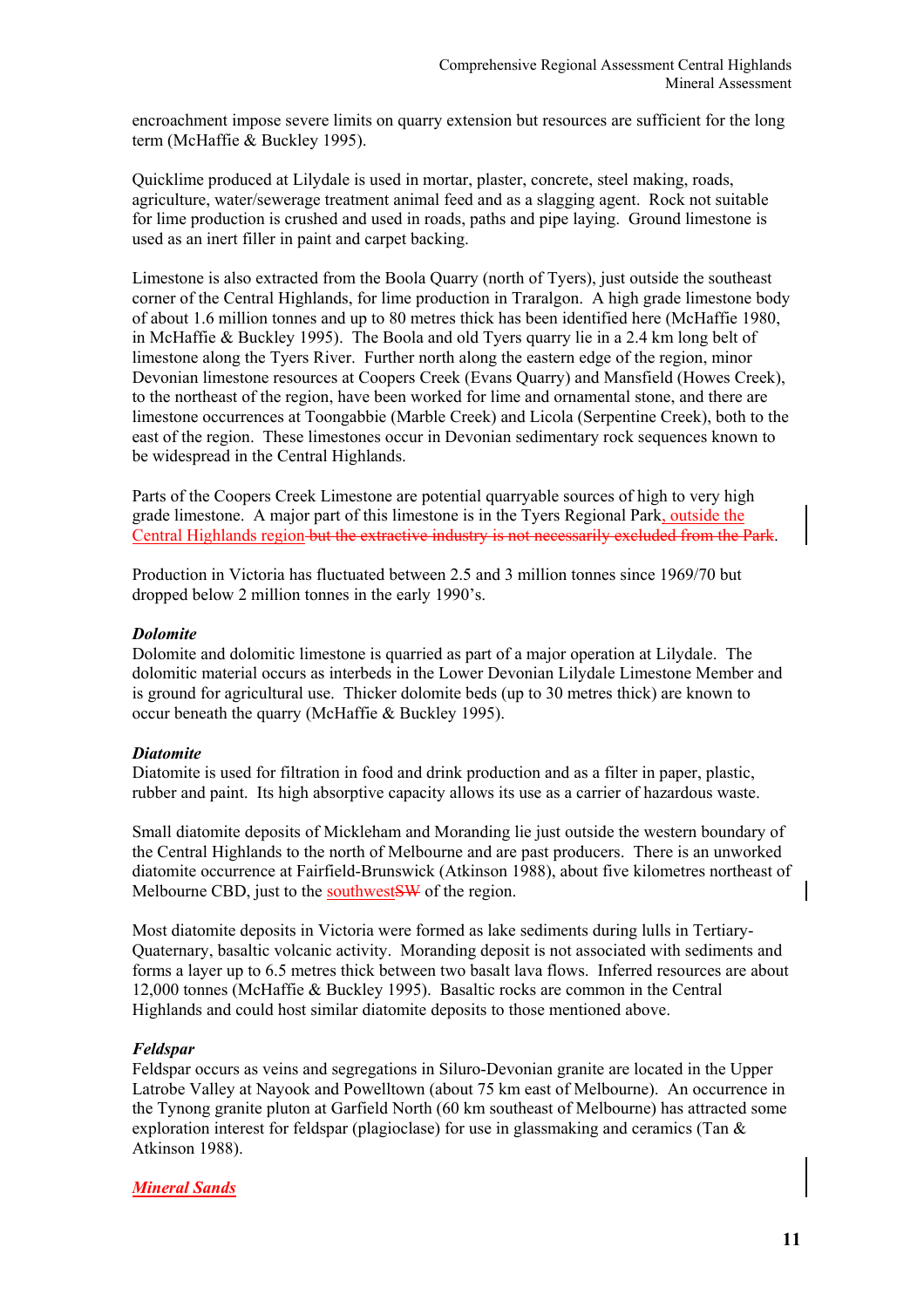encroachment impose severe limits on quarry extension but resources are sufficient for the long term (McHaffie & Buckley 1995).

Quicklime produced at Lilydale is used in mortar, plaster, concrete, steel making, roads, agriculture, water/sewerage treatment animal feed and as a slagging agent. Rock not suitable for lime production is crushed and used in roads, paths and pipe laying. Ground limestone is used as an inert filler in paint and carpet backing.

Limestone is also extracted from the Boola Quarry (north of Tyers), just outside the southeast corner of the Central Highlands, for lime production in Traralgon. A high grade limestone body of about 1.6 million tonnes and up to 80 metres thick has been identified here (McHaffie 1980, in McHaffie & Buckley 1995). The Boola and old Tyers quarry lie in a 2.4 km long belt of limestone along the Tyers River. Further north along the eastern edge of the region, minor Devonian limestone resources at Coopers Creek (Evans Quarry) and Mansfield (Howes Creek), to the northeast of the region, have been worked for lime and ornamental stone, and there are limestone occurrences at Toongabbie (Marble Creek) and Licola (Serpentine Creek), both to the east of the region. These limestones occur in Devonian sedimentary rock sequences known to be widespread in the Central Highlands.

Parts of the Coopers Creek Limestone are potential quarryable sources of high to very high grade limestone. A major part of this limestone is in the Tyers Regional Park, outside the Central Highlands region but the extractive industry is not necessarily excluded from the Park.

Production in Victoria has fluctuated between 2.5 and 3 million tonnes since 1969/70 but dropped below 2 million tonnes in the early 1990's.

### *Dolomite*

Dolomite and dolomitic limestone is quarried as part of a major operation at Lilydale. The dolomitic material occurs as interbeds in the Lower Devonian Lilydale Limestone Member and is ground for agricultural use. Thicker dolomite beds (up to 30 metres thick) are known to occur beneath the quarry (McHaffie & Buckley 1995).

### *Diatomite*

Diatomite is used for filtration in food and drink production and as a filter in paper, plastic, rubber and paint. Its high absorptive capacity allows its use as a carrier of hazardous waste.

Small diatomite deposits of Mickleham and Moranding lie just outside the western boundary of the Central Highlands to the north of Melbourne and are past producers. There is an unworked diatomite occurrence at Fairfield-Brunswick (Atkinson 1988), about five kilometres northeast of Melbourne CBD, just to the **southwestSW** of the region.

Most diatomite deposits in Victoria were formed as lake sediments during lulls in Tertiary-Quaternary, basaltic volcanic activity. Moranding deposit is not associated with sediments and forms a layer up to 6.5 metres thick between two basalt lava flows. Inferred resources are about 12,000 tonnes (McHaffie & Buckley 1995). Basaltic rocks are common in the Central Highlands and could host similar diatomite deposits to those mentioned above.

### *Feldspar*

Feldspar occurs as veins and segregations in Siluro-Devonian granite are located in the Upper Latrobe Valley at Nayook and Powelltown (about 75 km east of Melbourne). An occurrence in the Tynong granite pluton at Garfield North (60 km southeast of Melbourne) has attracted some exploration interest for feldspar (plagioclase) for use in glassmaking and ceramics (Tan & Atkinson 1988).

### *Mineral Sands*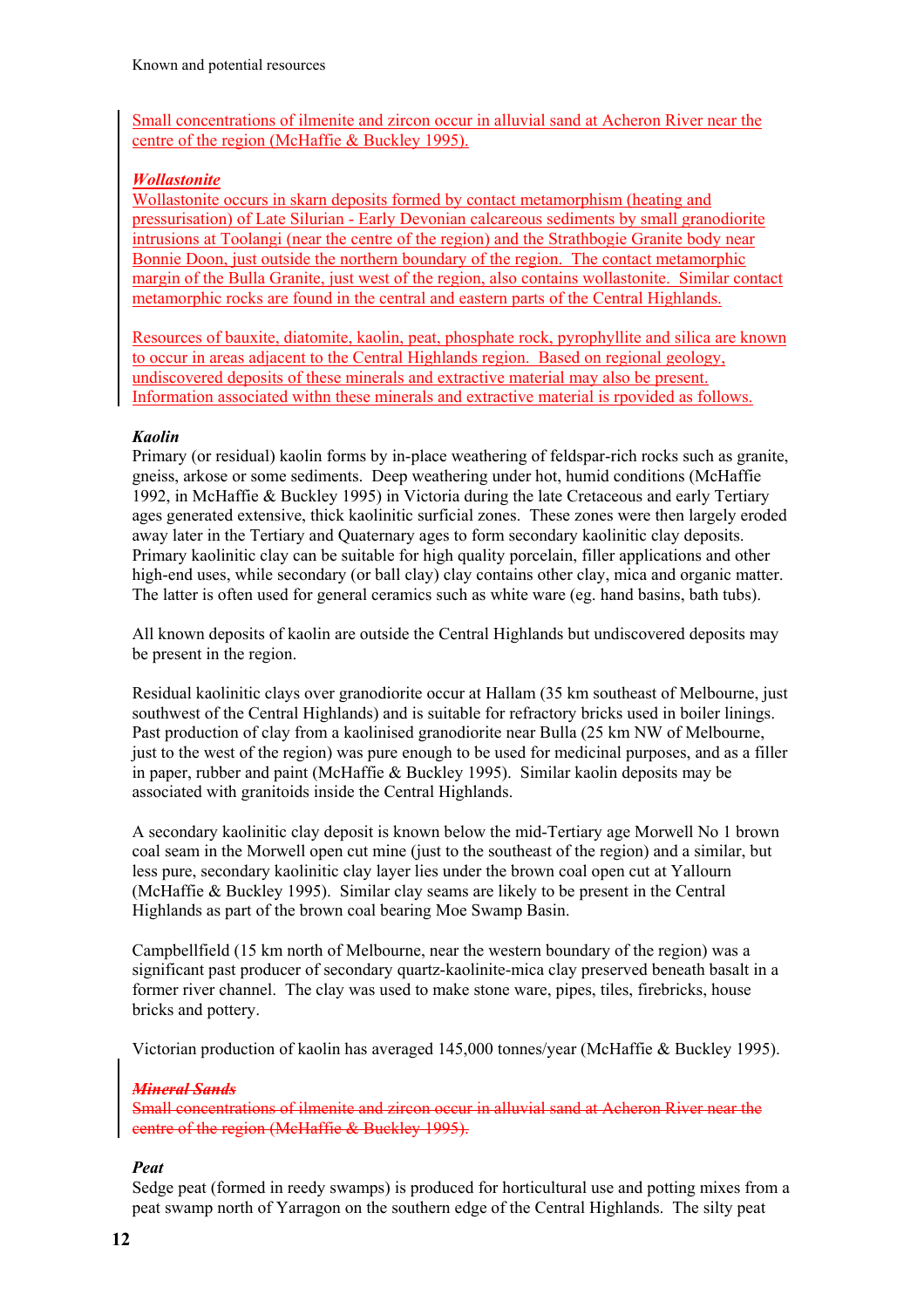Small concentrations of ilmenite and zircon occur in alluvial sand at Acheron River near the centre of the region (McHaffie & Buckley 1995).

# *Wollastonite*

Wollastonite occurs in skarn deposits formed by contact metamorphism (heating and pressurisation) of Late Silurian - Early Devonian calcareous sediments by small granodiorite intrusions at Toolangi (near the centre of the region) and the Strathbogie Granite body near Bonnie Doon, just outside the northern boundary of the region. The contact metamorphic margin of the Bulla Granite, just west of the region, also contains wollastonite. Similar contact metamorphic rocks are found in the central and eastern parts of the Central Highlands.

Resources of bauxite, diatomite, kaolin, peat, phosphate rock, pyrophyllite and silica are known to occur in areas adjacent to the Central Highlands region. Based on regional geology, undiscovered deposits of these minerals and extractive material may also be present. Information associated withn these minerals and extractive material is rpovided as follows.

# *Kaolin*

Primary (or residual) kaolin forms by in-place weathering of feldspar-rich rocks such as granite, gneiss, arkose or some sediments. Deep weathering under hot, humid conditions (McHaffie 1992, in McHaffie & Buckley 1995) in Victoria during the late Cretaceous and early Tertiary ages generated extensive, thick kaolinitic surficial zones. These zones were then largely eroded away later in the Tertiary and Quaternary ages to form secondary kaolinitic clay deposits. Primary kaolinitic clay can be suitable for high quality porcelain, filler applications and other high-end uses, while secondary (or ball clay) clay contains other clay, mica and organic matter. The latter is often used for general ceramics such as white ware (eg. hand basins, bath tubs).

All known deposits of kaolin are outside the Central Highlands but undiscovered deposits may be present in the region.

Residual kaolinitic clays over granodiorite occur at Hallam (35 km southeast of Melbourne, just southwest of the Central Highlands) and is suitable for refractory bricks used in boiler linings. Past production of clay from a kaolinised granodiorite near Bulla (25 km NW of Melbourne, just to the west of the region) was pure enough to be used for medicinal purposes, and as a filler in paper, rubber and paint (McHaffie & Buckley 1995). Similar kaolin deposits may be associated with granitoids inside the Central Highlands.

A secondary kaolinitic clay deposit is known below the mid-Tertiary age Morwell No 1 brown coal seam in the Morwell open cut mine (just to the southeast of the region) and a similar, but less pure, secondary kaolinitic clay layer lies under the brown coal open cut at Yallourn (McHaffie & Buckley 1995). Similar clay seams are likely to be present in the Central Highlands as part of the brown coal bearing Moe Swamp Basin.

Campbellfield (15 km north of Melbourne, near the western boundary of the region) was a significant past producer of secondary quartz-kaolinite-mica clay preserved beneath basalt in a former river channel. The clay was used to make stone ware, pipes, tiles, firebricks, house bricks and pottery.

Victorian production of kaolin has averaged 145,000 tonnes/year (McHaffie & Buckley 1995).

# *Mineral Sands*

Small concentrations of ilmenite and zircon occur in alluvial sand at Acheron River near the centre of the region (McHaffie & Buckley 1995).

# *Peat*

Sedge peat (formed in reedy swamps) is produced for horticultural use and potting mixes from a peat swamp north of Yarragon on the southern edge of the Central Highlands. The silty peat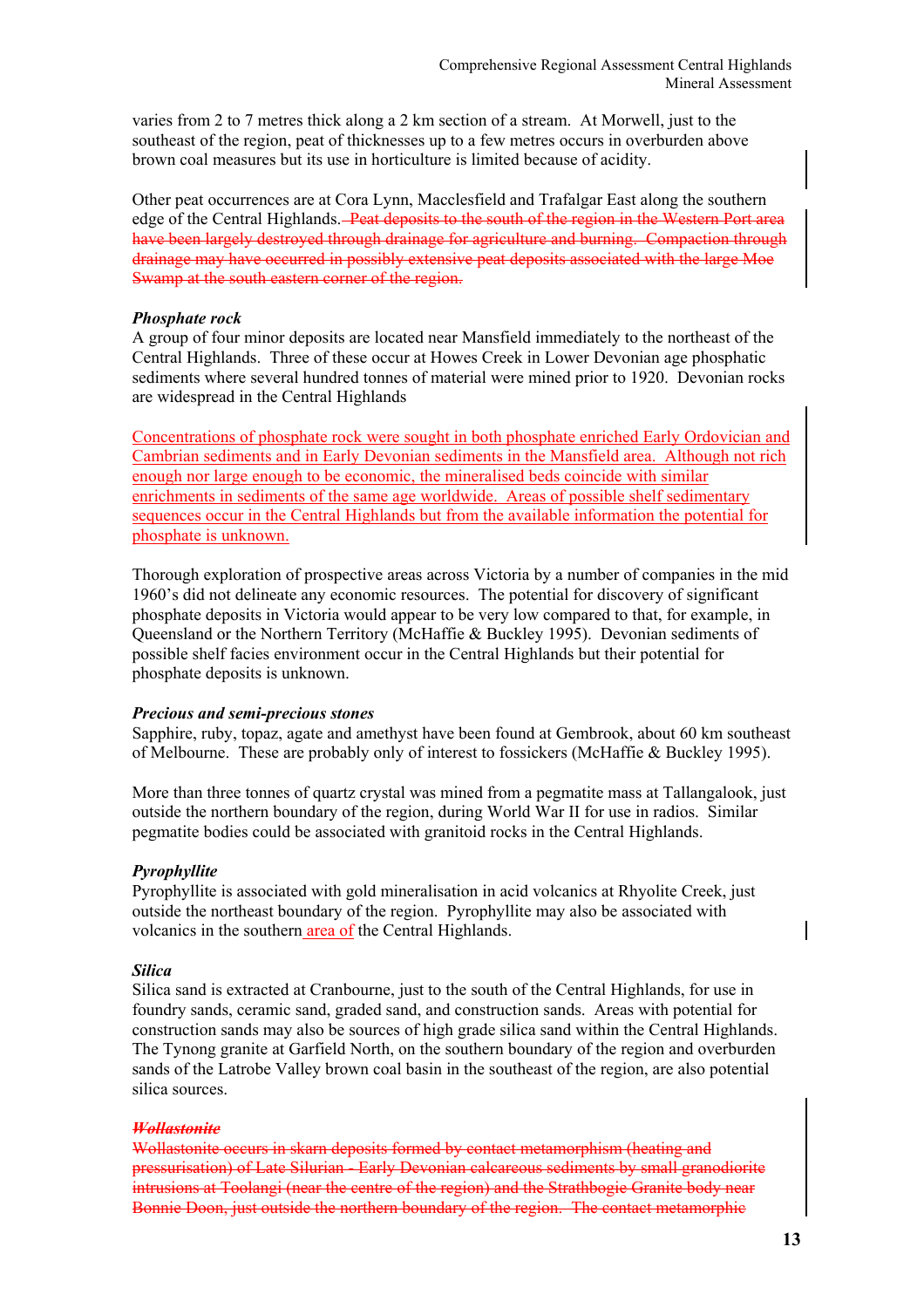varies from 2 to 7 metres thick along a 2 km section of a stream. At Morwell, just to the southeast of the region, peat of thicknesses up to a few metres occurs in overburden above brown coal measures but its use in horticulture is limited because of acidity.

Other peat occurrences are at Cora Lynn, Macclesfield and Trafalgar East along the southern edge of the Central Highlands. Peat deposits to the south of the region in the Western Port area have been largely destroyed through drainage for agriculture and burning. Compaction through drainage may have occurred in possibly extensive peat deposits associated with the large Moe Swamp at the south eastern corner of the region.

### *Phosphate rock*

A group of four minor deposits are located near Mansfield immediately to the northeast of the Central Highlands. Three of these occur at Howes Creek in Lower Devonian age phosphatic sediments where several hundred tonnes of material were mined prior to 1920. Devonian rocks are widespread in the Central Highlands

Concentrations of phosphate rock were sought in both phosphate enriched Early Ordovician and Cambrian sediments and in Early Devonian sediments in the Mansfield area. Although not rich enough nor large enough to be economic, the mineralised beds coincide with similar enrichments in sediments of the same age worldwide. Areas of possible shelf sedimentary sequences occur in the Central Highlands but from the available information the potential for phosphate is unknown.

Thorough exploration of prospective areas across Victoria by a number of companies in the mid 1960's did not delineate any economic resources. The potential for discovery of significant phosphate deposits in Victoria would appear to be very low compared to that, for example, in Queensland or the Northern Territory (McHaffie & Buckley 1995). Devonian sediments of possible shelf facies environment occur in the Central Highlands but their potential for phosphate deposits is unknown.

### *Precious and semi-precious stones*

Sapphire, ruby, topaz, agate and amethyst have been found at Gembrook, about 60 km southeast of Melbourne. These are probably only of interest to fossickers (McHaffie & Buckley 1995).

More than three tonnes of quartz crystal was mined from a pegmatite mass at Tallangalook, just outside the northern boundary of the region, during World War II for use in radios. Similar pegmatite bodies could be associated with granitoid rocks in the Central Highlands.

# *Pyrophyllite*

Pyrophyllite is associated with gold mineralisation in acid volcanics at Rhyolite Creek, just outside the northeast boundary of the region. Pyrophyllite may also be associated with volcanics in the southern area of the Central Highlands.

### *Silica*

Silica sand is extracted at Cranbourne, just to the south of the Central Highlands, for use in foundry sands, ceramic sand, graded sand, and construction sands. Areas with potential for construction sands may also be sources of high grade silica sand within the Central Highlands. The Tynong granite at Garfield North, on the southern boundary of the region and overburden sands of the Latrobe Valley brown coal basin in the southeast of the region, are also potential silica sources.

### *Wollastonite*

Wollastonite occurs in skarn deposits formed by contact metamorphism (heating and pressurisation) of Late Silurian - Early Devonian calcareous sediments by small granodiorite intrusions at Toolangi (near the centre of the region) and the Strathbogie Granite body near Bonnie Doon, just outside the northern boundary of the region. The contact metamorphic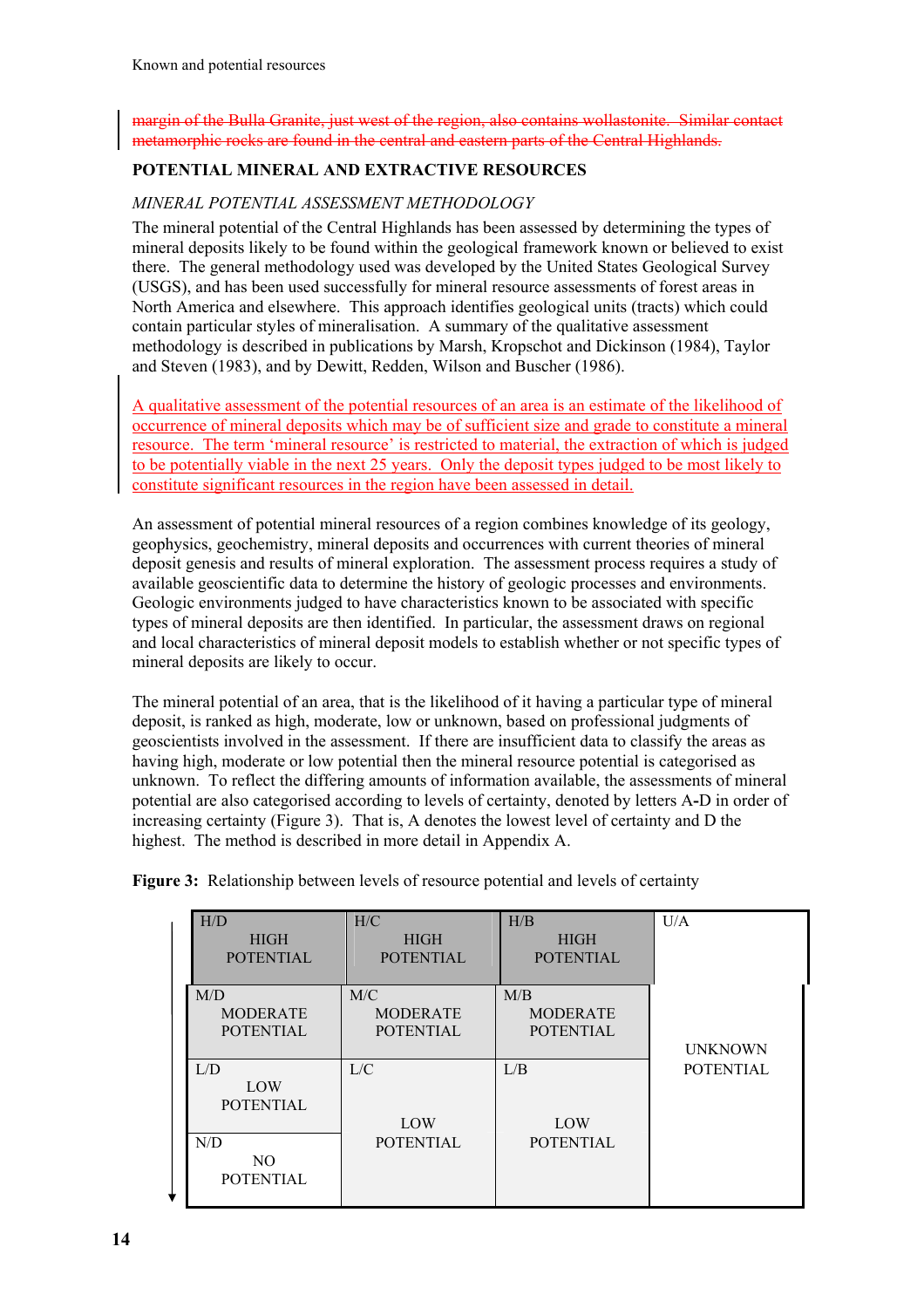margin of the Bulla Granite, just west of the region, also contains wollastonite. Similar contact metamorphic rocks are found in the central and eastern parts of the Central Highlands.

# **POTENTIAL MINERAL AND EXTRACTIVE RESOURCES**

# *MINERAL POTENTIAL ASSESSMENT METHODOLOGY*

The mineral potential of the Central Highlands has been assessed by determining the types of mineral deposits likely to be found within the geological framework known or believed to exist there. The general methodology used was developed by the United States Geological Survey (USGS), and has been used successfully for mineral resource assessments of forest areas in North America and elsewhere. This approach identifies geological units (tracts) which could contain particular styles of mineralisation. A summary of the qualitative assessment methodology is described in publications by Marsh, Kropschot and Dickinson (1984), Taylor and Steven (1983), and by Dewitt, Redden, Wilson and Buscher (1986).

A qualitative assessment of the potential resources of an area is an estimate of the likelihood of occurrence of mineral deposits which may be of sufficient size and grade to constitute a mineral resource. The term 'mineral resource' is restricted to material, the extraction of which is judged to be potentially viable in the next 25 years. Only the deposit types judged to be most likely to constitute significant resources in the region have been assessed in detail.

An assessment of potential mineral resources of a region combines knowledge of its geology, geophysics, geochemistry, mineral deposits and occurrences with current theories of mineral deposit genesis and results of mineral exploration. The assessment process requires a study of available geoscientific data to determine the history of geologic processes and environments. Geologic environments judged to have characteristics known to be associated with specific types of mineral deposits are then identified. In particular, the assessment draws on regional and local characteristics of mineral deposit models to establish whether or not specific types of mineral deposits are likely to occur.

The mineral potential of an area, that is the likelihood of it having a particular type of mineral deposit, is ranked as high, moderate, low or unknown, based on professional judgments of geoscientists involved in the assessment. If there are insufficient data to classify the areas as having high, moderate or low potential then the mineral resource potential is categorised as unknown. To reflect the differing amounts of information available, the assessments of mineral potential are also categorised according to levels of certainty, denoted by letters A**-**D in order of increasing certainty (Figure 3). That is, A denotes the lowest level of certainty and D the highest. The method is described in more detail in Appendix A.

| H/D<br><b>HIGH</b><br><b>POTENTIAL</b>     | H/C<br><b>HIGH</b><br><b>POTENTIAL</b>     | H/B<br><b>HIGH</b><br><b>POTENTIAL</b>     | U/A              |
|--------------------------------------------|--------------------------------------------|--------------------------------------------|------------------|
| M/D<br><b>MODERATE</b><br><b>POTENTIAL</b> | M/C<br><b>MODERATE</b><br><b>POTENTIAL</b> | M/B<br><b>MODERATE</b><br><b>POTENTIAL</b> | <b>UNKNOWN</b>   |
| L/D<br>LOW<br><b>POTENTIAL</b>             | L/C<br>LOW                                 | L/B<br>LOW                                 | <b>POTENTIAL</b> |
| N/D<br>NO.<br><b>POTENTIAL</b>             | <b>POTENTIAL</b>                           | <b>POTENTIAL</b>                           |                  |

**Figure 3:** Relationship between levels of resource potential and levels of certainty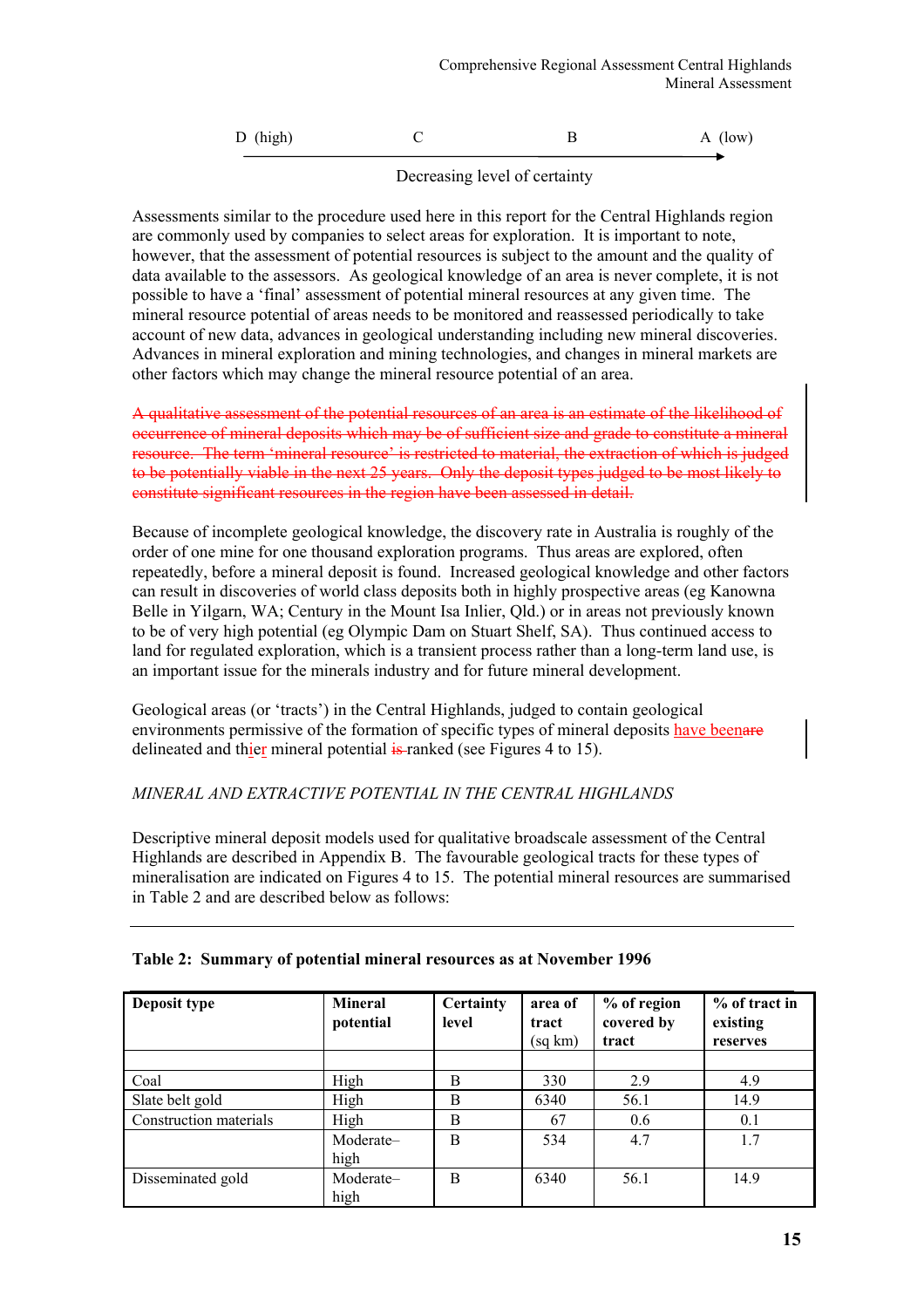| D (high) |  |  | A (low) |
|----------|--|--|---------|
|----------|--|--|---------|

#### Decreasing level of certainty

Assessments similar to the procedure used here in this report for the Central Highlands region are commonly used by companies to select areas for exploration. It is important to note, however, that the assessment of potential resources is subject to the amount and the quality of data available to the assessors. As geological knowledge of an area is never complete, it is not possible to have a 'final' assessment of potential mineral resources at any given time. The mineral resource potential of areas needs to be monitored and reassessed periodically to take account of new data, advances in geological understanding including new mineral discoveries. Advances in mineral exploration and mining technologies, and changes in mineral markets are other factors which may change the mineral resource potential of an area.

A qualitative assessment of the potential resources of an area is an estimate of the likelihood of occurrence of mineral deposits which may be of sufficient size and grade to constitute a mineral resource. The term 'mineral resource' is restricted to material, the extraction of which is judged to be potentially viable in the next 25 years. Only the deposit types judged to be most likely to constitute significant resources in the region have been assessed in detail.

Because of incomplete geological knowledge, the discovery rate in Australia is roughly of the order of one mine for one thousand exploration programs. Thus areas are explored, often repeatedly, before a mineral deposit is found. Increased geological knowledge and other factors can result in discoveries of world class deposits both in highly prospective areas (eg Kanowna Belle in Yilgarn, WA; Century in the Mount Isa Inlier, Qld.) or in areas not previously known to be of very high potential (eg Olympic Dam on Stuart Shelf, SA). Thus continued access to land for regulated exploration, which is a transient process rather than a long-term land use, is an important issue for the minerals industry and for future mineral development.

Geological areas (or 'tracts') in the Central Highlands, judged to contain geological environments permissive of the formation of specific types of mineral deposits have beenare delineated and thier mineral potential is ranked (see Figures 4 to 15).

### *MINERAL AND EXTRACTIVE POTENTIAL IN THE CENTRAL HIGHLANDS*

Descriptive mineral deposit models used for qualitative broadscale assessment of the Central Highlands are described in Appendix B. The favourable geological tracts for these types of mineralisation are indicated on Figures 4 to 15. The potential mineral resources are summarised in Table 2 and are described below as follows:

| Deposit type           | <b>Mineral</b><br>potential | Certainty<br>level | area of<br>tract<br>(sq km) | % of region<br>covered by<br>tract | $%$ of tract in<br>existing<br>reserves |
|------------------------|-----------------------------|--------------------|-----------------------------|------------------------------------|-----------------------------------------|
|                        |                             |                    |                             |                                    |                                         |
| Coal                   | High                        | Β                  | 330                         | 2.9                                | 4.9                                     |
| Slate belt gold        | High                        | B                  | 6340                        | 56.1                               | 14.9                                    |
| Construction materials | High                        | B                  | 67                          | 0.6                                | 0.1                                     |
|                        | Moderate-<br>high           | B                  | 534                         | 4.7                                | 1.7                                     |
| Disseminated gold      | Moderate-<br>high           | B                  | 6340                        | 56.1                               | 14.9                                    |

### **Table 2: Summary of potential mineral resources as at November 1996**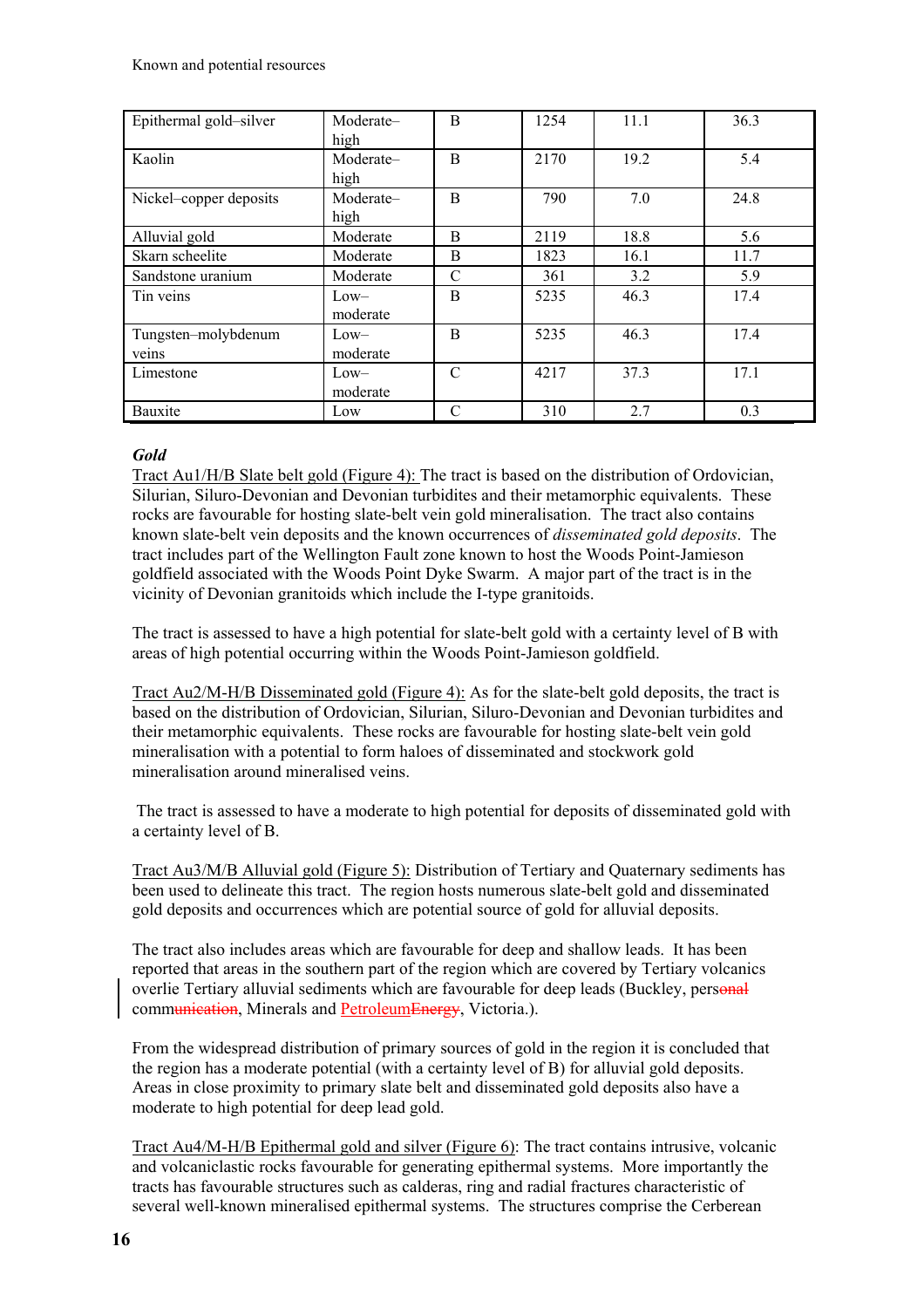| Epithermal gold-silver       | Moderate-<br>high  | B | 1254 | 11.1 | 36.3 |
|------------------------------|--------------------|---|------|------|------|
| Kaolin                       | Moderate-<br>high  | B | 2170 | 19.2 | 5.4  |
| Nickel–copper deposits       | Moderate-<br>high  | B | 790  | 7.0  | 24.8 |
| Alluvial gold                | Moderate           | B | 2119 | 18.8 | 5.6  |
| Skarn scheelite              | Moderate           | B | 1823 | 16.1 | 11.7 |
| Sandstone uranium            | Moderate           | C | 361  | 3.2  | 5.9  |
| Tin veins                    | $Low-$<br>moderate | B | 5235 | 46.3 | 17.4 |
| Tungsten-molybdenum<br>veins | $Low-$<br>moderate | B | 5235 | 46.3 | 17.4 |
| Limestone                    | $Low-$<br>moderate | C | 4217 | 37.3 | 17.1 |
| Bauxite                      | Low                | C | 310  | 2.7  | 0.3  |

# *Gold*

Tract Au1/H/B Slate belt gold (Figure 4): The tract is based on the distribution of Ordovician, Silurian, Siluro-Devonian and Devonian turbidites and their metamorphic equivalents. These rocks are favourable for hosting slate-belt vein gold mineralisation. The tract also contains known slate-belt vein deposits and the known occurrences of *disseminated gold deposits*. The tract includes part of the Wellington Fault zone known to host the Woods Point-Jamieson goldfield associated with the Woods Point Dyke Swarm. A major part of the tract is in the vicinity of Devonian granitoids which include the I-type granitoids.

The tract is assessed to have a high potential for slate-belt gold with a certainty level of B with areas of high potential occurring within the Woods Point-Jamieson goldfield.

Tract Au2/M-H/B Disseminated gold (Figure 4): As for the slate-belt gold deposits, the tract is based on the distribution of Ordovician, Silurian, Siluro-Devonian and Devonian turbidites and their metamorphic equivalents. These rocks are favourable for hosting slate-belt vein gold mineralisation with a potential to form haloes of disseminated and stockwork gold mineralisation around mineralised veins.

 The tract is assessed to have a moderate to high potential for deposits of disseminated gold with a certainty level of B.

Tract Au3/M/B Alluvial gold (Figure 5): Distribution of Tertiary and Quaternary sediments has been used to delineate this tract. The region hosts numerous slate-belt gold and disseminated gold deposits and occurrences which are potential source of gold for alluvial deposits.

The tract also includes areas which are favourable for deep and shallow leads. It has been reported that areas in the southern part of the region which are covered by Tertiary volcanics overlie Tertiary alluvial sediments which are favourable for deep leads (Buckley, personal communication, Minerals and PetroleumEnergy, Victoria.).

From the widespread distribution of primary sources of gold in the region it is concluded that the region has a moderate potential (with a certainty level of B) for alluvial gold deposits. Areas in close proximity to primary slate belt and disseminated gold deposits also have a moderate to high potential for deep lead gold.

Tract Au4/M-H/B Epithermal gold and silver (Figure 6): The tract contains intrusive, volcanic and volcaniclastic rocks favourable for generating epithermal systems. More importantly the tracts has favourable structures such as calderas, ring and radial fractures characteristic of several well-known mineralised epithermal systems. The structures comprise the Cerberean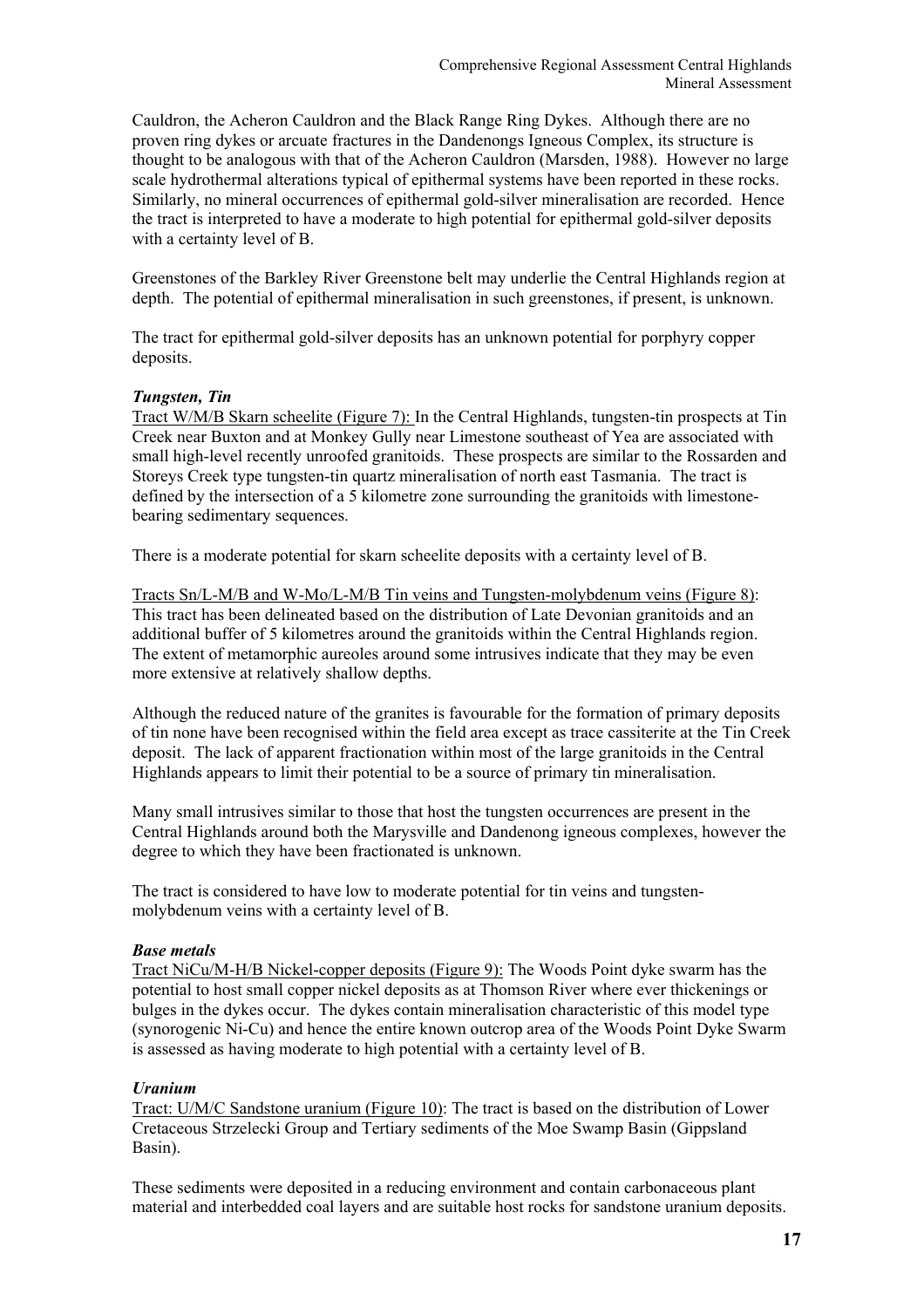Cauldron, the Acheron Cauldron and the Black Range Ring Dykes. Although there are no proven ring dykes or arcuate fractures in the Dandenongs Igneous Complex, its structure is thought to be analogous with that of the Acheron Cauldron (Marsden, 1988). However no large scale hydrothermal alterations typical of epithermal systems have been reported in these rocks. Similarly, no mineral occurrences of epithermal gold-silver mineralisation are recorded. Hence the tract is interpreted to have a moderate to high potential for epithermal gold-silver deposits with a certainty level of B.

Greenstones of the Barkley River Greenstone belt may underlie the Central Highlands region at depth. The potential of epithermal mineralisation in such greenstones, if present, is unknown.

The tract for epithermal gold-silver deposits has an unknown potential for porphyry copper deposits.

### *Tungsten, Tin*

Tract W/M/B Skarn scheelite (Figure 7): In the Central Highlands, tungsten-tin prospects at Tin Creek near Buxton and at Monkey Gully near Limestone southeast of Yea are associated with small high-level recently unroofed granitoids. These prospects are similar to the Rossarden and Storeys Creek type tungsten-tin quartz mineralisation of north east Tasmania. The tract is defined by the intersection of a 5 kilometre zone surrounding the granitoids with limestonebearing sedimentary sequences.

There is a moderate potential for skarn scheelite deposits with a certainty level of B.

Tracts Sn/L-M/B and W-Mo/L-M/B Tin veins and Tungsten-molybdenum veins (Figure 8): This tract has been delineated based on the distribution of Late Devonian granitoids and an additional buffer of 5 kilometres around the granitoids within the Central Highlands region. The extent of metamorphic aureoles around some intrusives indicate that they may be even more extensive at relatively shallow depths.

Although the reduced nature of the granites is favourable for the formation of primary deposits of tin none have been recognised within the field area except as trace cassiterite at the Tin Creek deposit. The lack of apparent fractionation within most of the large granitoids in the Central Highlands appears to limit their potential to be a source of primary tin mineralisation.

Many small intrusives similar to those that host the tungsten occurrences are present in the Central Highlands around both the Marysville and Dandenong igneous complexes, however the degree to which they have been fractionated is unknown.

The tract is considered to have low to moderate potential for tin veins and tungstenmolybdenum veins with a certainty level of B.

# *Base metals*

Tract NiCu/M-H/B Nickel-copper deposits (Figure 9): The Woods Point dyke swarm has the potential to host small copper nickel deposits as at Thomson River where ever thickenings or bulges in the dykes occur. The dykes contain mineralisation characteristic of this model type (synorogenic Ni-Cu) and hence the entire known outcrop area of the Woods Point Dyke Swarm is assessed as having moderate to high potential with a certainty level of B.

### *Uranium*

Tract: U/M/C Sandstone uranium (Figure 10): The tract is based on the distribution of Lower Cretaceous Strzelecki Group and Tertiary sediments of the Moe Swamp Basin (Gippsland Basin).

These sediments were deposited in a reducing environment and contain carbonaceous plant material and interbedded coal layers and are suitable host rocks for sandstone uranium deposits.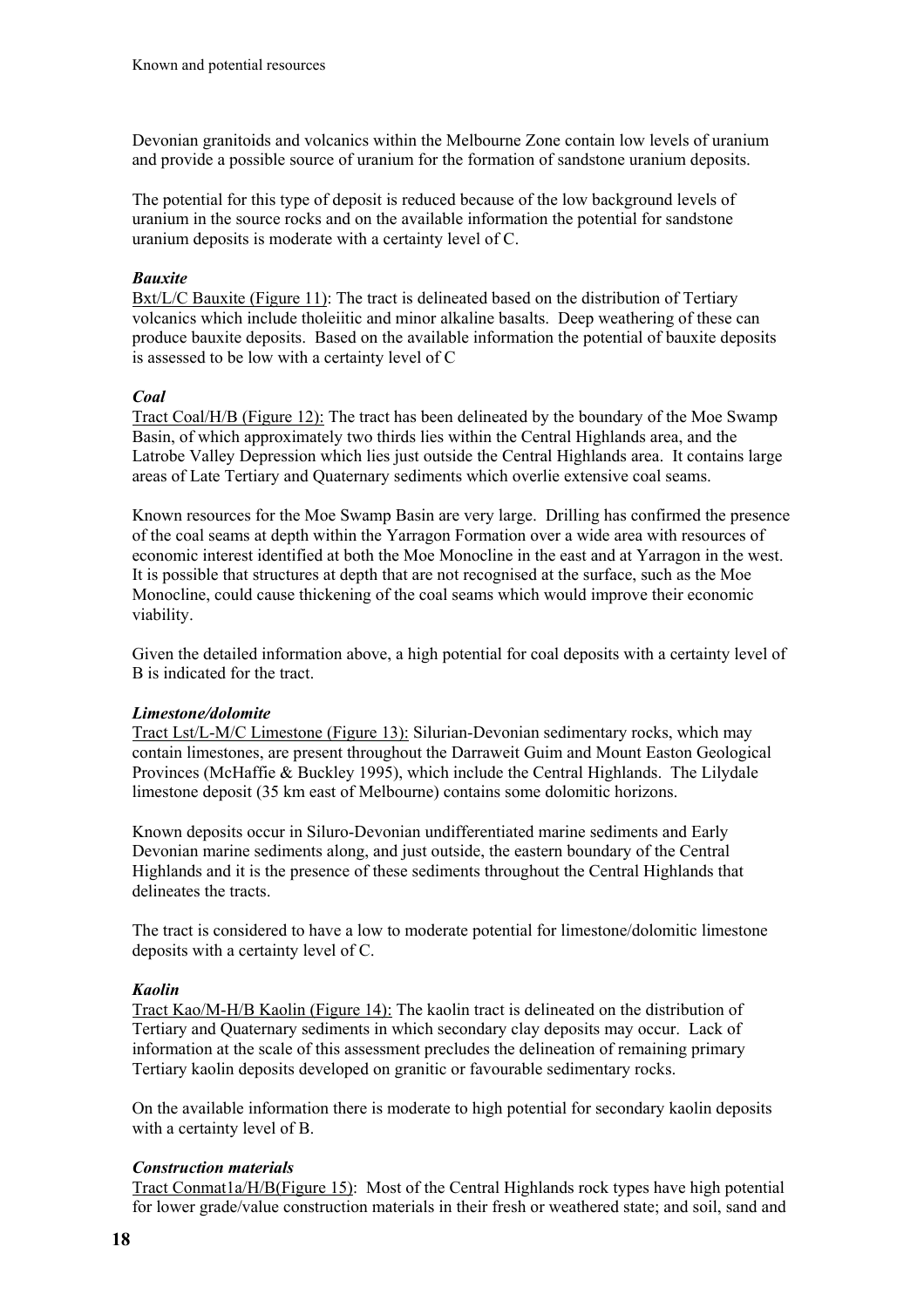Devonian granitoids and volcanics within the Melbourne Zone contain low levels of uranium and provide a possible source of uranium for the formation of sandstone uranium deposits.

The potential for this type of deposit is reduced because of the low background levels of uranium in the source rocks and on the available information the potential for sandstone uranium deposits is moderate with a certainty level of C.

### *Bauxite*

Bxt/L/C Bauxite (Figure 11): The tract is delineated based on the distribution of Tertiary volcanics which include tholeiitic and minor alkaline basalts. Deep weathering of these can produce bauxite deposits. Based on the available information the potential of bauxite deposits is assessed to be low with a certainty level of C

### *Coal*

Tract Coal/H/B (Figure 12): The tract has been delineated by the boundary of the Moe Swamp Basin, of which approximately two thirds lies within the Central Highlands area, and the Latrobe Valley Depression which lies just outside the Central Highlands area. It contains large areas of Late Tertiary and Quaternary sediments which overlie extensive coal seams.

Known resources for the Moe Swamp Basin are very large. Drilling has confirmed the presence of the coal seams at depth within the Yarragon Formation over a wide area with resources of economic interest identified at both the Moe Monocline in the east and at Yarragon in the west. It is possible that structures at depth that are not recognised at the surface, such as the Moe Monocline, could cause thickening of the coal seams which would improve their economic viability.

Given the detailed information above, a high potential for coal deposits with a certainty level of B is indicated for the tract.

### *Limestone/dolomite*

Tract Lst/L-M/C Limestone (Figure 13): Silurian-Devonian sedimentary rocks, which may contain limestones, are present throughout the Darraweit Guim and Mount Easton Geological Provinces (McHaffie & Buckley 1995), which include the Central Highlands. The Lilydale limestone deposit (35 km east of Melbourne) contains some dolomitic horizons.

Known deposits occur in Siluro-Devonian undifferentiated marine sediments and Early Devonian marine sediments along, and just outside, the eastern boundary of the Central Highlands and it is the presence of these sediments throughout the Central Highlands that delineates the tracts.

The tract is considered to have a low to moderate potential for limestone/dolomitic limestone deposits with a certainty level of C.

# *Kaolin*

Tract Kao/M-H/B Kaolin (Figure 14): The kaolin tract is delineated on the distribution of Tertiary and Quaternary sediments in which secondary clay deposits may occur. Lack of information at the scale of this assessment precludes the delineation of remaining primary Tertiary kaolin deposits developed on granitic or favourable sedimentary rocks.

On the available information there is moderate to high potential for secondary kaolin deposits with a certainty level of B.

# *Construction materials*

Tract Conmat1a/H/B(Figure 15): Most of the Central Highlands rock types have high potential for lower grade/value construction materials in their fresh or weathered state; and soil, sand and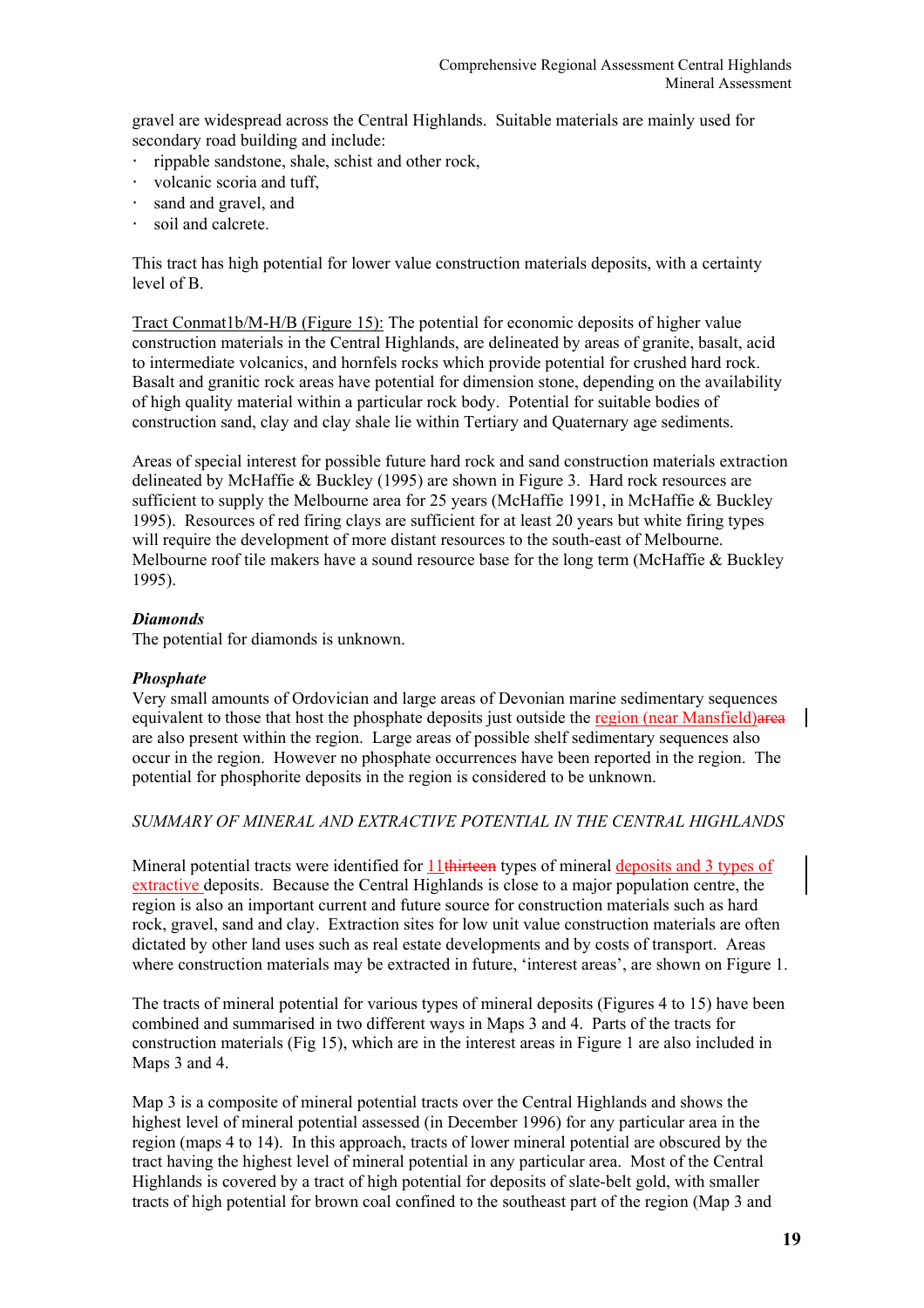gravel are widespread across the Central Highlands. Suitable materials are mainly used for secondary road building and include:

- ⋅ rippable sandstone, shale, schist and other rock,
- ⋅ volcanic scoria and tuff,
- ⋅ sand and gravel, and
- soil and calcrete.

This tract has high potential for lower value construction materials deposits, with a certainty level of B.

Tract Conmat1b/M-H/B (Figure 15): The potential for economic deposits of higher value construction materials in the Central Highlands, are delineated by areas of granite, basalt, acid to intermediate volcanics, and hornfels rocks which provide potential for crushed hard rock. Basalt and granitic rock areas have potential for dimension stone, depending on the availability of high quality material within a particular rock body. Potential for suitable bodies of construction sand, clay and clay shale lie within Tertiary and Quaternary age sediments.

Areas of special interest for possible future hard rock and sand construction materials extraction delineated by McHaffie & Buckley (1995) are shown in Figure 3. Hard rock resources are sufficient to supply the Melbourne area for 25 years (McHaffie 1991, in McHaffie & Buckley 1995). Resources of red firing clays are sufficient for at least 20 years but white firing types will require the development of more distant resources to the south-east of Melbourne. Melbourne roof tile makers have a sound resource base for the long term (McHaffie & Buckley 1995).

### *Diamonds*

The potential for diamonds is unknown.

### *Phosphate*

Very small amounts of Ordovician and large areas of Devonian marine sedimentary sequences equivalent to those that host the phosphate deposits just outside the region (near Mansfield)area are also present within the region. Large areas of possible shelf sedimentary sequences also occur in the region. However no phosphate occurrences have been reported in the region. The potential for phosphorite deposits in the region is considered to be unknown.

# *SUMMARY OF MINERAL AND EXTRACTIVE POTENTIAL IN THE CENTRAL HIGHLANDS*

Mineral potential tracts were identified for  $11$ thirteen types of mineral deposits and 3 types of extractive deposits. Because the Central Highlands is close to a major population centre, the region is also an important current and future source for construction materials such as hard rock, gravel, sand and clay. Extraction sites for low unit value construction materials are often dictated by other land uses such as real estate developments and by costs of transport. Areas where construction materials may be extracted in future, 'interest areas', are shown on Figure 1.

The tracts of mineral potential for various types of mineral deposits (Figures 4 to 15) have been combined and summarised in two different ways in Maps 3 and 4. Parts of the tracts for construction materials (Fig 15), which are in the interest areas in Figure 1 are also included in Maps 3 and 4.

Map 3 is a composite of mineral potential tracts over the Central Highlands and shows the highest level of mineral potential assessed (in December 1996) for any particular area in the region (maps 4 to 14). In this approach, tracts of lower mineral potential are obscured by the tract having the highest level of mineral potential in any particular area. Most of the Central Highlands is covered by a tract of high potential for deposits of slate-belt gold, with smaller tracts of high potential for brown coal confined to the southeast part of the region (Map 3 and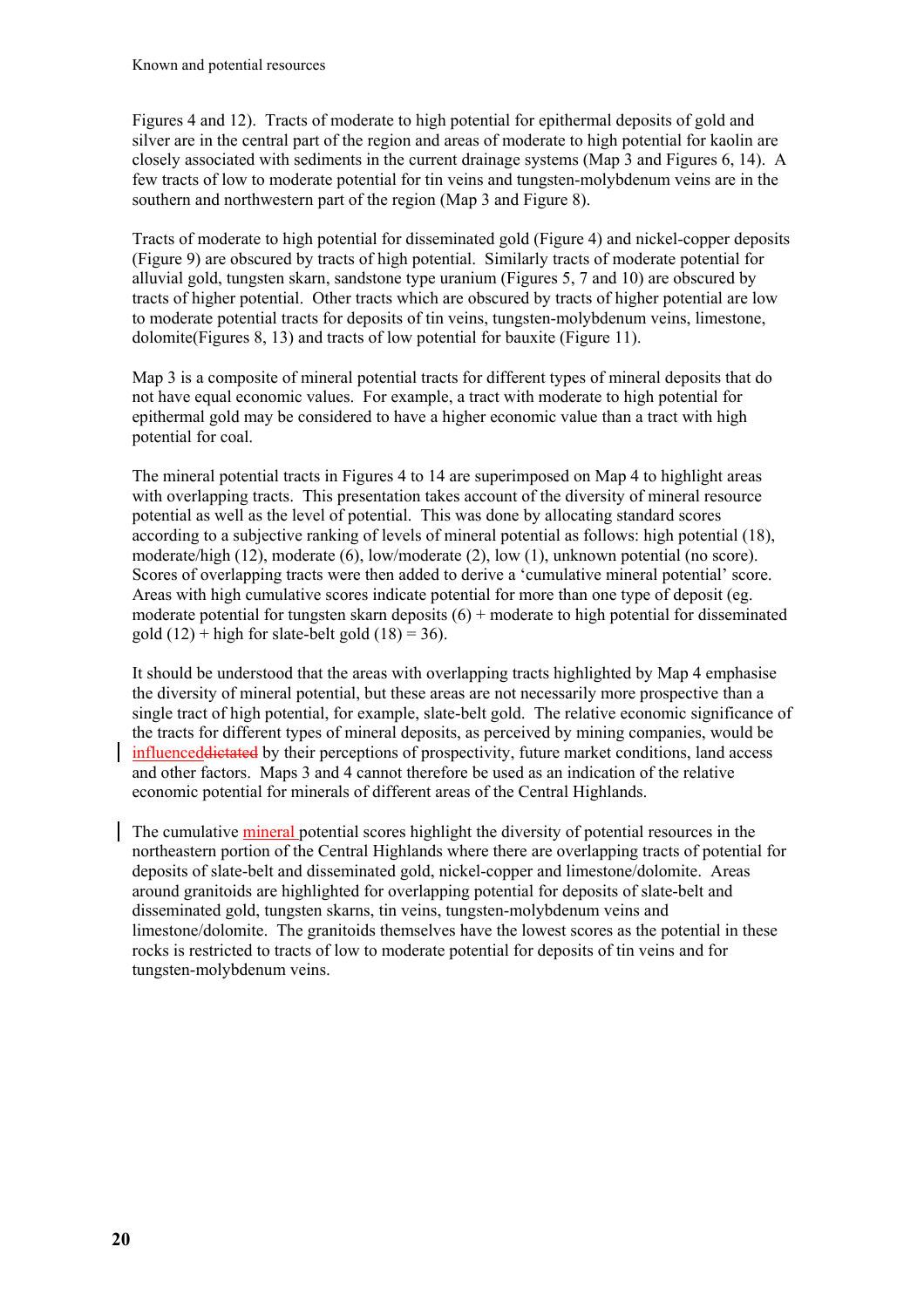Figures 4 and 12). Tracts of moderate to high potential for epithermal deposits of gold and silver are in the central part of the region and areas of moderate to high potential for kaolin are closely associated with sediments in the current drainage systems (Map 3 and Figures 6, 14). A few tracts of low to moderate potential for tin veins and tungsten-molybdenum veins are in the southern and northwestern part of the region (Map 3 and Figure 8).

Tracts of moderate to high potential for disseminated gold (Figure 4) and nickel-copper deposits (Figure 9) are obscured by tracts of high potential. Similarly tracts of moderate potential for alluvial gold, tungsten skarn, sandstone type uranium (Figures 5, 7 and 10) are obscured by tracts of higher potential. Other tracts which are obscured by tracts of higher potential are low to moderate potential tracts for deposits of tin veins, tungsten-molybdenum veins, limestone, dolomite(Figures 8, 13) and tracts of low potential for bauxite (Figure 11).

Map 3 is a composite of mineral potential tracts for different types of mineral deposits that do not have equal economic values. For example, a tract with moderate to high potential for epithermal gold may be considered to have a higher economic value than a tract with high potential for coal.

The mineral potential tracts in Figures 4 to 14 are superimposed on Map 4 to highlight areas with overlapping tracts. This presentation takes account of the diversity of mineral resource potential as well as the level of potential. This was done by allocating standard scores according to a subjective ranking of levels of mineral potential as follows: high potential (18), moderate/high (12), moderate (6), low/moderate (2), low (1), unknown potential (no score). Scores of overlapping tracts were then added to derive a 'cumulative mineral potential' score. Areas with high cumulative scores indicate potential for more than one type of deposit (eg. moderate potential for tungsten skarn deposits  $(6)$  + moderate to high potential for disseminated gold  $(12)$  + high for slate-belt gold  $(18)$  = 36).

It should be understood that the areas with overlapping tracts highlighted by Map 4 emphasise the diversity of mineral potential, but these areas are not necessarily more prospective than a single tract of high potential, for example, slate-belt gold. The relative economic significance of the tracts for different types of mineral deposits, as perceived by mining companies, would be influenceddictated by their perceptions of prospectivity, future market conditions, land access and other factors. Maps 3 and 4 cannot therefore be used as an indication of the relative economic potential for minerals of different areas of the Central Highlands.

The cumulative mineral potential scores highlight the diversity of potential resources in the northeastern portion of the Central Highlands where there are overlapping tracts of potential for deposits of slate-belt and disseminated gold, nickel-copper and limestone/dolomite. Areas around granitoids are highlighted for overlapping potential for deposits of slate-belt and disseminated gold, tungsten skarns, tin veins, tungsten-molybdenum veins and limestone/dolomite. The granitoids themselves have the lowest scores as the potential in these rocks is restricted to tracts of low to moderate potential for deposits of tin veins and for tungsten-molybdenum veins.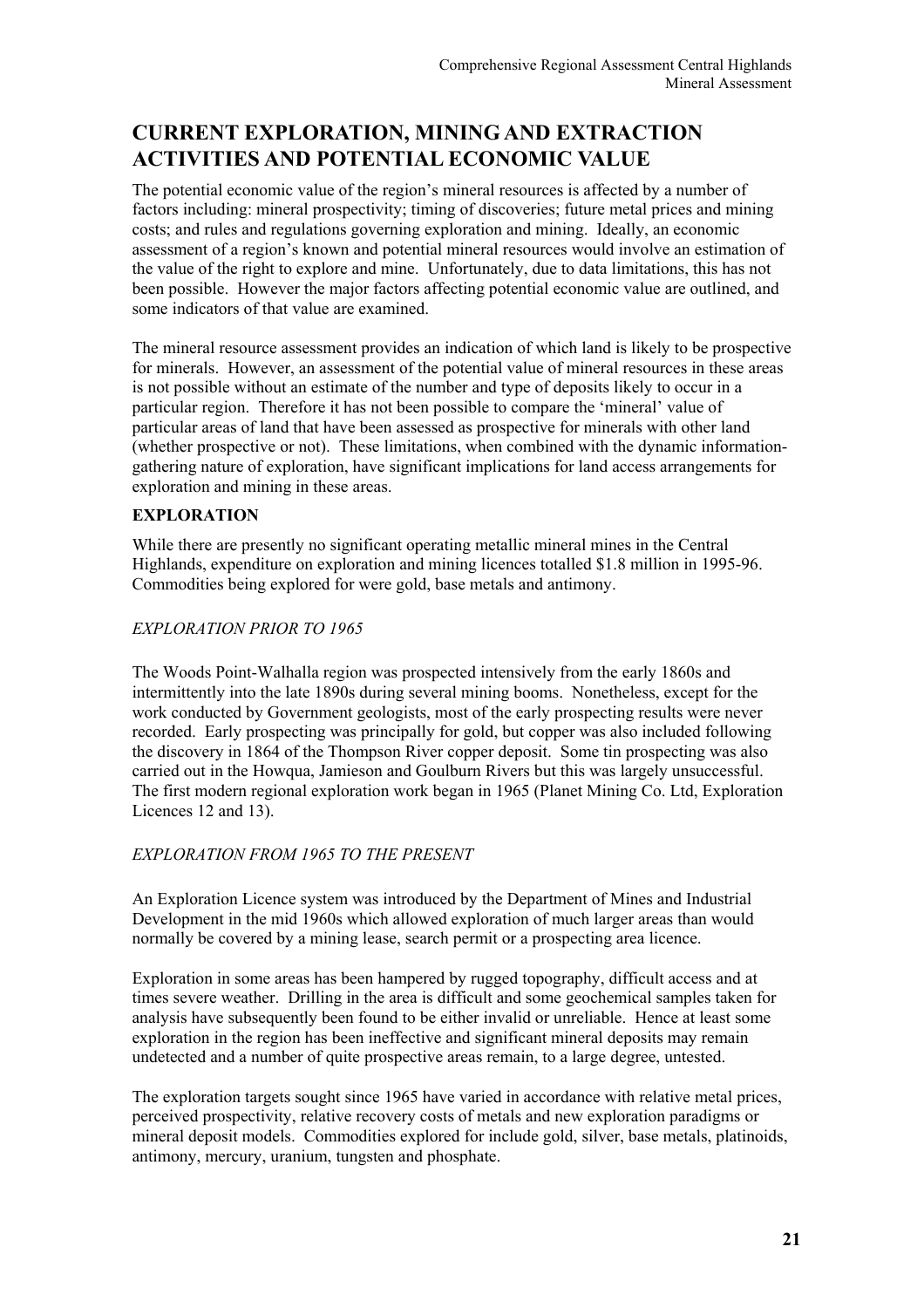# **CURRENT EXPLORATION, MINING AND EXTRACTION ACTIVITIES AND POTENTIAL ECONOMIC VALUE**

The potential economic value of the region's mineral resources is affected by a number of factors including: mineral prospectivity; timing of discoveries; future metal prices and mining costs; and rules and regulations governing exploration and mining. Ideally, an economic assessment of a region's known and potential mineral resources would involve an estimation of the value of the right to explore and mine. Unfortunately, due to data limitations, this has not been possible. However the major factors affecting potential economic value are outlined, and some indicators of that value are examined.

The mineral resource assessment provides an indication of which land is likely to be prospective for minerals. However, an assessment of the potential value of mineral resources in these areas is not possible without an estimate of the number and type of deposits likely to occur in a particular region. Therefore it has not been possible to compare the 'mineral' value of particular areas of land that have been assessed as prospective for minerals with other land (whether prospective or not). These limitations, when combined with the dynamic informationgathering nature of exploration, have significant implications for land access arrangements for exploration and mining in these areas.

# **EXPLORATION**

While there are presently no significant operating metallic mineral mines in the Central Highlands, expenditure on exploration and mining licences totalled \$1.8 million in 1995-96. Commodities being explored for were gold, base metals and antimony.

# *EXPLORATION PRIOR TO 1965*

The Woods Point-Walhalla region was prospected intensively from the early 1860s and intermittently into the late 1890s during several mining booms. Nonetheless, except for the work conducted by Government geologists, most of the early prospecting results were never recorded. Early prospecting was principally for gold, but copper was also included following the discovery in 1864 of the Thompson River copper deposit. Some tin prospecting was also carried out in the Howqua, Jamieson and Goulburn Rivers but this was largely unsuccessful. The first modern regional exploration work began in 1965 (Planet Mining Co. Ltd, Exploration Licences 12 and 13).

# *EXPLORATION FROM 1965 TO THE PRESENT*

An Exploration Licence system was introduced by the Department of Mines and Industrial Development in the mid 1960s which allowed exploration of much larger areas than would normally be covered by a mining lease, search permit or a prospecting area licence.

Exploration in some areas has been hampered by rugged topography, difficult access and at times severe weather. Drilling in the area is difficult and some geochemical samples taken for analysis have subsequently been found to be either invalid or unreliable. Hence at least some exploration in the region has been ineffective and significant mineral deposits may remain undetected and a number of quite prospective areas remain, to a large degree, untested.

The exploration targets sought since 1965 have varied in accordance with relative metal prices, perceived prospectivity, relative recovery costs of metals and new exploration paradigms or mineral deposit models. Commodities explored for include gold, silver, base metals, platinoids, antimony, mercury, uranium, tungsten and phosphate.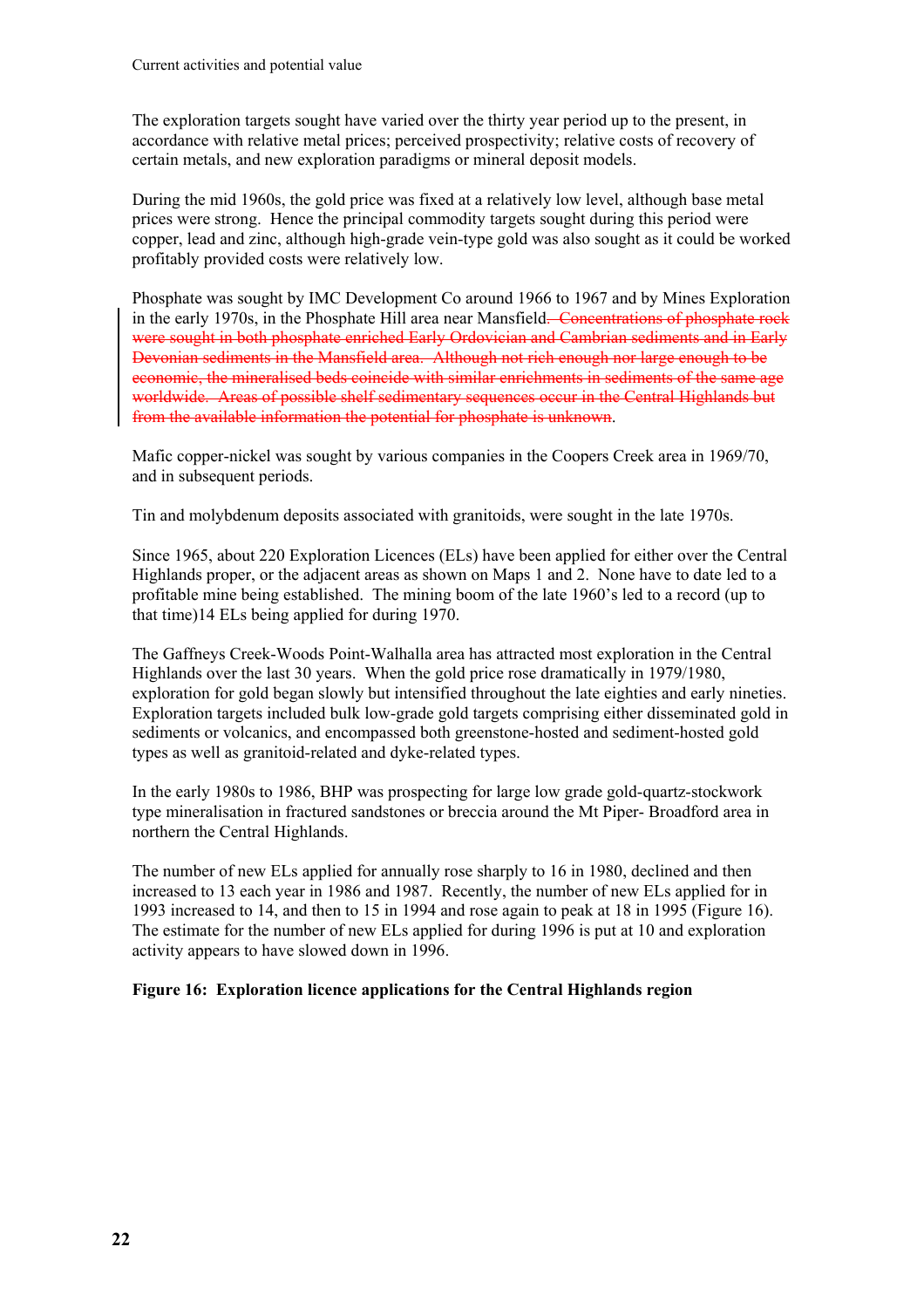The exploration targets sought have varied over the thirty year period up to the present, in accordance with relative metal prices; perceived prospectivity; relative costs of recovery of certain metals, and new exploration paradigms or mineral deposit models.

During the mid 1960s, the gold price was fixed at a relatively low level, although base metal prices were strong. Hence the principal commodity targets sought during this period were copper, lead and zinc, although high-grade vein-type gold was also sought as it could be worked profitably provided costs were relatively low.

Phosphate was sought by IMC Development Co around 1966 to 1967 and by Mines Exploration in the early 1970s, in the Phosphate Hill area near Mansfield<del>. Concentrations of phosphate rock</del> were sought in both phosphate enriched Early Ordovician and Cambrian sediments and in Early Devonian sediments in the Mansfield area. Although not rich enough nor large enough to be economic, the mineralised beds coincide with similar enrichments in sediments of the same age worldwide. Areas of possible shelf sedimentary sequences occur in the Central Highlands but from the available information the potential for phosphate is unknown.

Mafic copper-nickel was sought by various companies in the Coopers Creek area in 1969/70, and in subsequent periods.

Tin and molybdenum deposits associated with granitoids, were sought in the late 1970s.

Since 1965, about 220 Exploration Licences (ELs) have been applied for either over the Central Highlands proper, or the adjacent areas as shown on Maps 1 and 2. None have to date led to a profitable mine being established. The mining boom of the late 1960's led to a record (up to that time)14 ELs being applied for during 1970.

The Gaffneys Creek-Woods Point-Walhalla area has attracted most exploration in the Central Highlands over the last 30 years. When the gold price rose dramatically in 1979/1980, exploration for gold began slowly but intensified throughout the late eighties and early nineties. Exploration targets included bulk low-grade gold targets comprising either disseminated gold in sediments or volcanics, and encompassed both greenstone-hosted and sediment-hosted gold types as well as granitoid-related and dyke-related types.

In the early 1980s to 1986, BHP was prospecting for large low grade gold-quartz-stockwork type mineralisation in fractured sandstones or breccia around the Mt Piper- Broadford area in northern the Central Highlands.

The number of new ELs applied for annually rose sharply to 16 in 1980, declined and then increased to 13 each year in 1986 and 1987. Recently, the number of new ELs applied for in 1993 increased to 14, and then to 15 in 1994 and rose again to peak at 18 in 1995 (Figure 16). The estimate for the number of new ELs applied for during 1996 is put at 10 and exploration activity appears to have slowed down in 1996.

# **Figure 16: Exploration licence applications for the Central Highlands region**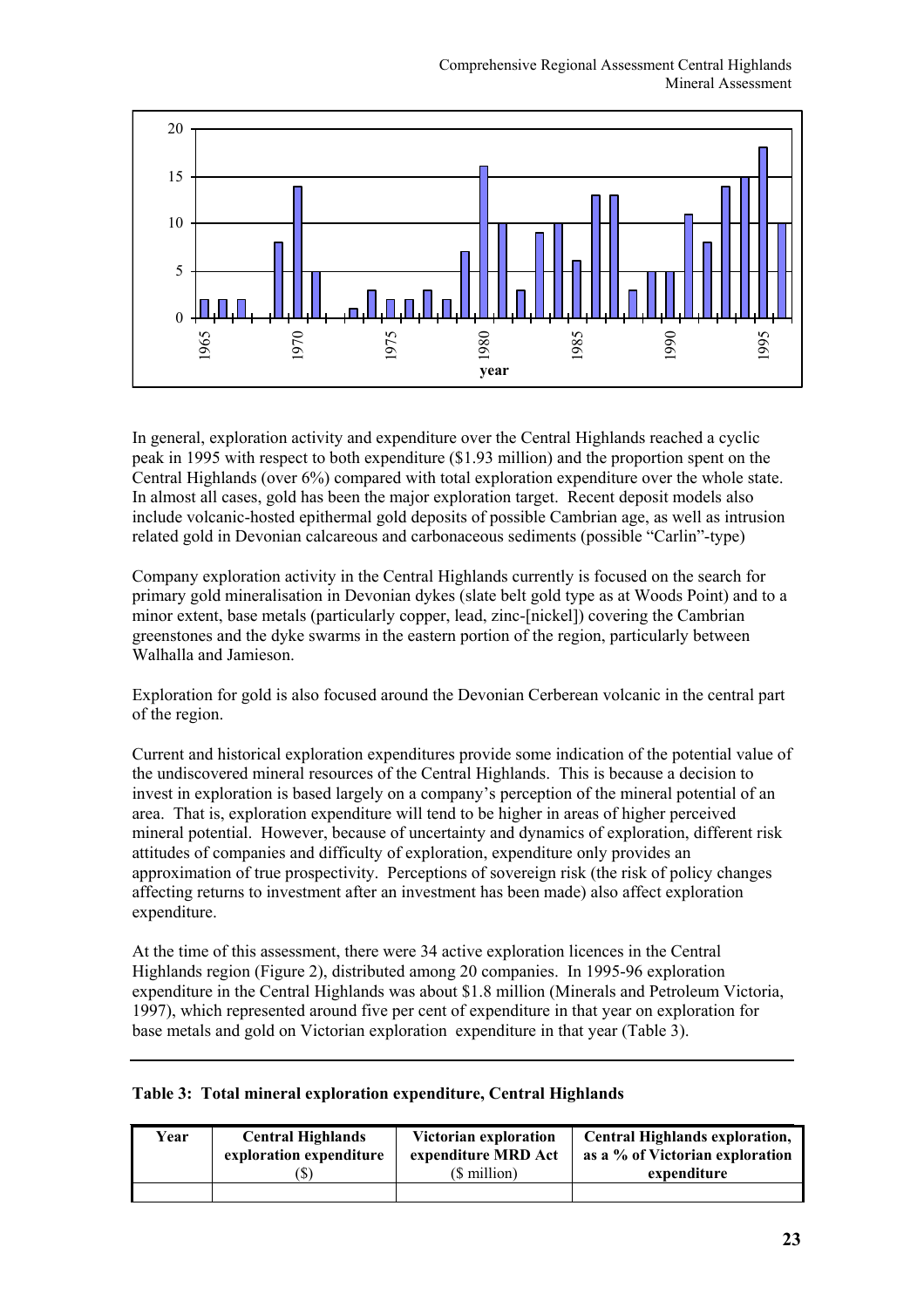

In general, exploration activity and expenditure over the Central Highlands reached a cyclic peak in 1995 with respect to both expenditure (\$1.93 million) and the proportion spent on the Central Highlands (over 6%) compared with total exploration expenditure over the whole state. In almost all cases, gold has been the major exploration target. Recent deposit models also include volcanic-hosted epithermal gold deposits of possible Cambrian age, as well as intrusion related gold in Devonian calcareous and carbonaceous sediments (possible "Carlin"-type)

Company exploration activity in the Central Highlands currently is focused on the search for primary gold mineralisation in Devonian dykes (slate belt gold type as at Woods Point) and to a minor extent, base metals (particularly copper, lead, zinc-[nickel]) covering the Cambrian greenstones and the dyke swarms in the eastern portion of the region, particularly between Walhalla and Jamieson.

Exploration for gold is also focused around the Devonian Cerberean volcanic in the central part of the region.

Current and historical exploration expenditures provide some indication of the potential value of the undiscovered mineral resources of the Central Highlands. This is because a decision to invest in exploration is based largely on a company's perception of the mineral potential of an area. That is, exploration expenditure will tend to be higher in areas of higher perceived mineral potential. However, because of uncertainty and dynamics of exploration, different risk attitudes of companies and difficulty of exploration, expenditure only provides an approximation of true prospectivity. Perceptions of sovereign risk (the risk of policy changes affecting returns to investment after an investment has been made) also affect exploration expenditure.

At the time of this assessment, there were 34 active exploration licences in the Central Highlands region (Figure 2), distributed among 20 companies. In 1995-96 exploration expenditure in the Central Highlands was about \$1.8 million (Minerals and Petroleum Victoria, 1997), which represented around five per cent of expenditure in that year on exploration for base metals and gold on Victorian exploration expenditure in that year (Table 3).

### **Table 3: Total mineral exploration expenditure, Central Highlands**

| Year | <b>Central Highlands</b><br>exploration expenditure | Victorian exploration<br>expenditure MRD Act | <b>Central Highlands exploration,</b><br>as a % of Victorian exploration |
|------|-----------------------------------------------------|----------------------------------------------|--------------------------------------------------------------------------|
|      |                                                     | (\$ million)                                 | expenditure                                                              |
|      |                                                     |                                              |                                                                          |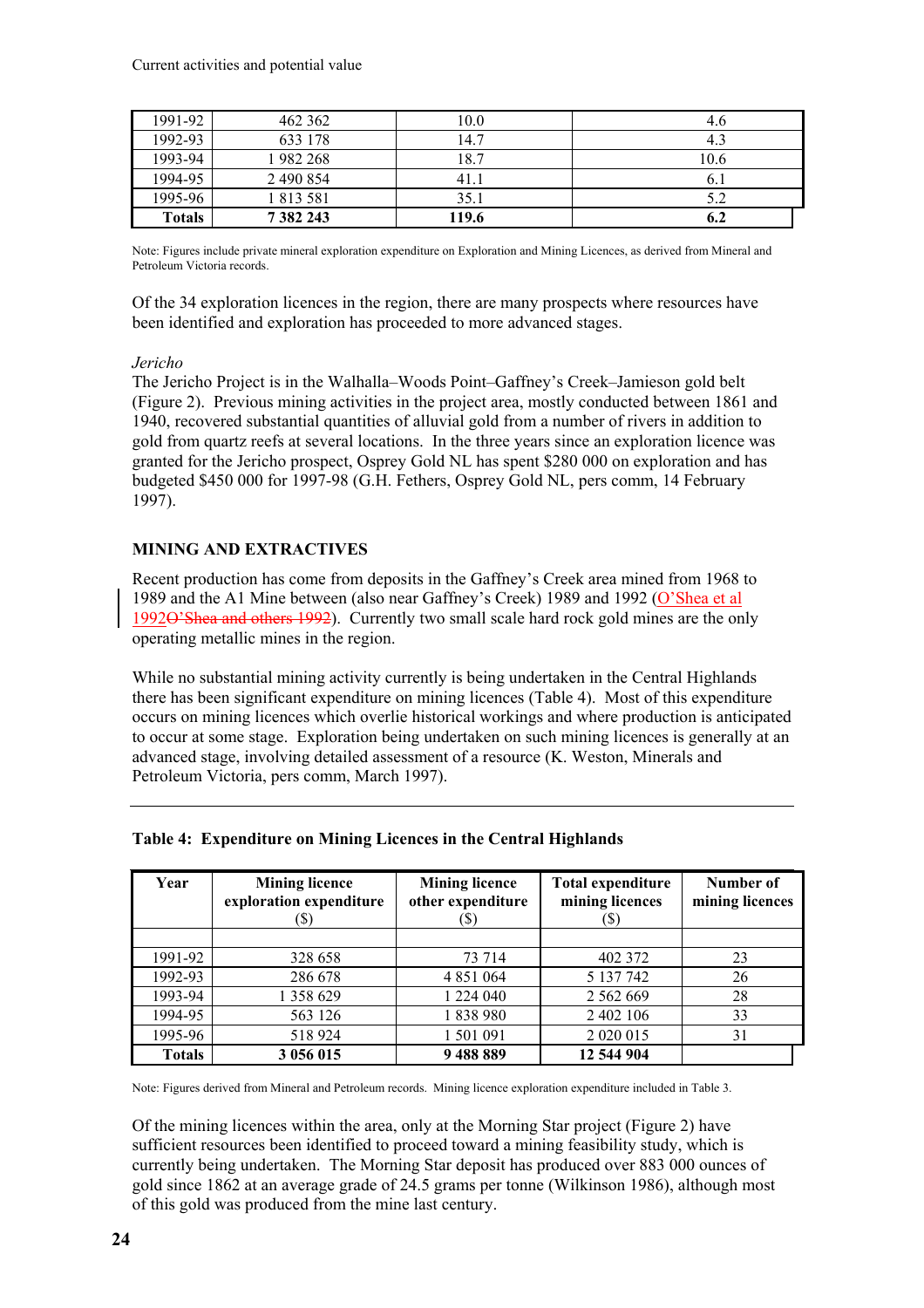Current activities and potential value

| 1991-92       | 462 362   | 10.0  | 4.6  |
|---------------|-----------|-------|------|
| 1992-93       | 633 178   | 14.7  | 4.3  |
| 1993-94       | 1982 268  | 18.7  | 10.6 |
| 1994-95       | 2 490 854 | 41.1  |      |
| 1995-96       | 1813581   | 35.1  | 5.2  |
| <b>Totals</b> | 7382243   | 119.6 | 0.Z  |

Note: Figures include private mineral exploration expenditure on Exploration and Mining Licences, as derived from Mineral and Petroleum Victoria records.

Of the 34 exploration licences in the region, there are many prospects where resources have been identified and exploration has proceeded to more advanced stages.

### *Jericho*

The Jericho Project is in the Walhalla–Woods Point–Gaffney's Creek–Jamieson gold belt (Figure 2). Previous mining activities in the project area, mostly conducted between 1861 and 1940, recovered substantial quantities of alluvial gold from a number of rivers in addition to gold from quartz reefs at several locations. In the three years since an exploration licence was granted for the Jericho prospect, Osprey Gold NL has spent \$280 000 on exploration and has budgeted \$450 000 for 1997-98 (G.H. Fethers, Osprey Gold NL, pers comm, 14 February 1997).

### **MINING AND EXTRACTIVES**

Recent production has come from deposits in the Gaffney's Creek area mined from 1968 to 1989 and the A1 Mine between (also near Gaffney's Creek) 1989 and 1992 (O'Shea et al 1992O'Shea and others 1992). Currently two small scale hard rock gold mines are the only operating metallic mines in the region.

While no substantial mining activity currently is being undertaken in the Central Highlands there has been significant expenditure on mining licences (Table 4). Most of this expenditure occurs on mining licences which overlie historical workings and where production is anticipated to occur at some stage. Exploration being undertaken on such mining licences is generally at an advanced stage, involving detailed assessment of a resource (K. Weston, Minerals and Petroleum Victoria, pers comm, March 1997).

| Year          | <b>Mining licence</b><br>exploration expenditure | <b>Mining licence</b><br>other expenditure | <b>Total expenditure</b><br>mining licences | Number of<br>mining licences |
|---------------|--------------------------------------------------|--------------------------------------------|---------------------------------------------|------------------------------|
|               |                                                  |                                            |                                             |                              |
| 1991-92       | 328 658                                          | 73 714                                     | 402 372                                     | 23                           |
| 1992-93       | 286 678                                          | 4 8 5 1 0 6 4                              | 5 137 742                                   | 26                           |
| 1993-94       | 1 358 629                                        | 1 224 040                                  | 2 5 6 2 6 6 9                               | 28                           |
| 1994-95       | 563 126                                          | 1838980                                    | 2 402 106                                   | 33                           |
| 1995-96       | 518 924                                          | 1 501 091                                  | 2 0 2 0 0 1 5                               | 31                           |
| <b>Totals</b> | 3 056 015                                        | 9488889                                    | 12 544 904                                  |                              |

### **Table 4: Expenditure on Mining Licences in the Central Highlands**

Note: Figures derived from Mineral and Petroleum records. Mining licence exploration expenditure included in Table 3.

Of the mining licences within the area, only at the Morning Star project (Figure 2) have sufficient resources been identified to proceed toward a mining feasibility study, which is currently being undertaken. The Morning Star deposit has produced over 883 000 ounces of gold since 1862 at an average grade of 24.5 grams per tonne (Wilkinson 1986), although most of this gold was produced from the mine last century.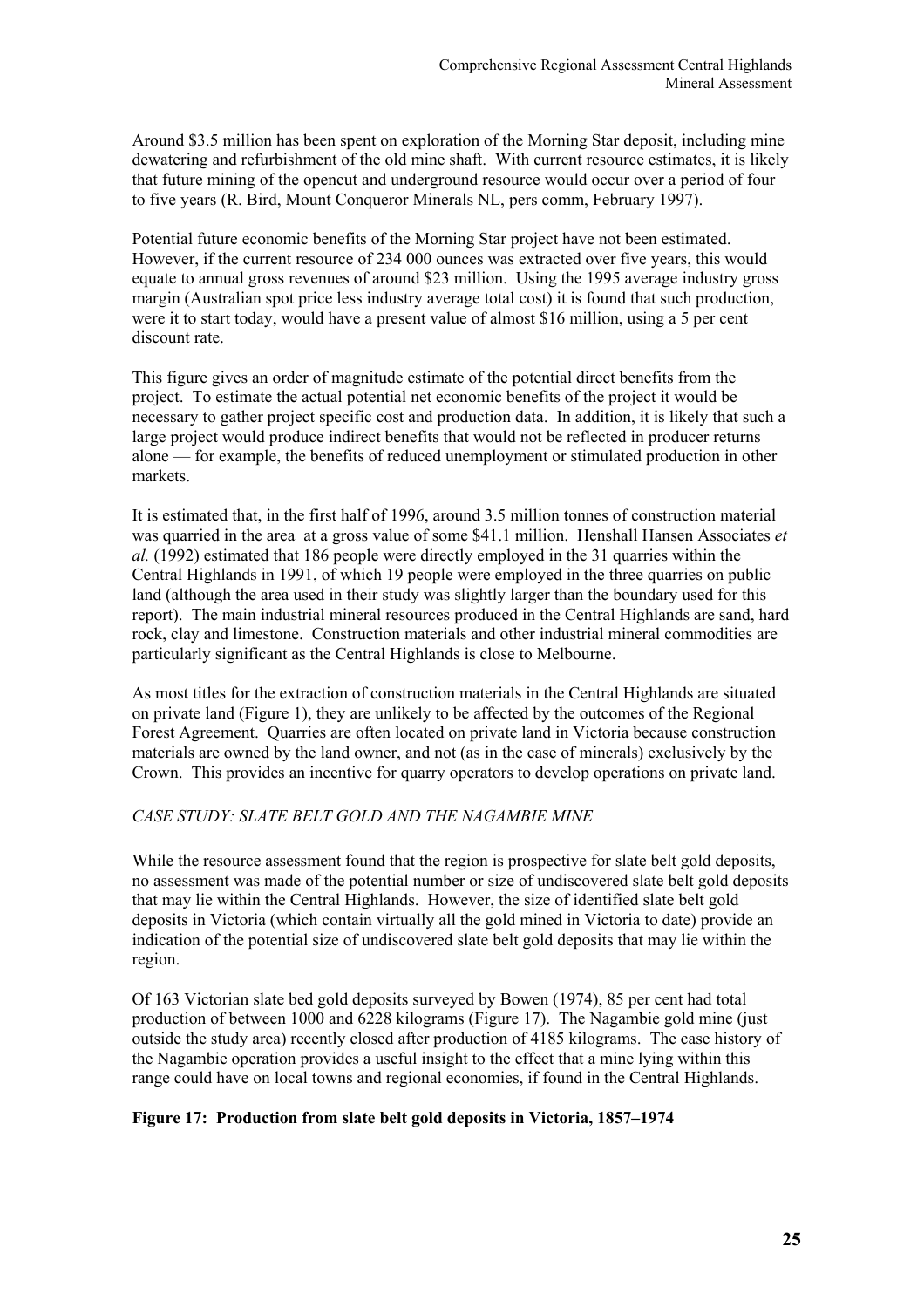Around \$3.5 million has been spent on exploration of the Morning Star deposit, including mine dewatering and refurbishment of the old mine shaft. With current resource estimates, it is likely that future mining of the opencut and underground resource would occur over a period of four to five years (R. Bird, Mount Conqueror Minerals NL, pers comm, February 1997).

Potential future economic benefits of the Morning Star project have not been estimated. However, if the current resource of 234 000 ounces was extracted over five years, this would equate to annual gross revenues of around \$23 million. Using the 1995 average industry gross margin (Australian spot price less industry average total cost) it is found that such production, were it to start today, would have a present value of almost \$16 million, using a 5 per cent discount rate.

This figure gives an order of magnitude estimate of the potential direct benefits from the project. To estimate the actual potential net economic benefits of the project it would be necessary to gather project specific cost and production data. In addition, it is likely that such a large project would produce indirect benefits that would not be reflected in producer returns alone — for example, the benefits of reduced unemployment or stimulated production in other markets.

It is estimated that, in the first half of 1996, around 3.5 million tonnes of construction material was quarried in the area at a gross value of some \$41.1 million. Henshall Hansen Associates *et al.* (1992) estimated that 186 people were directly employed in the 31 quarries within the Central Highlands in 1991, of which 19 people were employed in the three quarries on public land (although the area used in their study was slightly larger than the boundary used for this report). The main industrial mineral resources produced in the Central Highlands are sand, hard rock, clay and limestone. Construction materials and other industrial mineral commodities are particularly significant as the Central Highlands is close to Melbourne.

As most titles for the extraction of construction materials in the Central Highlands are situated on private land (Figure 1), they are unlikely to be affected by the outcomes of the Regional Forest Agreement. Quarries are often located on private land in Victoria because construction materials are owned by the land owner, and not (as in the case of minerals) exclusively by the Crown. This provides an incentive for quarry operators to develop operations on private land.

# *CASE STUDY: SLATE BELT GOLD AND THE NAGAMBIE MINE*

While the resource assessment found that the region is prospective for slate belt gold deposits, no assessment was made of the potential number or size of undiscovered slate belt gold deposits that may lie within the Central Highlands. However, the size of identified slate belt gold deposits in Victoria (which contain virtually all the gold mined in Victoria to date) provide an indication of the potential size of undiscovered slate belt gold deposits that may lie within the region.

Of 163 Victorian slate bed gold deposits surveyed by Bowen (1974), 85 per cent had total production of between 1000 and 6228 kilograms (Figure 17). The Nagambie gold mine (just outside the study area) recently closed after production of 4185 kilograms. The case history of the Nagambie operation provides a useful insight to the effect that a mine lying within this range could have on local towns and regional economies, if found in the Central Highlands.

### **Figure 17: Production from slate belt gold deposits in Victoria, 1857–1974**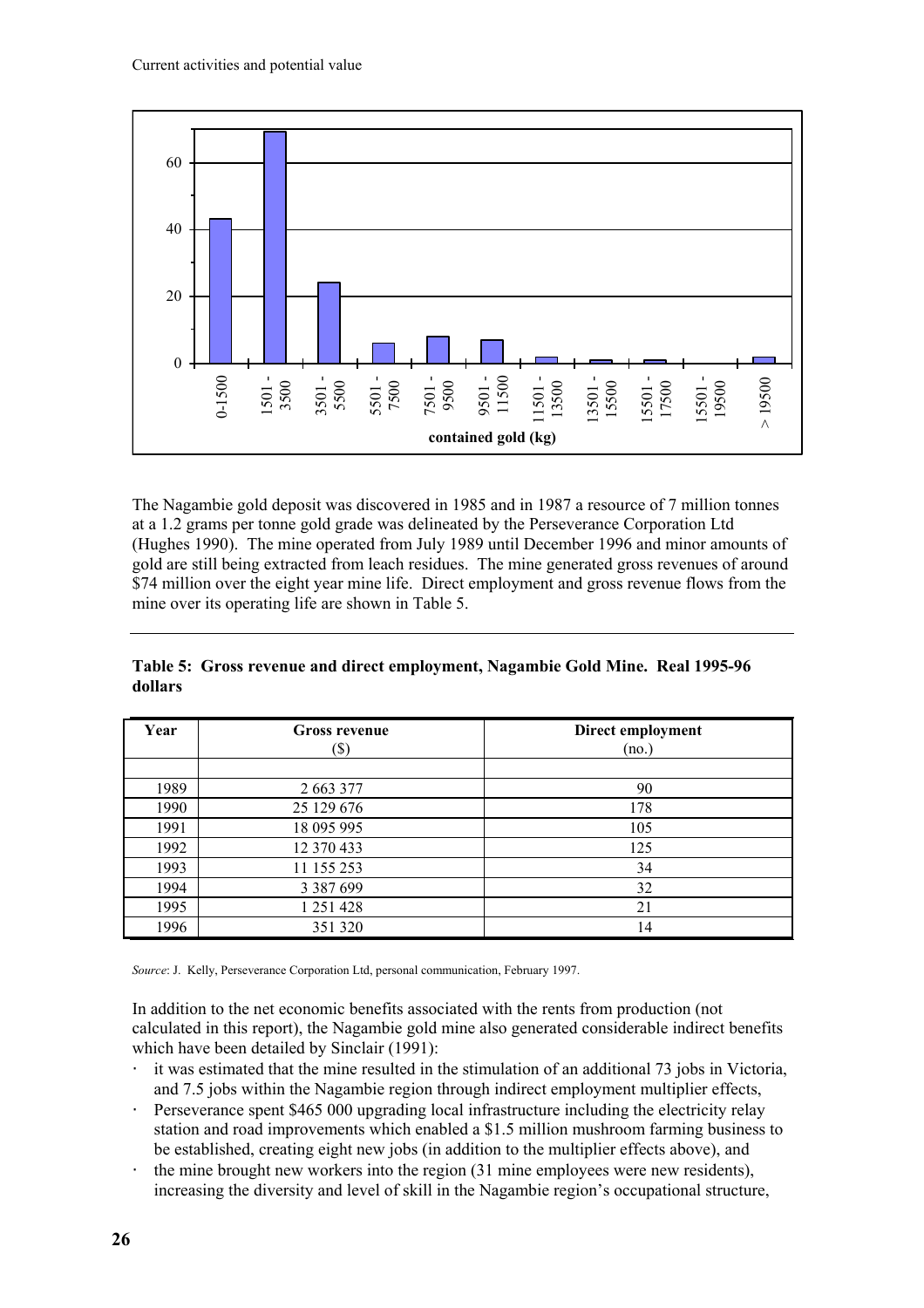

The Nagambie gold deposit was discovered in 1985 and in 1987 a resource of 7 million tonnes at a 1.2 grams per tonne gold grade was delineated by the Perseverance Corporation Ltd (Hughes 1990). The mine operated from July 1989 until December 1996 and minor amounts of gold are still being extracted from leach residues. The mine generated gross revenues of around \$74 million over the eight year mine life. Direct employment and gross revenue flows from the mine over its operating life are shown in Table 5.

| Year | Gross revenue              | Direct employment |
|------|----------------------------|-------------------|
|      | $\left( \mathbb{S}\right)$ | (no.)             |
|      |                            |                   |
| 1989 | 2 663 377                  | 90                |
| 1990 | 25 129 676                 | 178               |
| 1991 | 18 095 995                 | 105               |
| 1992 | 12 370 433                 | 125               |
| 1993 | 11 155 253                 | 34                |
| 1994 | 3 3 8 7 6 9 9              | 32                |
| 1995 | 1 251 428                  | 21                |
| 1996 | 351 320                    | 14                |

**Table 5: Gross revenue and direct employment, Nagambie Gold Mine. Real 1995-96 dollars** 

*Source*: J. Kelly, Perseverance Corporation Ltd, personal communication, February 1997.

In addition to the net economic benefits associated with the rents from production (not calculated in this report), the Nagambie gold mine also generated considerable indirect benefits which have been detailed by Sinclair (1991):

- it was estimated that the mine resulted in the stimulation of an additional 73 jobs in Victoria, and 7.5 jobs within the Nagambie region through indirect employment multiplier effects,
- ⋅ Perseverance spent \$465 000 upgrading local infrastructure including the electricity relay station and road improvements which enabled a \$1.5 million mushroom farming business to be established, creating eight new jobs (in addition to the multiplier effects above), and
- the mine brought new workers into the region  $(31 \text{ mine employees were new residents})$ , increasing the diversity and level of skill in the Nagambie region's occupational structure,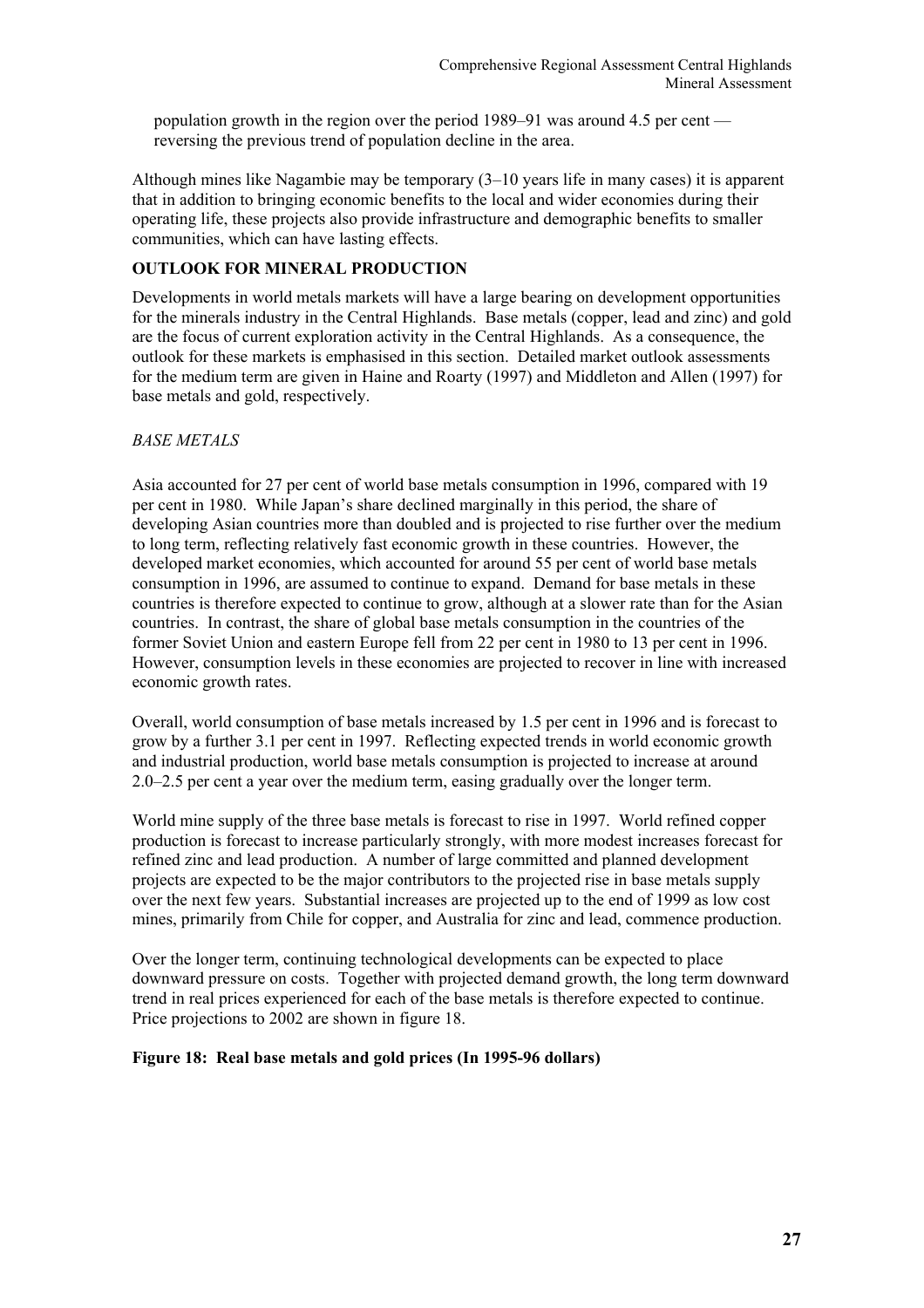population growth in the region over the period 1989–91 was around 4.5 per cent reversing the previous trend of population decline in the area.

Although mines like Nagambie may be temporary (3–10 years life in many cases) it is apparent that in addition to bringing economic benefits to the local and wider economies during their operating life, these projects also provide infrastructure and demographic benefits to smaller communities, which can have lasting effects.

# **OUTLOOK FOR MINERAL PRODUCTION**

Developments in world metals markets will have a large bearing on development opportunities for the minerals industry in the Central Highlands. Base metals (copper, lead and zinc) and gold are the focus of current exploration activity in the Central Highlands. As a consequence, the outlook for these markets is emphasised in this section. Detailed market outlook assessments for the medium term are given in Haine and Roarty (1997) and Middleton and Allen (1997) for base metals and gold, respectively.

# *BASE METALS*

Asia accounted for 27 per cent of world base metals consumption in 1996, compared with 19 per cent in 1980. While Japan's share declined marginally in this period, the share of developing Asian countries more than doubled and is projected to rise further over the medium to long term, reflecting relatively fast economic growth in these countries. However, the developed market economies, which accounted for around 55 per cent of world base metals consumption in 1996, are assumed to continue to expand. Demand for base metals in these countries is therefore expected to continue to grow, although at a slower rate than for the Asian countries. In contrast, the share of global base metals consumption in the countries of the former Soviet Union and eastern Europe fell from 22 per cent in 1980 to 13 per cent in 1996. However, consumption levels in these economies are projected to recover in line with increased economic growth rates.

Overall, world consumption of base metals increased by 1.5 per cent in 1996 and is forecast to grow by a further 3.1 per cent in 1997. Reflecting expected trends in world economic growth and industrial production, world base metals consumption is projected to increase at around 2.0–2.5 per cent a year over the medium term, easing gradually over the longer term.

World mine supply of the three base metals is forecast to rise in 1997. World refined copper production is forecast to increase particularly strongly, with more modest increases forecast for refined zinc and lead production. A number of large committed and planned development projects are expected to be the major contributors to the projected rise in base metals supply over the next few years. Substantial increases are projected up to the end of 1999 as low cost mines, primarily from Chile for copper, and Australia for zinc and lead, commence production.

Over the longer term, continuing technological developments can be expected to place downward pressure on costs. Together with projected demand growth, the long term downward trend in real prices experienced for each of the base metals is therefore expected to continue. Price projections to 2002 are shown in figure 18.

# **Figure 18: Real base metals and gold prices (In 1995-96 dollars)**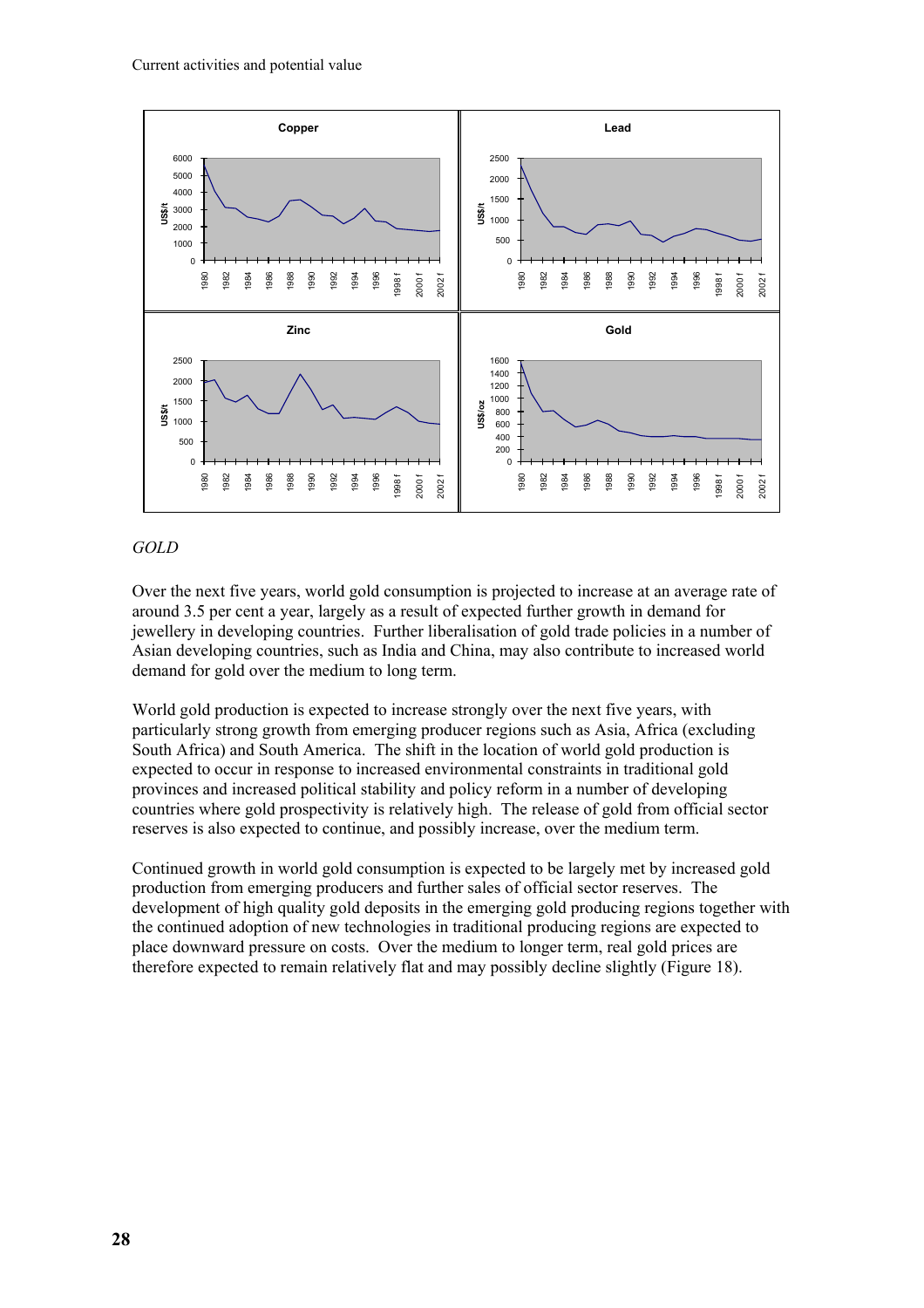

# *GOLD*

Over the next five years, world gold consumption is projected to increase at an average rate of around 3.5 per cent a year, largely as a result of expected further growth in demand for jewellery in developing countries. Further liberalisation of gold trade policies in a number of Asian developing countries, such as India and China, may also contribute to increased world demand for gold over the medium to long term.

World gold production is expected to increase strongly over the next five years, with particularly strong growth from emerging producer regions such as Asia, Africa (excluding South Africa) and South America. The shift in the location of world gold production is expected to occur in response to increased environmental constraints in traditional gold provinces and increased political stability and policy reform in a number of developing countries where gold prospectivity is relatively high. The release of gold from official sector reserves is also expected to continue, and possibly increase, over the medium term.

Continued growth in world gold consumption is expected to be largely met by increased gold production from emerging producers and further sales of official sector reserves. The development of high quality gold deposits in the emerging gold producing regions together with the continued adoption of new technologies in traditional producing regions are expected to place downward pressure on costs. Over the medium to longer term, real gold prices are therefore expected to remain relatively flat and may possibly decline slightly (Figure 18).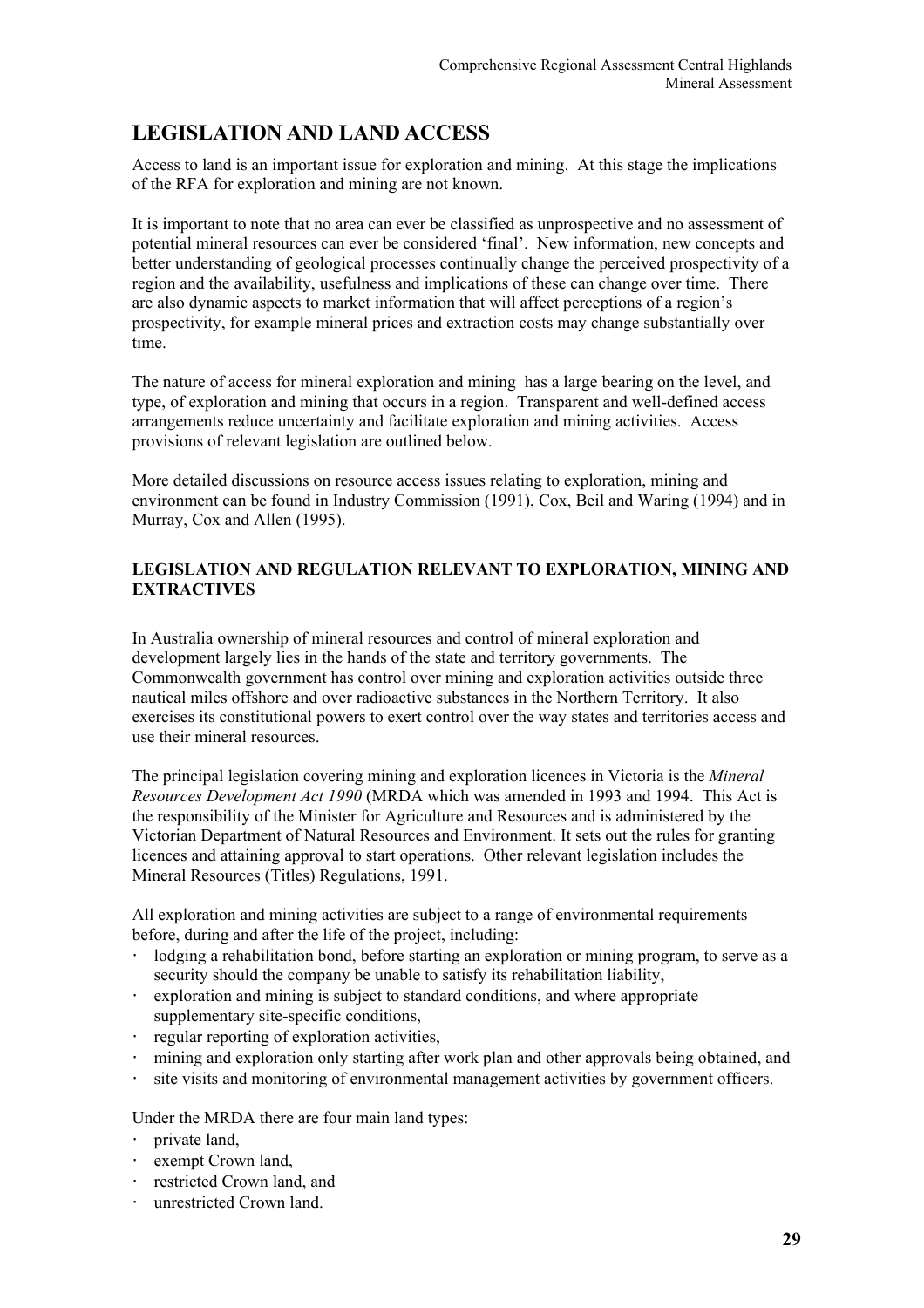# **LEGISLATION AND LAND ACCESS**

Access to land is an important issue for exploration and mining. At this stage the implications of the RFA for exploration and mining are not known.

It is important to note that no area can ever be classified as unprospective and no assessment of potential mineral resources can ever be considered 'final'. New information, new concepts and better understanding of geological processes continually change the perceived prospectivity of a region and the availability, usefulness and implications of these can change over time. There are also dynamic aspects to market information that will affect perceptions of a region's prospectivity, for example mineral prices and extraction costs may change substantially over time.

The nature of access for mineral exploration and mining has a large bearing on the level, and type, of exploration and mining that occurs in a region. Transparent and well-defined access arrangements reduce uncertainty and facilitate exploration and mining activities. Access provisions of relevant legislation are outlined below.

More detailed discussions on resource access issues relating to exploration, mining and environment can be found in Industry Commission (1991), Cox, Beil and Waring (1994) and in Murray, Cox and Allen (1995).

# **LEGISLATION AND REGULATION RELEVANT TO EXPLORATION, MINING AND EXTRACTIVES**

In Australia ownership of mineral resources and control of mineral exploration and development largely lies in the hands of the state and territory governments. The Commonwealth government has control over mining and exploration activities outside three nautical miles offshore and over radioactive substances in the Northern Territory. It also exercises its constitutional powers to exert control over the way states and territories access and use their mineral resources.

The principal legislation covering mining and exploration licences in Victoria is the *Mineral Resources Development Act 1990* (MRDA which was amended in 1993 and 1994. This Act is the responsibility of the Minister for Agriculture and Resources and is administered by the Victorian Department of Natural Resources and Environment. It sets out the rules for granting licences and attaining approval to start operations. Other relevant legislation includes the Mineral Resources (Titles) Regulations, 1991.

All exploration and mining activities are subject to a range of environmental requirements before, during and after the life of the project, including:

- ⋅ lodging a rehabilitation bond, before starting an exploration or mining program, to serve as a security should the company be unable to satisfy its rehabilitation liability,
- ⋅ exploration and mining is subject to standard conditions, and where appropriate supplementary site-specific conditions,
- ⋅ regular reporting of exploration activities,
- ⋅ mining and exploration only starting after work plan and other approvals being obtained, and
- site visits and monitoring of environmental management activities by government officers.

Under the MRDA there are four main land types:

- ⋅ private land,
- ⋅ exempt Crown land,
- ⋅ restricted Crown land, and
- ⋅ unrestricted Crown land.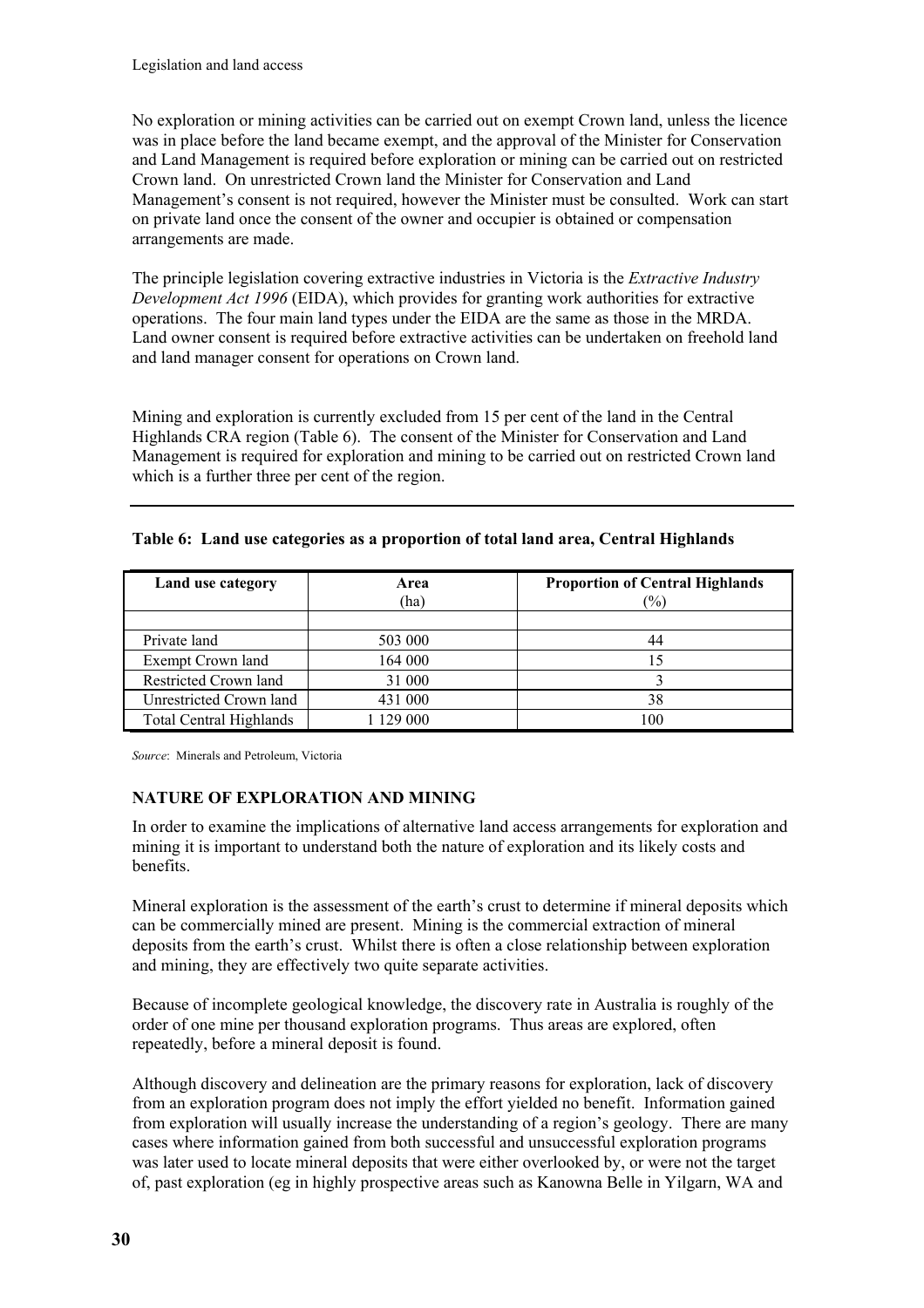No exploration or mining activities can be carried out on exempt Crown land, unless the licence was in place before the land became exempt, and the approval of the Minister for Conservation and Land Management is required before exploration or mining can be carried out on restricted Crown land. On unrestricted Crown land the Minister for Conservation and Land Management's consent is not required, however the Minister must be consulted. Work can start on private land once the consent of the owner and occupier is obtained or compensation arrangements are made.

The principle legislation covering extractive industries in Victoria is the *Extractive Industry Development Act 1996* (EIDA), which provides for granting work authorities for extractive operations. The four main land types under the EIDA are the same as those in the MRDA. Land owner consent is required before extractive activities can be undertaken on freehold land and land manager consent for operations on Crown land.

Mining and exploration is currently excluded from 15 per cent of the land in the Central Highlands CRA region (Table 6). The consent of the Minister for Conservation and Land Management is required for exploration and mining to be carried out on restricted Crown land which is a further three per cent of the region.

| Land use category              | Area<br>(ha) | <b>Proportion of Central Highlands</b><br>$(\%)$ |
|--------------------------------|--------------|--------------------------------------------------|
|                                |              |                                                  |
| Private land                   | 503 000      | 44                                               |
| Exempt Crown land              | 164 000      | 15                                               |
| Restricted Crown land          | 31 000       |                                                  |
| Unrestricted Crown land        | 431 000      | 38                                               |
| <b>Total Central Highlands</b> | 129 000      | 100                                              |

| Table 6: Land use categories as a proportion of total land area, Central Highlands |  |  |
|------------------------------------------------------------------------------------|--|--|
|                                                                                    |  |  |

*Source*: Minerals and Petroleum, Victoria

# **NATURE OF EXPLORATION AND MINING**

In order to examine the implications of alternative land access arrangements for exploration and mining it is important to understand both the nature of exploration and its likely costs and benefits.

Mineral exploration is the assessment of the earth's crust to determine if mineral deposits which can be commercially mined are present. Mining is the commercial extraction of mineral deposits from the earth's crust. Whilst there is often a close relationship between exploration and mining, they are effectively two quite separate activities.

Because of incomplete geological knowledge, the discovery rate in Australia is roughly of the order of one mine per thousand exploration programs. Thus areas are explored, often repeatedly, before a mineral deposit is found.

Although discovery and delineation are the primary reasons for exploration, lack of discovery from an exploration program does not imply the effort yielded no benefit. Information gained from exploration will usually increase the understanding of a region's geology. There are many cases where information gained from both successful and unsuccessful exploration programs was later used to locate mineral deposits that were either overlooked by, or were not the target of, past exploration (eg in highly prospective areas such as Kanowna Belle in Yilgarn, WA and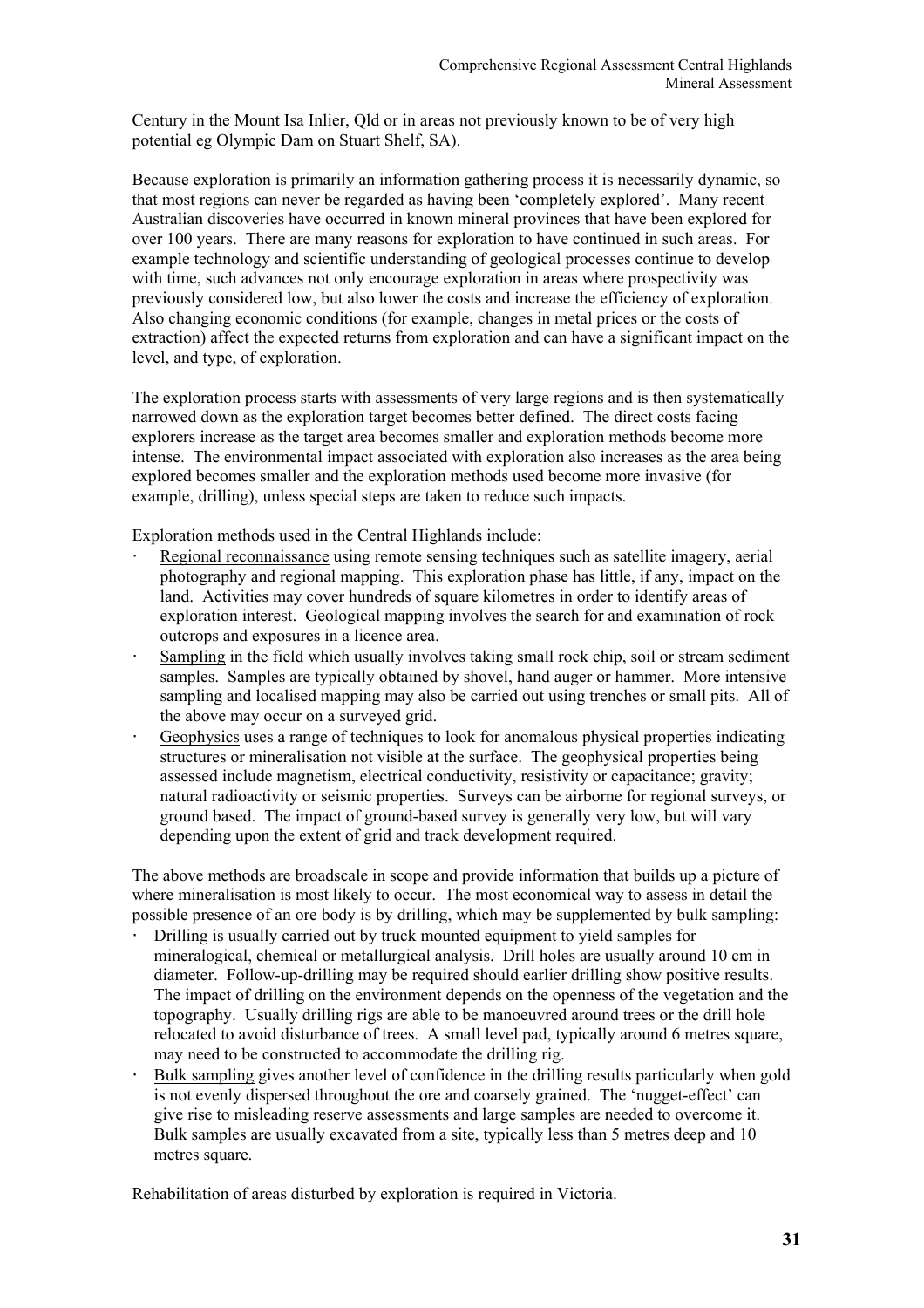Century in the Mount Isa Inlier, Qld or in areas not previously known to be of very high potential eg Olympic Dam on Stuart Shelf, SA).

Because exploration is primarily an information gathering process it is necessarily dynamic, so that most regions can never be regarded as having been 'completely explored'. Many recent Australian discoveries have occurred in known mineral provinces that have been explored for over 100 years. There are many reasons for exploration to have continued in such areas. For example technology and scientific understanding of geological processes continue to develop with time, such advances not only encourage exploration in areas where prospectivity was previously considered low, but also lower the costs and increase the efficiency of exploration. Also changing economic conditions (for example, changes in metal prices or the costs of extraction) affect the expected returns from exploration and can have a significant impact on the level, and type, of exploration.

The exploration process starts with assessments of very large regions and is then systematically narrowed down as the exploration target becomes better defined. The direct costs facing explorers increase as the target area becomes smaller and exploration methods become more intense. The environmental impact associated with exploration also increases as the area being explored becomes smaller and the exploration methods used become more invasive (for example, drilling), unless special steps are taken to reduce such impacts.

Exploration methods used in the Central Highlands include:

- Regional reconnaissance using remote sensing techniques such as satellite imagery, aerial photography and regional mapping. This exploration phase has little, if any, impact on the land. Activities may cover hundreds of square kilometres in order to identify areas of exploration interest. Geological mapping involves the search for and examination of rock outcrops and exposures in a licence area.
- Sampling in the field which usually involves taking small rock chip, soil or stream sediment samples. Samples are typically obtained by shovel, hand auger or hammer. More intensive sampling and localised mapping may also be carried out using trenches or small pits. All of the above may occur on a surveyed grid.
- Geophysics uses a range of techniques to look for anomalous physical properties indicating structures or mineralisation not visible at the surface. The geophysical properties being assessed include magnetism, electrical conductivity, resistivity or capacitance; gravity; natural radioactivity or seismic properties. Surveys can be airborne for regional surveys, or ground based. The impact of ground-based survey is generally very low, but will vary depending upon the extent of grid and track development required.

The above methods are broadscale in scope and provide information that builds up a picture of where mineralisation is most likely to occur. The most economical way to assess in detail the possible presence of an ore body is by drilling, which may be supplemented by bulk sampling:

- Drilling is usually carried out by truck mounted equipment to yield samples for mineralogical, chemical or metallurgical analysis. Drill holes are usually around 10 cm in diameter. Follow-up-drilling may be required should earlier drilling show positive results. The impact of drilling on the environment depends on the openness of the vegetation and the topography. Usually drilling rigs are able to be manoeuvred around trees or the drill hole relocated to avoid disturbance of trees. A small level pad, typically around 6 metres square, may need to be constructed to accommodate the drilling rig.
- Bulk sampling gives another level of confidence in the drilling results particularly when gold is not evenly dispersed throughout the ore and coarsely grained. The 'nugget-effect' can give rise to misleading reserve assessments and large samples are needed to overcome it. Bulk samples are usually excavated from a site, typically less than 5 metres deep and 10 metres square.

Rehabilitation of areas disturbed by exploration is required in Victoria.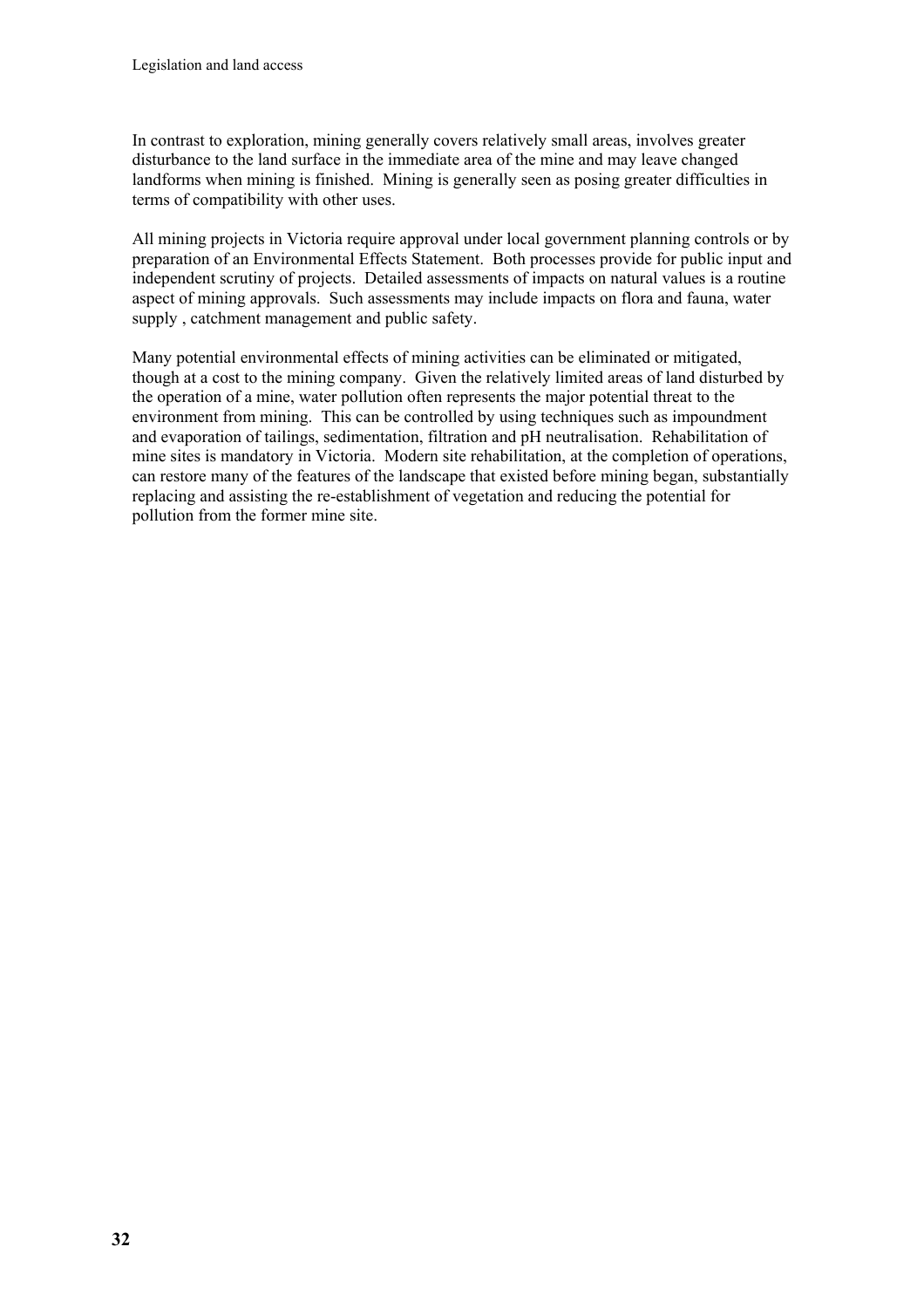In contrast to exploration, mining generally covers relatively small areas, involves greater disturbance to the land surface in the immediate area of the mine and may leave changed landforms when mining is finished. Mining is generally seen as posing greater difficulties in terms of compatibility with other uses.

All mining projects in Victoria require approval under local government planning controls or by preparation of an Environmental Effects Statement. Both processes provide for public input and independent scrutiny of projects. Detailed assessments of impacts on natural values is a routine aspect of mining approvals. Such assessments may include impacts on flora and fauna, water supply , catchment management and public safety.

Many potential environmental effects of mining activities can be eliminated or mitigated, though at a cost to the mining company. Given the relatively limited areas of land disturbed by the operation of a mine, water pollution often represents the major potential threat to the environment from mining. This can be controlled by using techniques such as impoundment and evaporation of tailings, sedimentation, filtration and pH neutralisation. Rehabilitation of mine sites is mandatory in Victoria. Modern site rehabilitation, at the completion of operations, can restore many of the features of the landscape that existed before mining began, substantially replacing and assisting the re-establishment of vegetation and reducing the potential for pollution from the former mine site.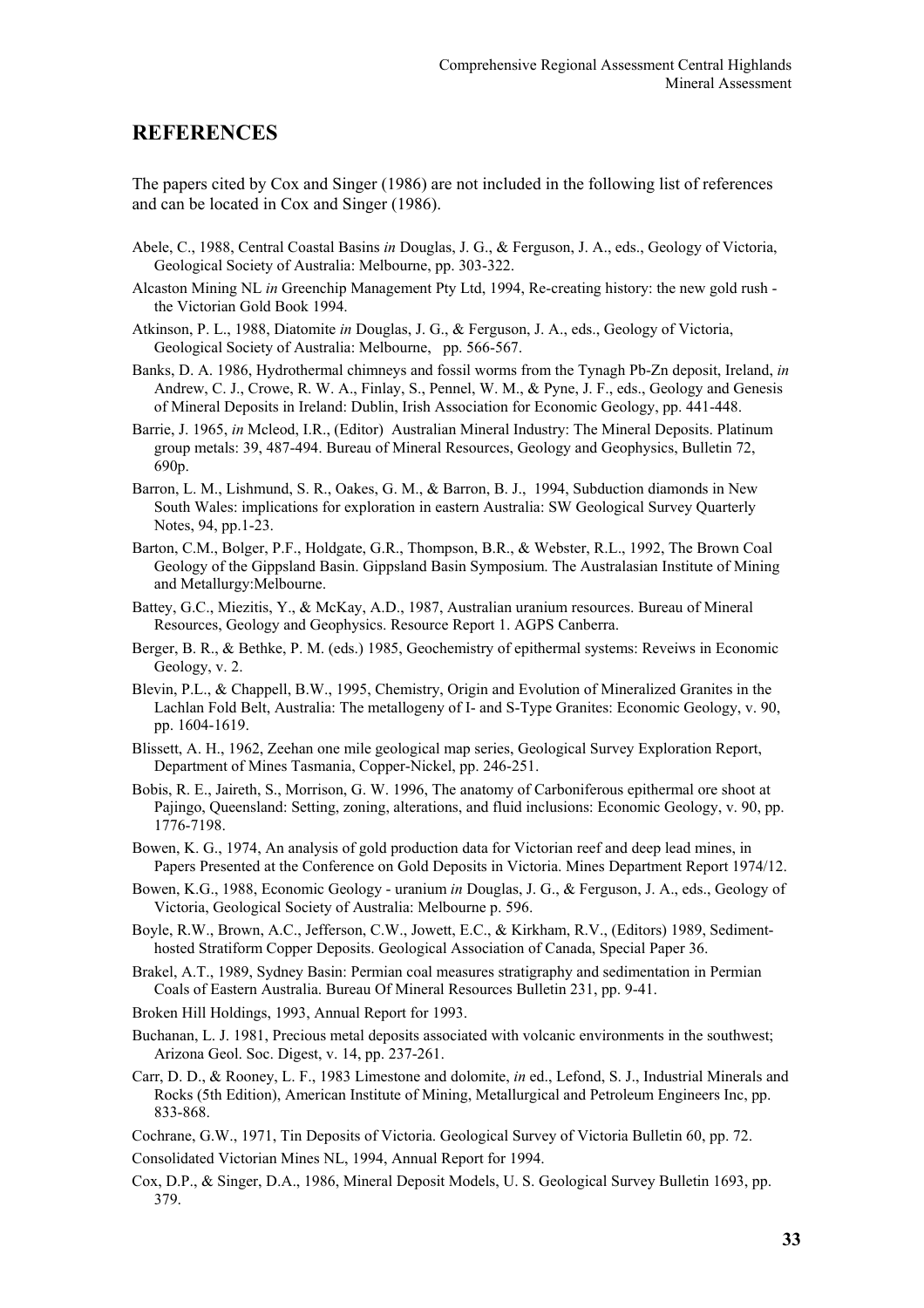### **REFERENCES**

The papers cited by Cox and Singer (1986) are not included in the following list of references and can be located in Cox and Singer (1986).

- Abele, C., 1988, Central Coastal Basins *in* Douglas, J. G., & Ferguson, J. A., eds., Geology of Victoria, Geological Society of Australia: Melbourne, pp. 303-322.
- Alcaston Mining NL *in* Greenchip Management Pty Ltd, 1994, Re-creating history: the new gold rush the Victorian Gold Book 1994.
- Atkinson, P. L., 1988, Diatomite *in* Douglas, J. G., & Ferguson, J. A., eds., Geology of Victoria, Geological Society of Australia: Melbourne, pp. 566-567.
- Banks, D. A. 1986, Hydrothermal chimneys and fossil worms from the Tynagh Pb-Zn deposit, Ireland, *in* Andrew, C. J., Crowe, R. W. A., Finlay, S., Pennel, W. M., & Pyne, J. F., eds., Geology and Genesis of Mineral Deposits in Ireland: Dublin, Irish Association for Economic Geology, pp. 441-448.
- Barrie, J. 1965, *in* Mcleod, I.R., (Editor) Australian Mineral Industry: The Mineral Deposits. Platinum group metals: 39, 487-494. Bureau of Mineral Resources, Geology and Geophysics, Bulletin 72, 690p.
- Barron, L. M., Lishmund, S. R., Oakes, G. M., & Barron, B. J., 1994, Subduction diamonds in New South Wales: implications for exploration in eastern Australia: SW Geological Survey Quarterly Notes, 94, pp.1-23.
- Barton, C.M., Bolger, P.F., Holdgate, G.R., Thompson, B.R., & Webster, R.L., 1992, The Brown Coal Geology of the Gippsland Basin. Gippsland Basin Symposium. The Australasian Institute of Mining and Metallurgy:Melbourne.
- Battey, G.C., Miezitis, Y., & McKay, A.D., 1987, Australian uranium resources. Bureau of Mineral Resources, Geology and Geophysics. Resource Report 1. AGPS Canberra.
- Berger, B. R., & Bethke, P. M. (eds.) 1985, Geochemistry of epithermal systems: Reveiws in Economic Geology, v. 2.
- Blevin, P.L., & Chappell, B.W., 1995, Chemistry, Origin and Evolution of Mineralized Granites in the Lachlan Fold Belt, Australia: The metallogeny of I- and S-Type Granites: Economic Geology, v. 90, pp. 1604-1619.
- Blissett, A. H., 1962, Zeehan one mile geological map series, Geological Survey Exploration Report, Department of Mines Tasmania, Copper-Nickel, pp. 246-251.
- Bobis, R. E., Jaireth, S., Morrison, G. W. 1996, The anatomy of Carboniferous epithermal ore shoot at Pajingo, Queensland: Setting, zoning, alterations, and fluid inclusions: Economic Geology, v. 90, pp. 1776-7198.
- Bowen, K. G., 1974, An analysis of gold production data for Victorian reef and deep lead mines, in Papers Presented at the Conference on Gold Deposits in Victoria. Mines Department Report 1974/12.
- Bowen, K.G., 1988, Economic Geology uranium *in* Douglas, J. G., & Ferguson, J. A., eds., Geology of Victoria, Geological Society of Australia: Melbourne p. 596.
- Boyle, R.W., Brown, A.C., Jefferson, C.W., Jowett, E.C., & Kirkham, R.V., (Editors) 1989, Sedimenthosted Stratiform Copper Deposits. Geological Association of Canada, Special Paper 36.
- Brakel, A.T., 1989, Sydney Basin: Permian coal measures stratigraphy and sedimentation in Permian Coals of Eastern Australia. Bureau Of Mineral Resources Bulletin 231, pp. 9-41.
- Broken Hill Holdings, 1993, Annual Report for 1993.
- Buchanan, L. J. 1981, Precious metal deposits associated with volcanic environments in the southwest; Arizona Geol. Soc. Digest, v. 14, pp. 237-261.
- Carr, D. D., & Rooney, L. F., 1983 Limestone and dolomite, *in* ed., Lefond, S. J., Industrial Minerals and Rocks (5th Edition), American Institute of Mining, Metallurgical and Petroleum Engineers Inc, pp. 833-868.
- Cochrane, G.W., 1971, Tin Deposits of Victoria. Geological Survey of Victoria Bulletin 60, pp. 72.

Consolidated Victorian Mines NL, 1994, Annual Report for 1994.

Cox, D.P., & Singer, D.A., 1986, Mineral Deposit Models, U. S. Geological Survey Bulletin 1693, pp. 379.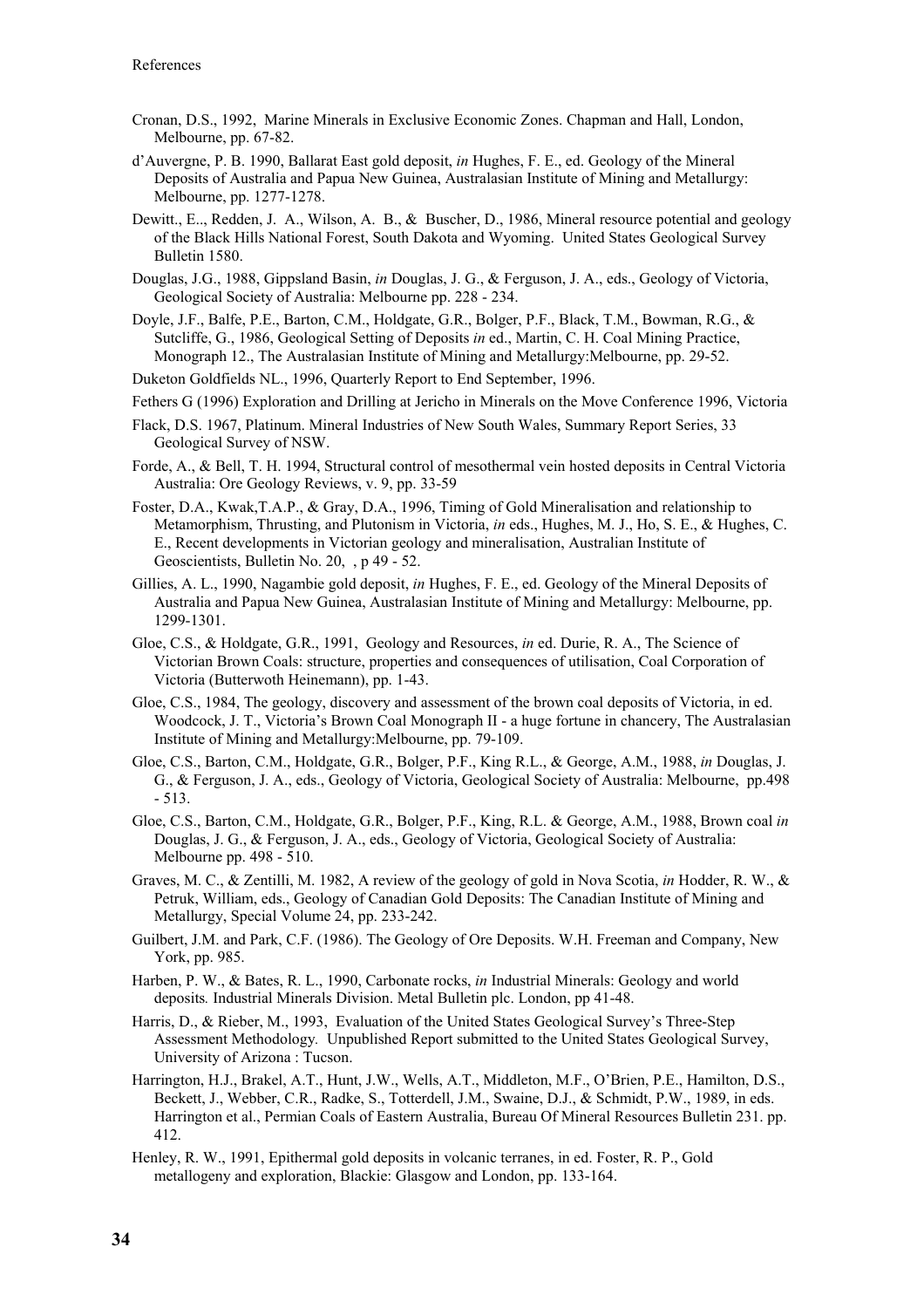- Cronan, D.S., 1992, Marine Minerals in Exclusive Economic Zones. Chapman and Hall, London, Melbourne, pp. 67-82.
- d'Auvergne, P. B. 1990, Ballarat East gold deposit, *in* Hughes, F. E., ed. Geology of the Mineral Deposits of Australia and Papua New Guinea, Australasian Institute of Mining and Metallurgy: Melbourne, pp. 1277-1278.
- Dewitt., E.., Redden, J. A., Wilson, A. B., & Buscher, D., 1986, Mineral resource potential and geology of the Black Hills National Forest, South Dakota and Wyoming. United States Geological Survey Bulletin 1580.
- Douglas, J.G., 1988, Gippsland Basin, *in* Douglas, J. G., & Ferguson, J. A., eds., Geology of Victoria, Geological Society of Australia: Melbourne pp. 228 - 234.
- Doyle, J.F., Balfe, P.E., Barton, C.M., Holdgate, G.R., Bolger, P.F., Black, T.M., Bowman, R.G., & Sutcliffe, G., 1986, Geological Setting of Deposits *in* ed., Martin, C. H. Coal Mining Practice, Monograph 12., The Australasian Institute of Mining and Metallurgy:Melbourne, pp. 29-52.
- Duketon Goldfields NL., 1996, Quarterly Report to End September, 1996.
- Fethers G (1996) Exploration and Drilling at Jericho in Minerals on the Move Conference 1996, Victoria
- Flack, D.S. 1967, Platinum. Mineral Industries of New South Wales, Summary Report Series, 33 Geological Survey of NSW.
- Forde, A., & Bell, T. H. 1994, Structural control of mesothermal vein hosted deposits in Central Victoria Australia: Ore Geology Reviews, v. 9, pp. 33-59
- Foster, D.A., Kwak,T.A.P., & Gray, D.A., 1996, Timing of Gold Mineralisation and relationship to Metamorphism, Thrusting, and Plutonism in Victoria, *in* eds., Hughes, M. J., Ho, S. E., & Hughes, C. E., Recent developments in Victorian geology and mineralisation, Australian Institute of Geoscientists, Bulletin No. 20, , p 49 - 52.
- Gillies, A. L., 1990, Nagambie gold deposit, *in* Hughes, F. E., ed. Geology of the Mineral Deposits of Australia and Papua New Guinea, Australasian Institute of Mining and Metallurgy: Melbourne, pp. 1299-1301.
- Gloe, C.S., & Holdgate, G.R., 1991, Geology and Resources, *in* ed. Durie, R. A., The Science of Victorian Brown Coals: structure, properties and consequences of utilisation, Coal Corporation of Victoria (Butterwoth Heinemann), pp. 1-43.
- Gloe, C.S., 1984, The geology, discovery and assessment of the brown coal deposits of Victoria, in ed. Woodcock, J. T., Victoria's Brown Coal Monograph II - a huge fortune in chancery, The Australasian Institute of Mining and Metallurgy:Melbourne, pp. 79-109.
- Gloe, C.S., Barton, C.M., Holdgate, G.R., Bolger, P.F., King R.L., & George, A.M., 1988, *in* Douglas, J. G., & Ferguson, J. A., eds., Geology of Victoria, Geological Society of Australia: Melbourne, pp.498 - 513.
- Gloe, C.S., Barton, C.M., Holdgate, G.R., Bolger, P.F., King, R.L. & George, A.M., 1988, Brown coal *in* Douglas, J. G., & Ferguson, J. A., eds., Geology of Victoria, Geological Society of Australia: Melbourne pp. 498 - 510.
- Graves, M. C., & Zentilli, M. 1982, A review of the geology of gold in Nova Scotia, *in* Hodder, R. W., & Petruk, William, eds., Geology of Canadian Gold Deposits: The Canadian Institute of Mining and Metallurgy, Special Volume 24, pp. 233-242.
- Guilbert, J.M. and Park, C.F. (1986). The Geology of Ore Deposits. W.H. Freeman and Company, New York, pp. 985.
- Harben, P. W., & Bates, R. L., 1990, Carbonate rocks, *in* Industrial Minerals: Geology and world deposits*.* Industrial Minerals Division. Metal Bulletin plc. London, pp 41-48.
- Harris, D., & Rieber, M., 1993, Evaluation of the United States Geological Survey's Three-Step Assessment Methodology*.* Unpublished Report submitted to the United States Geological Survey, University of Arizona : Tucson.
- Harrington, H.J., Brakel, A.T., Hunt, J.W., Wells, A.T., Middleton, M.F., O'Brien, P.E., Hamilton, D.S., Beckett, J., Webber, C.R., Radke, S., Totterdell, J.M., Swaine, D.J., & Schmidt, P.W., 1989, in eds. Harrington et al., Permian Coals of Eastern Australia, Bureau Of Mineral Resources Bulletin 231. pp. 412.
- Henley, R. W., 1991, Epithermal gold deposits in volcanic terranes, in ed. Foster, R. P., Gold metallogeny and exploration, Blackie: Glasgow and London, pp. 133-164.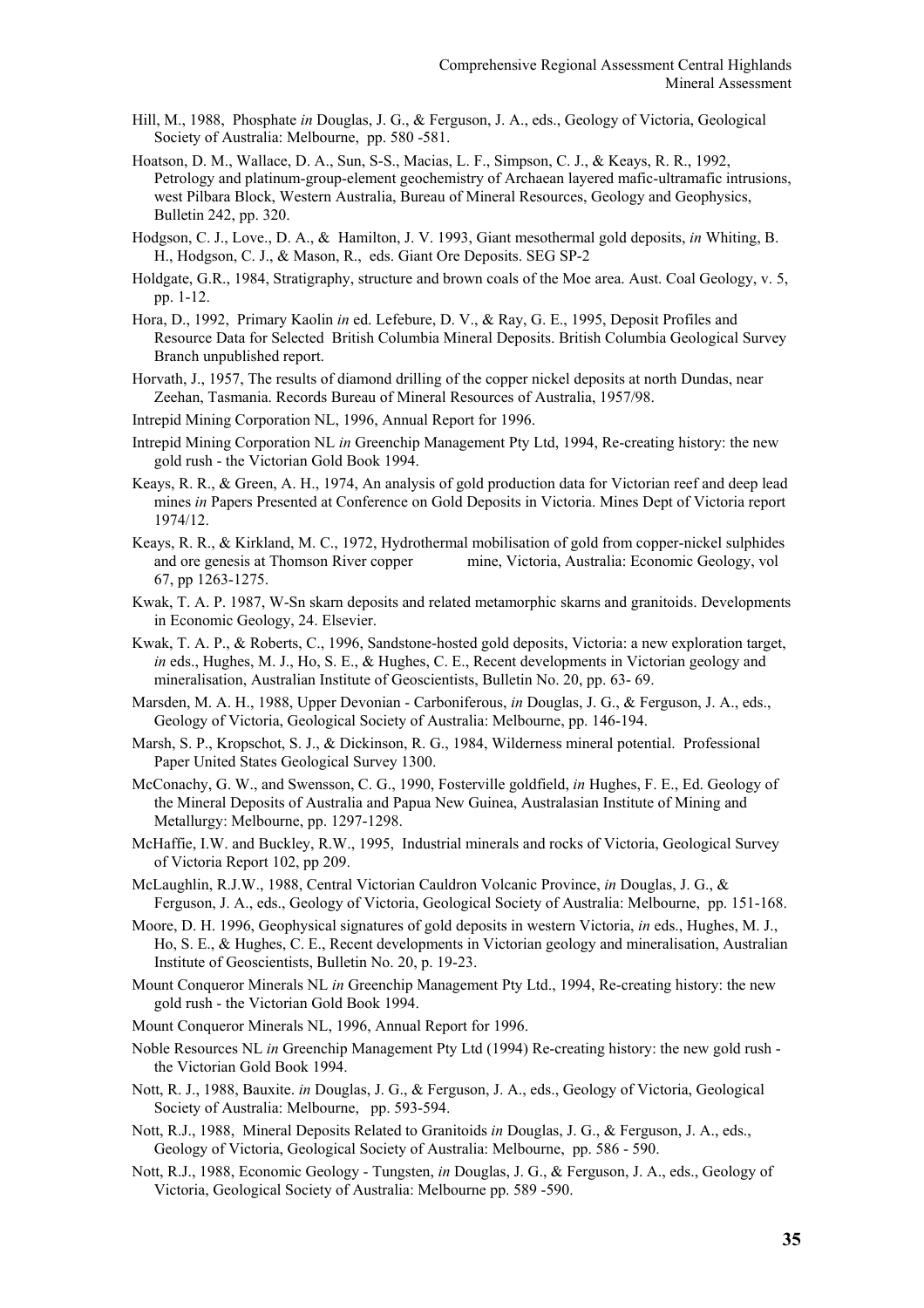- Hill, M., 1988, Phosphate *in* Douglas, J. G., & Ferguson, J. A., eds., Geology of Victoria, Geological Society of Australia: Melbourne, pp. 580 -581.
- Hoatson, D. M., Wallace, D. A., Sun, S-S., Macias, L. F., Simpson, C. J., & Keays, R. R., 1992, Petrology and platinum-group-element geochemistry of Archaean layered mafic-ultramafic intrusions, west Pilbara Block, Western Australia, Bureau of Mineral Resources, Geology and Geophysics, Bulletin 242, pp. 320.
- Hodgson, C. J., Love., D. A., & Hamilton, J. V. 1993, Giant mesothermal gold deposits, *in* Whiting, B. H., Hodgson, C. J., & Mason, R., eds. Giant Ore Deposits. SEG SP-2
- Holdgate, G.R., 1984, Stratigraphy, structure and brown coals of the Moe area. Aust. Coal Geology, v. 5, pp. 1-12.
- Hora, D., 1992, Primary Kaolin *in* ed. Lefebure, D. V., & Ray, G. E., 1995, Deposit Profiles and Resource Data for Selected British Columbia Mineral Deposits. British Columbia Geological Survey Branch unpublished report.
- Horvath, J., 1957, The results of diamond drilling of the copper nickel deposits at north Dundas, near Zeehan, Tasmania. Records Bureau of Mineral Resources of Australia, 1957/98.
- Intrepid Mining Corporation NL, 1996, Annual Report for 1996.
- Intrepid Mining Corporation NL *in* Greenchip Management Pty Ltd, 1994, Re-creating history: the new gold rush - the Victorian Gold Book 1994.
- Keays, R. R., & Green, A. H., 1974, An analysis of gold production data for Victorian reef and deep lead mines *in* Papers Presented at Conference on Gold Deposits in Victoria. Mines Dept of Victoria report 1974/12.
- Keays, R. R., & Kirkland, M. C., 1972, Hydrothermal mobilisation of gold from copper-nickel sulphides and ore genesis at Thomson River copper mine, Victoria, Australia: Economic Geology, vol 67, pp 1263-1275.
- Kwak, T. A. P. 1987, W-Sn skarn deposits and related metamorphic skarns and granitoids. Developments in Economic Geology, 24. Elsevier.
- Kwak, T. A. P., & Roberts, C., 1996, Sandstone-hosted gold deposits, Victoria: a new exploration target, *in* eds., Hughes, M. J., Ho, S. E., & Hughes, C. E., Recent developments in Victorian geology and mineralisation, Australian Institute of Geoscientists, Bulletin No. 20, pp. 63- 69.
- Marsden, M. A. H., 1988, Upper Devonian Carboniferous, *in* Douglas, J. G., & Ferguson, J. A., eds., Geology of Victoria, Geological Society of Australia: Melbourne, pp. 146-194.
- Marsh, S. P., Kropschot, S. J., & Dickinson, R. G., 1984, Wilderness mineral potential. Professional Paper United States Geological Survey 1300.
- McConachy, G. W., and Swensson, C. G., 1990, Fosterville goldfield, *in* Hughes, F. E., Ed. Geology of the Mineral Deposits of Australia and Papua New Guinea, Australasian Institute of Mining and Metallurgy: Melbourne, pp. 1297-1298.
- McHaffie, I.W. and Buckley, R.W., 1995, Industrial minerals and rocks of Victoria, Geological Survey of Victoria Report 102, pp 209.
- McLaughlin, R.J.W., 1988, Central Victorian Cauldron Volcanic Province, *in* Douglas, J. G., & Ferguson, J. A., eds., Geology of Victoria, Geological Society of Australia: Melbourne, pp. 151-168.
- Moore, D. H. 1996, Geophysical signatures of gold deposits in western Victoria, *in* eds., Hughes, M. J., Ho, S. E., & Hughes, C. E., Recent developments in Victorian geology and mineralisation, Australian Institute of Geoscientists, Bulletin No. 20, p. 19-23.
- Mount Conqueror Minerals NL *in* Greenchip Management Pty Ltd., 1994, Re-creating history: the new gold rush - the Victorian Gold Book 1994.
- Mount Conqueror Minerals NL, 1996, Annual Report for 1996.
- Noble Resources NL *in* Greenchip Management Pty Ltd (1994) Re-creating history: the new gold rush the Victorian Gold Book 1994.
- Nott, R. J., 1988, Bauxite. *in* Douglas, J. G., & Ferguson, J. A., eds., Geology of Victoria, Geological Society of Australia: Melbourne, pp. 593-594.
- Nott, R.J., 1988, Mineral Deposits Related to Granitoids *in* Douglas, J. G., & Ferguson, J. A., eds., Geology of Victoria, Geological Society of Australia: Melbourne, pp. 586 - 590.
- Nott, R.J., 1988, Economic Geology Tungsten, *in* Douglas, J. G., & Ferguson, J. A., eds., Geology of Victoria, Geological Society of Australia: Melbourne pp. 589 -590.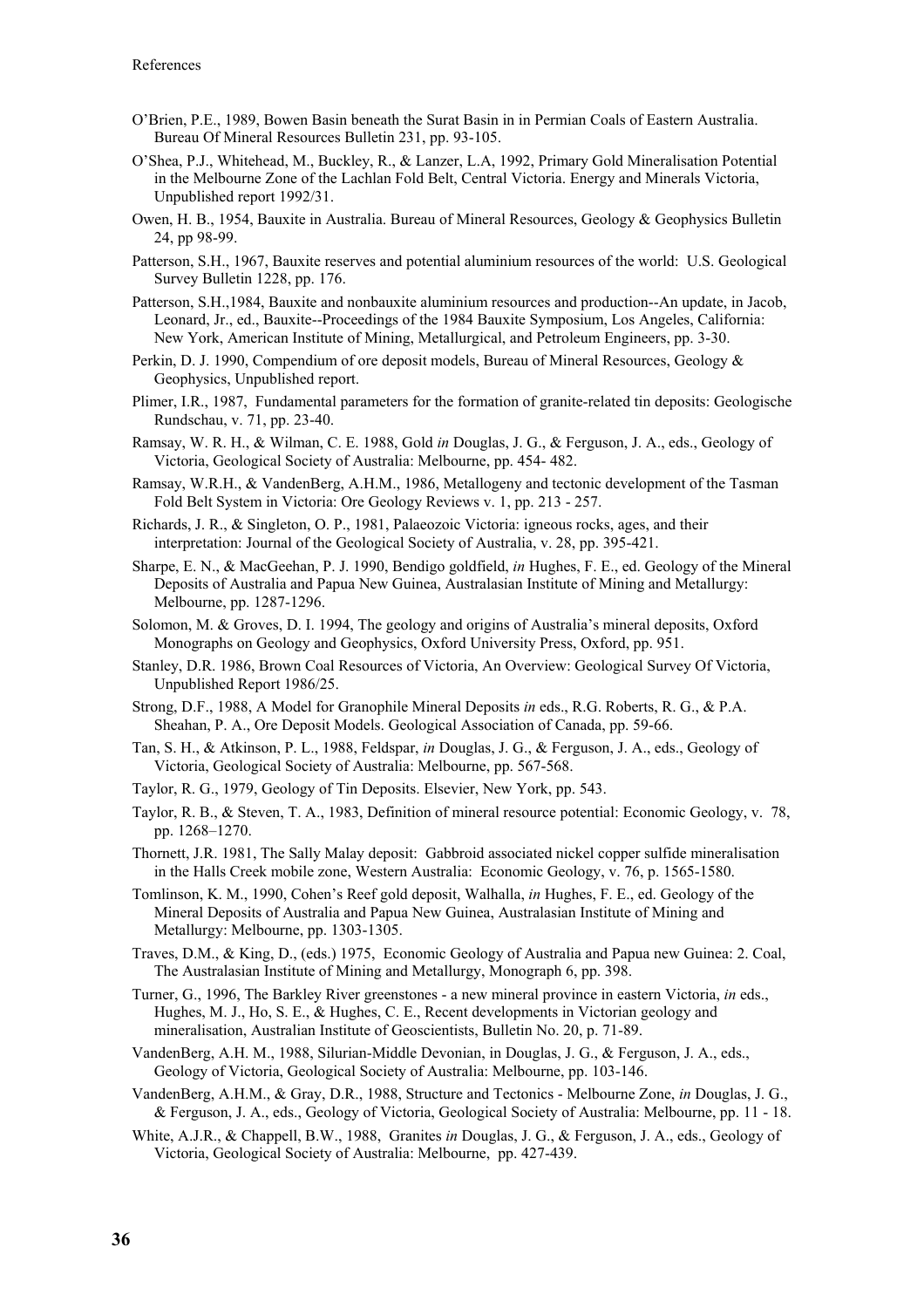- O'Brien, P.E., 1989, Bowen Basin beneath the Surat Basin in in Permian Coals of Eastern Australia. Bureau Of Mineral Resources Bulletin 231, pp. 93-105.
- O'Shea, P.J., Whitehead, M., Buckley, R., & Lanzer, L.A, 1992, Primary Gold Mineralisation Potential in the Melbourne Zone of the Lachlan Fold Belt, Central Victoria. Energy and Minerals Victoria, Unpublished report 1992/31.
- Owen, H. B., 1954, Bauxite in Australia. Bureau of Mineral Resources, Geology & Geophysics Bulletin 24, pp 98-99.
- Patterson, S.H., 1967, Bauxite reserves and potential aluminium resources of the world: U.S. Geological Survey Bulletin 1228, pp. 176.
- Patterson, S.H.,1984, Bauxite and nonbauxite aluminium resources and production--An update, in Jacob, Leonard, Jr., ed., Bauxite--Proceedings of the 1984 Bauxite Symposium, Los Angeles, California: New York, American Institute of Mining, Metallurgical, and Petroleum Engineers, pp. 3-30.
- Perkin, D. J. 1990, Compendium of ore deposit models, Bureau of Mineral Resources, Geology & Geophysics, Unpublished report.
- Plimer, I.R., 1987, Fundamental parameters for the formation of granite-related tin deposits: Geologische Rundschau, v. 71, pp. 23-40.
- Ramsay, W. R. H., & Wilman, C. E. 1988, Gold *in* Douglas, J. G., & Ferguson, J. A., eds., Geology of Victoria, Geological Society of Australia: Melbourne, pp. 454- 482.
- Ramsay, W.R.H., & VandenBerg, A.H.M., 1986, Metallogeny and tectonic development of the Tasman Fold Belt System in Victoria: Ore Geology Reviews v. 1, pp. 213 - 257.
- Richards, J. R., & Singleton, O. P., 1981, Palaeozoic Victoria: igneous rocks, ages, and their interpretation: Journal of the Geological Society of Australia, v. 28, pp. 395-421.
- Sharpe, E. N., & MacGeehan, P. J. 1990, Bendigo goldfield, *in* Hughes, F. E., ed. Geology of the Mineral Deposits of Australia and Papua New Guinea, Australasian Institute of Mining and Metallurgy: Melbourne, pp. 1287-1296.
- Solomon, M. & Groves, D. I. 1994, The geology and origins of Australia's mineral deposits, Oxford Monographs on Geology and Geophysics, Oxford University Press, Oxford, pp. 951.
- Stanley, D.R. 1986, Brown Coal Resources of Victoria, An Overview: Geological Survey Of Victoria, Unpublished Report 1986/25.
- Strong, D.F., 1988, A Model for Granophile Mineral Deposits *in* eds., R.G. Roberts, R. G., & P.A. Sheahan, P. A., Ore Deposit Models. Geological Association of Canada, pp. 59-66.
- Tan, S. H., & Atkinson, P. L., 1988, Feldspar, *in* Douglas, J. G., & Ferguson, J. A., eds., Geology of Victoria, Geological Society of Australia: Melbourne, pp. 567-568.
- Taylor, R. G., 1979, Geology of Tin Deposits. Elsevier, New York, pp. 543.
- Taylor, R. B., & Steven, T. A., 1983, Definition of mineral resource potential: Economic Geology, v. 78, pp. 1268–1270.
- Thornett, J.R. 1981, The Sally Malay deposit: Gabbroid associated nickel copper sulfide mineralisation in the Halls Creek mobile zone, Western Australia: Economic Geology, v. 76, p. 1565-1580.
- Tomlinson, K. M., 1990, Cohen's Reef gold deposit, Walhalla, *in* Hughes, F. E., ed. Geology of the Mineral Deposits of Australia and Papua New Guinea, Australasian Institute of Mining and Metallurgy: Melbourne, pp. 1303-1305.
- Traves, D.M., & King, D., (eds.) 1975, Economic Geology of Australia and Papua new Guinea: 2. Coal, The Australasian Institute of Mining and Metallurgy, Monograph 6, pp. 398.
- Turner, G., 1996, The Barkley River greenstones a new mineral province in eastern Victoria, *in* eds., Hughes, M. J., Ho, S. E., & Hughes, C. E., Recent developments in Victorian geology and mineralisation, Australian Institute of Geoscientists, Bulletin No. 20, p. 71-89.
- VandenBerg, A.H. M., 1988, Silurian-Middle Devonian, in Douglas, J. G., & Ferguson, J. A., eds., Geology of Victoria, Geological Society of Australia: Melbourne, pp. 103-146.
- VandenBerg, A.H.M., & Gray, D.R., 1988, Structure and Tectonics Melbourne Zone, *in* Douglas, J. G., & Ferguson, J. A., eds., Geology of Victoria, Geological Society of Australia: Melbourne, pp. 11 - 18.
- White, A.J.R., & Chappell, B.W., 1988, Granites *in* Douglas, J. G., & Ferguson, J. A., eds., Geology of Victoria, Geological Society of Australia: Melbourne, pp. 427-439.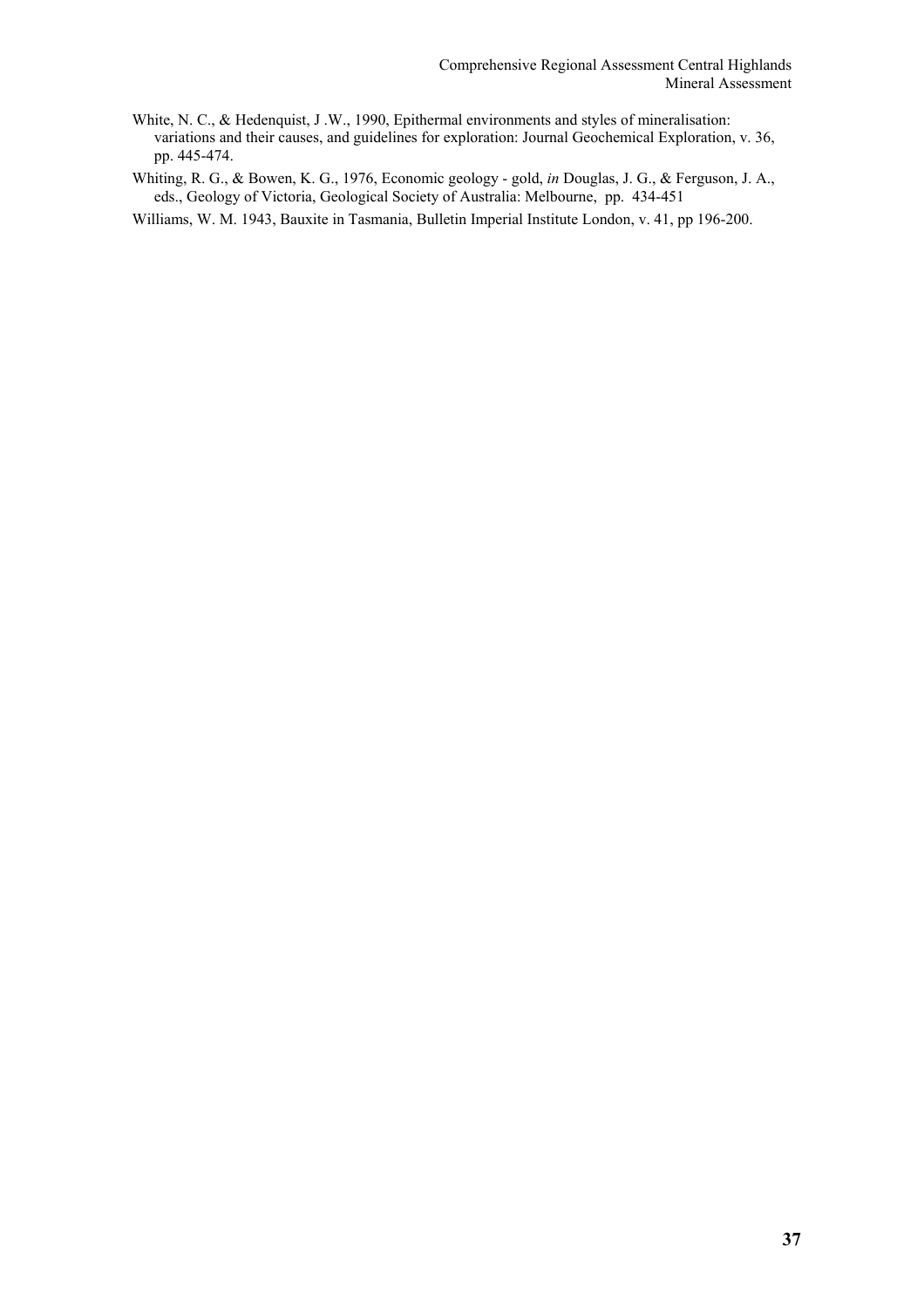- White, N. C., & Hedenquist, J.W., 1990, Epithermal environments and styles of mineralisation: variations and their causes, and guidelines for exploration: Journal Geochemical Exploration, v. 36, pp. 445-474.
- Whiting, R. G., & Bowen, K. G., 1976, Economic geology gold, *in* Douglas, J. G., & Ferguson, J. A., eds., Geology of Victoria, Geological Society of Australia: Melbourne, pp. 434-451

Williams, W. M. 1943, Bauxite in Tasmania, Bulletin Imperial Institute London, v. 41, pp 196-200.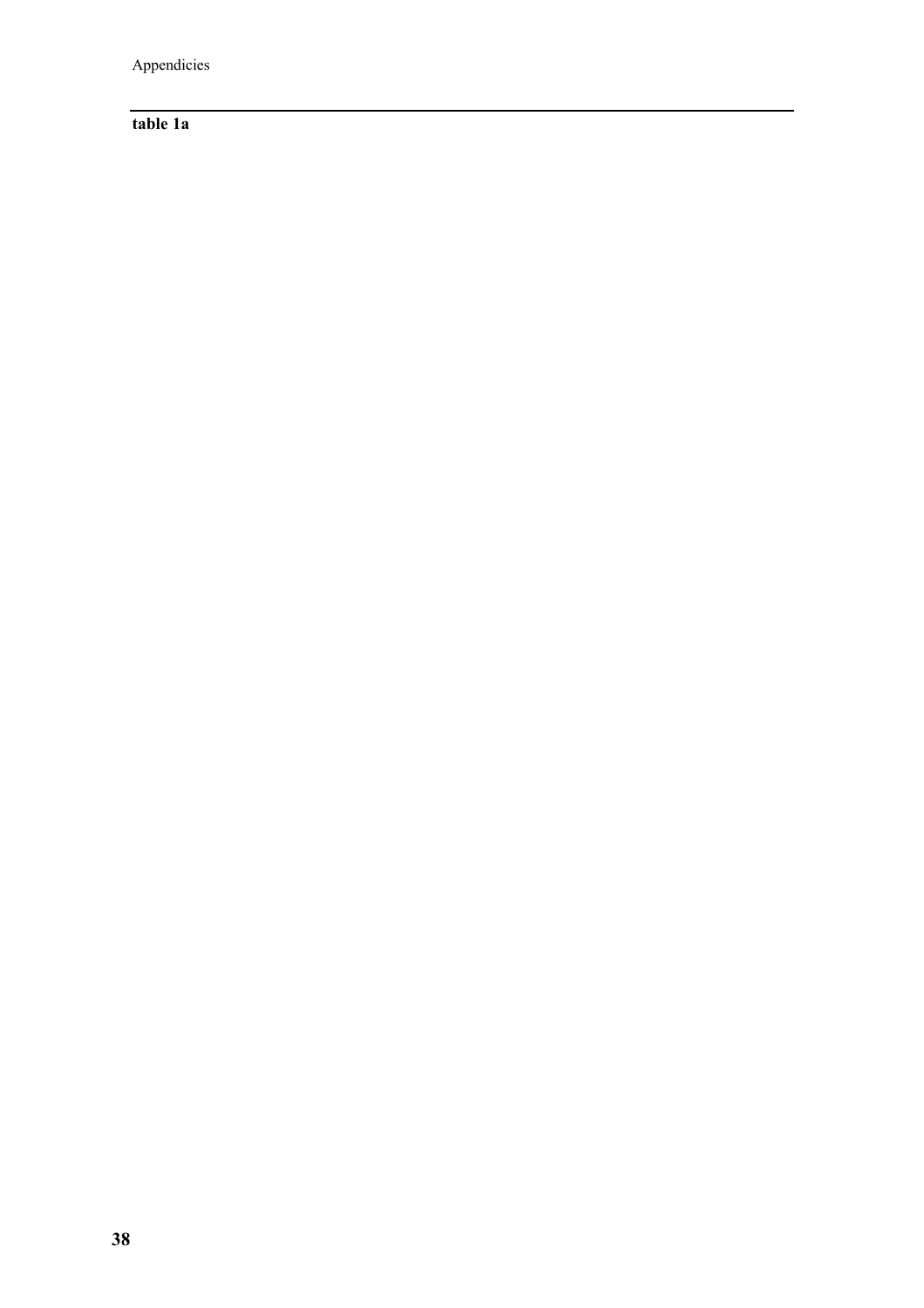# **table 1a**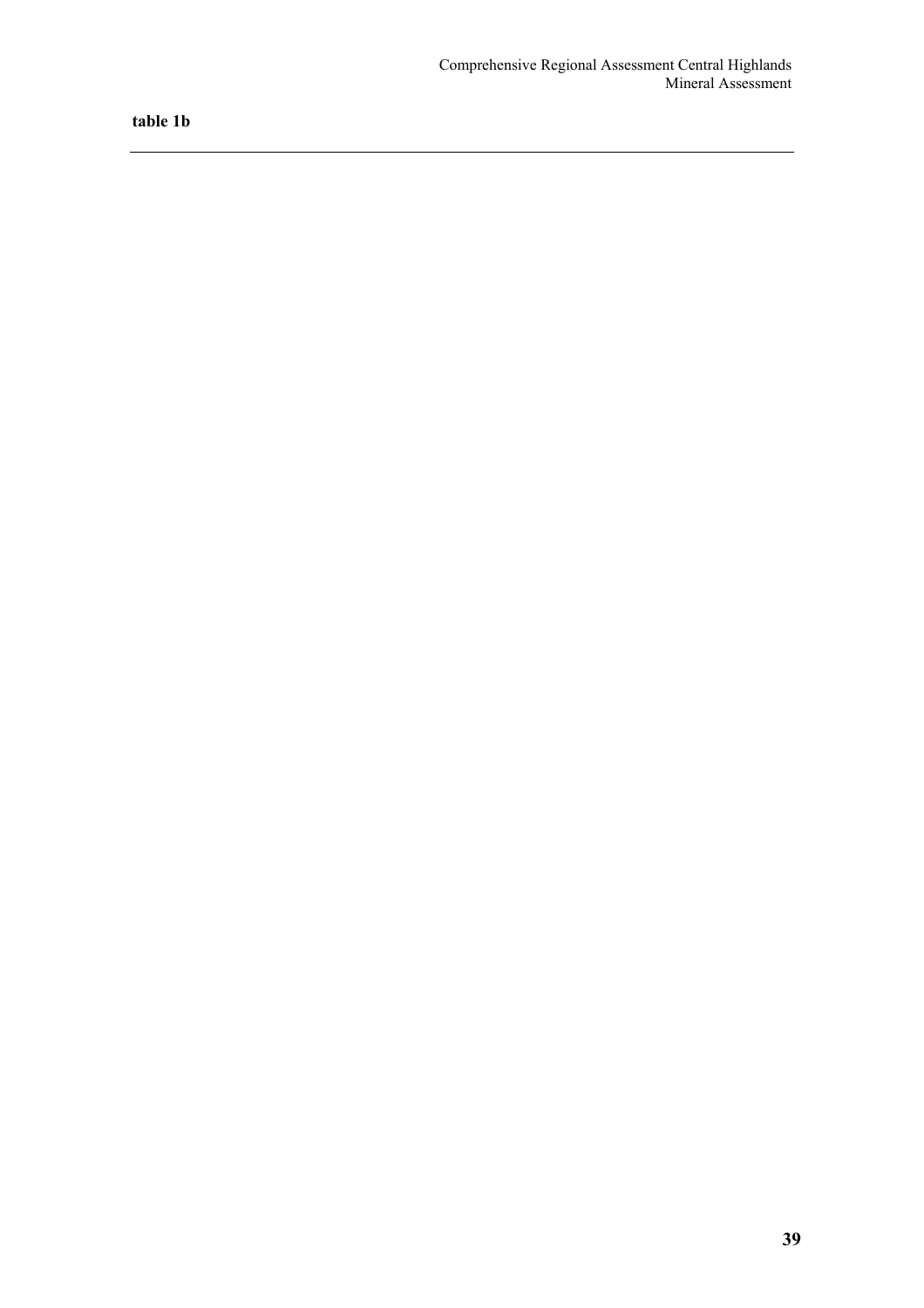**table 1b**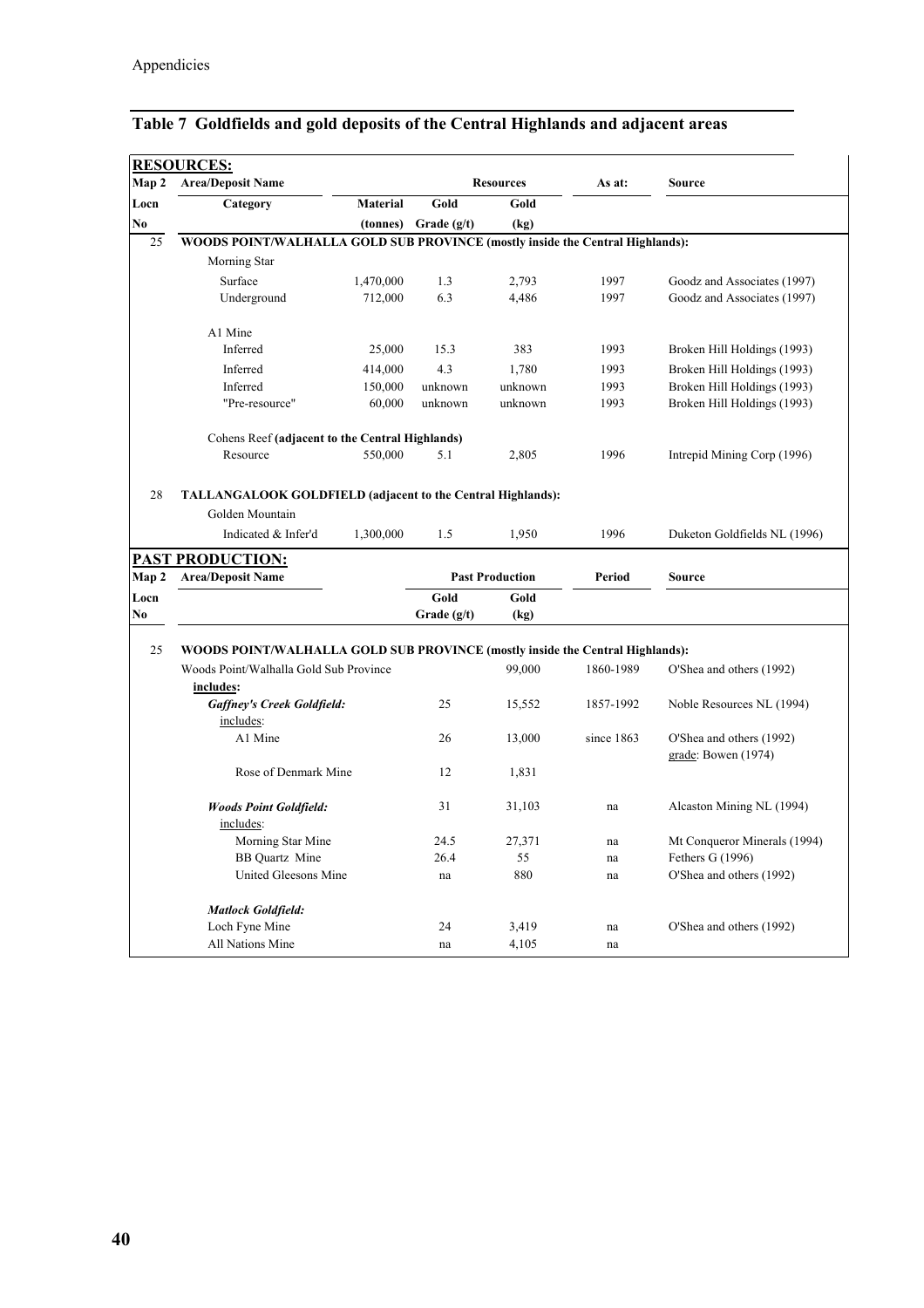|            | <b>RESOURCES:</b>                                                                    |                 |               |                        |            |                                                 |  |  |
|------------|--------------------------------------------------------------------------------------|-----------------|---------------|------------------------|------------|-------------------------------------------------|--|--|
| Map 2      | <b>Area/Deposit Name</b>                                                             |                 |               | <b>Resources</b>       | As at:     | Source                                          |  |  |
| Locn       | Category                                                                             | <b>Material</b> | Gold          | Gold                   |            |                                                 |  |  |
| No         |                                                                                      | (tonnes)        | Grade $(g/t)$ | (kg)                   |            |                                                 |  |  |
| 25         | WOODS POINT/WALHALLA GOLD SUB PROVINCE (mostly inside the Central Highlands):        |                 |               |                        |            |                                                 |  |  |
|            | <b>Morning Star</b>                                                                  |                 |               |                        |            |                                                 |  |  |
|            | Surface                                                                              | 1,470,000       | 1.3           | 2,793                  | 1997       | Goodz and Associates (1997)                     |  |  |
|            | Underground                                                                          | 712,000         | 6.3           | 4,486                  | 1997       | Goodz and Associates (1997)                     |  |  |
|            | A1 Mine                                                                              |                 |               |                        |            |                                                 |  |  |
|            | Inferred                                                                             | 25,000          | 15.3          | 383                    | 1993       | Broken Hill Holdings (1993)                     |  |  |
|            | Inferred                                                                             | 414,000         | 4.3           | 1,780                  | 1993       | Broken Hill Holdings (1993)                     |  |  |
|            | Inferred                                                                             | 150,000         | unknown       | unknown                | 1993       | Broken Hill Holdings (1993)                     |  |  |
|            | "Pre-resource"                                                                       | 60,000          | unknown       | unknown                | 1993       | Broken Hill Holdings (1993)                     |  |  |
|            | Cohens Reef (adjacent to the Central Highlands)                                      |                 |               |                        |            |                                                 |  |  |
|            | Resource                                                                             | 550,000         | 5.1           | 2,805                  | 1996       | Intrepid Mining Corp (1996)                     |  |  |
| 28         | TALLANGALOOK GOLDFIELD (adjacent to the Central Highlands):                          |                 |               |                        |            |                                                 |  |  |
|            | Golden Mountain                                                                      |                 |               |                        |            |                                                 |  |  |
|            | Indicated & Infer'd                                                                  | 1,300,000       | 1.5           | 1,950                  | 1996       | Duketon Goldfields NL (1996)                    |  |  |
| PAST       | PRODUCTION:                                                                          |                 |               |                        |            |                                                 |  |  |
| Map 2      | <b>Area/Deposit Name</b>                                                             |                 |               | <b>Past Production</b> | Period     | Source                                          |  |  |
| Locn<br>No |                                                                                      |                 | Gold          | Gold                   |            |                                                 |  |  |
|            |                                                                                      |                 | Grade $(g/t)$ | (kg)                   |            |                                                 |  |  |
| 25         | <b>WOODS POINT/WALHALLA GOLD SUB PROVINCE (mostly inside the Central Highlands):</b> |                 |               |                        |            |                                                 |  |  |
|            | Woods Point/Walhalla Gold Sub Province                                               |                 |               | 99.000                 | 1860-1989  | O'Shea and others (1992)                        |  |  |
|            | includes:                                                                            |                 |               |                        |            |                                                 |  |  |
|            | <b>Gaffney's Creek Goldfield:</b><br>includes:                                       |                 | 25            | 15,552                 | 1857-1992  | Noble Resources NL (1994)                       |  |  |
|            | A1 Mine                                                                              |                 | 26            | 13,000                 | since 1863 | O'Shea and others (1992)<br>grade: Bowen (1974) |  |  |
|            | Rose of Denmark Mine                                                                 |                 | 12            | 1,831                  |            |                                                 |  |  |
|            | <b>Woods Point Goldfield:</b>                                                        |                 | 31            | 31,103                 | na         | Alcaston Mining NL (1994)                       |  |  |
|            | includes:                                                                            |                 |               |                        |            |                                                 |  |  |
|            | Morning Star Mine                                                                    |                 | 24.5          | 27,371                 | na         | Mt Conqueror Minerals (1994)                    |  |  |
|            | <b>BB</b> Quartz Mine                                                                |                 | 26.4          | 55                     | na         | Fethers G (1996)                                |  |  |
|            | United Gleesons Mine                                                                 |                 | na            | 880                    | na         | O'Shea and others (1992)                        |  |  |
|            | <b>Matlock Goldfield:</b>                                                            |                 |               |                        |            |                                                 |  |  |
|            | Loch Fyne Mine                                                                       |                 | 24            | 3,419                  | na         | O'Shea and others (1992)                        |  |  |
|            | All Nations Mine                                                                     |                 | na            | 4,105                  | na         |                                                 |  |  |

# **Table 7 Goldfields and gold deposits of the Central Highlands and adjacent areas**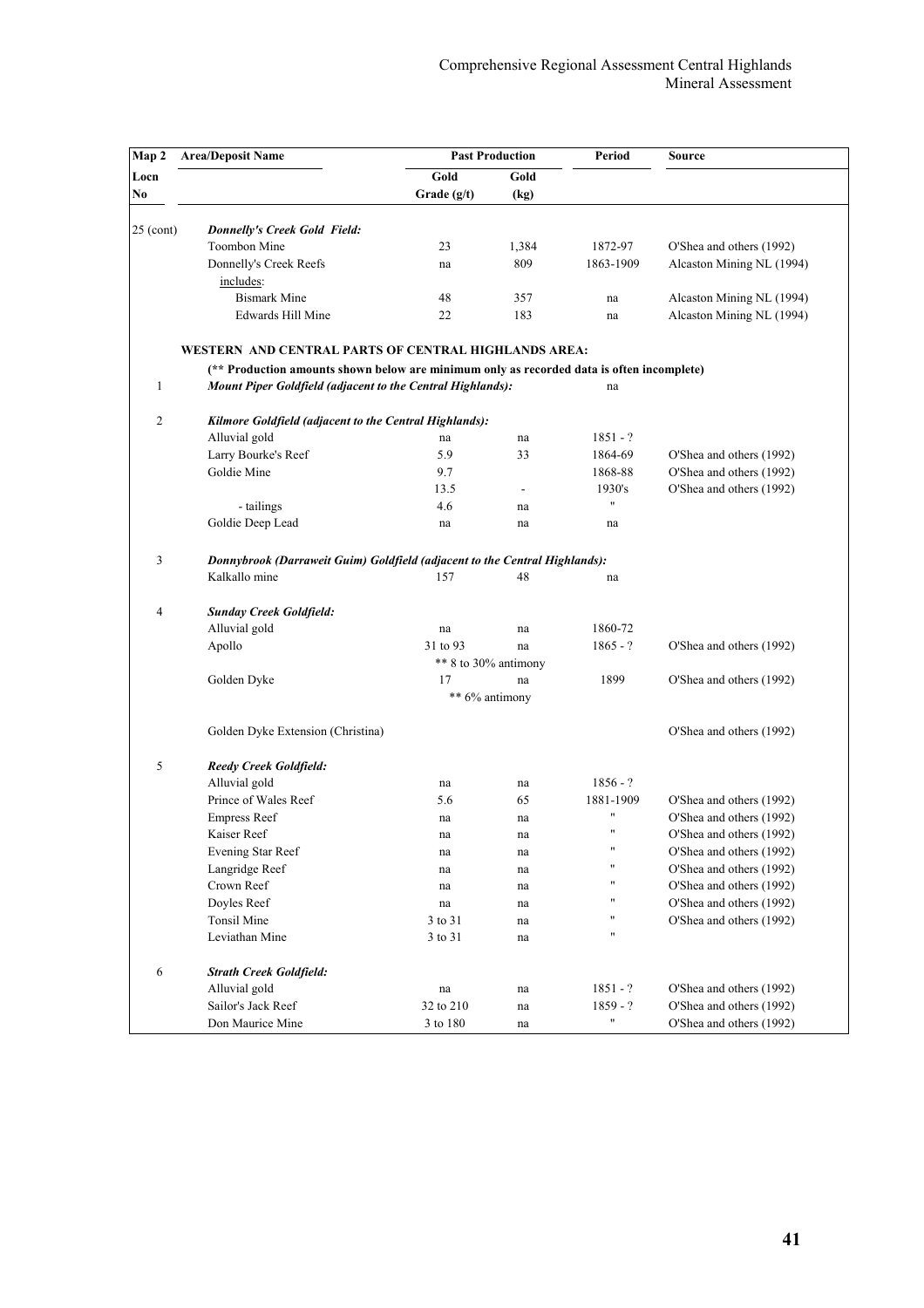| Map 2       | <b>Area/Deposit Name</b>                                                                  | <b>Past Production</b> |                              | Period               | <b>Source</b>             |  |
|-------------|-------------------------------------------------------------------------------------------|------------------------|------------------------------|----------------------|---------------------------|--|
| Locn        |                                                                                           | Gold                   | Gold                         |                      |                           |  |
| No          |                                                                                           | Grade $(g/t)$          | (kg)                         |                      |                           |  |
| $25$ (cont) | <b>Donnelly's Creek Gold Field:</b>                                                       |                        |                              |                      |                           |  |
|             | Toombon Mine                                                                              | 23                     | 1,384                        | 1872-97              | O'Shea and others (1992)  |  |
|             | Donnelly's Creek Reefs                                                                    | na                     | 809                          | 1863-1909            | Alcaston Mining NL (1994) |  |
|             | includes:                                                                                 |                        |                              |                      |                           |  |
|             | <b>Bismark Mine</b>                                                                       | 48                     | 357                          | na                   | Alcaston Mining NL (1994) |  |
|             | <b>Edwards Hill Mine</b>                                                                  | 22                     | 183                          | na                   | Alcaston Mining NL (1994) |  |
|             | WESTERN AND CENTRAL PARTS OF CENTRAL HIGHLANDS AREA:                                      |                        |                              |                      |                           |  |
|             | (** Production amounts shown below are minimum only as recorded data is often incomplete) |                        |                              |                      |                           |  |
| 1           | <b>Mount Piper Goldfield (adjacent to the Central Highlands):</b>                         |                        |                              | na                   |                           |  |
| 2           | Kilmore Goldfield (adjacent to the Central Highlands):                                    |                        |                              |                      |                           |  |
|             | Alluvial gold                                                                             |                        |                              | $1851 - ?$           |                           |  |
|             | Larry Bourke's Reef                                                                       | na<br>5.9              | na<br>33                     | 1864-69              | O'Shea and others (1992)  |  |
|             | Goldie Mine                                                                               | 9.7                    |                              | 1868-88              | O'Shea and others (1992)  |  |
|             |                                                                                           | 13.5                   |                              | 1930's               | O'Shea and others (1992)  |  |
|             |                                                                                           | 4.6                    | $\qquad \qquad \blacksquare$ |                      |                           |  |
|             | - tailings<br>Goldie Deep Lead                                                            |                        | na                           |                      |                           |  |
|             |                                                                                           | na                     | na                           | na                   |                           |  |
| 3           | Donnybrook (Darraweit Guim) Goldfield (adjacent to the Central Highlands):                |                        |                              |                      |                           |  |
|             | Kalkallo mine                                                                             | 157                    | 48                           | na                   |                           |  |
| 4           | <b>Sunday Creek Goldfield:</b>                                                            |                        |                              |                      |                           |  |
|             | Alluvial gold                                                                             | na                     | na                           | 1860-72              |                           |  |
|             | Apollo                                                                                    | 31 to 93               | na                           | $1865 - ?$           | O'Shea and others (1992)  |  |
|             |                                                                                           | ** 8 to 30% antimony   |                              |                      |                           |  |
|             | Golden Dyke                                                                               | 17                     | na                           | 1899                 | O'Shea and others (1992)  |  |
|             |                                                                                           | ** 6% antimony         |                              |                      |                           |  |
|             | Golden Dyke Extension (Christina)                                                         |                        |                              |                      | O'Shea and others (1992)  |  |
| 5           | <b>Reedy Creek Goldfield:</b>                                                             |                        |                              |                      |                           |  |
|             | Alluvial gold                                                                             | na                     | na                           | $1856 - ?$           |                           |  |
|             | Prince of Wales Reef                                                                      | 5.6                    | 65                           | 1881-1909            | O'Shea and others (1992)  |  |
|             | <b>Empress Reef</b>                                                                       | na                     | na                           | 11                   | O'Shea and others (1992)  |  |
|             | Kaiser Reef                                                                               | na                     | na                           | $^{\dagger}$         | O'Shea and others (1992)  |  |
|             | Evening Star Reef                                                                         | na                     | na                           | Ħ                    | O'Shea and others (1992)  |  |
|             | Langridge Reef                                                                            | na                     | na                           | $\pmb{\mathfrak{m}}$ | O'Shea and others (1992)  |  |
|             | Crown Reef                                                                                | na                     | na                           |                      | O'Shea and others (1992)  |  |
|             | Doyles Reef                                                                               | na                     | na                           |                      | O'Shea and others (1992)  |  |
|             | Tonsil Mine                                                                               | 3 to 31                | na                           |                      | O'Shea and others (1992)  |  |
|             | Leviathan Mine                                                                            | 3 to 31                | na                           | $\pmb{\mathfrak{m}}$ |                           |  |
| 6           | <b>Strath Creek Goldfield:</b>                                                            |                        |                              |                      |                           |  |
|             | Alluvial gold                                                                             | na                     | na                           | $1851 - ?$           | O'Shea and others (1992)  |  |
|             | Sailor's Jack Reef                                                                        | 32 to 210              | na                           | $1859 - ?$           | O'Shea and others (1992)  |  |
|             | Don Maurice Mine                                                                          | 3 to 180               | na                           | Ħ                    | O'Shea and others (1992)  |  |
|             |                                                                                           |                        |                              |                      |                           |  |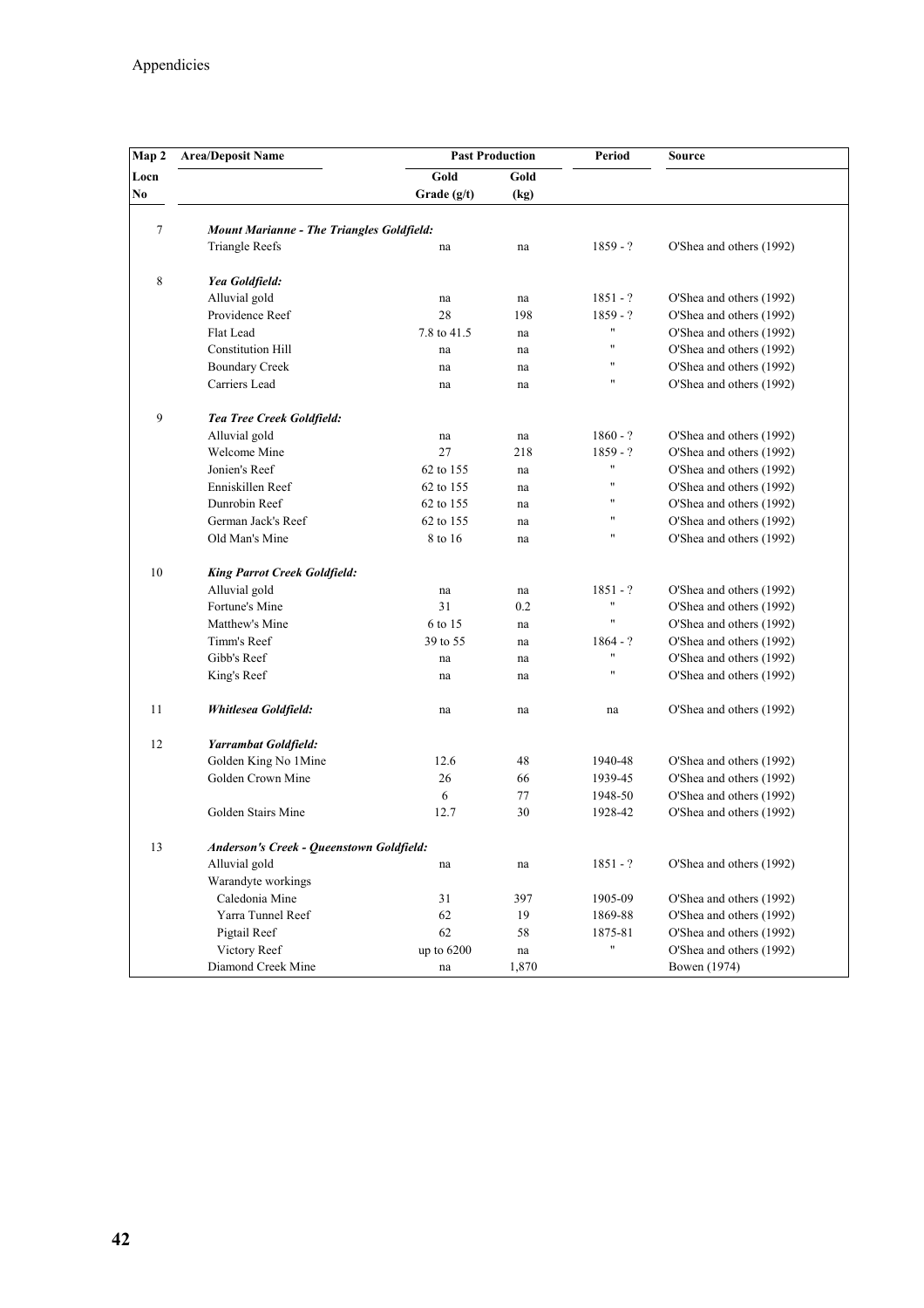| Map 2 | <b>Area/Deposit Name</b>                         |              | <b>Past Production</b> | Period               | Source                   |
|-------|--------------------------------------------------|--------------|------------------------|----------------------|--------------------------|
| Locn  |                                                  | Gold         | Gold                   |                      |                          |
| No    |                                                  | Grade (g/t)  | (kg)                   |                      |                          |
| 7     | <b>Mount Marianne - The Triangles Goldfield:</b> |              |                        |                      |                          |
|       | <b>Triangle Reefs</b>                            | na           | na                     | $1859 - ?$           | O'Shea and others (1992) |
| 8     | Yea Goldfield:                                   |              |                        |                      |                          |
|       | Alluvial gold                                    | na           | na                     | $1851 - ?$           | O'Shea and others (1992) |
|       | Providence Reef                                  | 28           | 198                    | $1859 - ?$           | O'Shea and others (1992) |
|       | Flat Lead                                        | 7.8 to 41.5  | na                     | $\pmb{\mathfrak{m}}$ | O'Shea and others (1992) |
|       | <b>Constitution Hill</b>                         | na           | na                     | $\mathbf{H}$         | O'Shea and others (1992) |
|       | <b>Boundary Creek</b>                            | na           | na                     | "                    | O'Shea and others (1992) |
|       | Carriers Lead                                    | na           | na                     | $^{\dagger}$         | O'Shea and others (1992) |
| 9     | <b>Tea Tree Creek Goldfield:</b>                 |              |                        |                      |                          |
|       | Alluvial gold                                    | na           | na                     | $1860 - ?$           | O'Shea and others (1992) |
|       | Welcome Mine                                     | 27           | 218                    | $1859 - ?$           | O'Shea and others (1992) |
|       | Jonien's Reef                                    | 62 to 155    | na                     | Ħ                    | O'Shea and others (1992) |
|       | Enniskillen Reef                                 | 62 to 155    | na                     | Ħ                    | O'Shea and others (1992) |
|       | Dunrobin Reef                                    | 62 to 155    | na                     | Ħ                    | O'Shea and others (1992) |
|       | German Jack's Reef                               | 62 to 155    | na                     | "                    | O'Shea and others (1992) |
|       | Old Man's Mine                                   | 8 to 16      | na                     | $^{\dagger}$         | O'Shea and others (1992) |
| 10    | <b>King Parrot Creek Goldfield:</b>              |              |                        |                      |                          |
|       | Alluvial gold                                    | na           | na                     | $1851 - ?$           | O'Shea and others (1992) |
|       | Fortune's Mine                                   | 31           | 0.2                    | Ħ                    | O'Shea and others (1992) |
|       | Matthew's Mine                                   | 6 to 15      | na                     | 11                   | O'Shea and others (1992) |
|       | Timm's Reef                                      | 39 to 55     | na                     | $1864 - ?$           | O'Shea and others (1992) |
|       | Gibb's Reef                                      | na           |                        | $\pmb{\mathfrak{m}}$ | O'Shea and others (1992) |
|       | King's Reef                                      | na           | na<br>na               | $\pmb{\mathfrak{m}}$ | O'Shea and others (1992) |
| 11    | <b>Whitlesea Goldfield:</b>                      | na           | na                     | na                   | O'Shea and others (1992) |
| 12    | Yarrambat Goldfield:                             |              |                        |                      |                          |
|       | Golden King No 1Mine                             | 12.6         | 48                     | 1940-48              | O'Shea and others (1992) |
|       | Golden Crown Mine                                | 26           | 66                     | 1939-45              | O'Shea and others (1992) |
|       |                                                  | 6            | 77                     | 1948-50              | O'Shea and others (1992) |
|       | Golden Stairs Mine                               | 12.7         | 30                     | 1928-42              | O'Shea and others (1992) |
| 13    | <b>Anderson's Creek - Queenstown Goldfield:</b>  |              |                        |                      |                          |
|       | Alluvial gold                                    | na           | na                     | $1851 - ?$           | O'Shea and others (1992) |
|       | Warandyte workings                               |              |                        |                      |                          |
|       | Caledonia Mine                                   | 31           | 397                    | 1905-09              | O'Shea and others (1992) |
|       | Yarra Tunnel Reef                                | 62           | 19                     | 1869-88              | O'Shea and others (1992) |
|       | Pigtail Reef                                     | 62           | 58                     | 1875-81              | O'Shea and others (1992) |
|       | Victory Reef                                     | up to $6200$ | na                     | Ħ                    | O'Shea and others (1992) |
|       | Diamond Creek Mine                               | na           | 1,870                  |                      | Bowen (1974)             |
|       |                                                  |              |                        |                      |                          |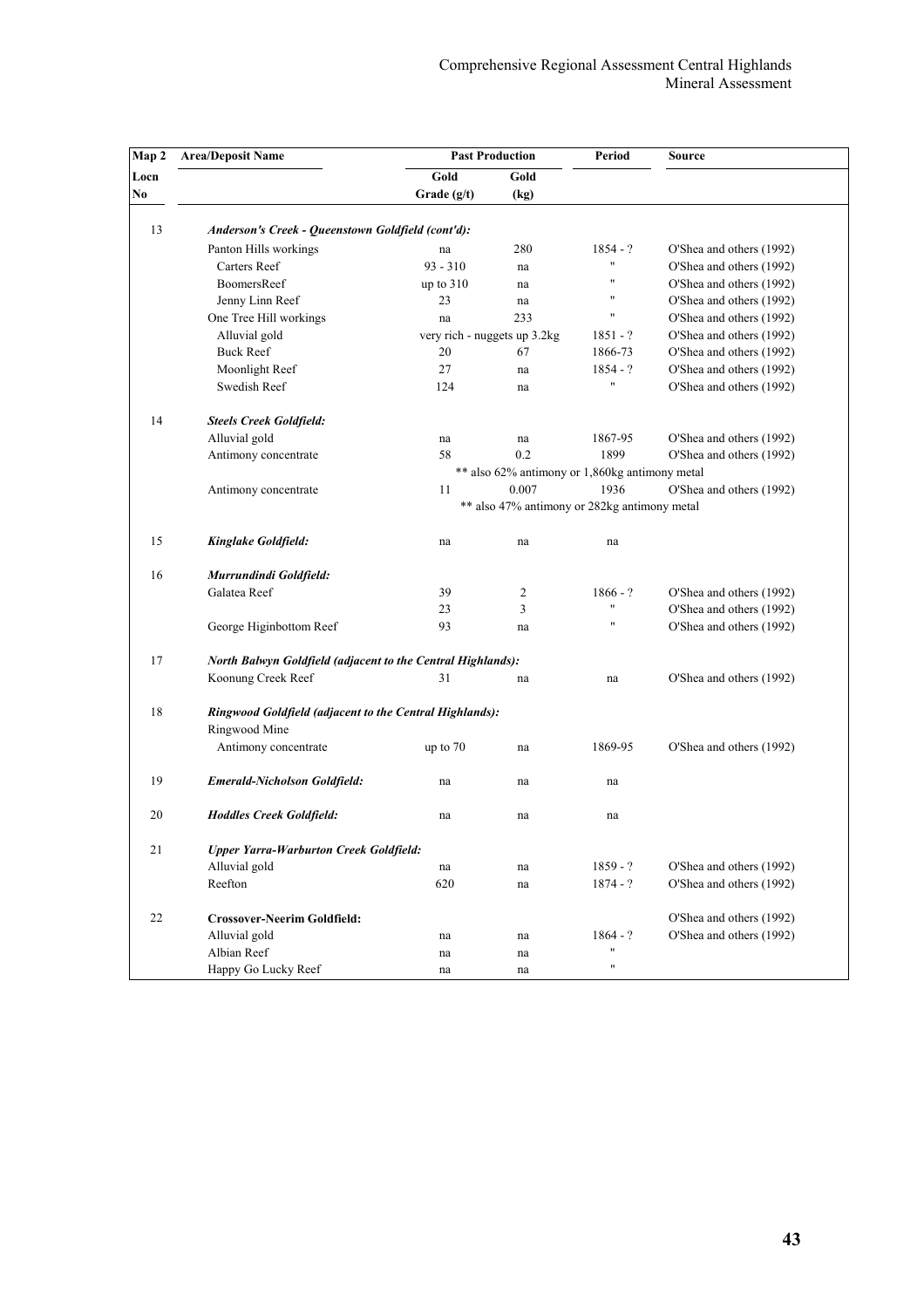| Map 2 | <b>Area/Deposit Name</b>                                                 | <b>Past Production</b>       |                                                | Period               | <b>Source</b>            |  |
|-------|--------------------------------------------------------------------------|------------------------------|------------------------------------------------|----------------------|--------------------------|--|
| Locn  |                                                                          | Gold                         | Gold                                           |                      |                          |  |
| No    |                                                                          | Grade $(g/t)$                | (kg)                                           |                      |                          |  |
| 13    | Anderson's Creek - Queenstown Goldfield (cont'd):                        |                              |                                                |                      |                          |  |
|       | Panton Hills workings                                                    | na                           | 280                                            | $1854 - ?$           | O'Shea and others (1992) |  |
|       | Carters Reef                                                             | $93 - 310$                   | na                                             | $\pmb{\mathfrak{m}}$ | O'Shea and others (1992) |  |
|       | BoomersReef                                                              | up to $310$                  | na                                             | $\pmb{\mathfrak{m}}$ | O'Shea and others (1992) |  |
|       | Jenny Linn Reef                                                          | 23                           | na                                             | 11                   | O'Shea and others (1992) |  |
|       | One Tree Hill workings                                                   | na                           | 233                                            | Ħ                    | O'Shea and others (1992) |  |
|       | Alluvial gold                                                            | very rich - nuggets up 3.2kg |                                                | $1851 - ?$           | O'Shea and others (1992) |  |
|       | <b>Buck Reef</b>                                                         | 20                           | 67                                             | 1866-73              | O'Shea and others (1992) |  |
|       | Moonlight Reef                                                           | 27                           | na                                             | $1854 - ?$           | O'Shea and others (1992) |  |
|       | Swedish Reef                                                             | 124                          | na                                             | $\pmb{\mathfrak{m}}$ | O'Shea and others (1992) |  |
| 14    | <b>Steels Creek Goldfield:</b>                                           |                              |                                                |                      |                          |  |
|       | Alluvial gold                                                            | na                           | na                                             | 1867-95              | O'Shea and others (1992) |  |
|       | Antimony concentrate                                                     | 58                           | 0.2                                            | 1899                 | O'Shea and others (1992) |  |
|       |                                                                          |                              | ** also 62% antimony or 1,860kg antimony metal |                      |                          |  |
|       | Antimony concentrate                                                     | 11                           | 0.007                                          | 1936                 | O'Shea and others (1992) |  |
|       |                                                                          |                              | ** also 47% antimony or 282kg antimony metal   |                      |                          |  |
| 15    | Kinglake Goldfield:                                                      | na                           | na                                             | na                   |                          |  |
| 16    | Murrundindi Goldfield:                                                   |                              |                                                |                      |                          |  |
|       | Galatea Reef                                                             | 39                           | 2                                              | $1866 - ?$           | O'Shea and others (1992) |  |
|       |                                                                          | 23                           | 3                                              | $\pmb{\mathfrak{m}}$ | O'Shea and others (1992) |  |
|       | George Higinbottom Reef                                                  | 93                           | na                                             | $\pmb{\mathfrak{m}}$ | O'Shea and others (1992) |  |
| 17    | <b>North Balwyn Goldfield (adjacent to the Central Highlands):</b>       |                              |                                                |                      |                          |  |
|       | Koonung Creek Reef                                                       | 31                           | na                                             | na                   | O'Shea and others (1992) |  |
| 18    | Ringwood Goldfield (adjacent to the Central Highlands):<br>Ringwood Mine |                              |                                                |                      |                          |  |
|       | Antimony concentrate                                                     | up to $70$                   | na                                             | 1869-95              | O'Shea and others (1992) |  |
| 19    | <b>Emerald-Nicholson Goldfield:</b>                                      | na                           | na                                             | na                   |                          |  |
| 20    | <b>Hoddles Creek Goldfield:</b>                                          | na                           | na                                             | na                   |                          |  |
| 21    | <b>Upper Yarra-Warburton Creek Goldfield:</b>                            |                              |                                                |                      |                          |  |
|       | Alluvial gold                                                            | na                           | na                                             | $1859 - ?$           | O'Shea and others (1992) |  |
|       | Reefton                                                                  | 620                          | na                                             | $1874 - ?$           | O'Shea and others (1992) |  |
| 22    | <b>Crossover-Neerim Goldfield:</b>                                       |                              |                                                |                      | O'Shea and others (1992) |  |
|       | Alluvial gold                                                            | na                           | na                                             | $1864 - ?$           | O'Shea and others (1992) |  |
|       | Albian Reef                                                              | na                           | na                                             | 11                   |                          |  |
|       | Happy Go Lucky Reef                                                      | na                           | na                                             | $\pmb{\mathfrak{m}}$ |                          |  |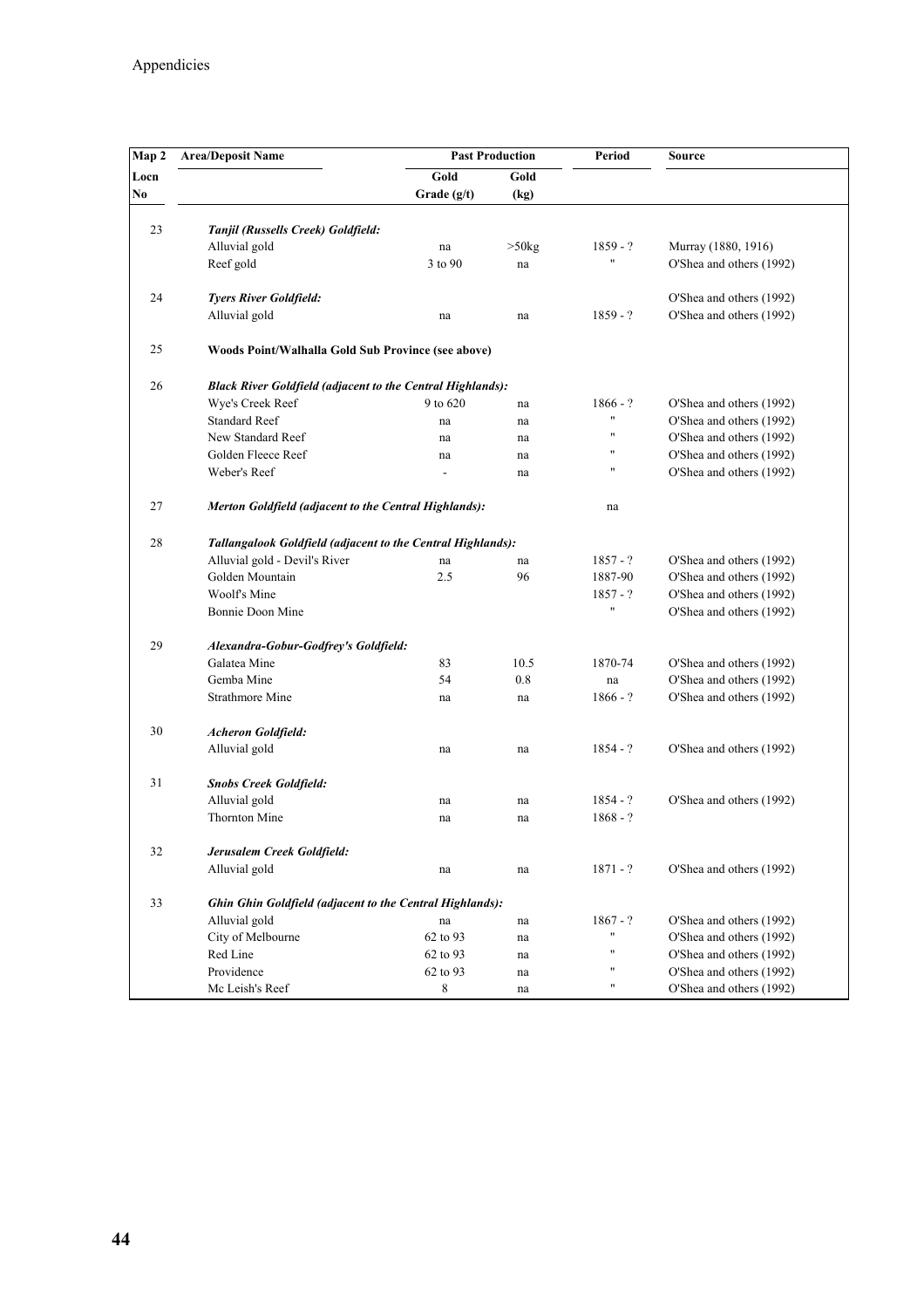| Map 2 | <b>Area/Deposit Name</b>                                          |             | <b>Past Production</b> | Period     | <b>Source</b>            |  |
|-------|-------------------------------------------------------------------|-------------|------------------------|------------|--------------------------|--|
| Locn  |                                                                   | Gold        | Gold                   |            |                          |  |
| No    |                                                                   | Grade (g/t) | (kg)                   |            |                          |  |
| 23    | Tanjil (Russells Creek) Goldfield:                                |             |                        |            |                          |  |
|       | Alluvial gold                                                     | na          | $>50$ kg               | $1859 - ?$ | Murray (1880, 1916)      |  |
|       | Reef gold                                                         | 3 to 90     | na                     | Ħ          | O'Shea and others (1992) |  |
| 24    | <b>Tyers River Goldfield:</b>                                     |             |                        |            | O'Shea and others (1992) |  |
|       | Alluvial gold                                                     | na          | na                     | $1859 - ?$ | O'Shea and others (1992) |  |
| 25    | Woods Point/Walhalla Gold Sub Province (see above)                |             |                        |            |                          |  |
| 26    | <b>Black River Goldfield (adjacent to the Central Highlands):</b> |             |                        |            |                          |  |
|       | Wye's Creek Reef                                                  | 9 to 620    | na                     | $1866 - ?$ | O'Shea and others (1992) |  |
|       | <b>Standard Reef</b>                                              | na          | na                     | 11         | O'Shea and others (1992) |  |
|       | New Standard Reef                                                 | na          | na                     | 11         | O'Shea and others (1992) |  |
|       | Golden Fleece Reef                                                | na          | na                     | 11         | O'Shea and others (1992) |  |
|       | Weber's Reef                                                      |             | na                     | 11         | O'Shea and others (1992) |  |
| 27    | Merton Goldfield (adjacent to the Central Highlands):             |             |                        | na         |                          |  |
| 28    | Tallangalook Goldfield (adjacent to the Central Highlands):       |             |                        |            |                          |  |
|       | Alluvial gold - Devil's River                                     | na          | na                     | $1857 - ?$ | O'Shea and others (1992) |  |
|       | Golden Mountain                                                   | 2.5         | 96                     | 1887-90    | O'Shea and others (1992) |  |
|       | Woolf's Mine                                                      |             |                        | $1857 - ?$ | O'Shea and others (1992) |  |
|       | Bonnie Doon Mine                                                  |             |                        | Ħ          | O'Shea and others (1992) |  |
| 29    | Alexandra-Gobur-Godfrey's Goldfield:                              |             |                        |            |                          |  |
|       | Galatea Mine                                                      | 83          | 10.5                   | 1870-74    | O'Shea and others (1992) |  |
|       | Gemba Mine                                                        | 54          | 0.8                    | na         | O'Shea and others (1992) |  |
|       | <b>Strathmore Mine</b>                                            | na          | na                     | $1866 - ?$ | O'Shea and others (1992) |  |
| 30    | <b>Acheron Goldfield:</b>                                         |             |                        |            |                          |  |
|       | Alluvial gold                                                     | na          | na                     | $1854 - ?$ | O'Shea and others (1992) |  |
| 31    | <b>Snobs Creek Goldfield:</b>                                     |             |                        |            |                          |  |
|       | Alluvial gold                                                     | na          | na                     | $1854 - ?$ | O'Shea and others (1992) |  |
|       | <b>Thornton Mine</b>                                              | na          | na                     | $1868 - ?$ |                          |  |
| 32    | Jerusalem Creek Goldfield:                                        |             |                        |            |                          |  |
|       | Alluvial gold                                                     | na          | na                     | $1871 - ?$ | O'Shea and others (1992) |  |
| 33    | <b>Ghin Ghin Goldfield (adjacent to the Central Highlands):</b>   |             |                        |            |                          |  |
|       | Alluvial gold                                                     | na          | na                     | $1867 - ?$ | O'Shea and others (1992) |  |
|       | City of Melbourne                                                 | 62 to 93    | na                     | Ħ          | O'Shea and others (1992) |  |
|       | Red Line                                                          | 62 to 93    | na                     | 11         | O'Shea and others (1992) |  |
|       | Providence                                                        | 62 to 93    | na                     | Ħ          | O'Shea and others (1992) |  |
|       | Mc Leish's Reef                                                   | 8           | na                     | 11         | O'Shea and others (1992) |  |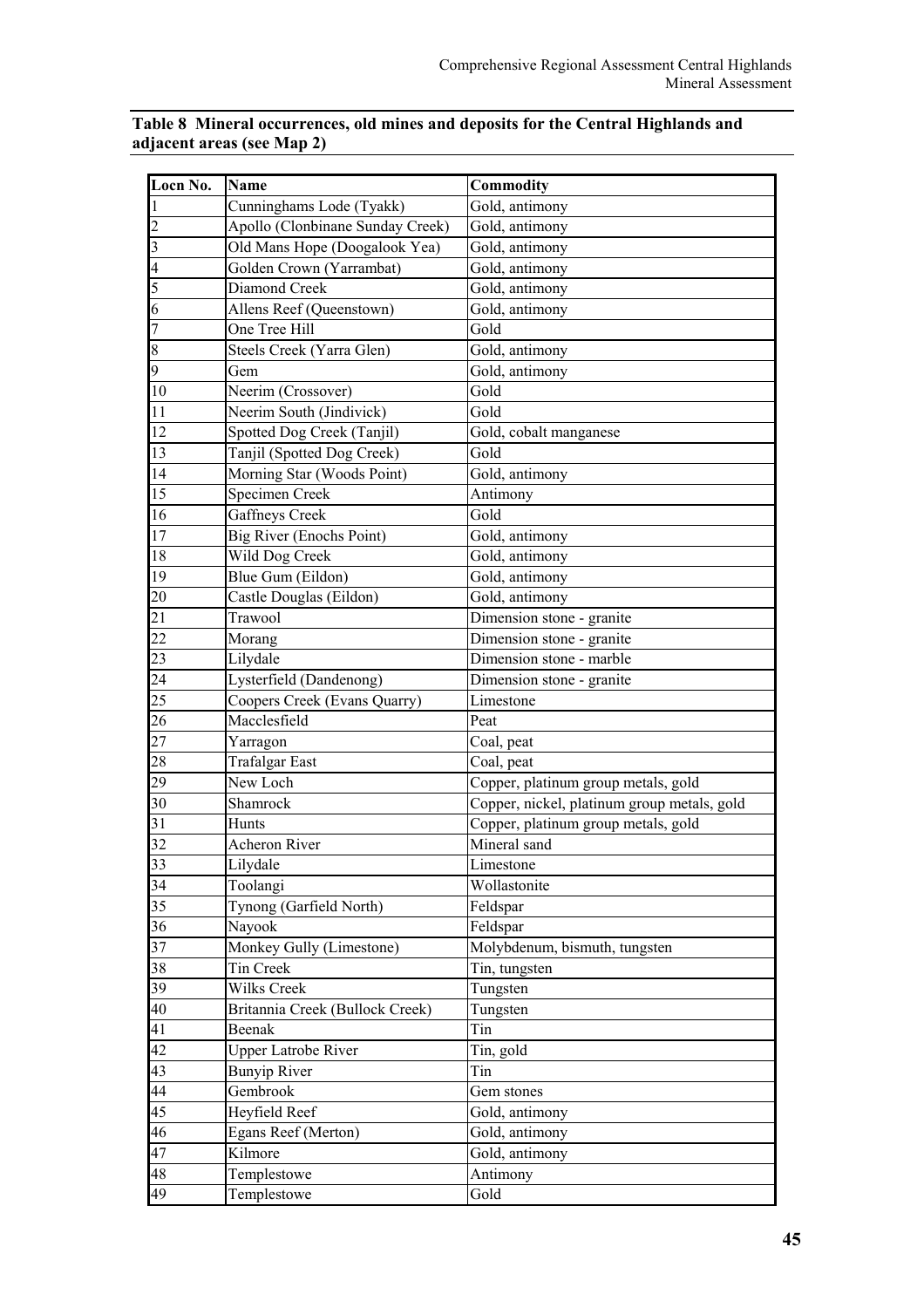| Locn No.        | <b>Name</b>                      | Commodity                                   |
|-----------------|----------------------------------|---------------------------------------------|
|                 | Cunninghams Lode (Tyakk)         | Gold, antimony                              |
| $\overline{c}$  | Apollo (Clonbinane Sunday Creek) | Gold, antimony                              |
| 3               | Old Mans Hope (Doogalook Yea)    | Gold, antimony                              |
| 4               | Golden Crown (Yarrambat)         | Gold, antimony                              |
| 5               | Diamond Creek                    | Gold, antimony                              |
| 6               | Allens Reef (Queenstown)         | Gold, antimony                              |
| 7               | One Tree Hill                    | Gold                                        |
| 8               | Steels Creek (Yarra Glen)        | Gold, antimony                              |
| 9               | Gem                              | Gold, antimony                              |
| 10              | Neerim (Crossover)               | Gold                                        |
| 11              | Neerim South (Jindivick)         | Gold                                        |
| 12              | Spotted Dog Creek (Tanjil)       | Gold, cobalt manganese                      |
| 13              | Tanjil (Spotted Dog Creek)       | Gold                                        |
| 14              | Morning Star (Woods Point)       | Gold, antimony                              |
| 15              | Specimen Creek                   | Antimony                                    |
| 16              | <b>Gaffneys Creek</b>            | Gold                                        |
| $\overline{17}$ | Big River (Enochs Point)         | Gold, antimony                              |
| 18              | Wild Dog Creek                   | Gold, antimony                              |
| 19              | Blue Gum (Eildon)                | Gold, antimony                              |
| 20              | Castle Douglas (Eildon)          | Gold, antimony                              |
| $\overline{21}$ | Trawool                          | Dimension stone - granite                   |
| 22              | Morang                           | Dimension stone - granite                   |
| 23              | Lilydale                         | Dimension stone - marble                    |
| $\overline{24}$ | Lysterfield (Dandenong)          | Dimension stone - granite                   |
| 25              | Coopers Creek (Evans Quarry)     | Limestone                                   |
| $\overline{26}$ | Macclesfield                     | Peat                                        |
| 27              | Yarragon                         | Coal, peat                                  |
| 28              | <b>Trafalgar East</b>            | Coal, peat                                  |
| 29              | New Loch                         | Copper, platinum group metals, gold         |
| 30              | Shamrock                         | Copper, nickel, platinum group metals, gold |
| 31              | Hunts                            | Copper, platinum group metals, gold         |
| 32              | <b>Acheron River</b>             | Mineral sand                                |
| $\overline{33}$ | Lilydale                         | Limestone                                   |
| 34              | Toolangi                         | Wollastonite                                |
| $\overline{35}$ | Tynong (Garfield North)          | Feldspar                                    |
| 36              | Nayook                           | Feldspar                                    |
| 37              | Monkey Gully (Limestone)         | Molybdenum, bismuth, tungsten               |
| 38              | Tin Creek                        | Tin, tungsten                               |
| 39              | Wilks Creek                      | Tungsten                                    |
| 40              | Britannia Creek (Bullock Creek)  | Tungsten                                    |
| 41              | Beenak                           | Tin                                         |
| 42              | <b>Upper Latrobe River</b>       | Tin, gold                                   |
| $\overline{43}$ | <b>Bunyip River</b>              | Tin                                         |
| 44              | Gembrook                         | Gem stones                                  |
| 45              | Heyfield Reef                    | Gold, antimony                              |
| 46              | Egans Reef (Merton)              | Gold, antimony                              |
| 47              | Kilmore                          | Gold, antimony                              |
| 48              | Templestowe                      | Antimony                                    |
| 49              | Templestowe                      | Gold                                        |

### **Table 8 Mineral occurrences, old mines and deposits for the Central Highlands and adjacent areas (see Map 2)**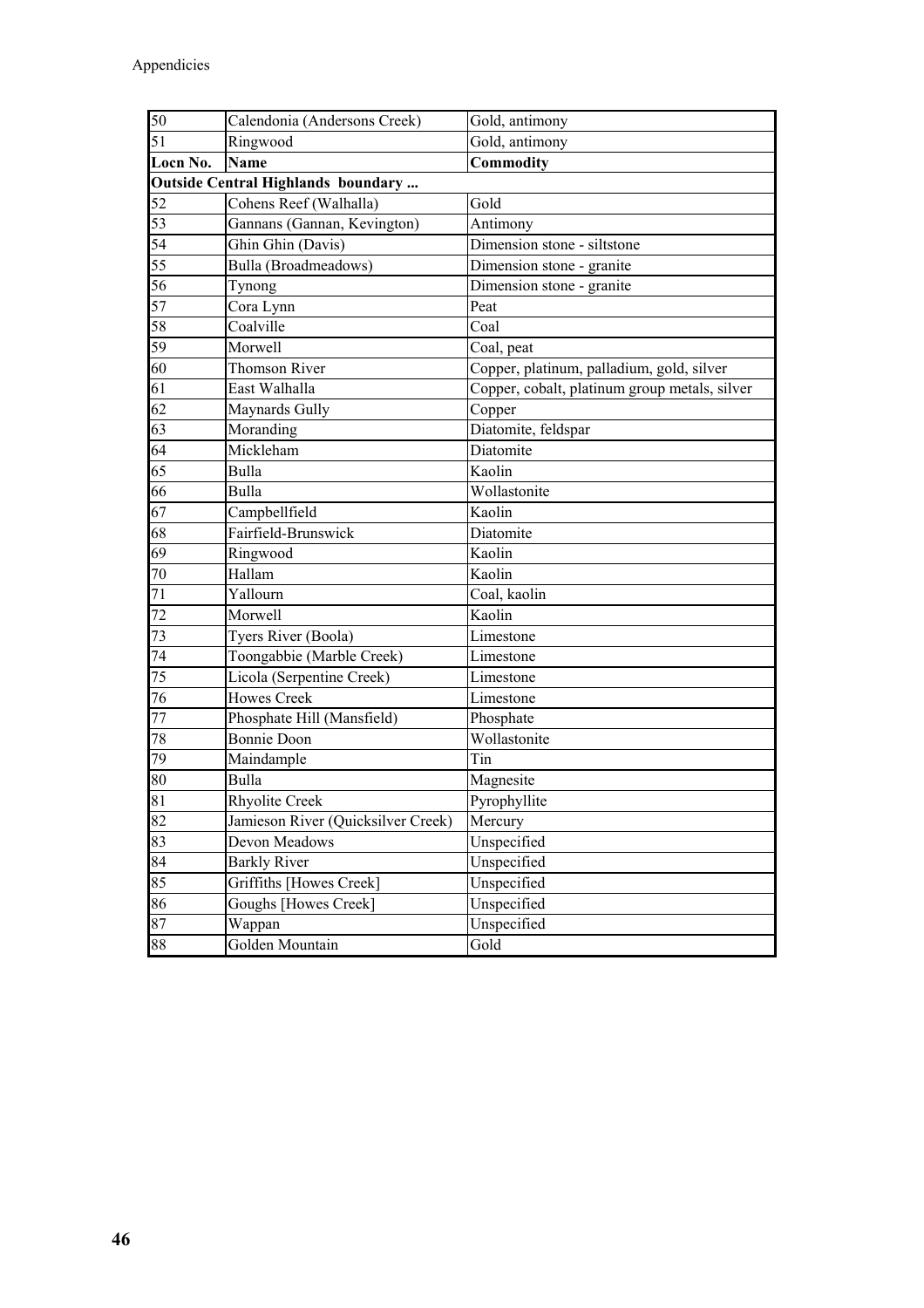| 50              | Calendonia (Andersons Creek)              | Gold, antimony                                |
|-----------------|-------------------------------------------|-----------------------------------------------|
| 51              | Ringwood                                  | Gold, antimony                                |
| Locn No.        | <b>Name</b>                               | Commodity                                     |
|                 | <b>Outside Central Highlands boundary</b> |                                               |
| 52              | Cohens Reef (Walhalla)                    | Gold                                          |
| $\overline{53}$ | Gannans (Gannan, Kevington)               | Antimony                                      |
| $\overline{54}$ | Ghin Ghin (Davis)                         | Dimension stone - siltstone                   |
| 55              | Bulla (Broadmeadows)                      | Dimension stone - granite                     |
| 56              | Tynong                                    | Dimension stone - granite                     |
| 57              | Cora Lynn                                 | Peat                                          |
| 58              | Coalville                                 | Coal                                          |
| 59              | Morwell                                   | Coal, peat                                    |
| 60              | <b>Thomson River</b>                      | Copper, platinum, palladium, gold, silver     |
| 61              | East Walhalla                             | Copper, cobalt, platinum group metals, silver |
| 62              | Maynards Gully                            | Copper                                        |
| 63              | Moranding                                 | Diatomite, feldspar                           |
| 64              | Mickleham                                 | Diatomite                                     |
| 65              | Bulla                                     | Kaolin                                        |
| 66              | Bulla                                     | Wollastonite                                  |
| 67              | Campbellfield                             | Kaolin                                        |
| 68              | Fairfield-Brunswick                       | Diatomite                                     |
| 69              | Ringwood                                  | Kaolin                                        |
| 70              | Hallam                                    | Kaolin                                        |
| 71              | Yallourn                                  | Coal, kaolin                                  |
| 72              | Morwell                                   | Kaolin                                        |
| 73              | Tyers River (Boola)                       | Limestone                                     |
| 74              | Toongabbie (Marble Creek)                 | Limestone                                     |
| 75              | Licola (Serpentine Creek)                 | Limestone                                     |
| 76              | Howes Creek                               | Limestone                                     |
| 77              | Phosphate Hill (Mansfield)                | Phosphate                                     |
| 78              | <b>Bonnie</b> Doon                        | Wollastonite                                  |
| 79              | Maindample                                | Tin                                           |
| 80              | Bulla                                     | Magnesite                                     |
| 81              | Rhyolite Creek                            | Pyrophyllite                                  |
| 82              | Jamieson River (Quicksilver Creek)        | Mercury                                       |
| $8\overline{3}$ | Devon Meadows                             | Unspecified                                   |
| 84              | <b>Barkly River</b>                       | Unspecified                                   |
| 85              | Griffiths [Howes Creek]                   | Unspecified                                   |
| 86              | Goughs [Howes Creek]                      | Unspecified                                   |
| 87              | Wappan                                    | Unspecified                                   |
| 88              | Golden Mountain                           | Gold                                          |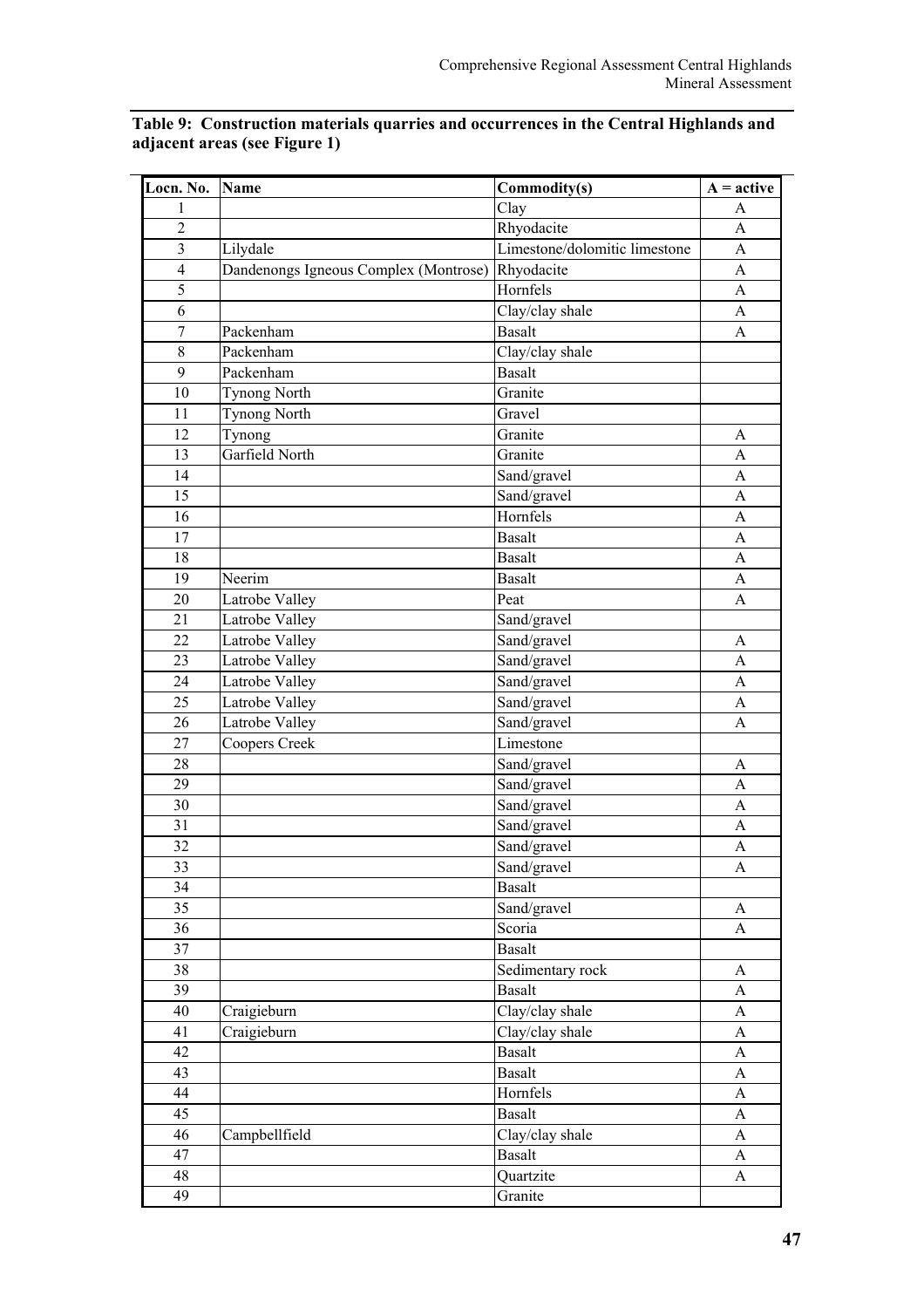| Locn. No.      | Name                                  | Commodity(s)                  | $A = active$ |
|----------------|---------------------------------------|-------------------------------|--------------|
| 1              |                                       | Clay                          | A            |
| $\overline{2}$ |                                       | Rhyodacite                    | A            |
| $\mathfrak{Z}$ | Lilydale                              | Limestone/dolomitic limestone | A            |
| $\overline{4}$ | Dandenongs Igneous Complex (Montrose) | Rhyodacite                    | A            |
| 5              |                                       | Hornfels                      | A            |
| 6              |                                       | Clay/clay shale               | A            |
| $\tau$         | Packenham                             | <b>Basalt</b>                 | A            |
| 8              | Packenham                             | Clay/clay shale               |              |
| 9              | Packenham                             | <b>Basalt</b>                 |              |
| 10             | <b>Tynong North</b>                   | Granite                       |              |
| 11             | <b>Tynong North</b>                   | Gravel                        |              |
| 12             | Tynong                                | Granite                       | A            |
| 13             | Garfield North                        | Granite                       | A            |
| 14             |                                       | Sand/gravel                   | A            |
| 15             |                                       | Sand/gravel                   | A            |
| 16             |                                       | Hornfels                      | A            |
| 17             |                                       | <b>Basalt</b>                 | A            |
| 18             |                                       | <b>Basalt</b>                 | A            |
| 19             | Neerim                                | <b>Basalt</b>                 | A            |
| 20             | Latrobe Valley                        | Peat                          | A            |
| 21             | Latrobe Valley                        | Sand/gravel                   |              |
| 22             | Latrobe Valley                        | Sand/gravel                   | A            |
| 23             | Latrobe Valley                        | Sand/gravel                   | A            |
| 24             | Latrobe Valley                        | Sand/gravel                   | A            |
| 25             | Latrobe Valley                        | Sand/gravel                   | A            |
| 26             | Latrobe Valley                        | Sand/gravel                   | A            |
| 27             | Coopers Creek                         | Limestone                     |              |
| 28             |                                       | Sand/gravel                   | A            |
| 29             |                                       | Sand/gravel                   | A            |
| 30             |                                       | Sand/gravel                   | A            |
| 31             |                                       | Sand/gravel                   | A            |
| 32             |                                       | Sand/gravel                   | A            |
| 33             |                                       | Sand/gravel                   | $\mathbf{A}$ |
| 34             |                                       | <b>Basalt</b>                 |              |
| 35             |                                       | Sand/gravel                   | A            |
| 36             |                                       | Scoria                        | A            |
| 37             |                                       | <b>Basalt</b>                 |              |
| 38             |                                       | Sedimentary rock              | A            |
| 39             |                                       | <b>Basalt</b>                 | A            |
| 40             | Craigieburn                           | Clay/clay shale               | A            |
| 41             | Craigieburn                           | Clay/clay shale               | A            |
| 42             |                                       | <b>Basalt</b>                 | A            |
| 43             |                                       | <b>Basalt</b>                 | A            |
| 44             |                                       | Hornfels                      | A            |
| 45             |                                       | <b>Basalt</b>                 | A            |
| 46             | Campbellfield                         | Clay/clay shale               | A            |
| 47             |                                       | <b>Basalt</b>                 | A            |
| 48             |                                       | Quartzite                     | A            |
| 49             |                                       | Granite                       |              |
|                |                                       |                               |              |

### **Table 9: Construction materials quarries and occurrences in the Central Highlands and adjacent areas (see Figure 1)**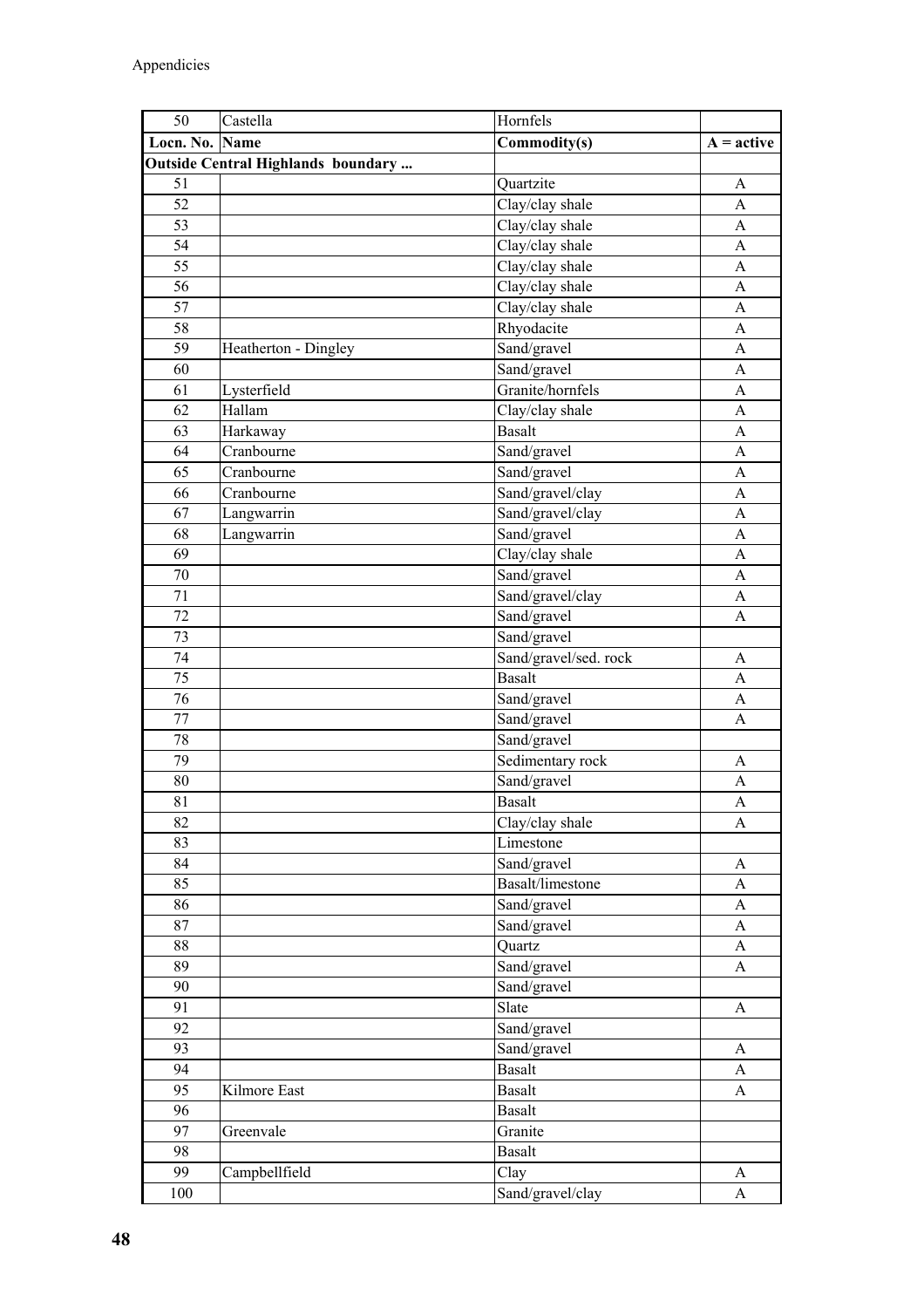| 50              | Castella                                  | Hornfels                     |                       |
|-----------------|-------------------------------------------|------------------------------|-----------------------|
| Locn. No. Name  |                                           | Commodity(s)                 | $A = active$          |
|                 | <b>Outside Central Highlands boundary</b> |                              |                       |
| 51              |                                           | Quartzite                    | A                     |
| $\overline{52}$ |                                           | Clay/clay shale              | A                     |
| 53              |                                           | Clay/clay shale              | $\mathsf{A}$          |
| 54              |                                           | Clay/clay shale              | A                     |
| 55              |                                           | Clay/clay shale              | A                     |
| 56              |                                           | Clay/clay shale              | A                     |
| 57              |                                           | Clay/clay shale              | $\mathbf{A}$          |
| 58              |                                           | Rhyodacite                   | A                     |
| 59              | Heatherton - Dingley                      | Sand/gravel                  | A                     |
| 60              |                                           | Sand/gravel                  | A                     |
| 61              | Lysterfield                               | Granite/hornfels             | A                     |
| 62              | Hallam                                    | Clay/clay shale              | A                     |
| 63              | Harkaway                                  | <b>Basalt</b>                | $\mathbf{A}$          |
| 64              | Cranbourne                                | Sand/gravel                  | A                     |
| 65              | Cranbourne                                | Sand/gravel                  | A                     |
| 66              | Cranbourne                                | Sand/gravel/clay             | A                     |
| 67              | Langwarrin                                | Sand/gravel/clay             | A                     |
| 68              | Langwarrin                                | Sand/gravel                  | A                     |
| 69              |                                           | Clay/clay shale              | A                     |
| 70              |                                           | Sand/gravel                  | A                     |
| 71              |                                           | Sand/gravel/clay             | $\mathbf{A}$          |
| 72              |                                           | Sand/gravel                  | A                     |
| 73              |                                           | Sand/gravel                  |                       |
| 74              |                                           | Sand/gravel/sed. rock        | A                     |
| 75              |                                           | <b>Basalt</b>                | A                     |
| 76              |                                           | Sand/gravel                  | A                     |
| 77              |                                           | Sand/gravel                  | A                     |
| 78              |                                           | Sand/gravel                  |                       |
| 79              |                                           | Sedimentary rock             | A                     |
| 80              |                                           | Sand/gravel                  | A                     |
| 81              |                                           | Basalt                       | $\boldsymbol{\rm{A}}$ |
| 82              |                                           | Clay/clay shale              | A                     |
| 83              |                                           | Limestone                    |                       |
| 84              |                                           | Sand/gravel                  | A                     |
| 85              |                                           | Basalt/limestone             | A                     |
| 86              |                                           | Sand/gravel                  | A                     |
| 87              |                                           | Sand/gravel                  | A                     |
| 88              |                                           | Quartz                       | A                     |
| 89              |                                           | Sand/gravel                  |                       |
| 90              |                                           | Sand/gravel                  | A                     |
| 91              |                                           | Slate                        | $\mathbf{A}$          |
|                 |                                           | Sand/gravel                  |                       |
| 92              |                                           |                              |                       |
| 93<br>94        |                                           | Sand/gravel<br><b>Basalt</b> | A                     |
|                 |                                           |                              | A                     |
| 95              | Kilmore East                              | <b>Basalt</b>                | A                     |
| 96              |                                           | <b>Basalt</b>                |                       |
| 97              | Greenvale                                 | Granite                      |                       |
| 98              |                                           | <b>Basalt</b>                |                       |
| 99              | Campbellfield                             | Clay                         | A                     |
| 100             |                                           | Sand/gravel/clay             | $\mathbf A$           |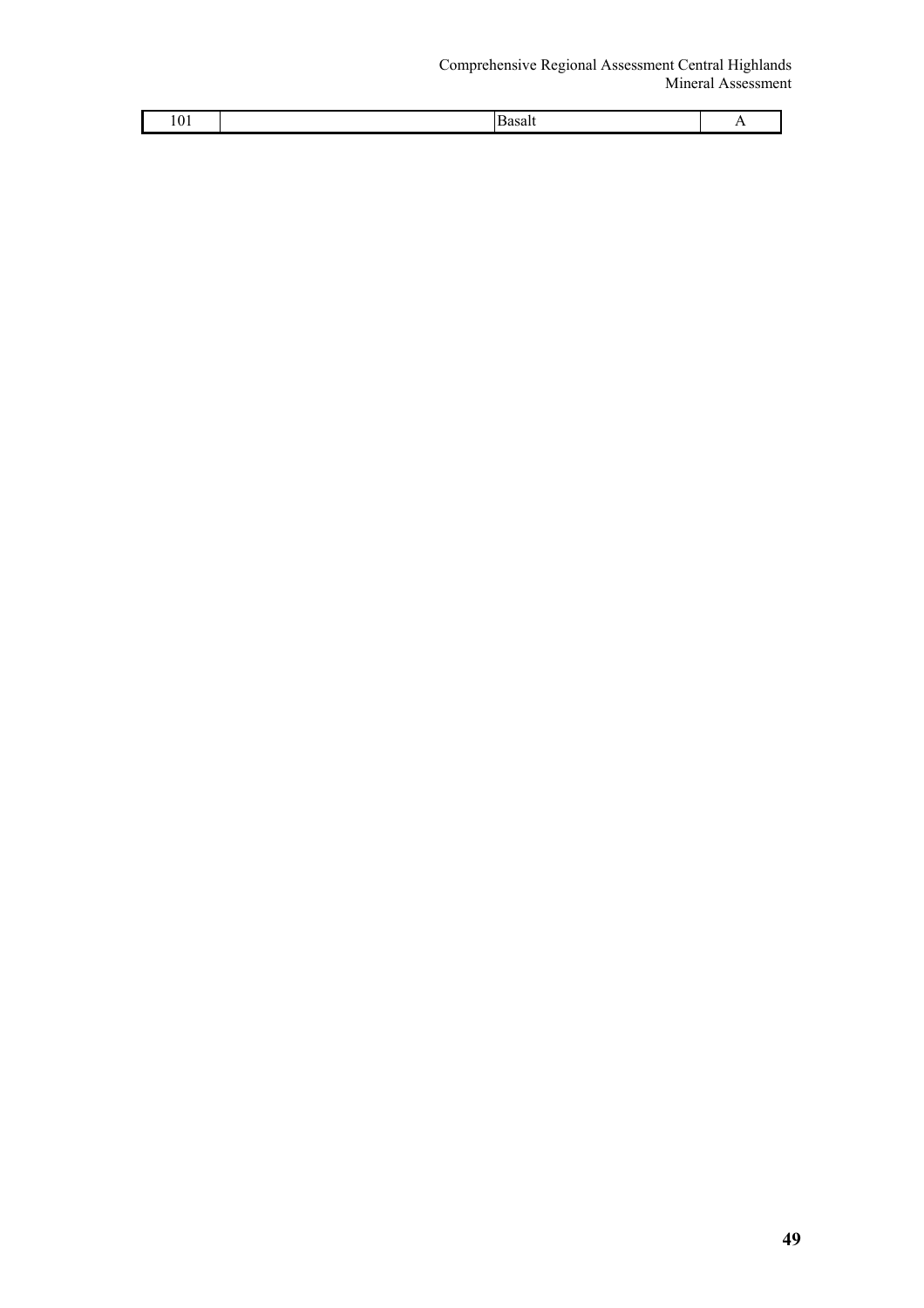#### Comprehensive Regional Assessment Central Highlands Mineral Assessment

| 1 O 1 |  |
|-------|--|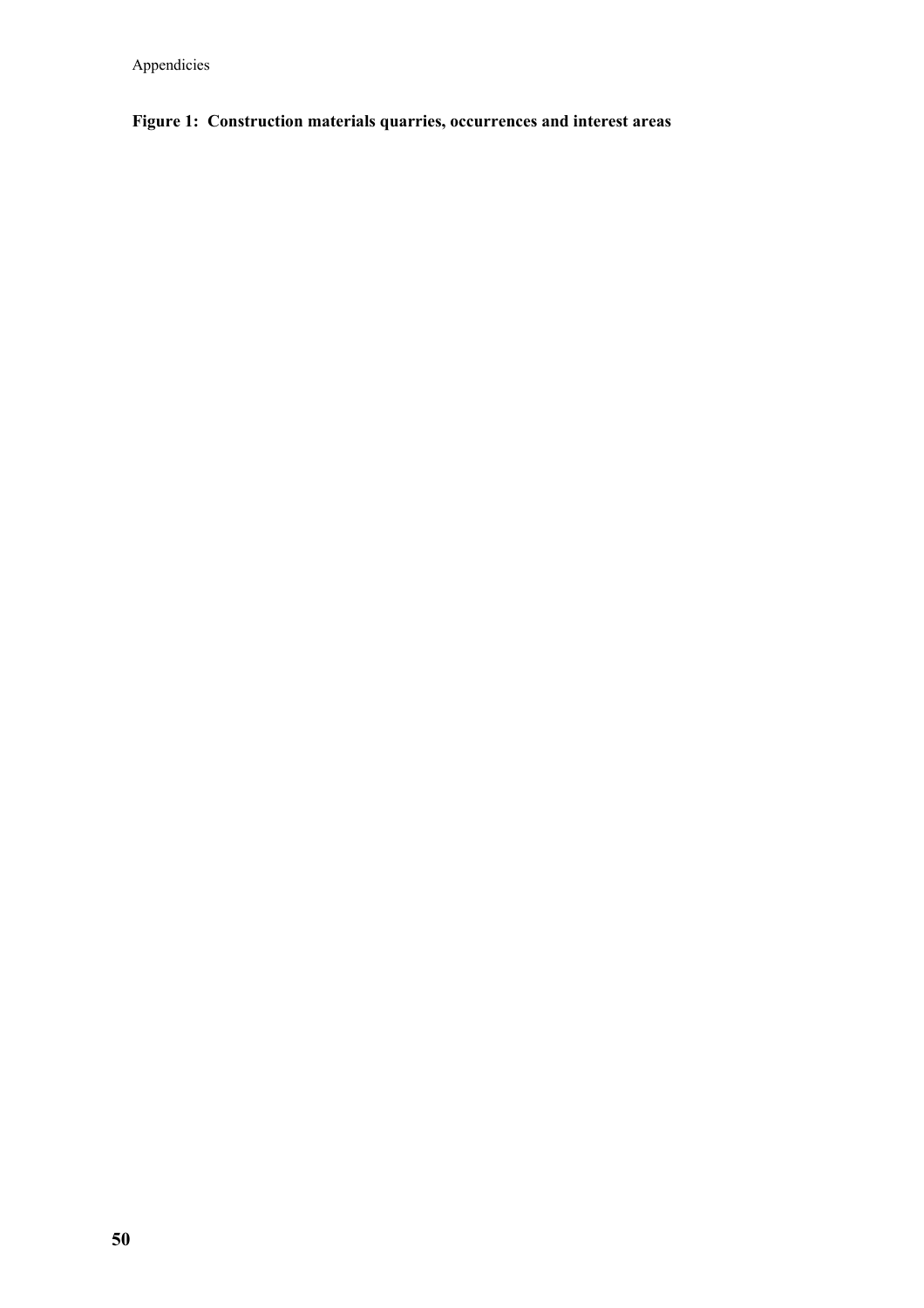**Figure 1: Construction materials quarries, occurrences and interest areas**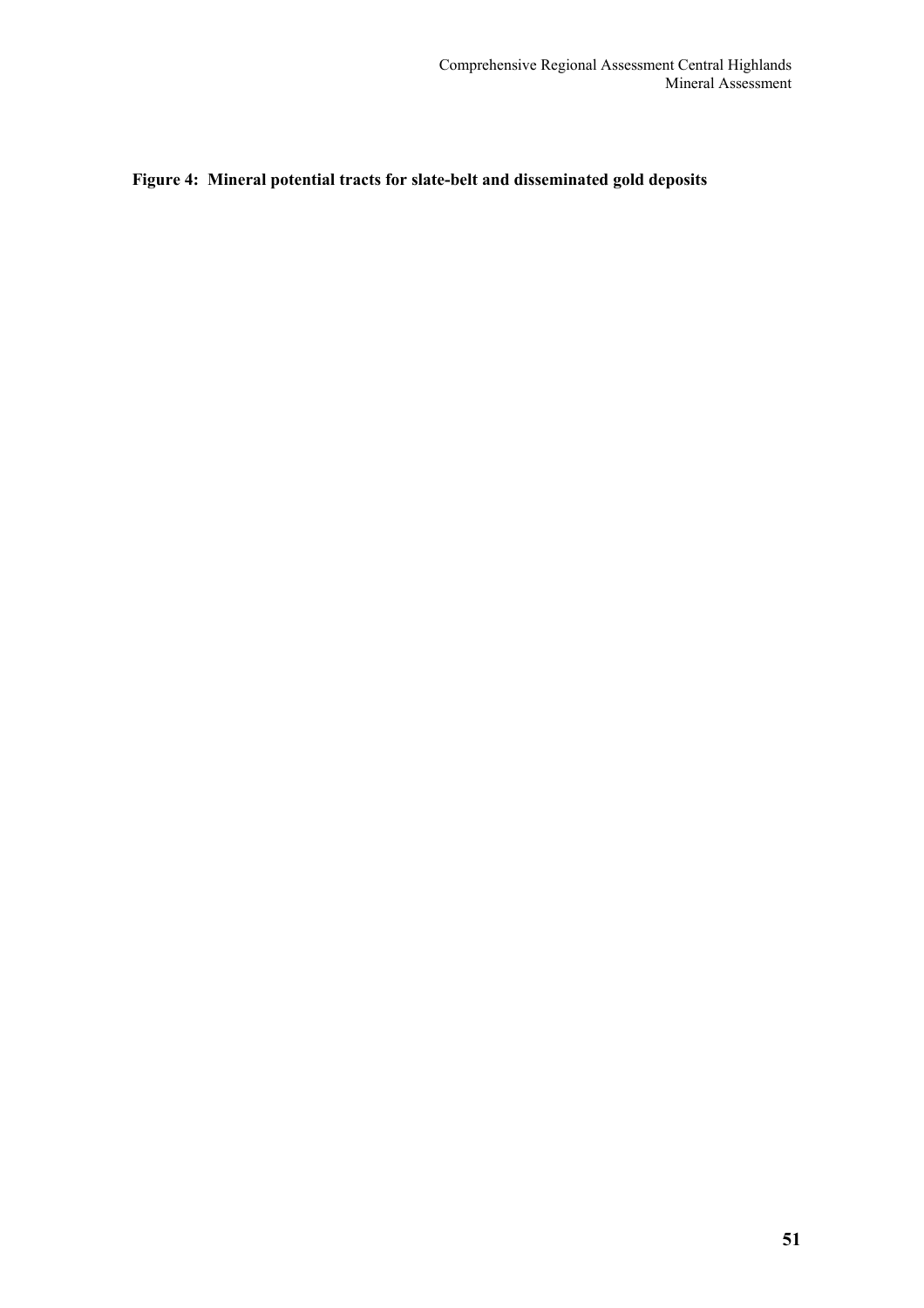## **Figure 4: Mineral potential tracts for slate-belt and disseminated gold deposits**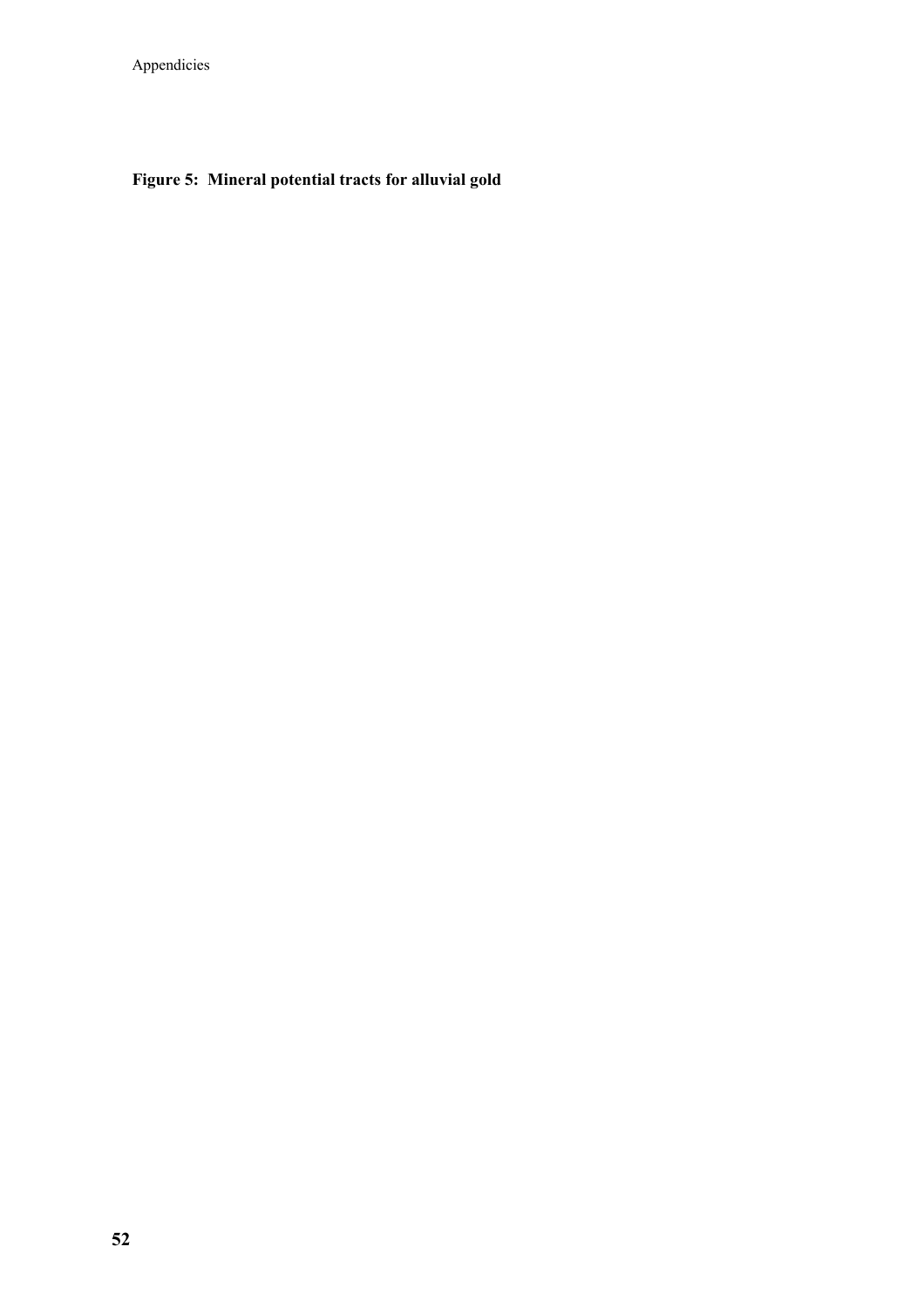## **Figure 5: Mineral potential tracts for alluvial gold**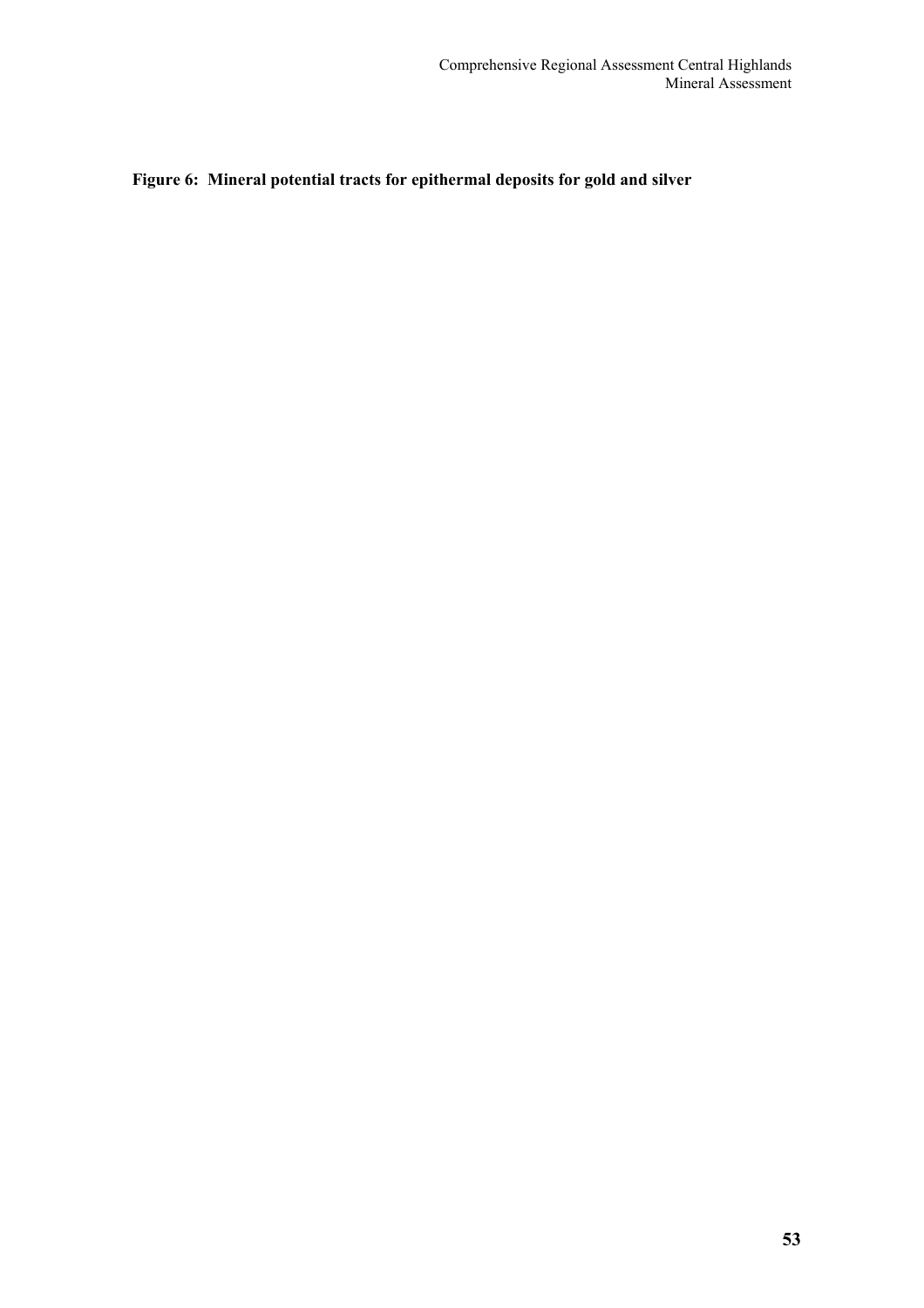## **Figure 6: Mineral potential tracts for epithermal deposits for gold and silver**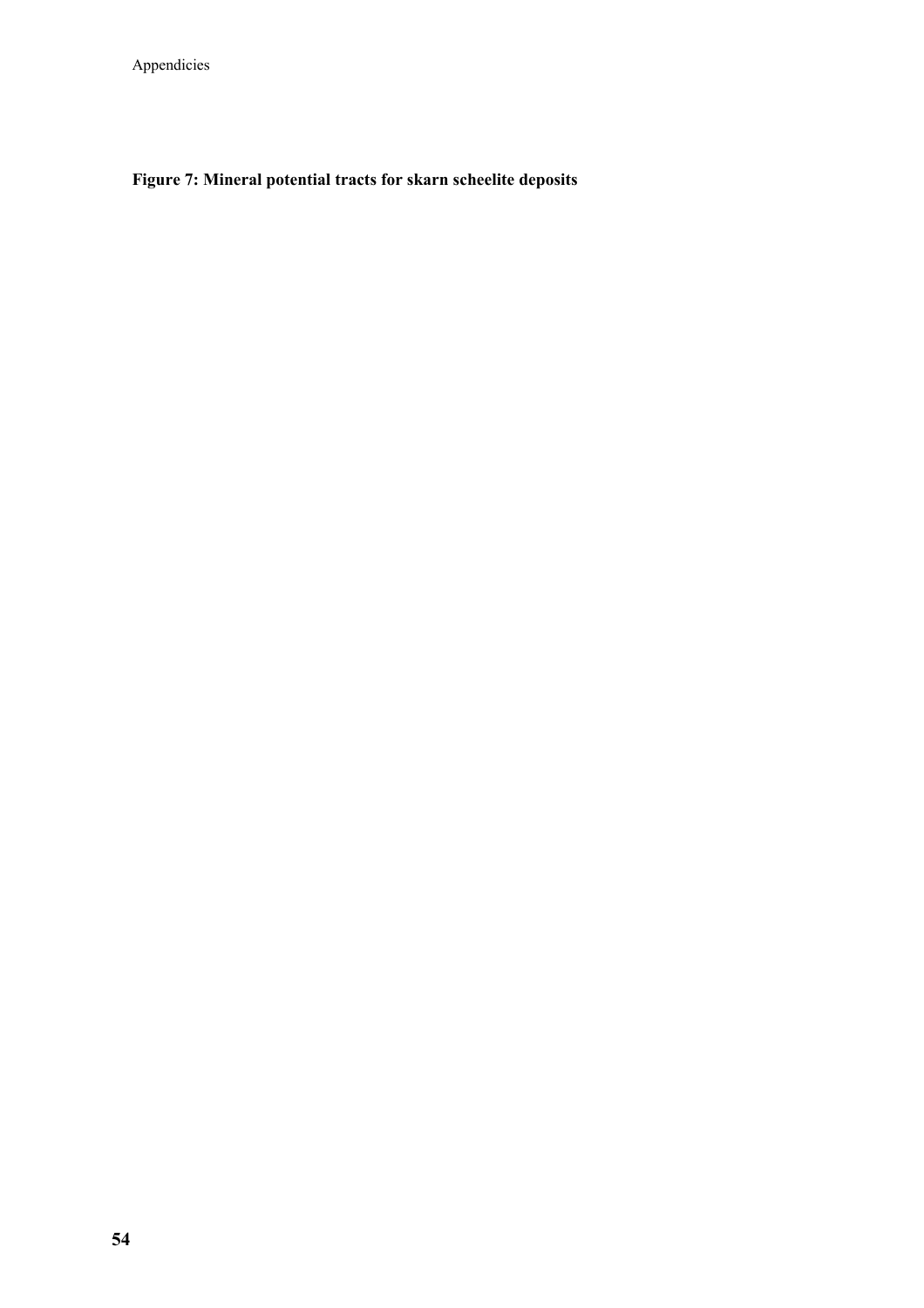## **Figure 7: Mineral potential tracts for skarn scheelite deposits**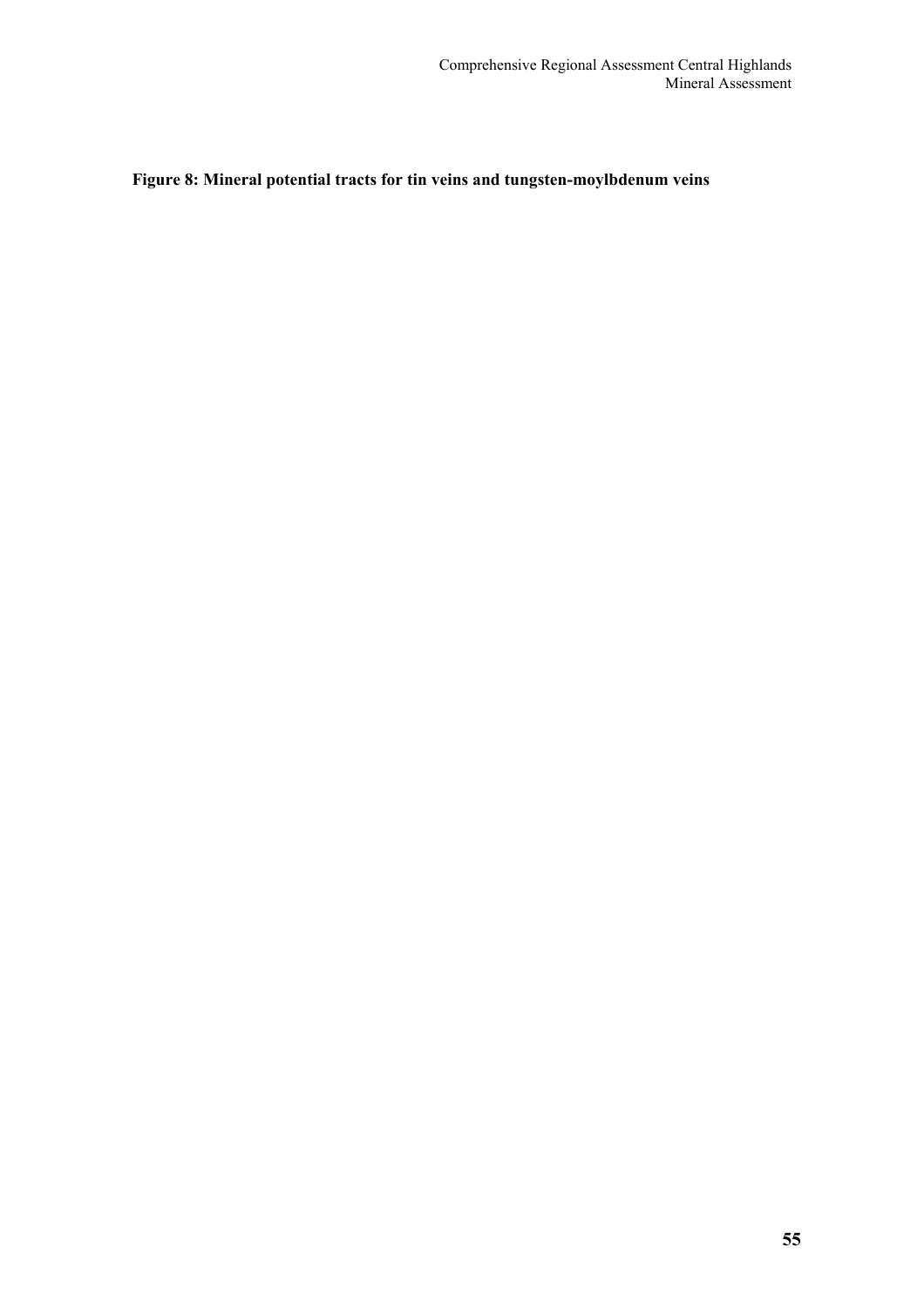## **Figure 8: Mineral potential tracts for tin veins and tungsten-moylbdenum veins**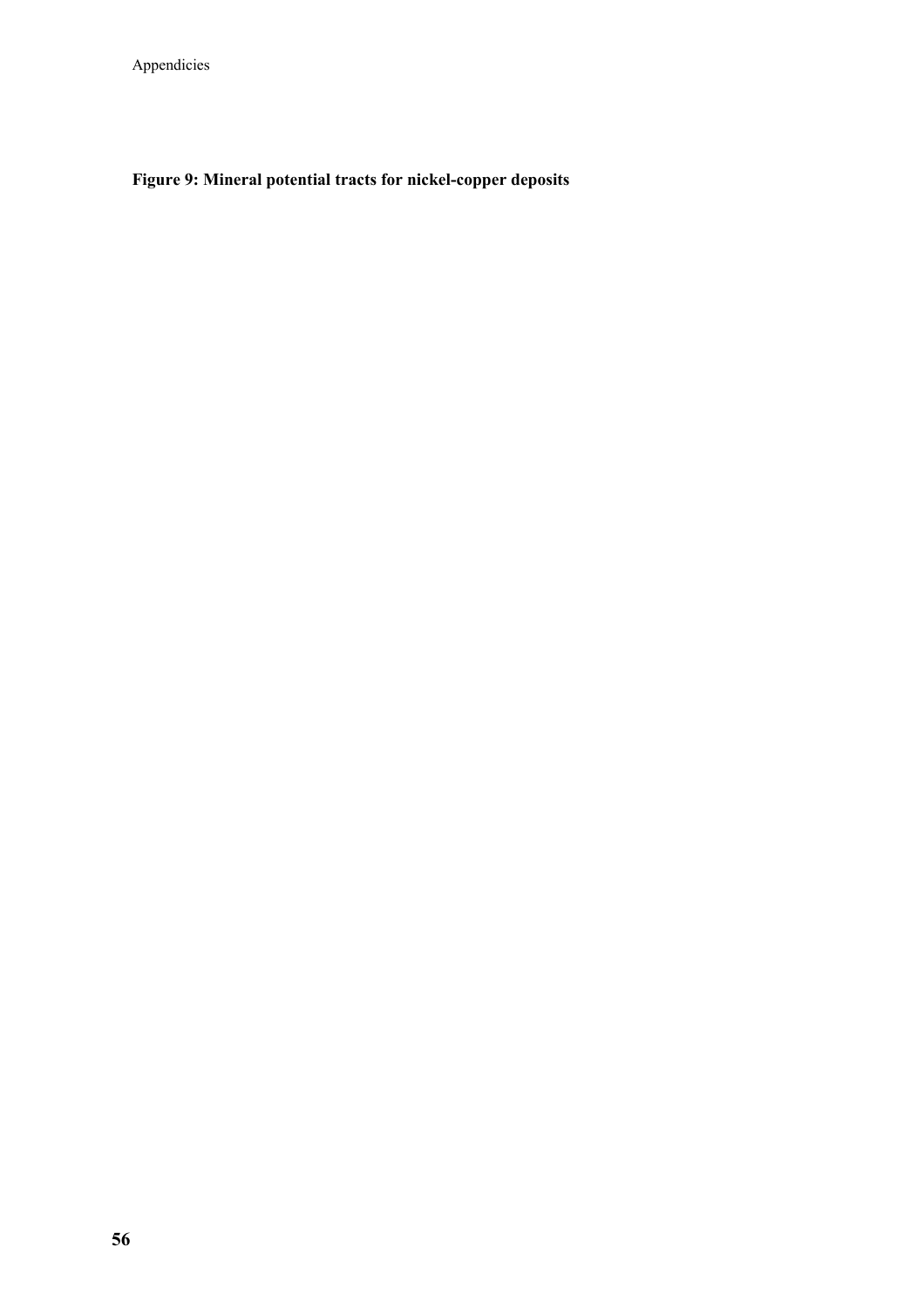## **Figure 9: Mineral potential tracts for nickel-copper deposits**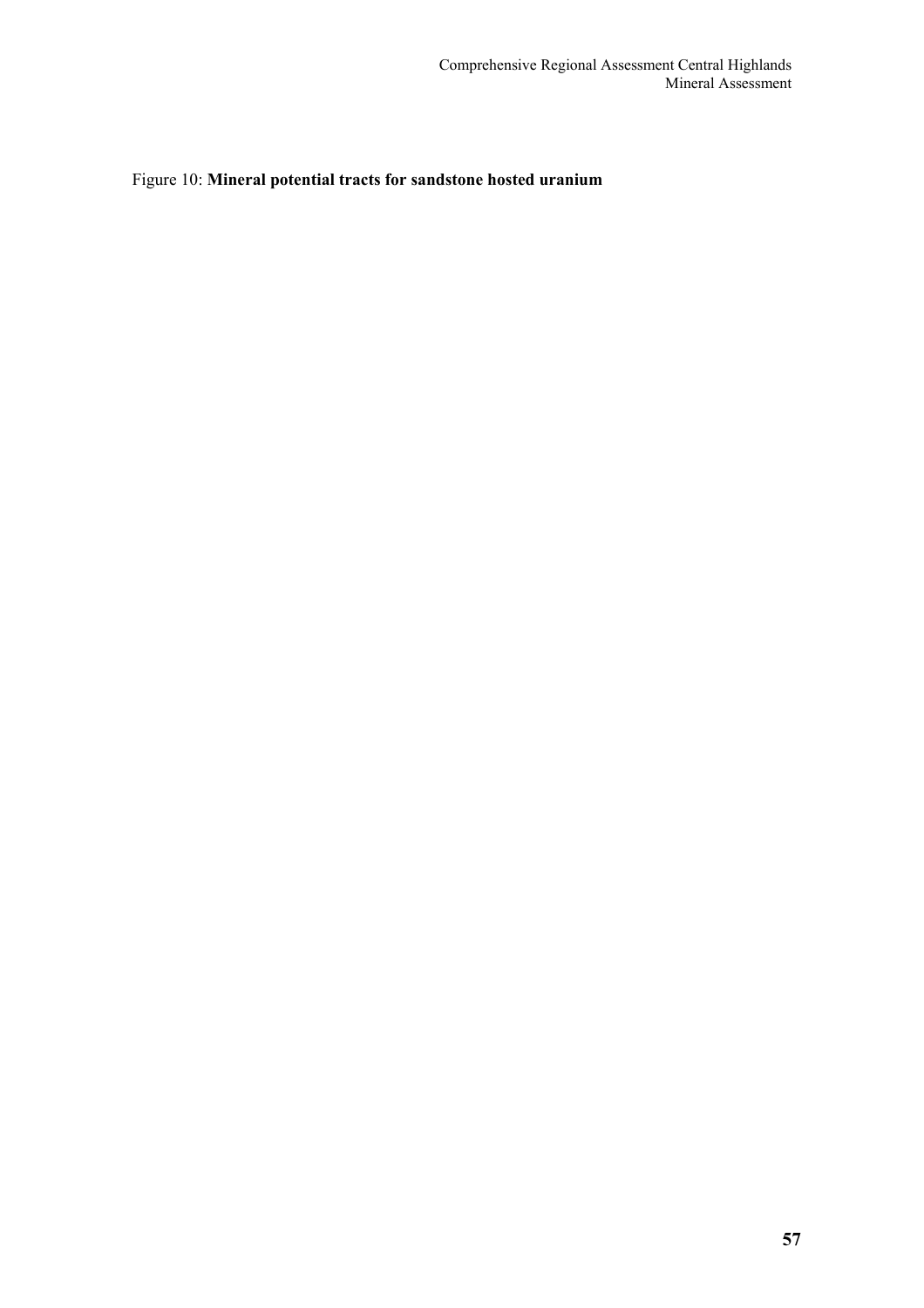Figure 10: **Mineral potential tracts for sandstone hosted uranium**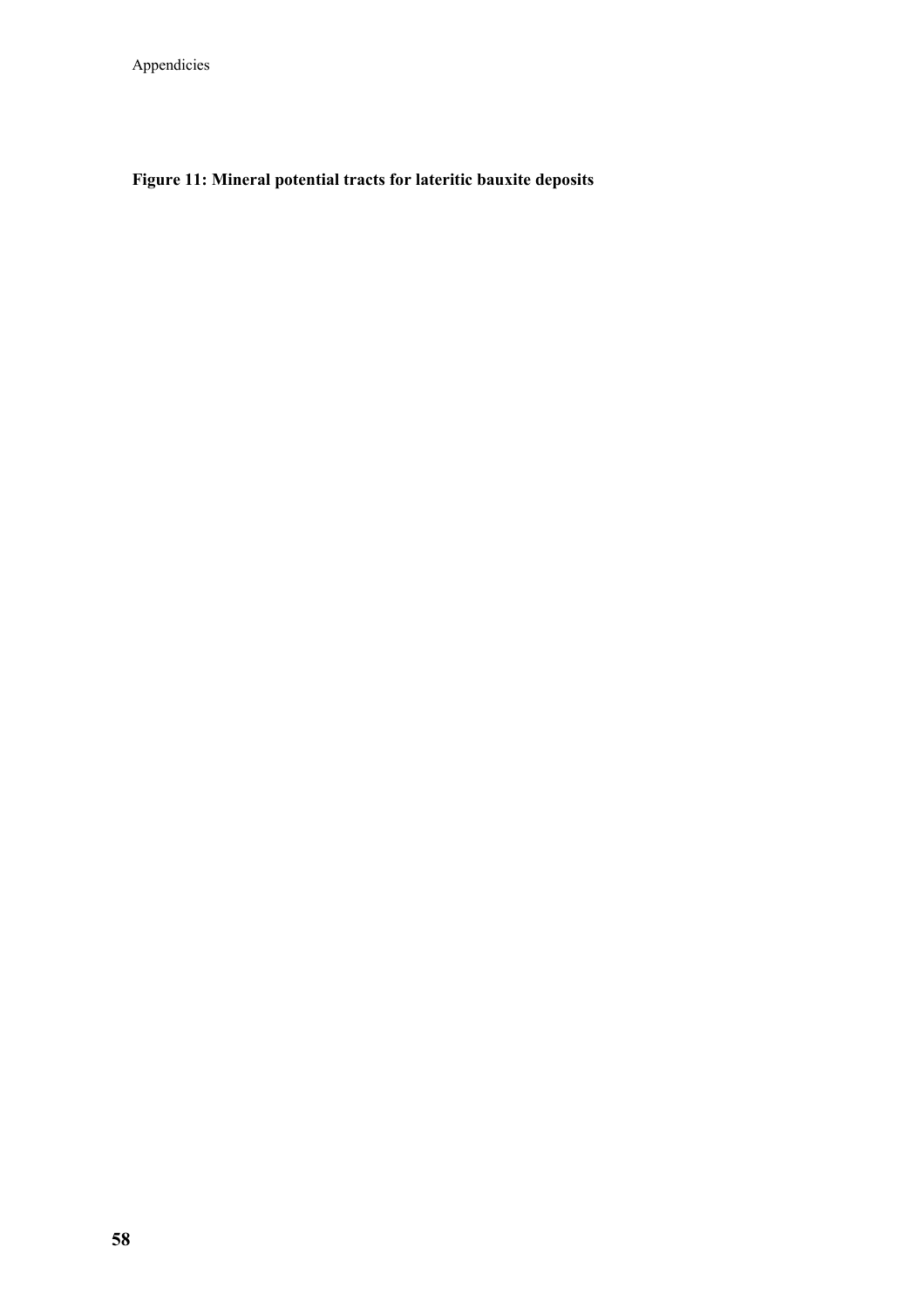## **Figure 11: Mineral potential tracts for lateritic bauxite deposits**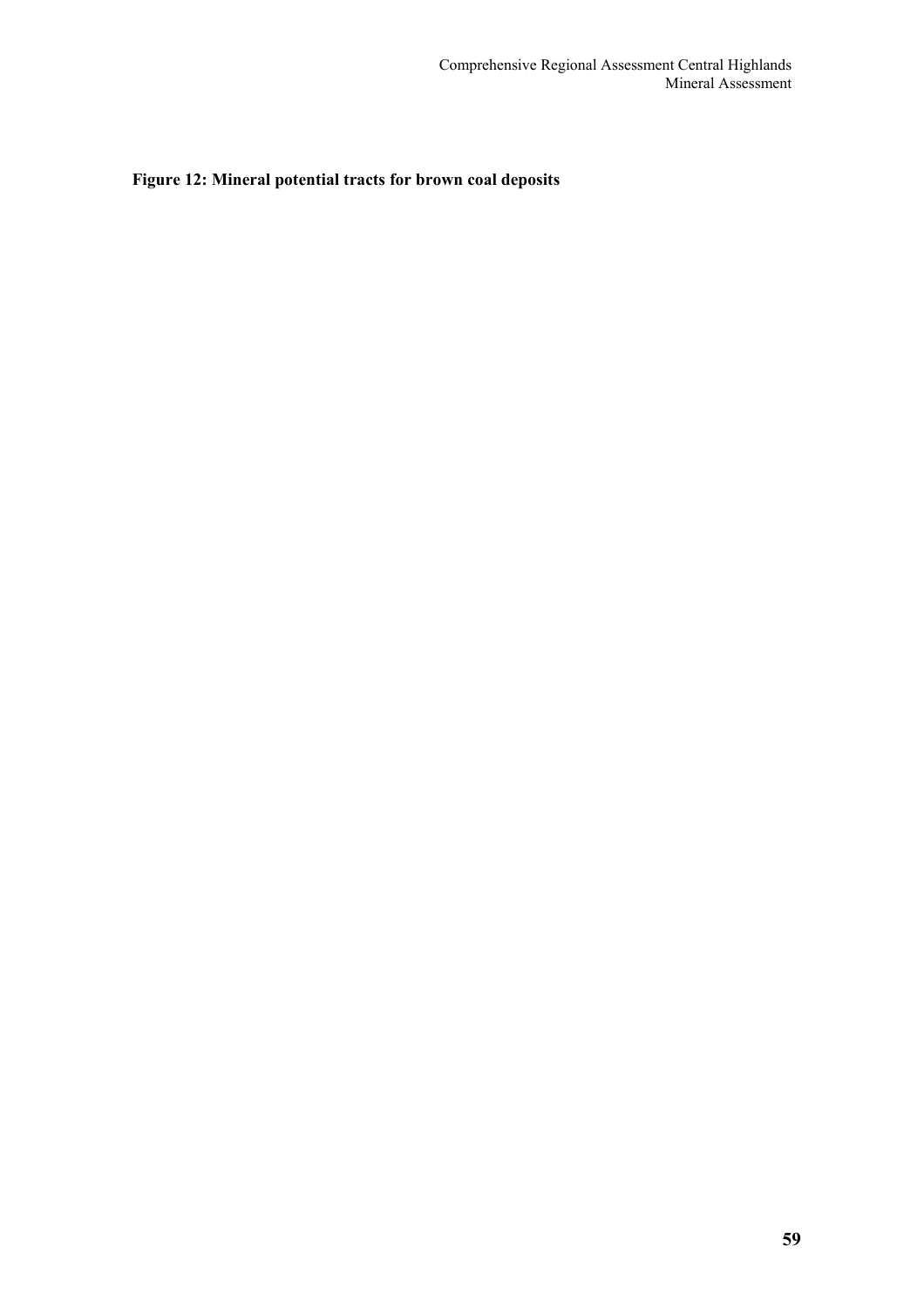**Figure 12: Mineral potential tracts for brown coal deposits**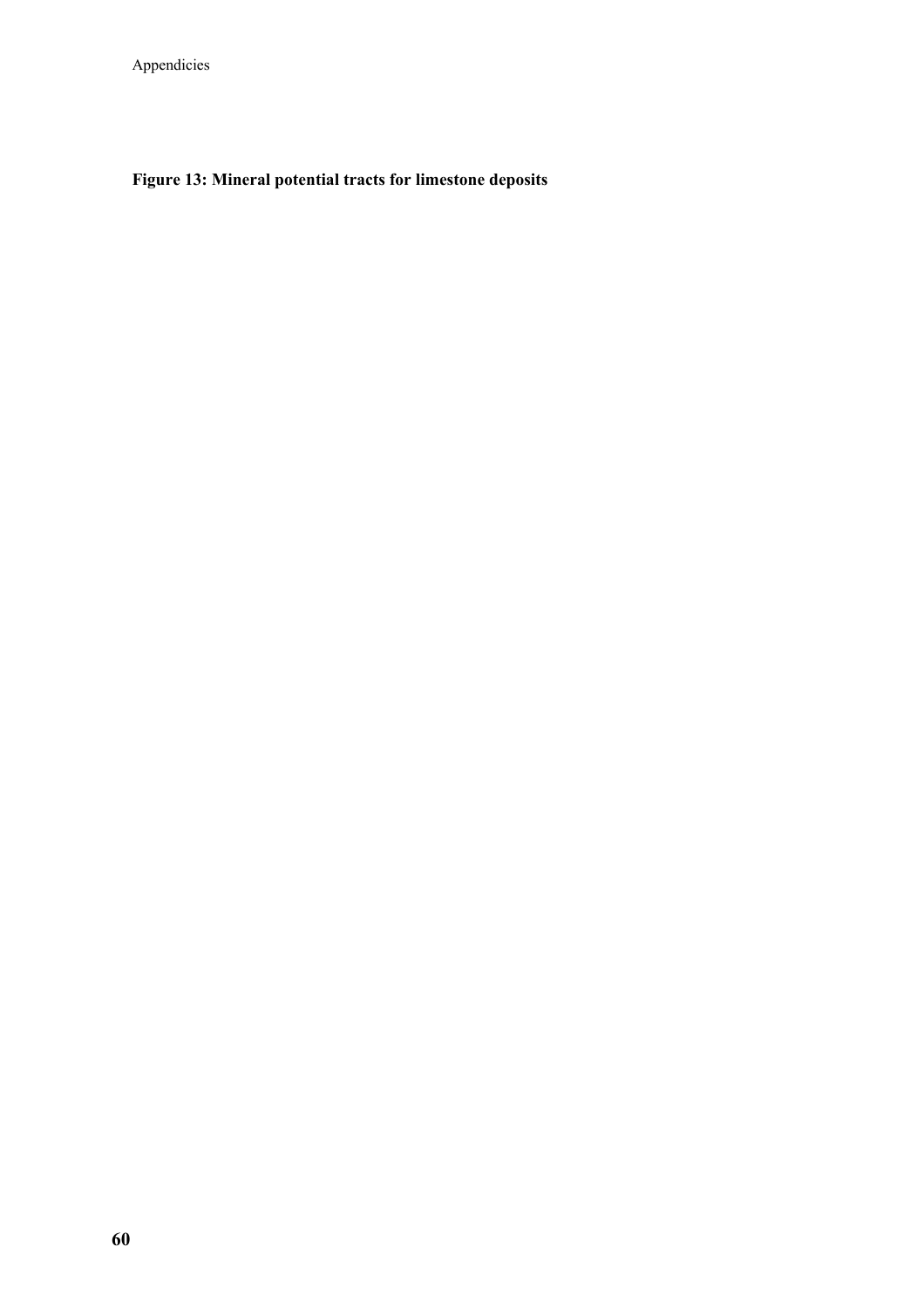## **Figure 13: Mineral potential tracts for limestone deposits**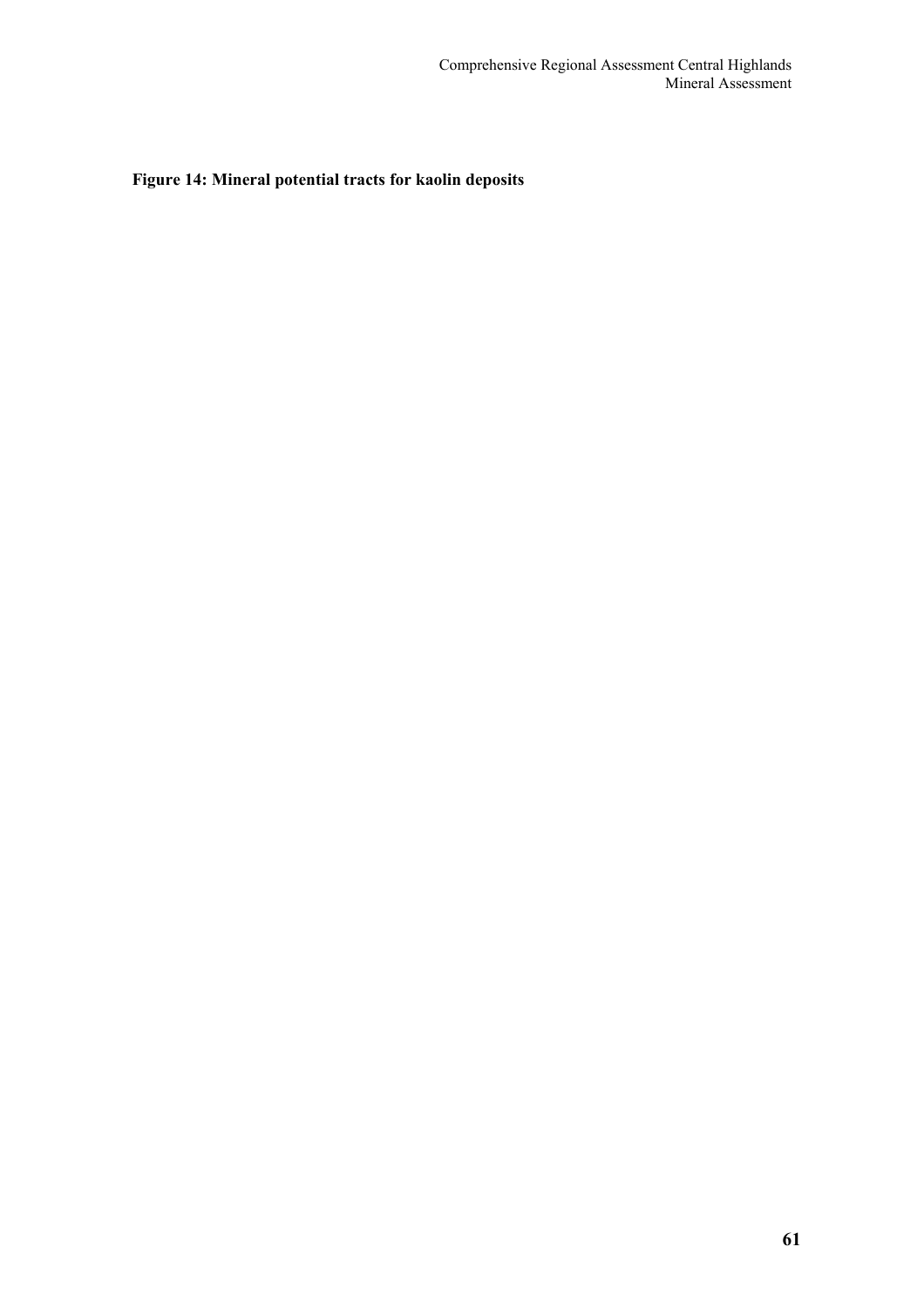**Figure 14: Mineral potential tracts for kaolin deposits**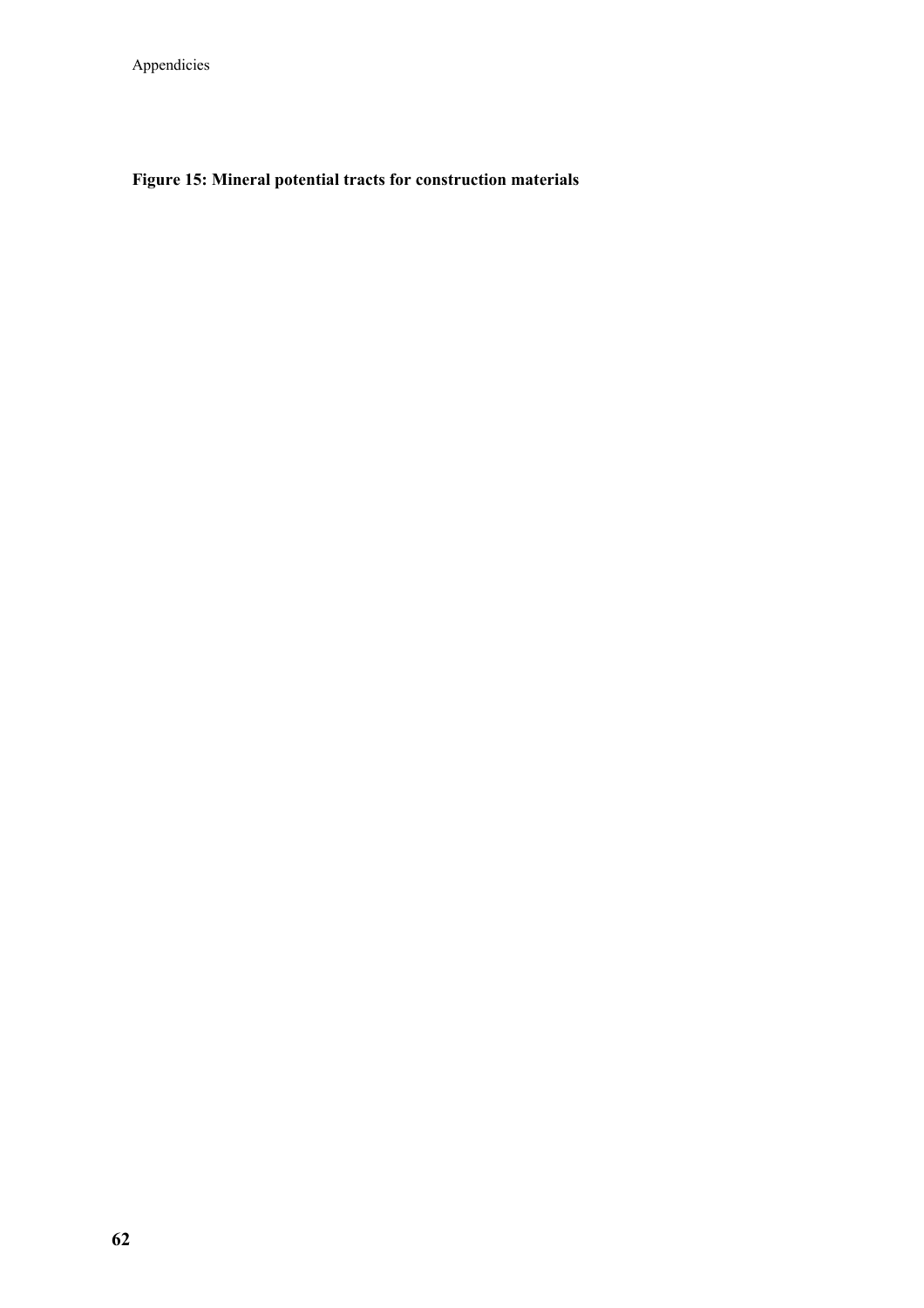## **Figure 15: Mineral potential tracts for construction materials**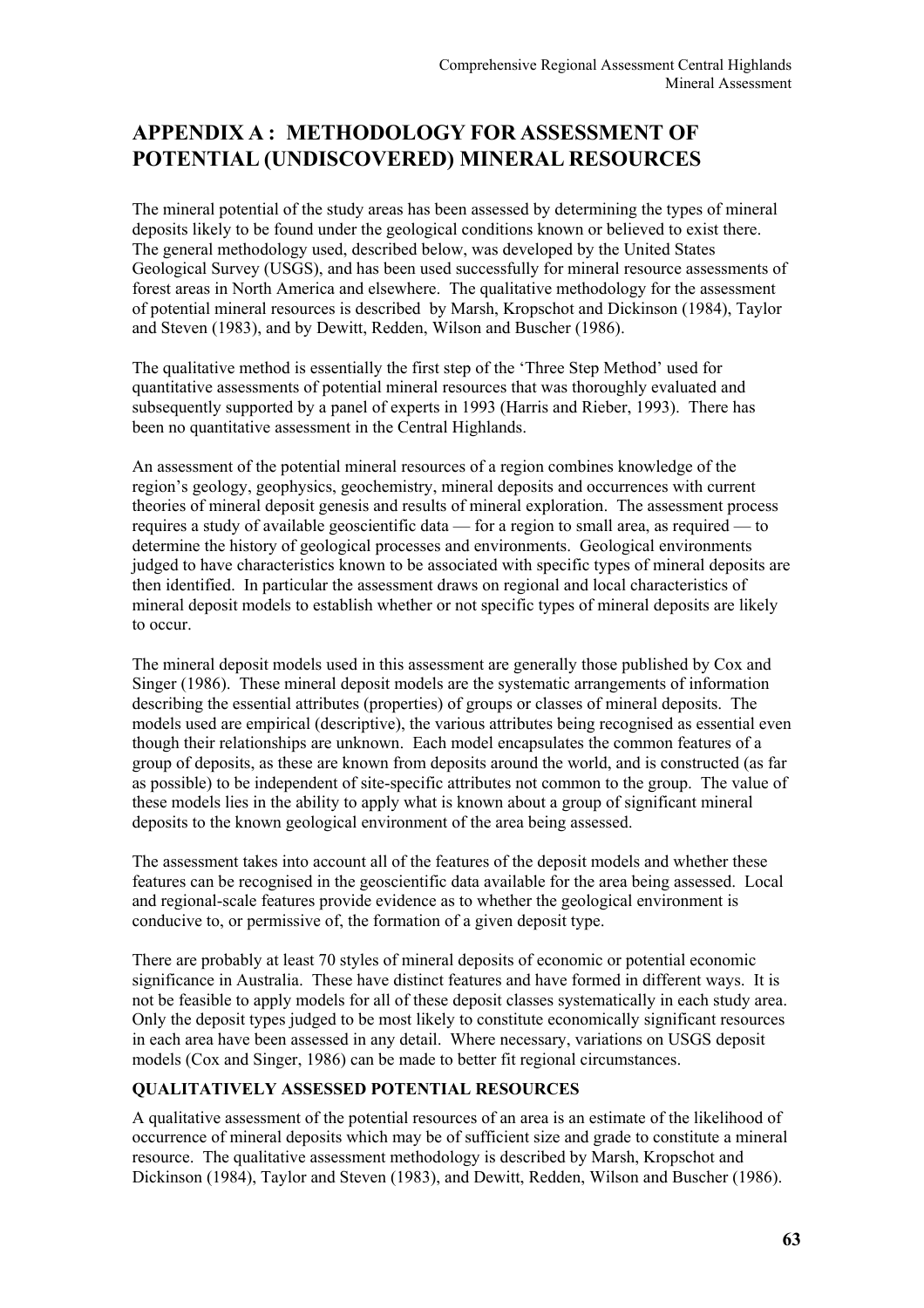# **APPENDIX A : METHODOLOGY FOR ASSESSMENT OF POTENTIAL (UNDISCOVERED) MINERAL RESOURCES**

The mineral potential of the study areas has been assessed by determining the types of mineral deposits likely to be found under the geological conditions known or believed to exist there. The general methodology used, described below, was developed by the United States Geological Survey (USGS), and has been used successfully for mineral resource assessments of forest areas in North America and elsewhere. The qualitative methodology for the assessment of potential mineral resources is described by Marsh, Kropschot and Dickinson (1984), Taylor and Steven (1983), and by Dewitt, Redden, Wilson and Buscher (1986).

The qualitative method is essentially the first step of the 'Three Step Method' used for quantitative assessments of potential mineral resources that was thoroughly evaluated and subsequently supported by a panel of experts in 1993 (Harris and Rieber, 1993). There has been no quantitative assessment in the Central Highlands.

An assessment of the potential mineral resources of a region combines knowledge of the region's geology, geophysics, geochemistry, mineral deposits and occurrences with current theories of mineral deposit genesis and results of mineral exploration. The assessment process requires a study of available geoscientific data — for a region to small area, as required — to determine the history of geological processes and environments. Geological environments judged to have characteristics known to be associated with specific types of mineral deposits are then identified. In particular the assessment draws on regional and local characteristics of mineral deposit models to establish whether or not specific types of mineral deposits are likely to occur.

The mineral deposit models used in this assessment are generally those published by Cox and Singer (1986). These mineral deposit models are the systematic arrangements of information describing the essential attributes (properties) of groups or classes of mineral deposits. The models used are empirical (descriptive), the various attributes being recognised as essential even though their relationships are unknown. Each model encapsulates the common features of a group of deposits, as these are known from deposits around the world, and is constructed (as far as possible) to be independent of site-specific attributes not common to the group. The value of these models lies in the ability to apply what is known about a group of significant mineral deposits to the known geological environment of the area being assessed.

The assessment takes into account all of the features of the deposit models and whether these features can be recognised in the geoscientific data available for the area being assessed. Local and regional-scale features provide evidence as to whether the geological environment is conducive to, or permissive of, the formation of a given deposit type.

There are probably at least 70 styles of mineral deposits of economic or potential economic significance in Australia. These have distinct features and have formed in different ways. It is not be feasible to apply models for all of these deposit classes systematically in each study area. Only the deposit types judged to be most likely to constitute economically significant resources in each area have been assessed in any detail. Where necessary, variations on USGS deposit models (Cox and Singer, 1986) can be made to better fit regional circumstances.

### **QUALITATIVELY ASSESSED POTENTIAL RESOURCES**

A qualitative assessment of the potential resources of an area is an estimate of the likelihood of occurrence of mineral deposits which may be of sufficient size and grade to constitute a mineral resource. The qualitative assessment methodology is described by Marsh, Kropschot and Dickinson (1984), Taylor and Steven (1983), and Dewitt, Redden, Wilson and Buscher (1986).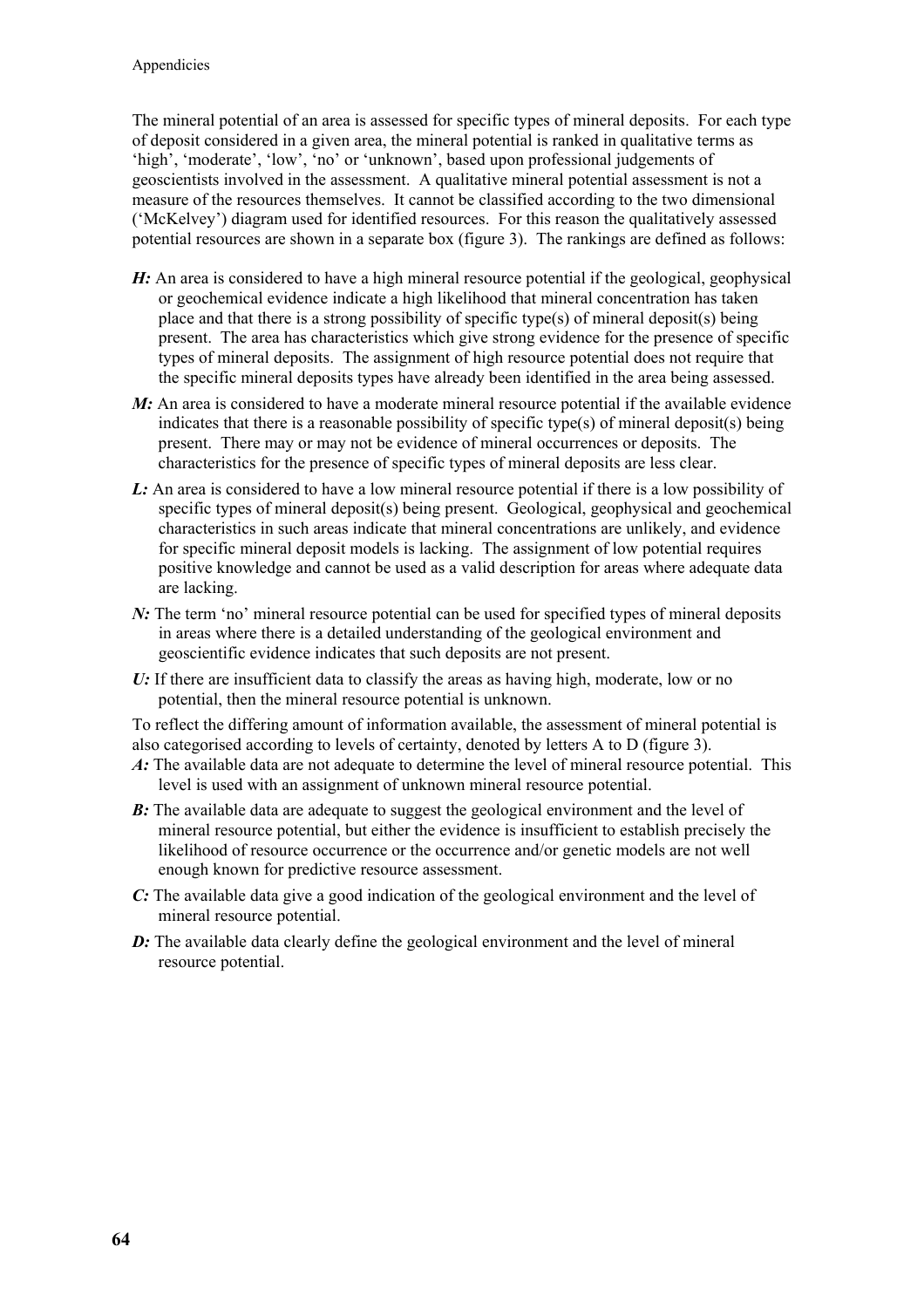The mineral potential of an area is assessed for specific types of mineral deposits. For each type of deposit considered in a given area, the mineral potential is ranked in qualitative terms as 'high', 'moderate', 'low', 'no' or 'unknown', based upon professional judgements of geoscientists involved in the assessment. A qualitative mineral potential assessment is not a measure of the resources themselves. It cannot be classified according to the two dimensional ('McKelvey') diagram used for identified resources. For this reason the qualitatively assessed potential resources are shown in a separate box (figure 3). The rankings are defined as follows:

- *H*: An area is considered to have a high mineral resource potential if the geological, geophysical or geochemical evidence indicate a high likelihood that mineral concentration has taken place and that there is a strong possibility of specific type(s) of mineral deposit(s) being present. The area has characteristics which give strong evidence for the presence of specific types of mineral deposits. The assignment of high resource potential does not require that the specific mineral deposits types have already been identified in the area being assessed.
- *M*: An area is considered to have a moderate mineral resource potential if the available evidence indicates that there is a reasonable possibility of specific type(s) of mineral deposit(s) being present. There may or may not be evidence of mineral occurrences or deposits. The characteristics for the presence of specific types of mineral deposits are less clear.
- *L*: An area is considered to have a low mineral resource potential if there is a low possibility of specific types of mineral deposit(s) being present. Geological, geophysical and geochemical characteristics in such areas indicate that mineral concentrations are unlikely, and evidence for specific mineral deposit models is lacking. The assignment of low potential requires positive knowledge and cannot be used as a valid description for areas where adequate data are lacking.
- *N*: The term 'no' mineral resource potential can be used for specified types of mineral deposits in areas where there is a detailed understanding of the geological environment and geoscientific evidence indicates that such deposits are not present.
- *U:* If there are insufficient data to classify the areas as having high, moderate, low or no potential, then the mineral resource potential is unknown.

To reflect the differing amount of information available, the assessment of mineral potential is also categorised according to levels of certainty, denoted by letters A to D (figure 3).

- *A:* The available data are not adequate to determine the level of mineral resource potential. This level is used with an assignment of unknown mineral resource potential.
- *B*: The available data are adequate to suggest the geological environment and the level of mineral resource potential, but either the evidence is insufficient to establish precisely the likelihood of resource occurrence or the occurrence and/or genetic models are not well enough known for predictive resource assessment.
- *C:* The available data give a good indication of the geological environment and the level of mineral resource potential.
- *D*: The available data clearly define the geological environment and the level of mineral resource potential.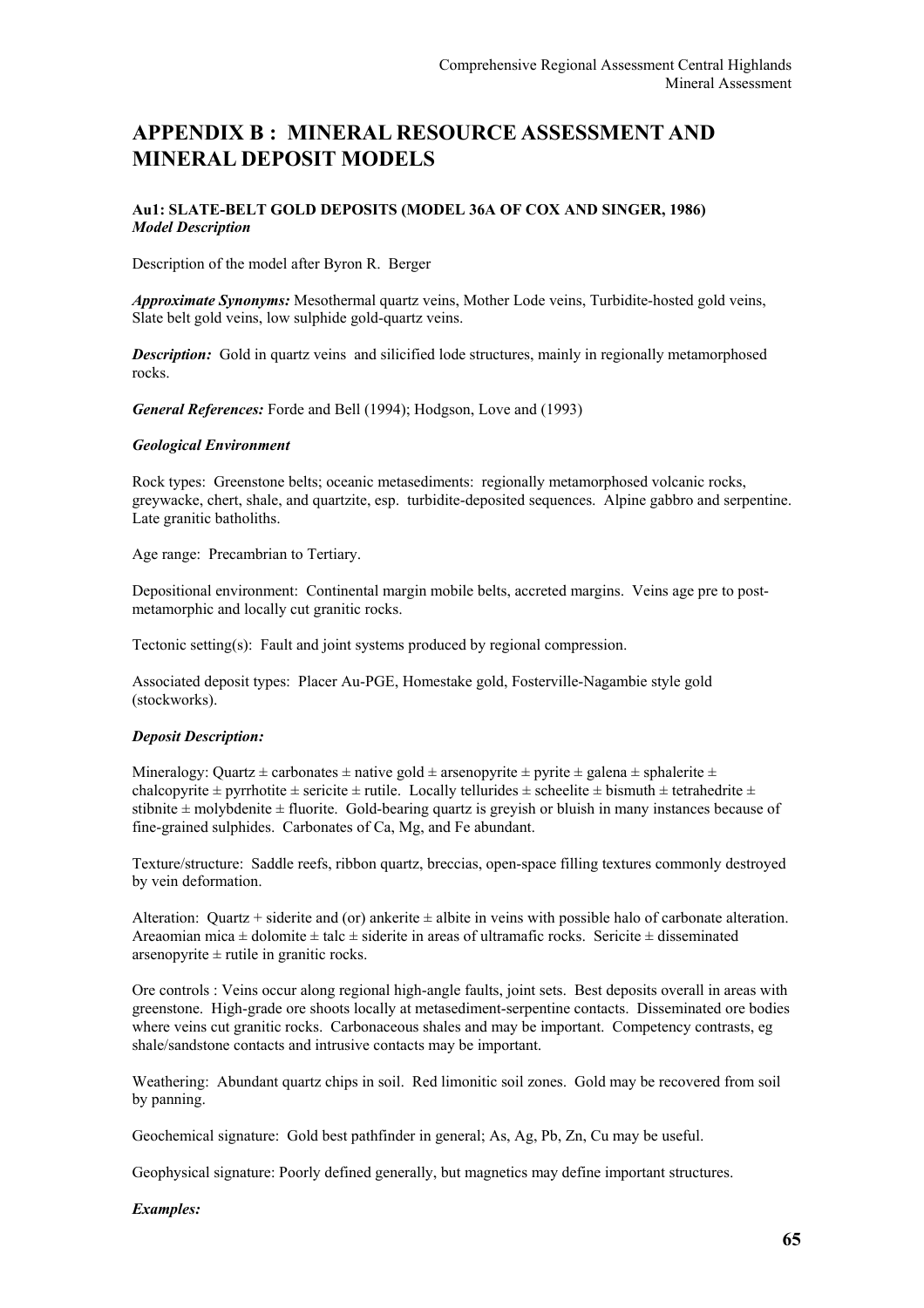# **APPENDIX B : MINERAL RESOURCE ASSESSMENT AND MINERAL DEPOSIT MODELS**

#### **Au1: SLATE-BELT GOLD DEPOSITS (MODEL 36A OF COX AND SINGER, 1986)**  *Model Description*

Description of the model after Byron R. Berger

*Approximate Synonyms:* Mesothermal quartz veins, Mother Lode veins, Turbidite-hosted gold veins, Slate belt gold veins, low sulphide gold-quartz veins.

*Description:* Gold in quartz veins and silicified lode structures, mainly in regionally metamorphosed rocks.

*General References:* Forde and Bell (1994); Hodgson, Love and (1993)

#### *Geological Environment*

Rock types: Greenstone belts; oceanic metasediments: regionally metamorphosed volcanic rocks, greywacke, chert, shale, and quartzite, esp. turbidite-deposited sequences. Alpine gabbro and serpentine. Late granitic batholiths.

Age range: Precambrian to Tertiary.

Depositional environment: Continental margin mobile belts, accreted margins. Veins age pre to postmetamorphic and locally cut granitic rocks.

Tectonic setting(s): Fault and joint systems produced by regional compression.

Associated deposit types: Placer Au-PGE, Homestake gold, Fosterville-Nagambie style gold (stockworks).

#### *Deposit Description:*

Mineralogy: Quartz  $\pm$  carbonates  $\pm$  native gold  $\pm$  arsenopyrite  $\pm$  pyrite  $\pm$  galena  $\pm$  sphalerite  $\pm$ chalcopyrite  $\pm$  pyrrhotite  $\pm$  sericite  $\pm$  rutile. Locally tellurides  $\pm$  scheelite  $\pm$  bismuth  $\pm$  tetrahedrite  $\pm$ stibnite  $\pm$  molybdenite  $\pm$  fluorite. Gold-bearing quartz is grevish or bluish in many instances because of fine-grained sulphides. Carbonates of Ca, Mg, and Fe abundant.

Texture/structure: Saddle reefs, ribbon quartz, breccias, open-space filling textures commonly destroyed by vein deformation.

Alteration: Quartz + siderite and (or) ankerite  $\pm$  albite in veins with possible halo of carbonate alteration. Areaomian mica  $\pm$  dolomite  $\pm$  talc  $\pm$  siderite in areas of ultramafic rocks. Sericite  $\pm$  disseminated arsenopyrite  $\pm$  rutile in granitic rocks.

Ore controls : Veins occur along regional high-angle faults, joint sets. Best deposits overall in areas with greenstone. High-grade ore shoots locally at metasediment-serpentine contacts. Disseminated ore bodies where veins cut granitic rocks. Carbonaceous shales and may be important. Competency contrasts, eg shale/sandstone contacts and intrusive contacts may be important.

Weathering: Abundant quartz chips in soil. Red limonitic soil zones. Gold may be recovered from soil by panning.

Geochemical signature: Gold best pathfinder in general; As, Ag, Pb, Zn, Cu may be useful.

Geophysical signature: Poorly defined generally, but magnetics may define important structures.

#### *Examples:*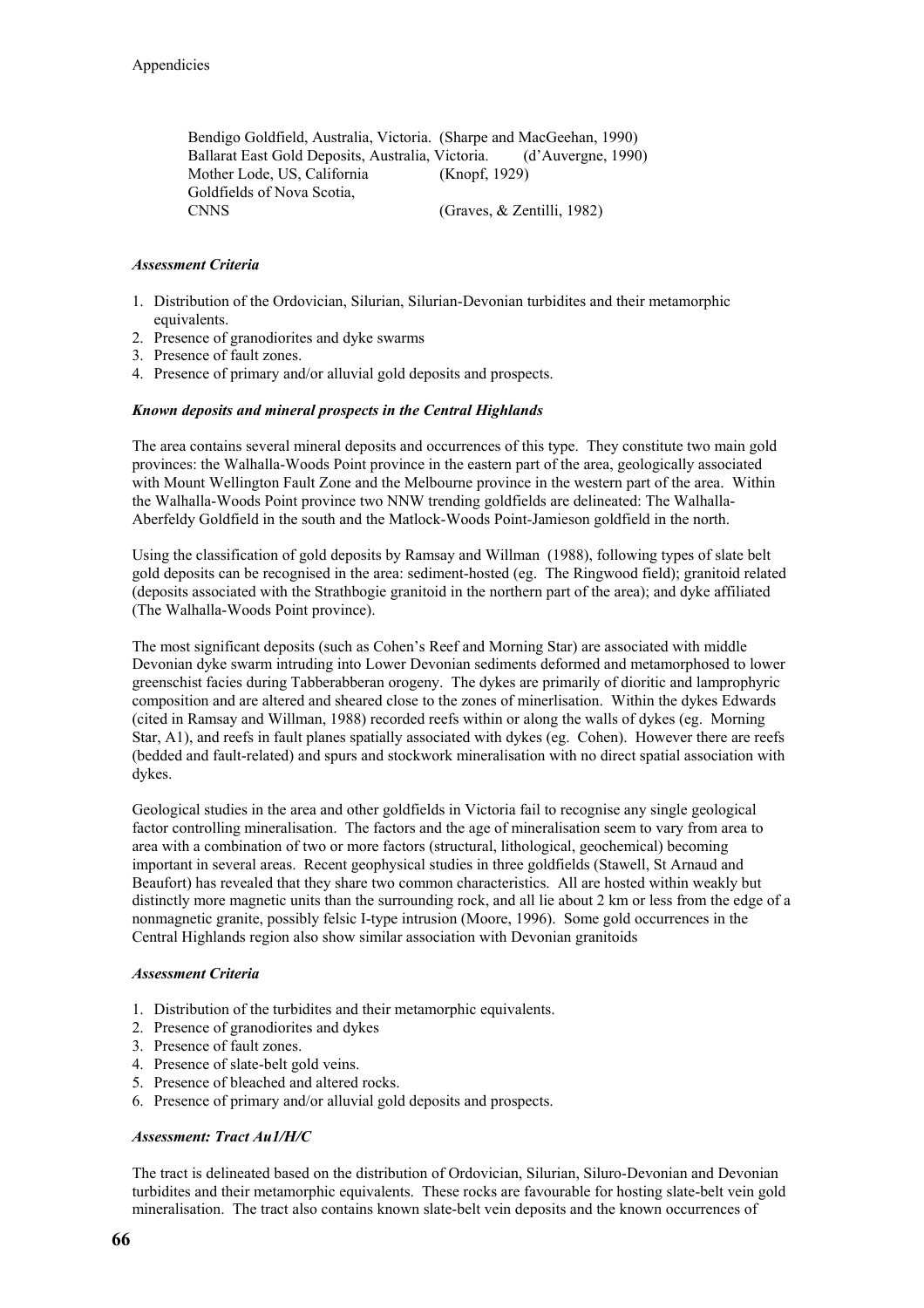Bendigo Goldfield, Australia, Victoria. (Sharpe and MacGeehan, 1990) Ballarat East Gold Deposits, Australia, Victoria. (d'Auvergne, 1990) Mother Lode, US, California (Knopf, 1929) Goldfields of Nova Scotia, CNNS (Graves, & Zentilli, 1982)

#### *Assessment Criteria*

- 1. Distribution of the Ordovician, Silurian, Silurian-Devonian turbidites and their metamorphic equivalents.
- 2. Presence of granodiorites and dyke swarms
- 3. Presence of fault zones.
- 4. Presence of primary and/or alluvial gold deposits and prospects.

#### *Known deposits and mineral prospects in the Central Highlands*

The area contains several mineral deposits and occurrences of this type. They constitute two main gold provinces: the Walhalla-Woods Point province in the eastern part of the area, geologically associated with Mount Wellington Fault Zone and the Melbourne province in the western part of the area. Within the Walhalla-Woods Point province two NNW trending goldfields are delineated: The Walhalla-Aberfeldy Goldfield in the south and the Matlock-Woods Point-Jamieson goldfield in the north.

Using the classification of gold deposits by Ramsay and Willman (1988), following types of slate belt gold deposits can be recognised in the area: sediment-hosted (eg. The Ringwood field); granitoid related (deposits associated with the Strathbogie granitoid in the northern part of the area); and dyke affiliated (The Walhalla-Woods Point province).

The most significant deposits (such as Cohen's Reef and Morning Star) are associated with middle Devonian dyke swarm intruding into Lower Devonian sediments deformed and metamorphosed to lower greenschist facies during Tabberabberan orogeny. The dykes are primarily of dioritic and lamprophyric composition and are altered and sheared close to the zones of minerlisation. Within the dykes Edwards (cited in Ramsay and Willman, 1988) recorded reefs within or along the walls of dykes (eg. Morning Star, A1), and reefs in fault planes spatially associated with dykes (eg. Cohen). However there are reefs (bedded and fault-related) and spurs and stockwork mineralisation with no direct spatial association with dykes.

Geological studies in the area and other goldfields in Victoria fail to recognise any single geological factor controlling mineralisation. The factors and the age of mineralisation seem to vary from area to area with a combination of two or more factors (structural, lithological, geochemical) becoming important in several areas. Recent geophysical studies in three goldfields (Stawell, St Arnaud and Beaufort) has revealed that they share two common characteristics. All are hosted within weakly but distinctly more magnetic units than the surrounding rock, and all lie about 2 km or less from the edge of a nonmagnetic granite, possibly felsic I-type intrusion (Moore, 1996). Some gold occurrences in the Central Highlands region also show similar association with Devonian granitoids

#### *Assessment Criteria*

- 1. Distribution of the turbidites and their metamorphic equivalents.
- 2. Presence of granodiorites and dykes
- 3. Presence of fault zones.
- 4. Presence of slate-belt gold veins.
- 5. Presence of bleached and altered rocks.
- 6. Presence of primary and/or alluvial gold deposits and prospects.

#### *Assessment: Tract Au1/H/C*

The tract is delineated based on the distribution of Ordovician, Silurian, Siluro-Devonian and Devonian turbidites and their metamorphic equivalents. These rocks are favourable for hosting slate-belt vein gold mineralisation. The tract also contains known slate-belt vein deposits and the known occurrences of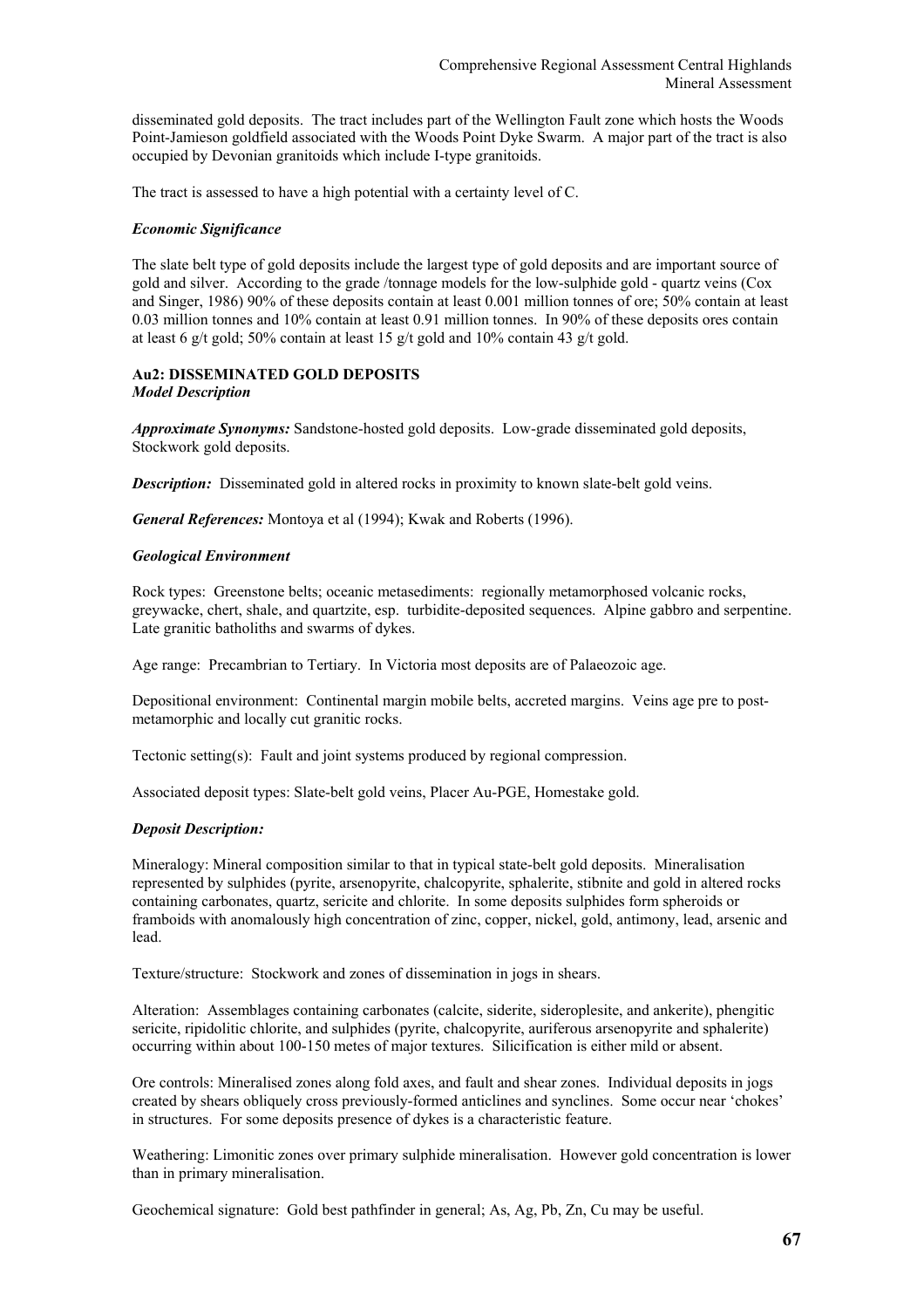disseminated gold deposits. The tract includes part of the Wellington Fault zone which hosts the Woods Point-Jamieson goldfield associated with the Woods Point Dyke Swarm. A major part of the tract is also occupied by Devonian granitoids which include I-type granitoids.

The tract is assessed to have a high potential with a certainty level of C.

#### *Economic Significance*

The slate belt type of gold deposits include the largest type of gold deposits and are important source of gold and silver. According to the grade /tonnage models for the low-sulphide gold - quartz veins (Cox and Singer, 1986) 90% of these deposits contain at least 0.001 million tonnes of ore; 50% contain at least 0.03 million tonnes and 10% contain at least 0.91 million tonnes. In 90% of these deposits ores contain at least 6 g/t gold; 50% contain at least 15 g/t gold and 10% contain 43 g/t gold.

#### **Au2: DISSEMINATED GOLD DEPOSITS**  *Model Description*

*Approximate Synonyms:* Sandstone-hosted gold deposits. Low-grade disseminated gold deposits, Stockwork gold deposits.

*Description:* Disseminated gold in altered rocks in proximity to known slate-belt gold veins.

*General References:* Montoya et al (1994); Kwak and Roberts (1996).

#### *Geological Environment*

Rock types: Greenstone belts; oceanic metasediments: regionally metamorphosed volcanic rocks, greywacke, chert, shale, and quartzite, esp. turbidite-deposited sequences. Alpine gabbro and serpentine. Late granitic batholiths and swarms of dykes.

Age range: Precambrian to Tertiary. In Victoria most deposits are of Palaeozoic age.

Depositional environment: Continental margin mobile belts, accreted margins. Veins age pre to postmetamorphic and locally cut granitic rocks.

Tectonic setting(s): Fault and joint systems produced by regional compression.

Associated deposit types: Slate-belt gold veins, Placer Au-PGE, Homestake gold.

#### *Deposit Description:*

Mineralogy: Mineral composition similar to that in typical state-belt gold deposits. Mineralisation represented by sulphides (pyrite, arsenopyrite, chalcopyrite, sphalerite, stibnite and gold in altered rocks containing carbonates, quartz, sericite and chlorite. In some deposits sulphides form spheroids or framboids with anomalously high concentration of zinc, copper, nickel, gold, antimony, lead, arsenic and lead.

Texture/structure: Stockwork and zones of dissemination in jogs in shears.

Alteration: Assemblages containing carbonates (calcite, siderite, sideroplesite, and ankerite), phengitic sericite, ripidolitic chlorite, and sulphides (pyrite, chalcopyrite, auriferous arsenopyrite and sphalerite) occurring within about 100-150 metes of major textures. Silicification is either mild or absent.

Ore controls: Mineralised zones along fold axes, and fault and shear zones. Individual deposits in jogs created by shears obliquely cross previously-formed anticlines and synclines. Some occur near 'chokes' in structures. For some deposits presence of dykes is a characteristic feature.

Weathering: Limonitic zones over primary sulphide mineralisation. However gold concentration is lower than in primary mineralisation.

Geochemical signature: Gold best pathfinder in general; As, Ag, Pb, Zn, Cu may be useful.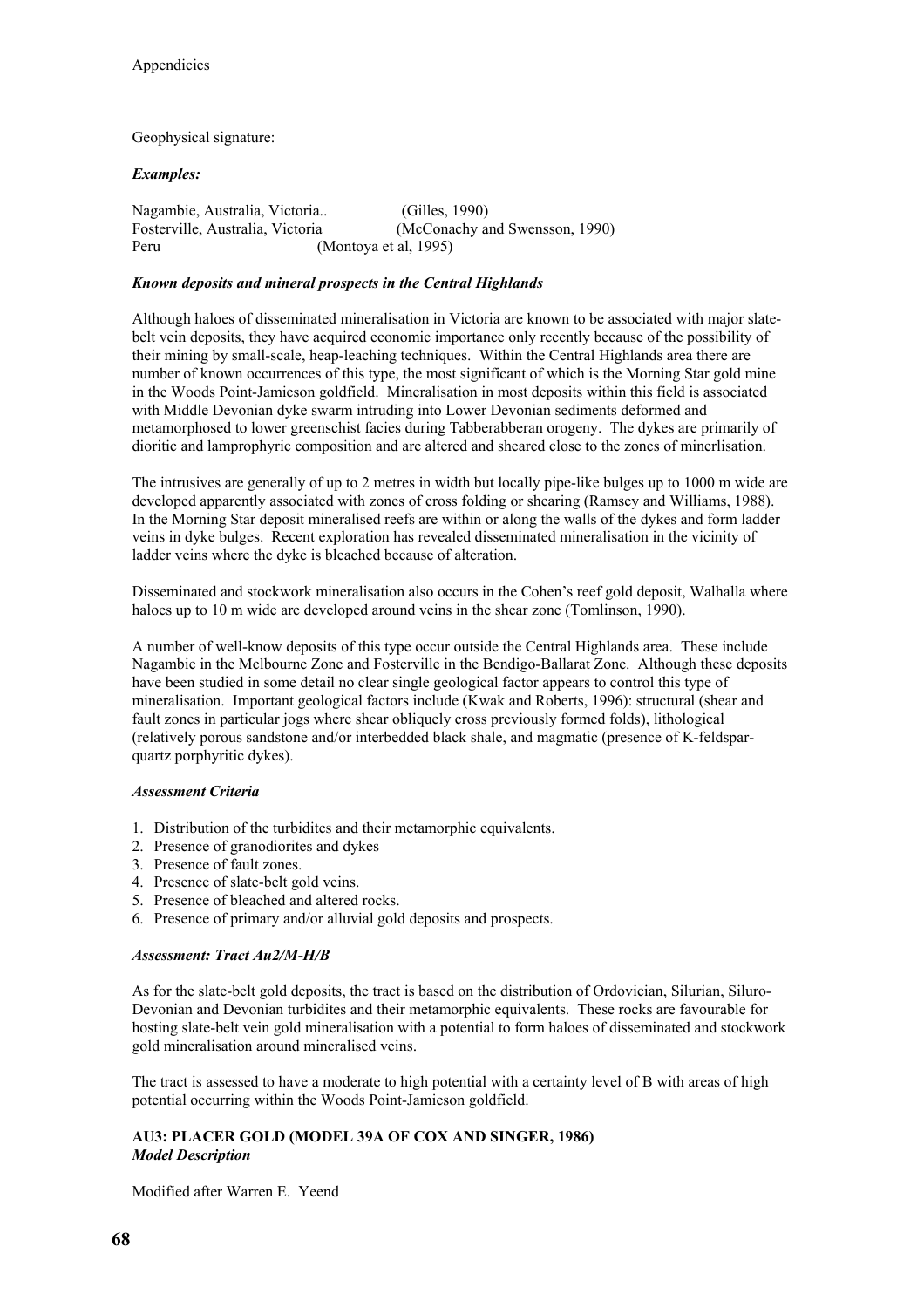#### Geophysical signature:

#### *Examples:*

Nagambie, Australia, Victoria.. (Gilles, 1990) Fosterville, Australia, Victoria (McConachy and Swensson, 1990) Peru (Montoya et al, 1995)

#### *Known deposits and mineral prospects in the Central Highlands*

Although haloes of disseminated mineralisation in Victoria are known to be associated with major slatebelt vein deposits, they have acquired economic importance only recently because of the possibility of their mining by small-scale, heap-leaching techniques. Within the Central Highlands area there are number of known occurrences of this type, the most significant of which is the Morning Star gold mine in the Woods Point-Jamieson goldfield. Mineralisation in most deposits within this field is associated with Middle Devonian dyke swarm intruding into Lower Devonian sediments deformed and metamorphosed to lower greenschist facies during Tabberabberan orogeny. The dykes are primarily of dioritic and lamprophyric composition and are altered and sheared close to the zones of minerlisation.

The intrusives are generally of up to 2 metres in width but locally pipe-like bulges up to 1000 m wide are developed apparently associated with zones of cross folding or shearing (Ramsey and Williams, 1988). In the Morning Star deposit mineralised reefs are within or along the walls of the dykes and form ladder veins in dyke bulges. Recent exploration has revealed disseminated mineralisation in the vicinity of ladder veins where the dyke is bleached because of alteration.

Disseminated and stockwork mineralisation also occurs in the Cohen's reef gold deposit, Walhalla where haloes up to 10 m wide are developed around veins in the shear zone (Tomlinson, 1990).

A number of well-know deposits of this type occur outside the Central Highlands area. These include Nagambie in the Melbourne Zone and Fosterville in the Bendigo-Ballarat Zone. Although these deposits have been studied in some detail no clear single geological factor appears to control this type of mineralisation. Important geological factors include (Kwak and Roberts, 1996): structural (shear and fault zones in particular jogs where shear obliquely cross previously formed folds), lithological (relatively porous sandstone and/or interbedded black shale, and magmatic (presence of K-feldsparquartz porphyritic dykes).

#### *Assessment Criteria*

- 1. Distribution of the turbidites and their metamorphic equivalents.
- 2. Presence of granodiorites and dykes
- 3. Presence of fault zones.
- 4. Presence of slate-belt gold veins.
- 5. Presence of bleached and altered rocks.
- 6. Presence of primary and/or alluvial gold deposits and prospects.

#### *Assessment: Tract Au2/M-H/B*

As for the slate-belt gold deposits, the tract is based on the distribution of Ordovician, Silurian, Siluro-Devonian and Devonian turbidites and their metamorphic equivalents. These rocks are favourable for hosting slate-belt vein gold mineralisation with a potential to form haloes of disseminated and stockwork gold mineralisation around mineralised veins.

The tract is assessed to have a moderate to high potential with a certainty level of B with areas of high potential occurring within the Woods Point-Jamieson goldfield.

#### **AU3: PLACER GOLD (MODEL 39A OF COX AND SINGER, 1986)**  *Model Description*

Modified after Warren E. Yeend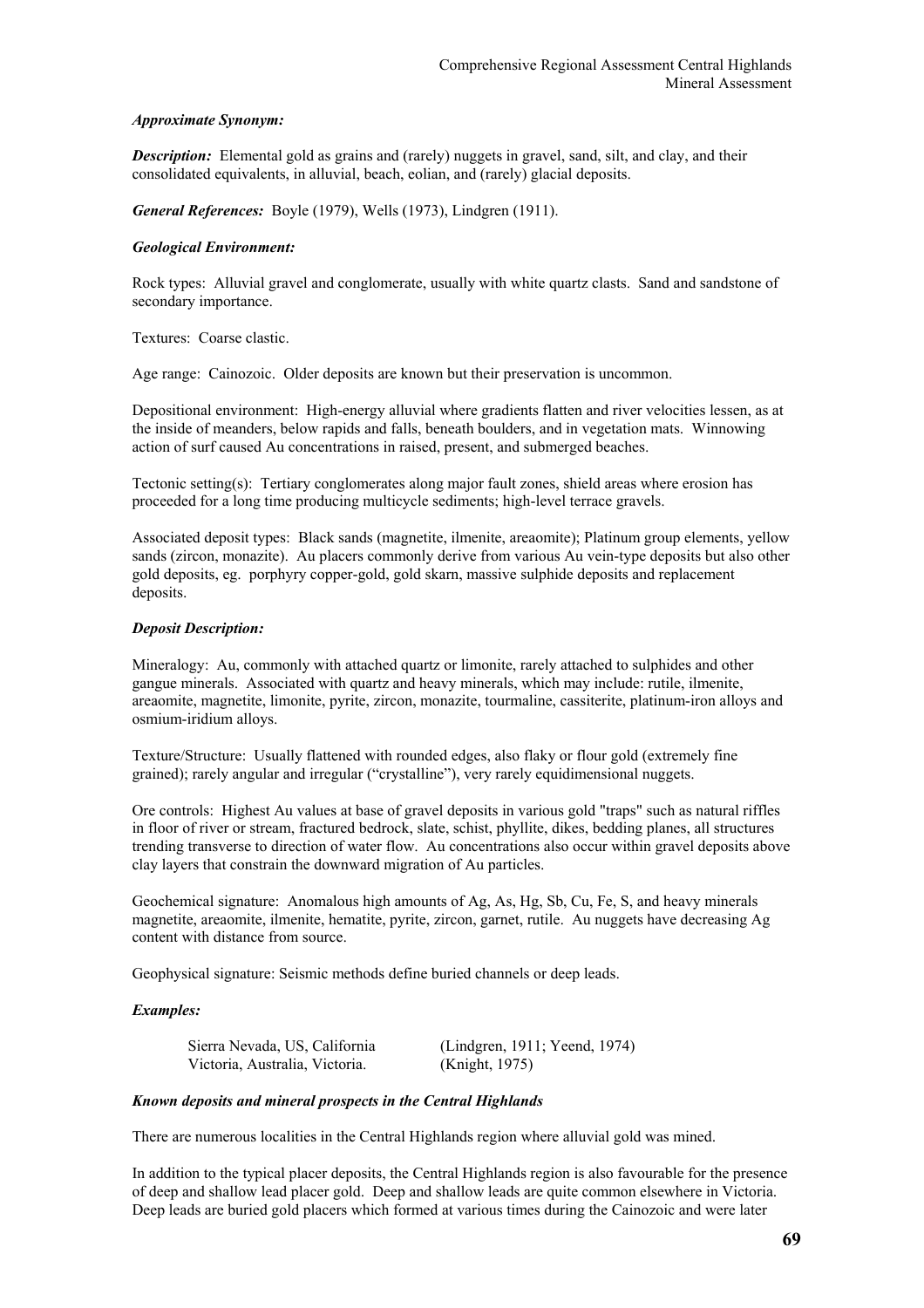## *Approximate Synonym:*

*Description:* Elemental gold as grains and (rarely) nuggets in gravel, sand, silt, and clay, and their consolidated equivalents, in alluvial, beach, eolian, and (rarely) glacial deposits.

*General References:* Boyle (1979), Wells (1973), Lindgren (1911).

# *Geological Environment:*

Rock types: Alluvial gravel and conglomerate, usually with white quartz clasts. Sand and sandstone of secondary importance.

Textures: Coarse clastic.

Age range: Cainozoic. Older deposits are known but their preservation is uncommon.

Depositional environment: High-energy alluvial where gradients flatten and river velocities lessen, as at the inside of meanders, below rapids and falls, beneath boulders, and in vegetation mats. Winnowing action of surf caused Au concentrations in raised, present, and submerged beaches.

Tectonic setting(s): Tertiary conglomerates along major fault zones, shield areas where erosion has proceeded for a long time producing multicycle sediments; high-level terrace gravels.

Associated deposit types: Black sands (magnetite, ilmenite, areaomite); Platinum group elements, yellow sands (zircon, monazite). Au placers commonly derive from various Au vein-type deposits but also other gold deposits, eg. porphyry copper-gold, gold skarn, massive sulphide deposits and replacement deposits.

# *Deposit Description:*

Mineralogy: Au, commonly with attached quartz or limonite, rarely attached to sulphides and other gangue minerals. Associated with quartz and heavy minerals, which may include: rutile, ilmenite, areaomite, magnetite, limonite, pyrite, zircon, monazite, tourmaline, cassiterite, platinum-iron alloys and osmium-iridium alloys.

Texture/Structure: Usually flattened with rounded edges, also flaky or flour gold (extremely fine grained); rarely angular and irregular ("crystalline"), very rarely equidimensional nuggets.

Ore controls: Highest Au values at base of gravel deposits in various gold "traps" such as natural riffles in floor of river or stream, fractured bedrock, slate, schist, phyllite, dikes, bedding planes, all structures trending transverse to direction of water flow. Au concentrations also occur within gravel deposits above clay layers that constrain the downward migration of Au particles.

Geochemical signature: Anomalous high amounts of Ag, As, Hg, Sb, Cu, Fe, S, and heavy minerals magnetite, areaomite, ilmenite, hematite, pyrite, zircon, garnet, rutile. Au nuggets have decreasing Ag content with distance from source.

Geophysical signature: Seismic methods define buried channels or deep leads.

# *Examples:*

 Sierra Nevada, US, California (Lindgren, 1911; Yeend, 1974) Victoria, Australia, Victoria. (Knight, 1975)

# *Known deposits and mineral prospects in the Central Highlands*

There are numerous localities in the Central Highlands region where alluvial gold was mined.

In addition to the typical placer deposits, the Central Highlands region is also favourable for the presence of deep and shallow lead placer gold. Deep and shallow leads are quite common elsewhere in Victoria. Deep leads are buried gold placers which formed at various times during the Cainozoic and were later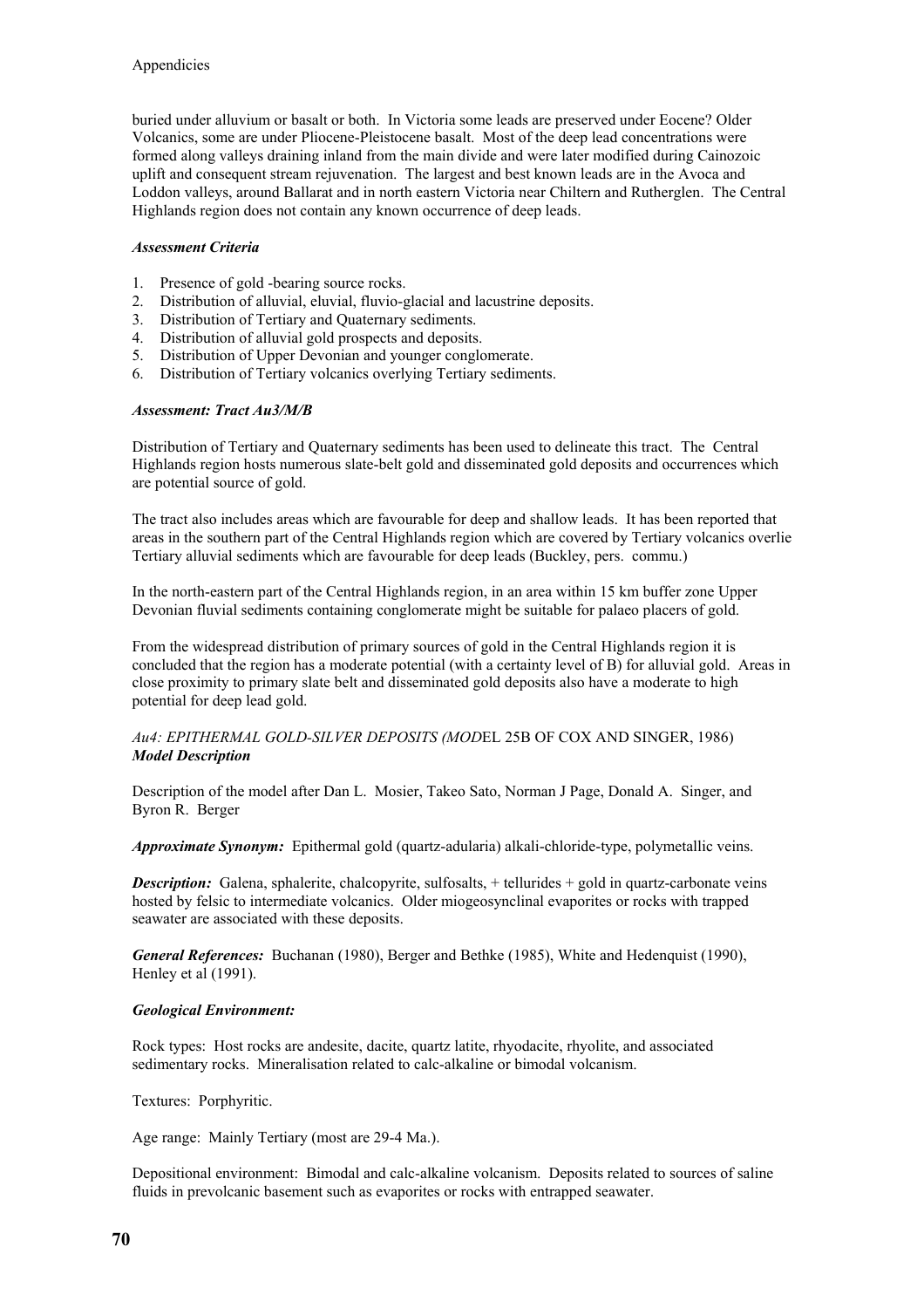buried under alluvium or basalt or both. In Victoria some leads are preserved under Eocene? Older Volcanics, some are under Pliocene-Pleistocene basalt. Most of the deep lead concentrations were formed along valleys draining inland from the main divide and were later modified during Cainozoic uplift and consequent stream rejuvenation. The largest and best known leads are in the Avoca and Loddon valleys, around Ballarat and in north eastern Victoria near Chiltern and Rutherglen. The Central Highlands region does not contain any known occurrence of deep leads.

# *Assessment Criteria*

- 1. Presence of gold -bearing source rocks.
- 2. Distribution of alluvial, eluvial, fluvio-glacial and lacustrine deposits.
- 3. Distribution of Tertiary and Quaternary sediments.
- 4. Distribution of alluvial gold prospects and deposits.
- 5. Distribution of Upper Devonian and younger conglomerate.
- 6. Distribution of Tertiary volcanics overlying Tertiary sediments.

# *Assessment: Tract Au3/M/B*

Distribution of Tertiary and Quaternary sediments has been used to delineate this tract. The Central Highlands region hosts numerous slate-belt gold and disseminated gold deposits and occurrences which are potential source of gold.

The tract also includes areas which are favourable for deep and shallow leads. It has been reported that areas in the southern part of the Central Highlands region which are covered by Tertiary volcanics overlie Tertiary alluvial sediments which are favourable for deep leads (Buckley, pers. commu.)

In the north-eastern part of the Central Highlands region, in an area within 15 km buffer zone Upper Devonian fluvial sediments containing conglomerate might be suitable for palaeo placers of gold.

From the widespread distribution of primary sources of gold in the Central Highlands region it is concluded that the region has a moderate potential (with a certainty level of B) for alluvial gold. Areas in close proximity to primary slate belt and disseminated gold deposits also have a moderate to high potential for deep lead gold.

# *Au4: EPITHERMAL GOLD-SILVER DEPOSITS (MOD*EL 25B OF COX AND SINGER, 1986) *Model Description*

Description of the model after Dan L. Mosier, Takeo Sato, Norman J Page, Donald A. Singer, and Byron R. Berger

*Approximate Synonym:* Epithermal gold (quartz-adularia) alkali-chloride-type, polymetallic veins.

*Description:* Galena, sphalerite, chalcopyrite, sulfosalts, + tellurides + gold in quartz-carbonate veins hosted by felsic to intermediate volcanics. Older miogeosynclinal evaporites or rocks with trapped seawater are associated with these deposits.

*General References:* Buchanan (1980), Berger and Bethke (1985), White and Hedenquist (1990), Henley et al (1991).

# *Geological Environment:*

Rock types: Host rocks are andesite, dacite, quartz latite, rhyodacite, rhyolite, and associated sedimentary rocks. Mineralisation related to calc-alkaline or bimodal volcanism.

Textures: Porphyritic.

Age range: Mainly Tertiary (most are 29-4 Ma.).

Depositional environment: Bimodal and calc-alkaline volcanism. Deposits related to sources of saline fluids in prevolcanic basement such as evaporites or rocks with entrapped seawater.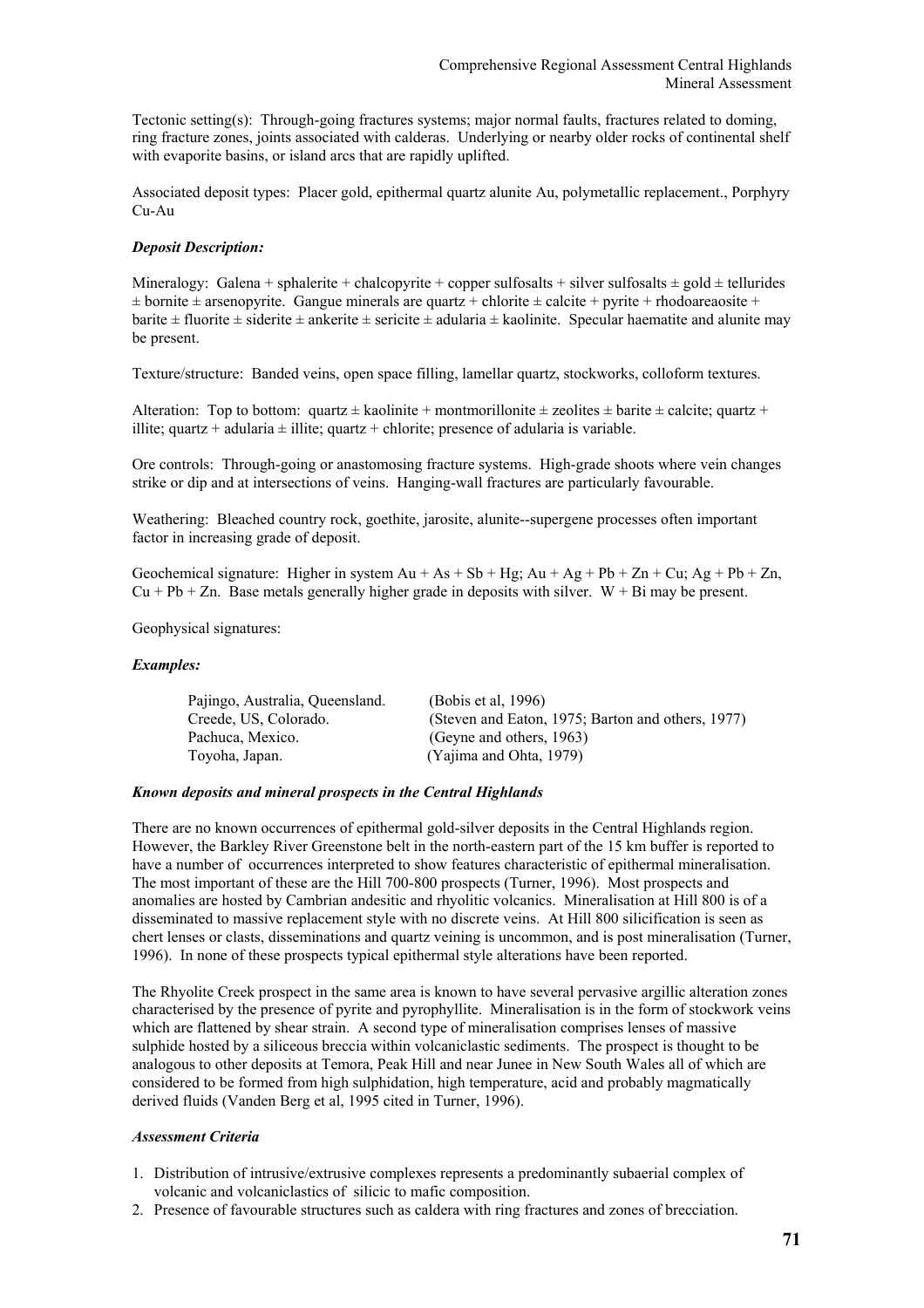Tectonic setting(s): Through-going fractures systems; major normal faults, fractures related to doming, ring fracture zones, joints associated with calderas. Underlying or nearby older rocks of continental shelf with evaporite basins, or island arcs that are rapidly uplifted.

Associated deposit types: Placer gold, epithermal quartz alunite Au, polymetallic replacement., Porphyry Cu-Au

# *Deposit Description:*

Mineralogy: Galena + sphalerite + chalcopyrite + copper sulfosalts + silver sulfosalts  $\pm$  gold  $\pm$  tellurides  $\pm$  bornite  $\pm$  arsenopyrite. Gangue minerals are quartz + chlorite  $\pm$  calcite + pyrite + rhodoareaosite + barite  $\pm$  fluorite  $\pm$  siderite  $\pm$  ankerite  $\pm$  sericite  $\pm$  adularia  $\pm$  kaolinite. Specular haematite and alunite may be present.

Texture/structure: Banded veins, open space filling, lamellar quartz, stockworks, colloform textures.

Alteration: Top to bottom: quartz  $\pm$  kaolinite + montmorillonite  $\pm$  zeolites  $\pm$  barite  $\pm$  calcite; quartz + illite; quartz + adularia  $\pm$  illite; quartz + chlorite; presence of adularia is variable.

Ore controls: Through-going or anastomosing fracture systems. High-grade shoots where vein changes strike or dip and at intersections of veins. Hanging-wall fractures are particularly favourable.

Weathering: Bleached country rock, goethite, jarosite, alunite--supergene processes often important factor in increasing grade of deposit.

Geochemical signature: Higher in system  $Au + As + Sb + Hg$ ;  $Au + Ag + Pb + Zn + Cu$ ;  $Ag + Pb + Zn$ ,  $Cu + Pb + Zn$ . Base metals generally higher grade in deposits with silver.  $W + Bi$  may be present.

Geophysical signatures:

# *Examples:*

| Pajingo, Australia, Queensland. | (Bobis et al. $1996$ )                            |
|---------------------------------|---------------------------------------------------|
| Creede, US, Colorado.           | (Steven and Eaton, 1975; Barton and others, 1977) |
| Pachuca, Mexico.                | (Geyne and others, 1963)                          |
| Toyoha, Japan.                  | (Yajima and Ohta, 1979)                           |

## *Known deposits and mineral prospects in the Central Highlands*

There are no known occurrences of epithermal gold-silver deposits in the Central Highlands region. However, the Barkley River Greenstone belt in the north-eastern part of the 15 km buffer is reported to have a number of occurrences interpreted to show features characteristic of epithermal mineralisation. The most important of these are the Hill 700-800 prospects (Turner, 1996). Most prospects and anomalies are hosted by Cambrian andesitic and rhyolitic volcanics. Mineralisation at Hill 800 is of a disseminated to massive replacement style with no discrete veins. At Hill 800 silicification is seen as chert lenses or clasts, disseminations and quartz veining is uncommon, and is post mineralisation (Turner, 1996). In none of these prospects typical epithermal style alterations have been reported.

The Rhyolite Creek prospect in the same area is known to have several pervasive argillic alteration zones characterised by the presence of pyrite and pyrophyllite. Mineralisation is in the form of stockwork veins which are flattened by shear strain. A second type of mineralisation comprises lenses of massive sulphide hosted by a siliceous breccia within volcaniclastic sediments. The prospect is thought to be analogous to other deposits at Temora, Peak Hill and near Junee in New South Wales all of which are considered to be formed from high sulphidation, high temperature, acid and probably magmatically derived fluids (Vanden Berg et al, 1995 cited in Turner, 1996).

#### *Assessment Criteria*

- 1. Distribution of intrusive/extrusive complexes represents a predominantly subaerial complex of volcanic and volcaniclastics of silicic to mafic composition.
- 2. Presence of favourable structures such as caldera with ring fractures and zones of brecciation.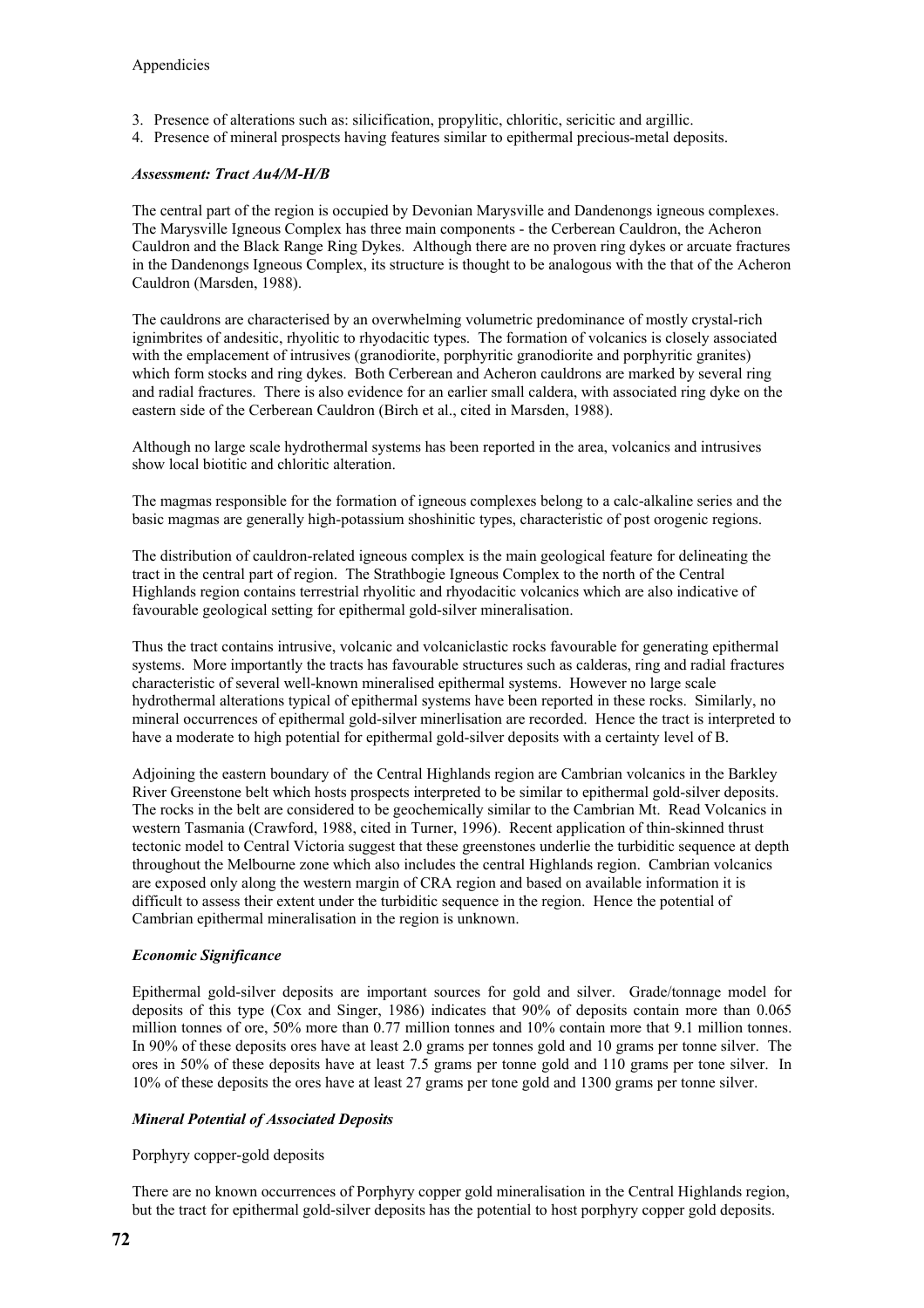- 3. Presence of alterations such as: silicification, propylitic, chloritic, sericitic and argillic.
- 4. Presence of mineral prospects having features similar to epithermal precious-metal deposits.

# *Assessment: Tract Au4/M-H/B*

The central part of the region is occupied by Devonian Marysville and Dandenongs igneous complexes. The Marysville Igneous Complex has three main components - the Cerberean Cauldron, the Acheron Cauldron and the Black Range Ring Dykes. Although there are no proven ring dykes or arcuate fractures in the Dandenongs Igneous Complex, its structure is thought to be analogous with the that of the Acheron Cauldron (Marsden, 1988).

The cauldrons are characterised by an overwhelming volumetric predominance of mostly crystal-rich ignimbrites of andesitic, rhyolitic to rhyodacitic types. The formation of volcanics is closely associated with the emplacement of intrusives (granodiorite, porphyritic granodiorite and porphyritic granites) which form stocks and ring dykes. Both Cerberean and Acheron cauldrons are marked by several ring and radial fractures. There is also evidence for an earlier small caldera, with associated ring dyke on the eastern side of the Cerberean Cauldron (Birch et al., cited in Marsden, 1988).

Although no large scale hydrothermal systems has been reported in the area, volcanics and intrusives show local biotitic and chloritic alteration.

The magmas responsible for the formation of igneous complexes belong to a calc-alkaline series and the basic magmas are generally high-potassium shoshinitic types, characteristic of post orogenic regions.

The distribution of cauldron-related igneous complex is the main geological feature for delineating the tract in the central part of region. The Strathbogie Igneous Complex to the north of the Central Highlands region contains terrestrial rhyolitic and rhyodacitic volcanics which are also indicative of favourable geological setting for epithermal gold-silver mineralisation.

Thus the tract contains intrusive, volcanic and volcaniclastic rocks favourable for generating epithermal systems. More importantly the tracts has favourable structures such as calderas, ring and radial fractures characteristic of several well-known mineralised epithermal systems. However no large scale hydrothermal alterations typical of epithermal systems have been reported in these rocks. Similarly, no mineral occurrences of epithermal gold-silver minerlisation are recorded. Hence the tract is interpreted to have a moderate to high potential for epithermal gold-silver deposits with a certainty level of B.

Adjoining the eastern boundary of the Central Highlands region are Cambrian volcanics in the Barkley River Greenstone belt which hosts prospects interpreted to be similar to epithermal gold-silver deposits. The rocks in the belt are considered to be geochemically similar to the Cambrian Mt. Read Volcanics in western Tasmania (Crawford, 1988, cited in Turner, 1996). Recent application of thin-skinned thrust tectonic model to Central Victoria suggest that these greenstones underlie the turbiditic sequence at depth throughout the Melbourne zone which also includes the central Highlands region. Cambrian volcanics are exposed only along the western margin of CRA region and based on available information it is difficult to assess their extent under the turbiditic sequence in the region. Hence the potential of Cambrian epithermal mineralisation in the region is unknown.

# *Economic Significance*

Epithermal gold-silver deposits are important sources for gold and silver. Grade/tonnage model for deposits of this type (Cox and Singer, 1986) indicates that 90% of deposits contain more than 0.065 million tonnes of ore, 50% more than 0.77 million tonnes and 10% contain more that 9.1 million tonnes. In 90% of these deposits ores have at least 2.0 grams per tonnes gold and 10 grams per tonne silver. The ores in 50% of these deposits have at least 7.5 grams per tonne gold and 110 grams per tone silver. In 10% of these deposits the ores have at least 27 grams per tone gold and 1300 grams per tonne silver.

# *Mineral Potential of Associated Deposits*

# Porphyry copper-gold deposits

There are no known occurrences of Porphyry copper gold mineralisation in the Central Highlands region, but the tract for epithermal gold-silver deposits has the potential to host porphyry copper gold deposits.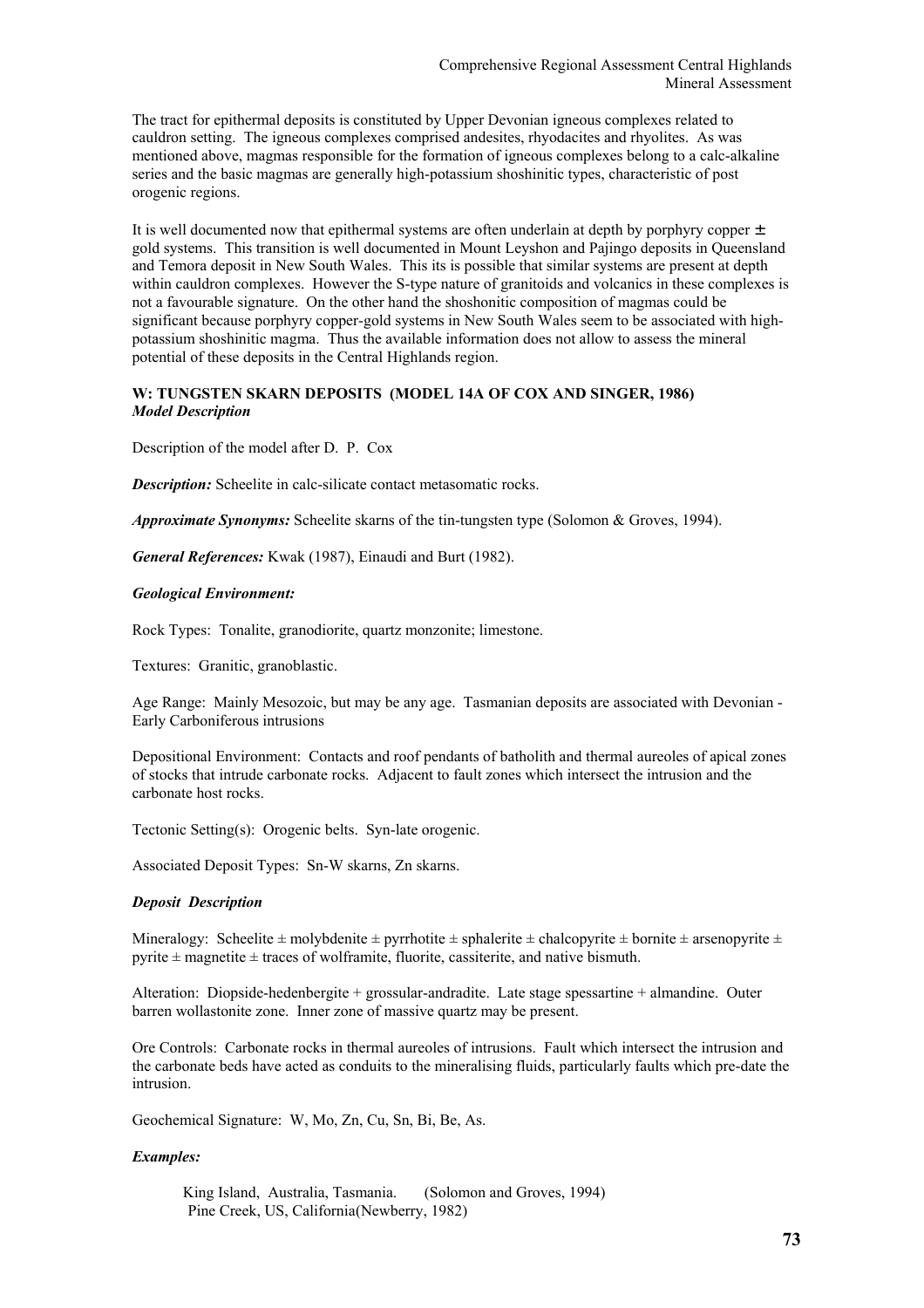The tract for epithermal deposits is constituted by Upper Devonian igneous complexes related to cauldron setting. The igneous complexes comprised andesites, rhyodacites and rhyolites. As was mentioned above, magmas responsible for the formation of igneous complexes belong to a calc-alkaline series and the basic magmas are generally high-potassium shoshinitic types, characteristic of post orogenic regions.

It is well documented now that epithermal systems are often underlain at depth by porphyry copper  $\pm$ gold systems. This transition is well documented in Mount Leyshon and Pajingo deposits in Queensland and Temora deposit in New South Wales. This its is possible that similar systems are present at depth within cauldron complexes. However the S-type nature of granitoids and volcanics in these complexes is not a favourable signature. On the other hand the shoshonitic composition of magmas could be significant because porphyry copper-gold systems in New South Wales seem to be associated with highpotassium shoshinitic magma. Thus the available information does not allow to assess the mineral potential of these deposits in the Central Highlands region.

# **W: TUNGSTEN SKARN DEPOSITS (MODEL 14A OF COX AND SINGER, 1986)** *Model Description*

Description of the model after D. P. Cox

*Description:* Scheelite in calc-silicate contact metasomatic rocks.

*Approximate Synonyms:* Scheelite skarns of the tin-tungsten type (Solomon & Groves, 1994).

*General References:* Kwak (1987), Einaudi and Burt (1982).

### *Geological Environment:*

Rock Types: Tonalite, granodiorite, quartz monzonite; limestone.

Textures: Granitic, granoblastic.

Age Range: Mainly Mesozoic, but may be any age. Tasmanian deposits are associated with Devonian - Early Carboniferous intrusions

Depositional Environment: Contacts and roof pendants of batholith and thermal aureoles of apical zones of stocks that intrude carbonate rocks. Adjacent to fault zones which intersect the intrusion and the carbonate host rocks.

Tectonic Setting(s): Orogenic belts. Syn-late orogenic.

Associated Deposit Types: Sn-W skarns, Zn skarns.

# *Deposit Description*

Mineralogy: Scheelite  $\pm$  molybdenite  $\pm$  pyrrhotite  $\pm$  sphalerite  $\pm$  chalcopyrite  $\pm$  bornite  $\pm$  arsenopyrite  $\pm$ pyrite  $\pm$  magnetite  $\pm$  traces of wolframite, fluorite, cassiterite, and native bismuth.

Alteration: Diopside-hedenbergite + grossular-andradite. Late stage spessartine + almandine. Outer barren wollastonite zone. Inner zone of massive quartz may be present.

Ore Controls: Carbonate rocks in thermal aureoles of intrusions. Fault which intersect the intrusion and the carbonate beds have acted as conduits to the mineralising fluids, particularly faults which pre-date the intrusion.

Geochemical Signature: W, Mo, Zn, Cu, Sn, Bi, Be, As.

# *Examples:*

 King Island, Australia, Tasmania. (Solomon and Groves, 1994) Pine Creek, US, California (Newberry, 1982)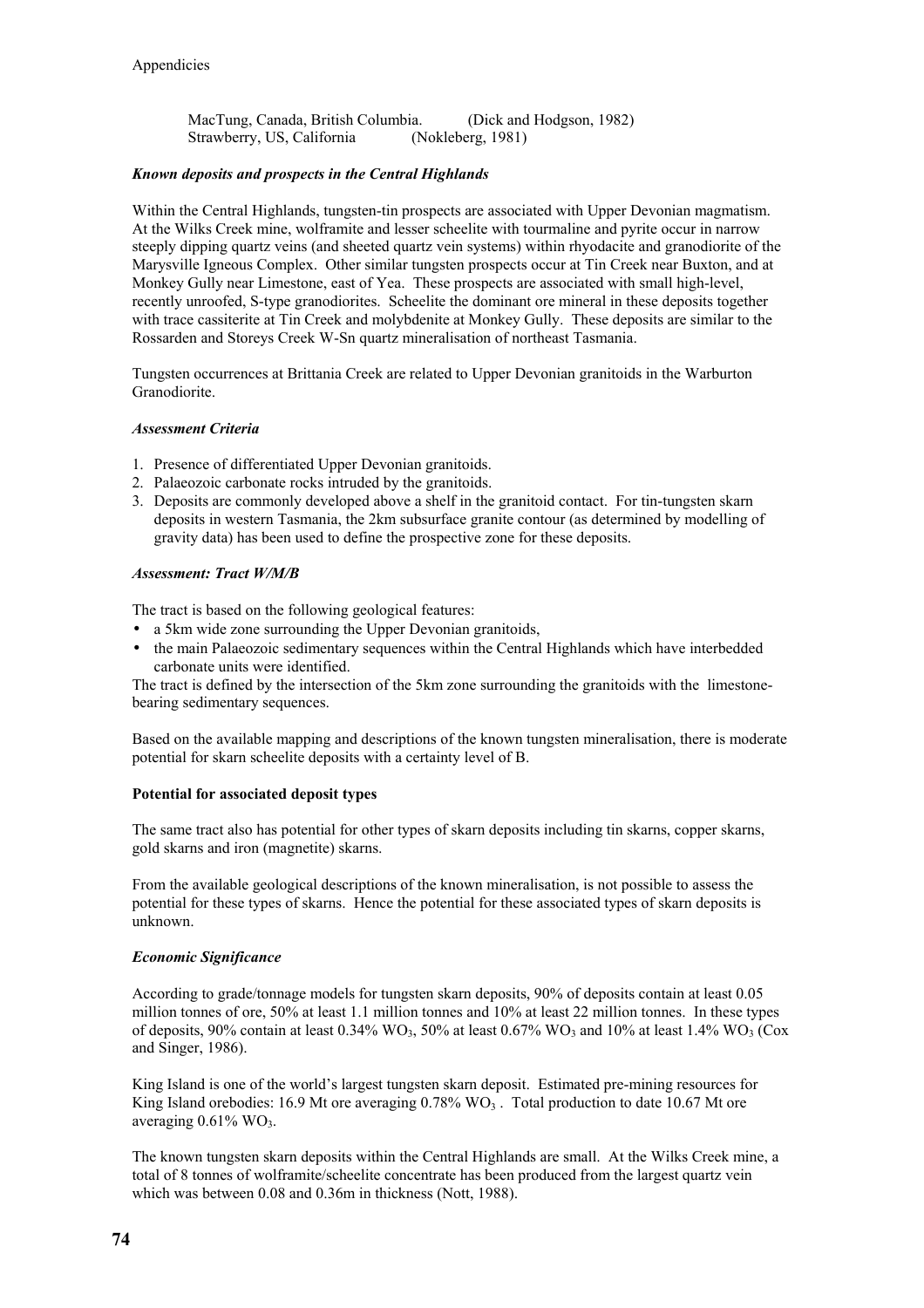MacTung, Canada, British Columbia. (Dick and Hodgson, 1982) Strawberry, US, California (Nokleberg, 1981)

# *Known deposits and prospects in the Central Highlands*

Within the Central Highlands, tungsten-tin prospects are associated with Upper Devonian magmatism. At the Wilks Creek mine, wolframite and lesser scheelite with tourmaline and pyrite occur in narrow steeply dipping quartz veins (and sheeted quartz vein systems) within rhyodacite and granodiorite of the Marysville Igneous Complex. Other similar tungsten prospects occur at Tin Creek near Buxton, and at Monkey Gully near Limestone, east of Yea. These prospects are associated with small high-level, recently unroofed, S-type granodiorites. Scheelite the dominant ore mineral in these deposits together with trace cassiterite at Tin Creek and molybdenite at Monkey Gully. These deposits are similar to the Rossarden and Storeys Creek W-Sn quartz mineralisation of northeast Tasmania.

Tungsten occurrences at Brittania Creek are related to Upper Devonian granitoids in the Warburton Granodiorite.

# *Assessment Criteria*

- 1. Presence of differentiated Upper Devonian granitoids.
- 2. Palaeozoic carbonate rocks intruded by the granitoids.
- 3. Deposits are commonly developed above a shelf in the granitoid contact. For tin-tungsten skarn deposits in western Tasmania, the 2km subsurface granite contour (as determined by modelling of gravity data) has been used to define the prospective zone for these deposits.

### *Assessment: Tract W/M/B*

The tract is based on the following geological features:

- a 5km wide zone surrounding the Upper Devonian granitoids,
- the main Palaeozoic sedimentary sequences within the Central Highlands which have interbedded carbonate units were identified.

The tract is defined by the intersection of the 5km zone surrounding the granitoids with the limestonebearing sedimentary sequences.

Based on the available mapping and descriptions of the known tungsten mineralisation, there is moderate potential for skarn scheelite deposits with a certainty level of B.

# **Potential for associated deposit types**

The same tract also has potential for other types of skarn deposits including tin skarns, copper skarns, gold skarns and iron (magnetite) skarns.

From the available geological descriptions of the known mineralisation, is not possible to assess the potential for these types of skarns. Hence the potential for these associated types of skarn deposits is unknown.

# *Economic Significance*

According to grade/tonnage models for tungsten skarn deposits, 90% of deposits contain at least 0.05 million tonnes of ore, 50% at least 1.1 million tonnes and 10% at least 22 million tonnes. In these types of deposits, 90% contain at least  $0.34\%$  WO<sub>3</sub>, 50% at least  $0.67\%$  WO<sub>3</sub> and 10% at least 1.4% WO<sub>3</sub> (Cox and Singer, 1986).

King Island is one of the world's largest tungsten skarn deposit. Estimated pre-mining resources for King Island orebodies: 16.9 Mt ore averaging  $0.78\%$  WO<sub>3</sub>. Total production to date 10.67 Mt ore averaging  $0.61\%$  WO<sub>3</sub>.

The known tungsten skarn deposits within the Central Highlands are small. At the Wilks Creek mine, a total of 8 tonnes of wolframite/scheelite concentrate has been produced from the largest quartz vein which was between 0.08 and 0.36m in thickness (Nott, 1988).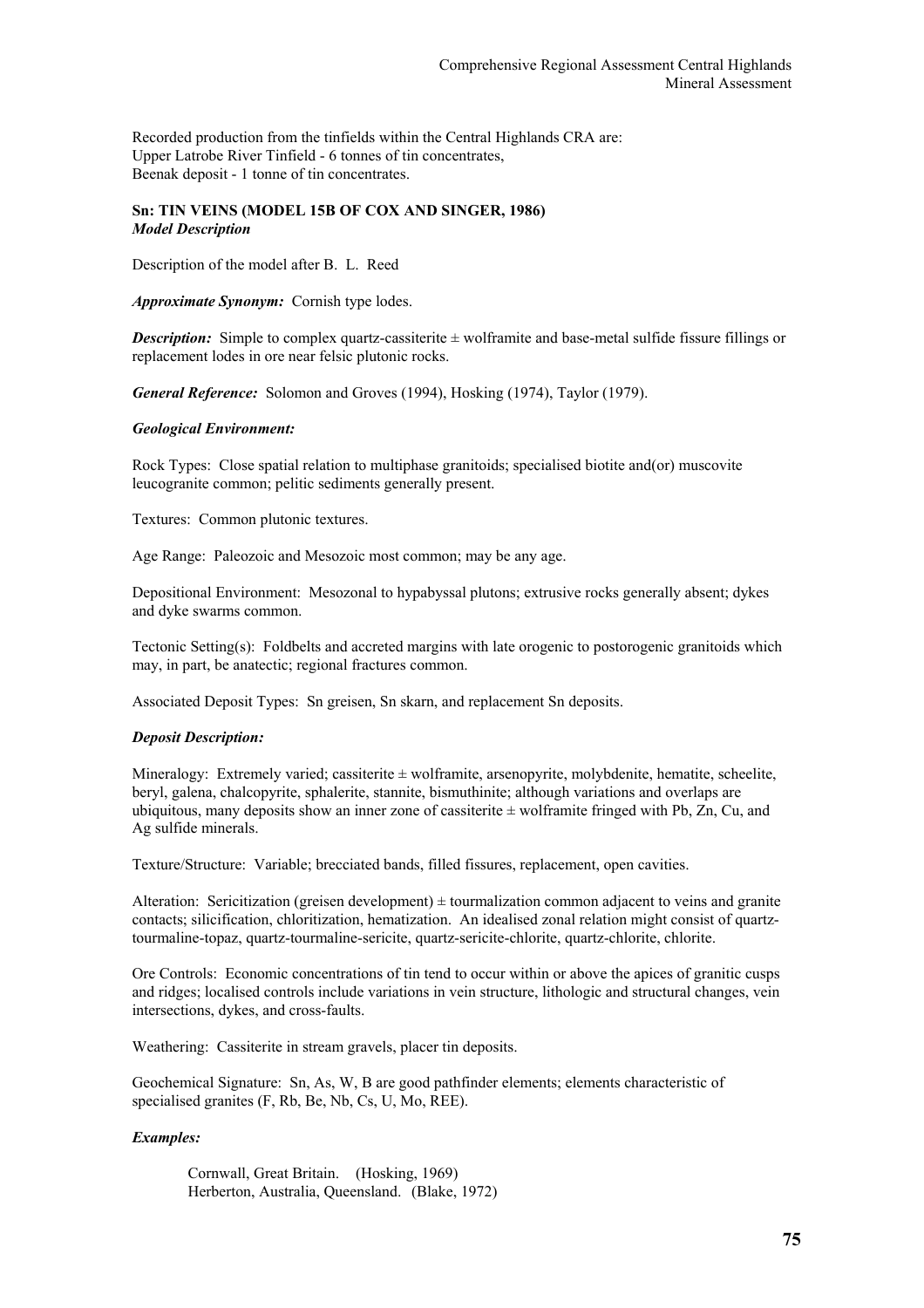Recorded production from the tinfields within the Central Highlands CRA are: Upper Latrobe River Tinfield - 6 tonnes of tin concentrates, Beenak deposit - 1 tonne of tin concentrates.

# **Sn: TIN VEINS (MODEL 15B OF COX AND SINGER, 1986)**  *Model Description*

Description of the model after B. L. Reed

*Approximate Synonym:* Cornish type lodes.

**Description:** Simple to complex quartz-cassiterite  $\pm$  wolframite and base-metal sulfide fissure fillings or replacement lodes in ore near felsic plutonic rocks.

*General Reference:* Solomon and Groves (1994), Hosking (1974), Taylor (1979).

### *Geological Environment:*

Rock Types: Close spatial relation to multiphase granitoids; specialised biotite and(or) muscovite leucogranite common; pelitic sediments generally present.

Textures: Common plutonic textures.

Age Range: Paleozoic and Mesozoic most common; may be any age.

Depositional Environment: Mesozonal to hypabyssal plutons; extrusive rocks generally absent; dykes and dyke swarms common.

Tectonic Setting(s): Foldbelts and accreted margins with late orogenic to postorogenic granitoids which may, in part, be anatectic; regional fractures common.

Associated Deposit Types: Sn greisen, Sn skarn, and replacement Sn deposits.

# *Deposit Description:*

Mineralogy: Extremely varied; cassiterite  $\pm$  wolframite, arsenopyrite, molybdenite, hematite, scheelite, beryl, galena, chalcopyrite, sphalerite, stannite, bismuthinite; although variations and overlaps are ubiquitous, many deposits show an inner zone of cassiterite  $\pm$  wolframite fringed with Pb, Zn, Cu, and Ag sulfide minerals.

Texture/Structure: Variable; brecciated bands, filled fissures, replacement, open cavities.

Alteration: Sericitization (greisen development)  $\pm$  tourmalization common adjacent to veins and granite contacts; silicification, chloritization, hematization. An idealised zonal relation might consist of quartztourmaline-topaz, quartz-tourmaline-sericite, quartz-sericite-chlorite, quartz-chlorite, chlorite.

Ore Controls: Economic concentrations of tin tend to occur within or above the apices of granitic cusps and ridges; localised controls include variations in vein structure, lithologic and structural changes, vein intersections, dykes, and cross-faults.

Weathering: Cassiterite in stream gravels, placer tin deposits.

Geochemical Signature: Sn, As, W, B are good pathfinder elements; elements characteristic of specialised granites (F, Rb, Be, Nb, Cs, U, Mo, REE).

# *Examples:*

 Cornwall, Great Britain. (Hosking, 1969) Herberton, Australia, Queensland. (Blake, 1972)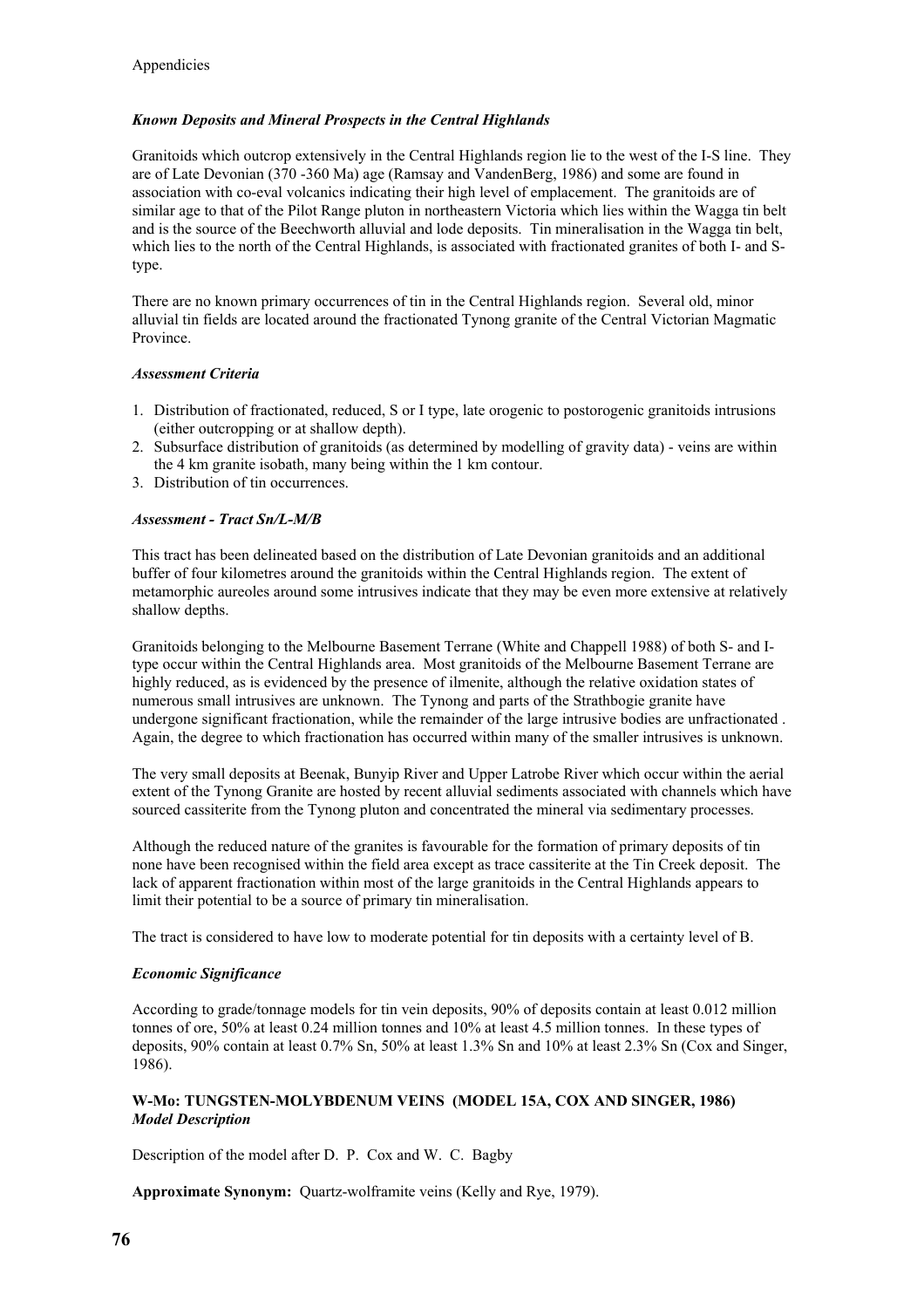# *Known Deposits and Mineral Prospects in the Central Highlands*

Granitoids which outcrop extensively in the Central Highlands region lie to the west of the I-S line. They are of Late Devonian (370 -360 Ma) age (Ramsay and VandenBerg, 1986) and some are found in association with co-eval volcanics indicating their high level of emplacement. The granitoids are of similar age to that of the Pilot Range pluton in northeastern Victoria which lies within the Wagga tin belt and is the source of the Beechworth alluvial and lode deposits. Tin mineralisation in the Wagga tin belt, which lies to the north of the Central Highlands, is associated with fractionated granites of both I- and Stype.

There are no known primary occurrences of tin in the Central Highlands region. Several old, minor alluvial tin fields are located around the fractionated Tynong granite of the Central Victorian Magmatic Province.

# *Assessment Criteria*

- 1. Distribution of fractionated, reduced, S or I type, late orogenic to postorogenic granitoids intrusions (either outcropping or at shallow depth).
- 2. Subsurface distribution of granitoids (as determined by modelling of gravity data) veins are within the 4 km granite isobath, many being within the 1 km contour.
- 3. Distribution of tin occurrences.

# *Assessment - Tract Sn/L-M/B*

This tract has been delineated based on the distribution of Late Devonian granitoids and an additional buffer of four kilometres around the granitoids within the Central Highlands region. The extent of metamorphic aureoles around some intrusives indicate that they may be even more extensive at relatively shallow depths.

Granitoids belonging to the Melbourne Basement Terrane (White and Chappell 1988) of both S- and Itype occur within the Central Highlands area. Most granitoids of the Melbourne Basement Terrane are highly reduced, as is evidenced by the presence of ilmenite, although the relative oxidation states of numerous small intrusives are unknown. The Tynong and parts of the Strathbogie granite have undergone significant fractionation, while the remainder of the large intrusive bodies are unfractionated . Again, the degree to which fractionation has occurred within many of the smaller intrusives is unknown.

The very small deposits at Beenak, Bunyip River and Upper Latrobe River which occur within the aerial extent of the Tynong Granite are hosted by recent alluvial sediments associated with channels which have sourced cassiterite from the Tynong pluton and concentrated the mineral via sedimentary processes.

Although the reduced nature of the granites is favourable for the formation of primary deposits of tin none have been recognised within the field area except as trace cassiterite at the Tin Creek deposit. The lack of apparent fractionation within most of the large granitoids in the Central Highlands appears to limit their potential to be a source of primary tin mineralisation.

The tract is considered to have low to moderate potential for tin deposits with a certainty level of B.

# *Economic Significance*

According to grade/tonnage models for tin vein deposits, 90% of deposits contain at least 0.012 million tonnes of ore, 50% at least 0.24 million tonnes and 10% at least 4.5 million tonnes. In these types of deposits, 90% contain at least 0.7% Sn, 50% at least 1.3% Sn and 10% at least 2.3% Sn (Cox and Singer, 1986).

# **W-Mo: TUNGSTEN-MOLYBDENUM VEINS (MODEL 15A, COX AND SINGER, 1986)**  *Model Description*

Description of the model after D. P. Cox and W. C. Bagby

**Approximate Synonym:** Quartz-wolframite veins (Kelly and Rye, 1979).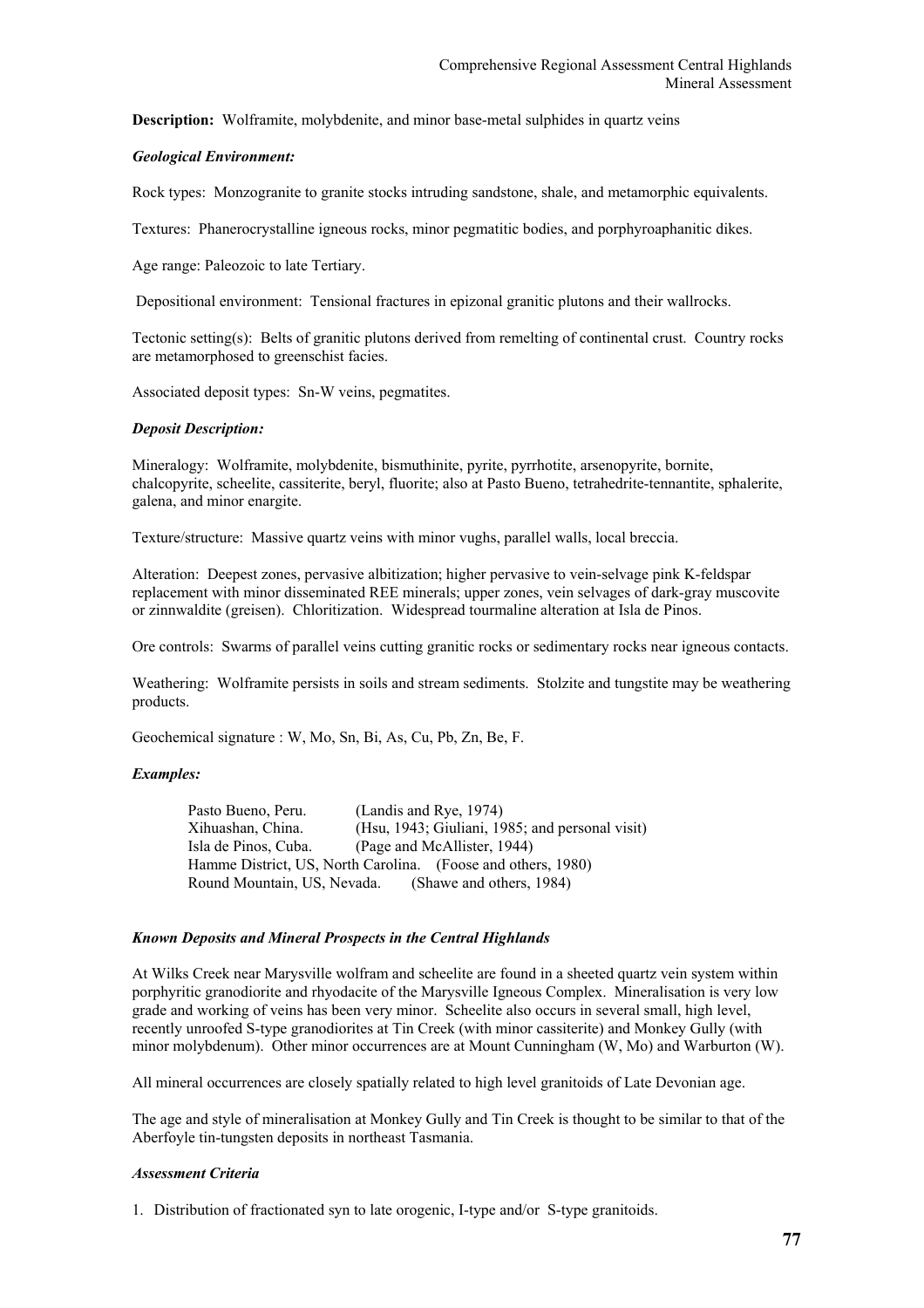**Description:** Wolframite, molybdenite, and minor base-metal sulphides in quartz veins

### *Geological Environment:*

Rock types: Monzogranite to granite stocks intruding sandstone, shale, and metamorphic equivalents.

Textures: Phanerocrystalline igneous rocks, minor pegmatitic bodies, and porphyroaphanitic dikes.

Age range: Paleozoic to late Tertiary.

Depositional environment: Tensional fractures in epizonal granitic plutons and their wallrocks.

Tectonic setting(s): Belts of granitic plutons derived from remelting of continental crust. Country rocks are metamorphosed to greenschist facies.

Associated deposit types: Sn-W veins, pegmatites.

### *Deposit Description:*

Mineralogy: Wolframite, molybdenite, bismuthinite, pyrite, pyrrhotite, arsenopyrite, bornite, chalcopyrite, scheelite, cassiterite, beryl, fluorite; also at Pasto Bueno, tetrahedrite-tennantite, sphalerite, galena, and minor enargite.

Texture/structure: Massive quartz veins with minor vughs, parallel walls, local breccia.

Alteration: Deepest zones, pervasive albitization; higher pervasive to vein-selvage pink K-feldspar replacement with minor disseminated REE minerals; upper zones, vein selvages of dark-gray muscovite or zinnwaldite (greisen). Chloritization. Widespread tourmaline alteration at Isla de Pinos.

Ore controls: Swarms of parallel veins cutting granitic rocks or sedimentary rocks near igneous contacts.

Weathering: Wolframite persists in soils and stream sediments. Stolzite and tungstite may be weathering products.

Geochemical signature : W, Mo, Sn, Bi, As, Cu, Pb, Zn, Be, F.

# *Examples:*

 Pasto Bueno, Peru. (Landis and Rye, 1974) Xihuashan, China. (Hsu, 1943; Giuliani, 1985; and personal visit) Isla de Pinos, Cuba. (Page and McAllister, 1944) Hamme District, US, North Carolina. (Foose and others, 1980) Round Mountain, US, Nevada. (Shawe and others, 1984)

#### *Known Deposits and Mineral Prospects in the Central Highlands*

At Wilks Creek near Marysville wolfram and scheelite are found in a sheeted quartz vein system within porphyritic granodiorite and rhyodacite of the Marysville Igneous Complex. Mineralisation is very low grade and working of veins has been very minor. Scheelite also occurs in several small, high level, recently unroofed S-type granodiorites at Tin Creek (with minor cassiterite) and Monkey Gully (with minor molybdenum). Other minor occurrences are at Mount Cunningham (W, Mo) and Warburton (W).

All mineral occurrences are closely spatially related to high level granitoids of Late Devonian age.

The age and style of mineralisation at Monkey Gully and Tin Creek is thought to be similar to that of the Aberfoyle tin-tungsten deposits in northeast Tasmania.

#### *Assessment Criteria*

1. Distribution of fractionated syn to late orogenic, I-type and/or S-type granitoids.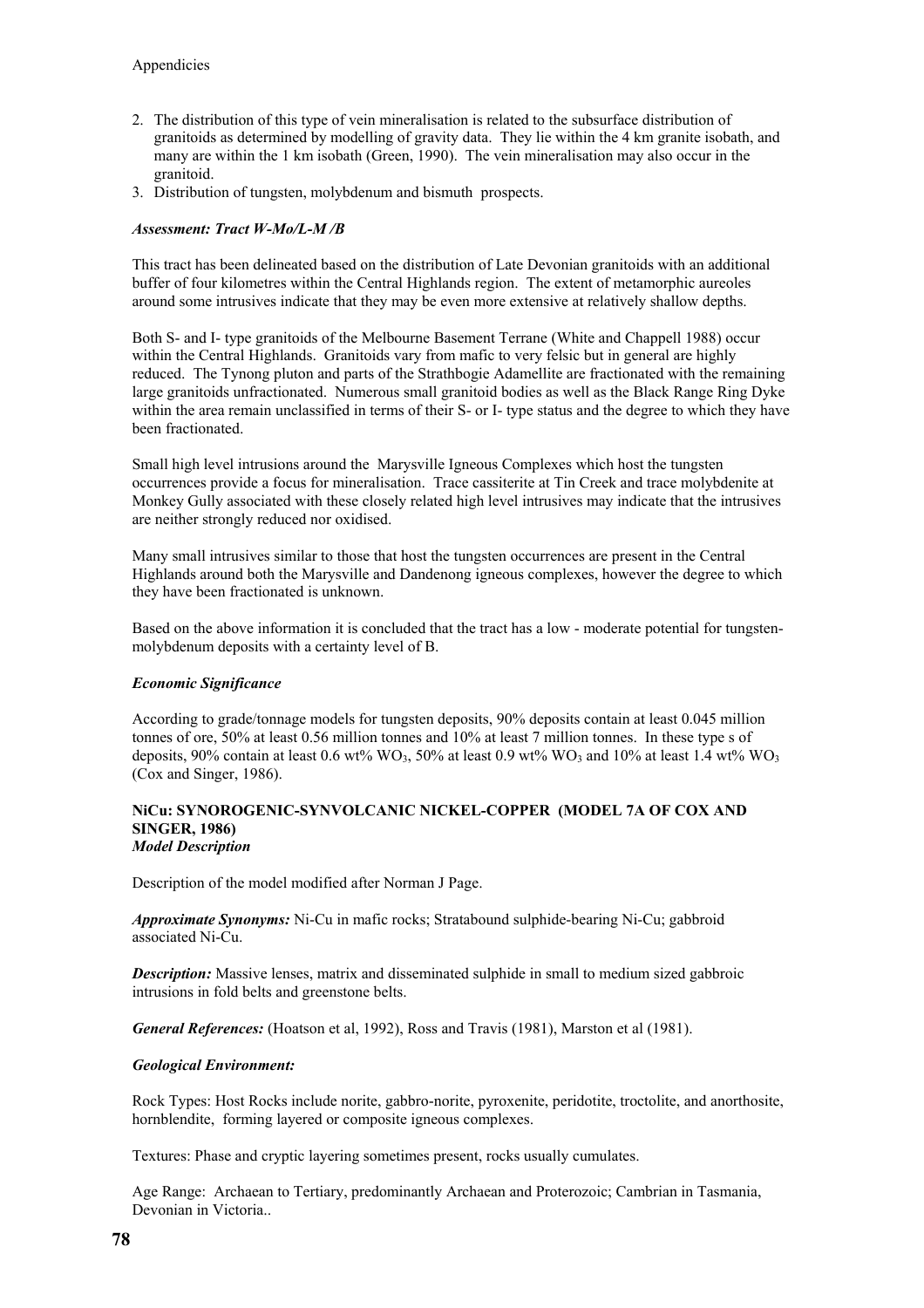- 2. The distribution of this type of vein mineralisation is related to the subsurface distribution of granitoids as determined by modelling of gravity data. They lie within the 4 km granite isobath, and many are within the 1 km isobath (Green, 1990). The vein mineralisation may also occur in the granitoid.
- 3. Distribution of tungsten, molybdenum and bismuth prospects.

# *Assessment: Tract W-Mo/L-M /B*

This tract has been delineated based on the distribution of Late Devonian granitoids with an additional buffer of four kilometres within the Central Highlands region. The extent of metamorphic aureoles around some intrusives indicate that they may be even more extensive at relatively shallow depths.

Both S- and I- type granitoids of the Melbourne Basement Terrane (White and Chappell 1988) occur within the Central Highlands. Granitoids vary from mafic to very felsic but in general are highly reduced. The Tynong pluton and parts of the Strathbogie Adamellite are fractionated with the remaining large granitoids unfractionated. Numerous small granitoid bodies as well as the Black Range Ring Dyke within the area remain unclassified in terms of their S- or I- type status and the degree to which they have been fractionated.

Small high level intrusions around the Marysville Igneous Complexes which host the tungsten occurrences provide a focus for mineralisation. Trace cassiterite at Tin Creek and trace molybdenite at Monkey Gully associated with these closely related high level intrusives may indicate that the intrusives are neither strongly reduced nor oxidised.

Many small intrusives similar to those that host the tungsten occurrences are present in the Central Highlands around both the Marysville and Dandenong igneous complexes, however the degree to which they have been fractionated is unknown.

Based on the above information it is concluded that the tract has a low - moderate potential for tungstenmolybdenum deposits with a certainty level of B.

# *Economic Significance*

According to grade/tonnage models for tungsten deposits, 90% deposits contain at least 0.045 million tonnes of ore, 50% at least 0.56 million tonnes and 10% at least 7 million tonnes. In these type s of deposits, 90% contain at least 0.6 wt% WO<sub>3</sub>, 50% at least 0.9 wt% WO<sub>3</sub> and 10% at least 1.4 wt% WO<sub>3</sub> (Cox and Singer, 1986).

## **NiCu: SYNOROGENIC-SYNVOLCANIC NICKEL-COPPER (MODEL 7A OF COX AND SINGER, 1986)**  *Model Description*

Description of the model modified after Norman J Page.

*Approximate Synonyms:* Ni-Cu in mafic rocks; Stratabound sulphide-bearing Ni-Cu; gabbroid associated Ni-Cu.

*Description:* Massive lenses, matrix and disseminated sulphide in small to medium sized gabbroic intrusions in fold belts and greenstone belts.

*General References:* (Hoatson et al, 1992), Ross and Travis (1981), Marston et al (1981).

# *Geological Environment:*

Rock Types: Host Rocks include norite, gabbro-norite, pyroxenite, peridotite, troctolite, and anorthosite, hornblendite, forming layered or composite igneous complexes.

Textures: Phase and cryptic layering sometimes present, rocks usually cumulates.

Age Range: Archaean to Tertiary, predominantly Archaean and Proterozoic; Cambrian in Tasmania, Devonian in Victoria..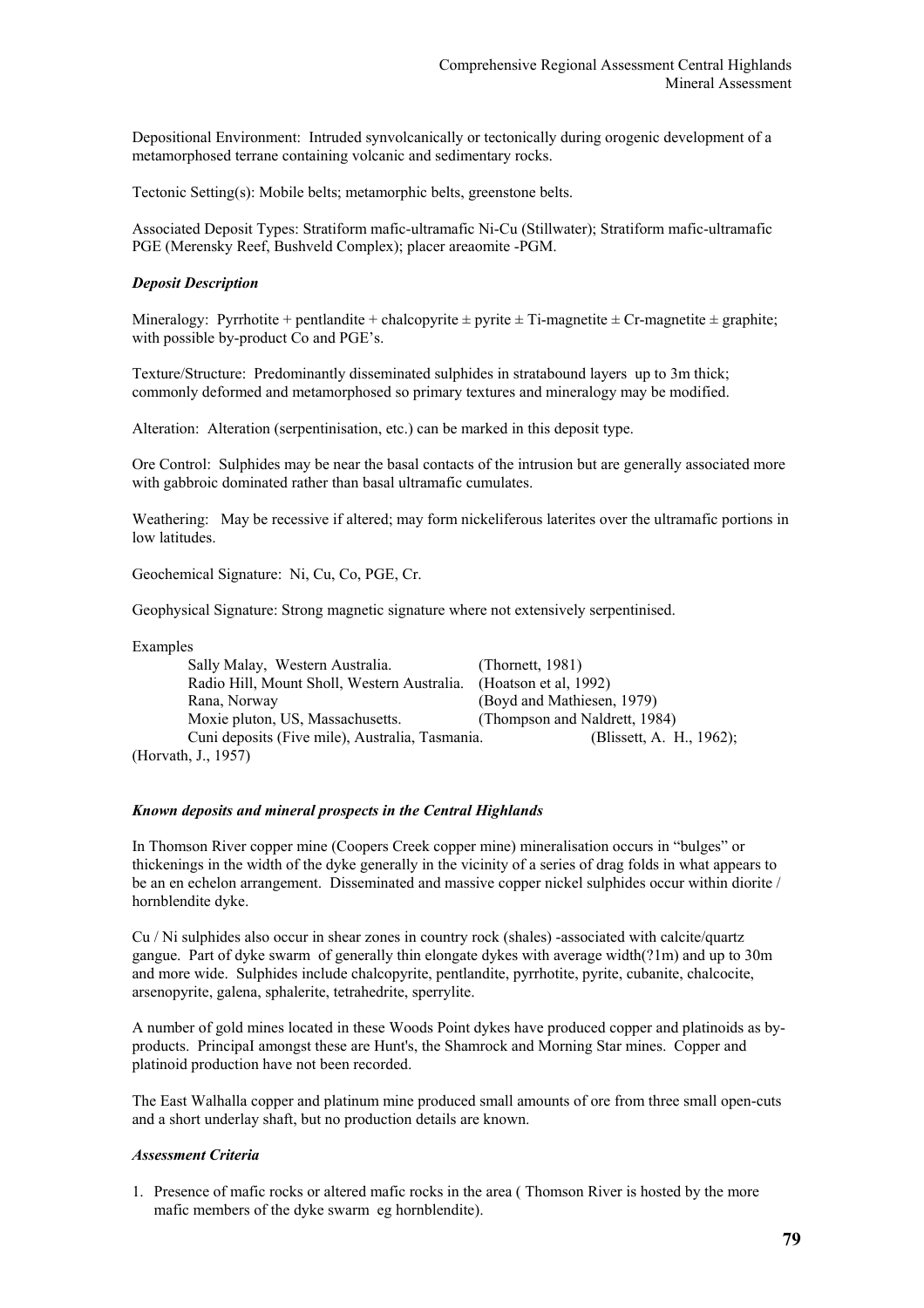Depositional Environment: Intruded synvolcanically or tectonically during orogenic development of a metamorphosed terrane containing volcanic and sedimentary rocks.

Tectonic Setting(s): Mobile belts; metamorphic belts, greenstone belts.

Associated Deposit Types: Stratiform mafic-ultramafic Ni-Cu (Stillwater); Stratiform mafic-ultramafic PGE (Merensky Reef, Bushveld Complex); placer areaomite -PGM.

## *Deposit Description*

Mineralogy: Pyrrhotite + pentlandite + chalcopyrite  $\pm$  pyrite  $\pm$  Ti-magnetite  $\pm$  Cr-magnetite  $\pm$  graphite; with possible by-product Co and PGE's.

Texture/Structure: Predominantly disseminated sulphides in stratabound layers up to 3m thick; commonly deformed and metamorphosed so primary textures and mineralogy may be modified.

Alteration: Alteration (serpentinisation, etc.) can be marked in this deposit type.

Ore Control: Sulphides may be near the basal contacts of the intrusion but are generally associated more with gabbroic dominated rather than basal ultramafic cumulates.

Weathering: May be recessive if altered; may form nickeliferous laterites over the ultramafic portions in low latitudes.

Geochemical Signature: Ni, Cu, Co, PGE, Cr.

Geophysical Signature: Strong magnetic signature where not extensively serpentinised.

| Examples                                        |                               |
|-------------------------------------------------|-------------------------------|
| Sally Malay, Western Australia.                 | (Thornett, $1981$ )           |
| Radio Hill, Mount Sholl, Western Australia.     | (Hoatson et al, 1992)         |
| Rana, Norway                                    | (Boyd and Mathiesen, 1979)    |
| Moxie pluton, US, Massachusetts.                | (Thompson and Naldrett, 1984) |
| Cuni deposits (Five mile), Australia, Tasmania. | (Blissett, A. H., 1962);      |
| (Horvath, J., 1957)                             |                               |

# *Known deposits and mineral prospects in the Central Highlands*

In Thomson River copper mine (Coopers Creek copper mine) mineralisation occurs in "bulges" or thickenings in the width of the dyke generally in the vicinity of a series of drag folds in what appears to be an en echelon arrangement. Disseminated and massive copper nickel sulphides occur within diorite / hornblendite dyke.

Cu / Ni sulphides also occur in shear zones in country rock (shales) -associated with calcite/quartz gangue. Part of dyke swarm of generally thin elongate dykes with average width(?1m) and up to 30m and more wide. Sulphides include chalcopyrite, pentlandite, pyrrhotite, pyrite, cubanite, chalcocite, arsenopyrite, galena, sphalerite, tetrahedrite, sperrylite.

A number of gold mines located in these Woods Point dykes have produced copper and platinoids as byproducts. PrincipaI amongst these are Hunt's, the Shamrock and Morning Star mines. Copper and platinoid production have not been recorded.

The East Walhalla copper and platinum mine produced small amounts of ore from three small open-cuts and a short underlay shaft, but no production details are known.

#### *Assessment Criteria*

1. Presence of mafic rocks or altered mafic rocks in the area ( Thomson River is hosted by the more mafic members of the dyke swarm eg hornblendite).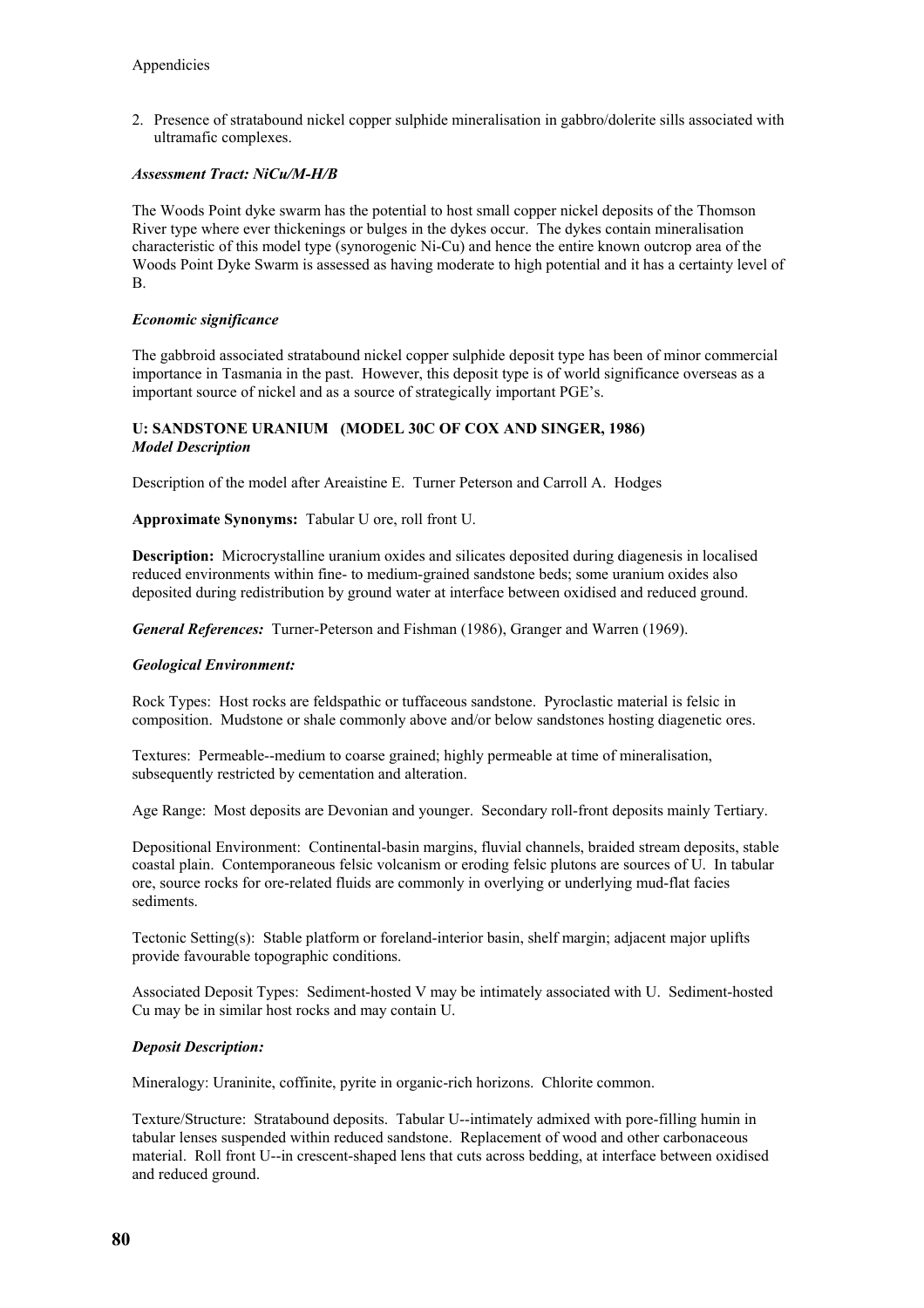# Appendicies

2. Presence of stratabound nickel copper sulphide mineralisation in gabbro/dolerite sills associated with ultramafic complexes.

# *Assessment Tract: NiCu/M-H/B*

The Woods Point dyke swarm has the potential to host small copper nickel deposits of the Thomson River type where ever thickenings or bulges in the dykes occur. The dykes contain mineralisation characteristic of this model type (synorogenic Ni-Cu) and hence the entire known outcrop area of the Woods Point Dyke Swarm is assessed as having moderate to high potential and it has a certainty level of B.

# *Economic significance*

The gabbroid associated stratabound nickel copper sulphide deposit type has been of minor commercial importance in Tasmania in the past. However, this deposit type is of world significance overseas as a important source of nickel and as a source of strategically important PGE's.

# **U: SANDSTONE URANIUM (MODEL 30C OF COX AND SINGER, 1986)**  *Model Description*

Description of the model after Areaistine E. Turner Peterson and Carroll A. Hodges

**Approximate Synonyms:** Tabular U ore, roll front U.

**Description:** Microcrystalline uranium oxides and silicates deposited during diagenesis in localised reduced environments within fine- to medium-grained sandstone beds; some uranium oxides also deposited during redistribution by ground water at interface between oxidised and reduced ground.

*General References:* Turner-Peterson and Fishman (1986), Granger and Warren (1969).

# *Geological Environment:*

Rock Types: Host rocks are feldspathic or tuffaceous sandstone. Pyroclastic material is felsic in composition. Mudstone or shale commonly above and/or below sandstones hosting diagenetic ores.

Textures: Permeable--medium to coarse grained; highly permeable at time of mineralisation, subsequently restricted by cementation and alteration.

Age Range: Most deposits are Devonian and younger. Secondary roll-front deposits mainly Tertiary.

Depositional Environment: Continental-basin margins, fluvial channels, braided stream deposits, stable coastal plain. Contemporaneous felsic volcanism or eroding felsic plutons are sources of U. In tabular ore, source rocks for ore-related fluids are commonly in overlying or underlying mud-flat facies sediments.

Tectonic Setting(s): Stable platform or foreland-interior basin, shelf margin; adjacent major uplifts provide favourable topographic conditions.

Associated Deposit Types: Sediment-hosted V may be intimately associated with U. Sediment-hosted Cu may be in similar host rocks and may contain U.

# *Deposit Description:*

Mineralogy: Uraninite, coffinite, pyrite in organic-rich horizons. Chlorite common.

Texture/Structure: Stratabound deposits. Tabular U--intimately admixed with pore-filling humin in tabular lenses suspended within reduced sandstone. Replacement of wood and other carbonaceous material. Roll front U--in crescent-shaped lens that cuts across bedding, at interface between oxidised and reduced ground.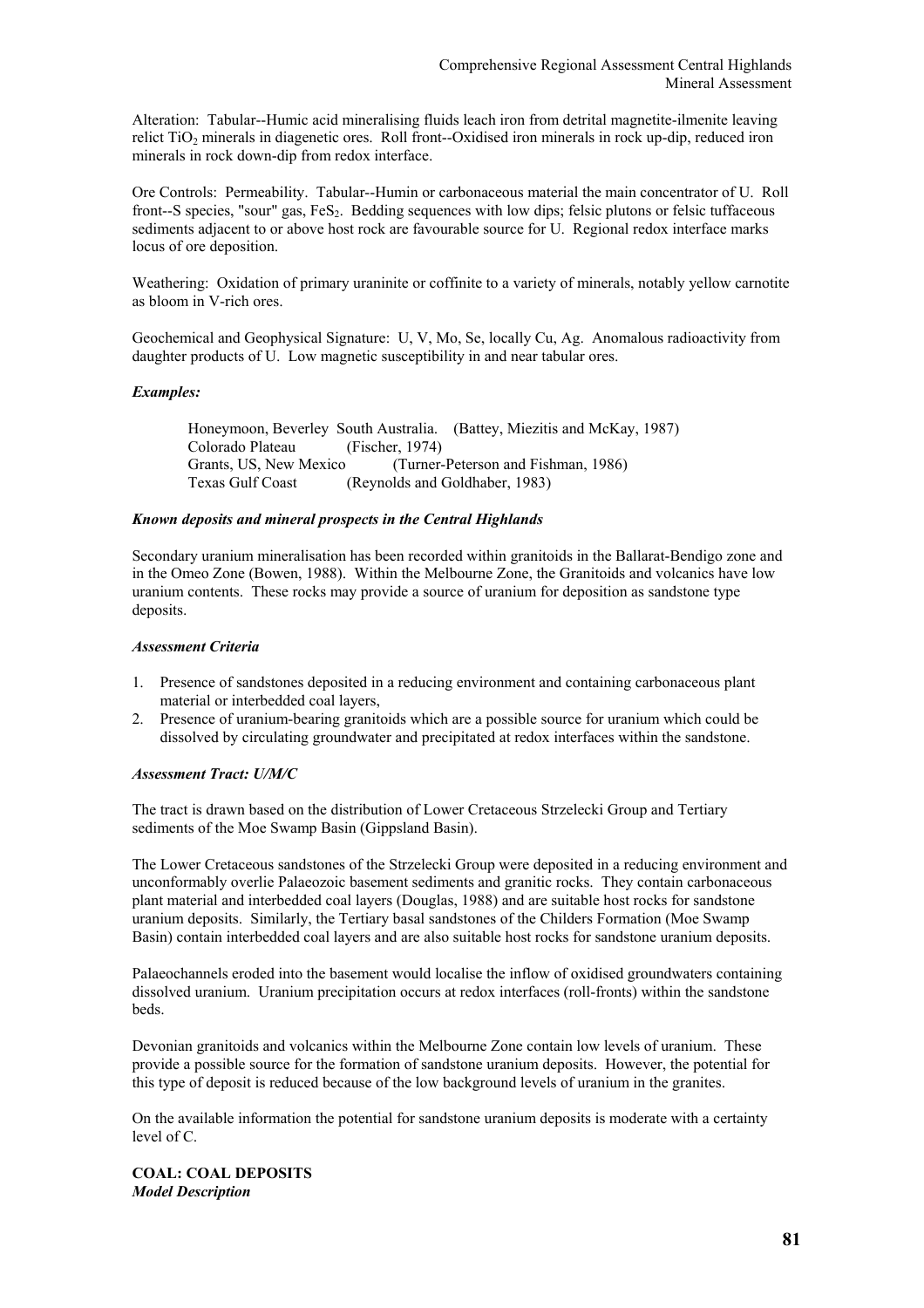Alteration: Tabular--Humic acid mineralising fluids leach iron from detrital magnetite-ilmenite leaving relict TiO2 minerals in diagenetic ores. Roll front--Oxidised iron minerals in rock up-dip, reduced iron minerals in rock down-dip from redox interface.

Ore Controls: Permeability. Tabular--Humin or carbonaceous material the main concentrator of U. Roll front--S species, "sour" gas, FeS<sub>2</sub>. Bedding sequences with low dips; felsic plutons or felsic tuffaceous sediments adjacent to or above host rock are favourable source for U. Regional redox interface marks locus of ore deposition.

Weathering: Oxidation of primary uraninite or coffinite to a variety of minerals, notably yellow carnotite as bloom in V-rich ores.

Geochemical and Geophysical Signature: U, V, Mo, Se, locally Cu, Ag. Anomalous radioactivity from daughter products of U. Low magnetic susceptibility in and near tabular ores.

### *Examples:*

 Honeymoon, Beverley South Australia. (Battey, Miezitis and McKay, 1987) Colorado Plateau (Fischer, 1974) Grants, US, New Mexico (Turner-Peterson and Fishman, 1986) Texas Gulf Coast (Reynolds and Goldhaber, 1983)

# *Known deposits and mineral prospects in the Central Highlands*

Secondary uranium mineralisation has been recorded within granitoids in the Ballarat-Bendigo zone and in the Omeo Zone (Bowen, 1988). Within the Melbourne Zone, the Granitoids and volcanics have low uranium contents. These rocks may provide a source of uranium for deposition as sandstone type deposits.

### *Assessment Criteria*

- 1. Presence of sandstones deposited in a reducing environment and containing carbonaceous plant material or interbedded coal layers,
- 2. Presence of uranium-bearing granitoids which are a possible source for uranium which could be dissolved by circulating groundwater and precipitated at redox interfaces within the sandstone.

# *Assessment Tract: U/M/C*

The tract is drawn based on the distribution of Lower Cretaceous Strzelecki Group and Tertiary sediments of the Moe Swamp Basin (Gippsland Basin).

The Lower Cretaceous sandstones of the Strzelecki Group were deposited in a reducing environment and unconformably overlie Palaeozoic basement sediments and granitic rocks. They contain carbonaceous plant material and interbedded coal layers (Douglas, 1988) and are suitable host rocks for sandstone uranium deposits. Similarly, the Tertiary basal sandstones of the Childers Formation (Moe Swamp Basin) contain interbedded coal layers and are also suitable host rocks for sandstone uranium deposits.

Palaeochannels eroded into the basement would localise the inflow of oxidised groundwaters containing dissolved uranium. Uranium precipitation occurs at redox interfaces (roll-fronts) within the sandstone beds.

Devonian granitoids and volcanics within the Melbourne Zone contain low levels of uranium. These provide a possible source for the formation of sandstone uranium deposits. However, the potential for this type of deposit is reduced because of the low background levels of uranium in the granites.

On the available information the potential for sandstone uranium deposits is moderate with a certainty level of C.

## **COAL: COAL DEPOSITS**  *Model Description*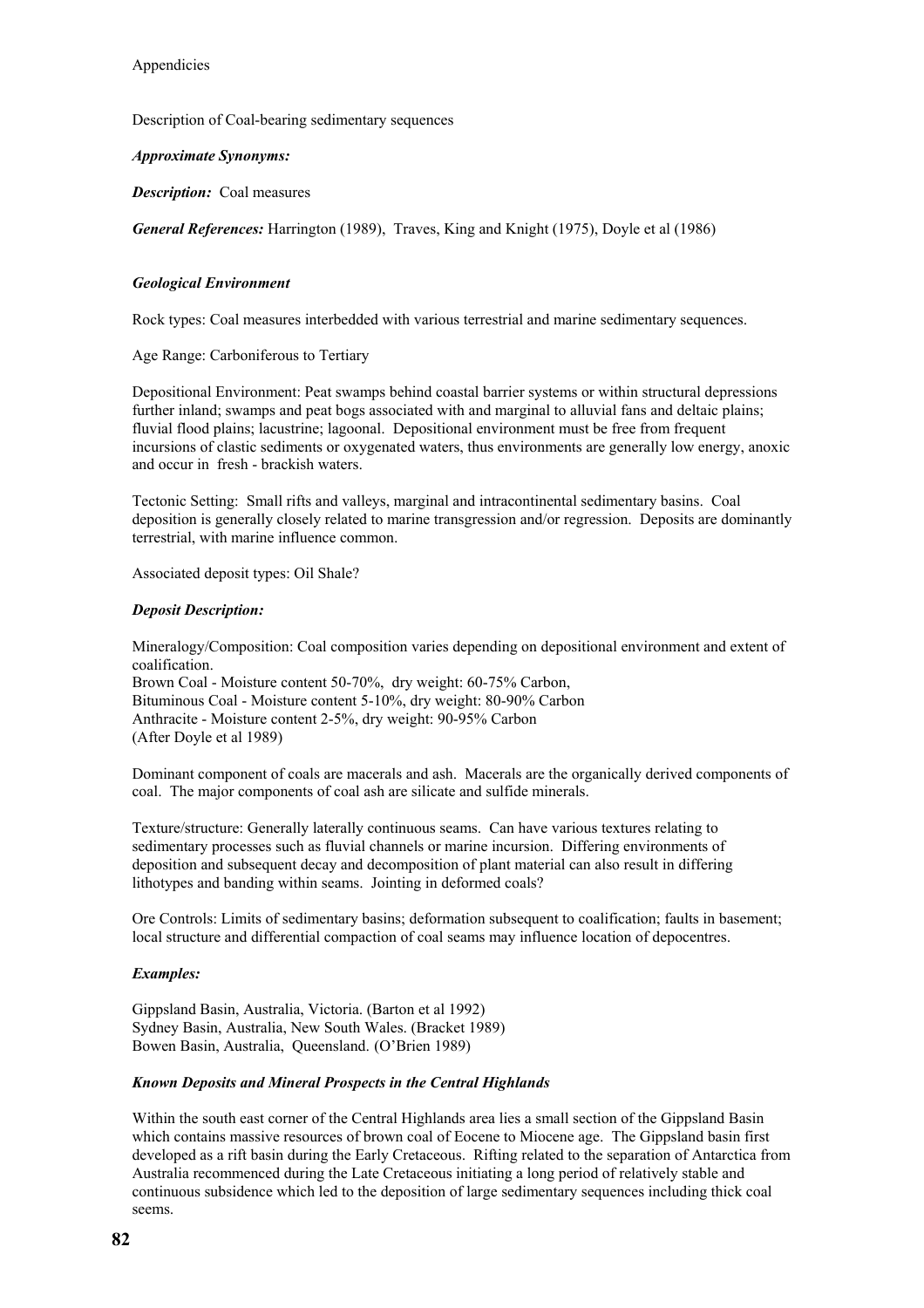Appendicies

Description of Coal-bearing sedimentary sequences

*Approximate Synonyms:*

*Description:* Coal measures

*General References:* Harrington (1989), Traves, King and Knight (1975), Doyle et al (1986)

## *Geological Environment*

Rock types: Coal measures interbedded with various terrestrial and marine sedimentary sequences.

Age Range: Carboniferous to Tertiary

Depositional Environment: Peat swamps behind coastal barrier systems or within structural depressions further inland; swamps and peat bogs associated with and marginal to alluvial fans and deltaic plains; fluvial flood plains; lacustrine; lagoonal. Depositional environment must be free from frequent incursions of clastic sediments or oxygenated waters, thus environments are generally low energy, anoxic and occur in fresh - brackish waters.

Tectonic Setting: Small rifts and valleys, marginal and intracontinental sedimentary basins. Coal deposition is generally closely related to marine transgression and/or regression. Deposits are dominantly terrestrial, with marine influence common.

Associated deposit types: Oil Shale?

### *Deposit Description:*

Mineralogy/Composition: Coal composition varies depending on depositional environment and extent of coalification. Brown Coal - Moisture content 50-70%, dry weight: 60-75% Carbon, Bituminous Coal - Moisture content 5-10%, dry weight: 80-90% Carbon Anthracite - Moisture content 2-5%, dry weight: 90-95% Carbon (After Doyle et al 1989)

Dominant component of coals are macerals and ash. Macerals are the organically derived components of coal. The major components of coal ash are silicate and sulfide minerals.

Texture/structure: Generally laterally continuous seams. Can have various textures relating to sedimentary processes such as fluvial channels or marine incursion. Differing environments of deposition and subsequent decay and decomposition of plant material can also result in differing lithotypes and banding within seams. Jointing in deformed coals?

Ore Controls: Limits of sedimentary basins; deformation subsequent to coalification; faults in basement; local structure and differential compaction of coal seams may influence location of depocentres.

# *Examples:*

Gippsland Basin, Australia, Victoria. (Barton et al 1992) Sydney Basin, Australia, New South Wales. (Bracket 1989) Bowen Basin, Australia, Queensland. (O'Brien 1989)

# *Known Deposits and Mineral Prospects in the Central Highlands*

Within the south east corner of the Central Highlands area lies a small section of the Gippsland Basin which contains massive resources of brown coal of Eocene to Miocene age. The Gippsland basin first developed as a rift basin during the Early Cretaceous. Rifting related to the separation of Antarctica from Australia recommenced during the Late Cretaceous initiating a long period of relatively stable and continuous subsidence which led to the deposition of large sedimentary sequences including thick coal seems.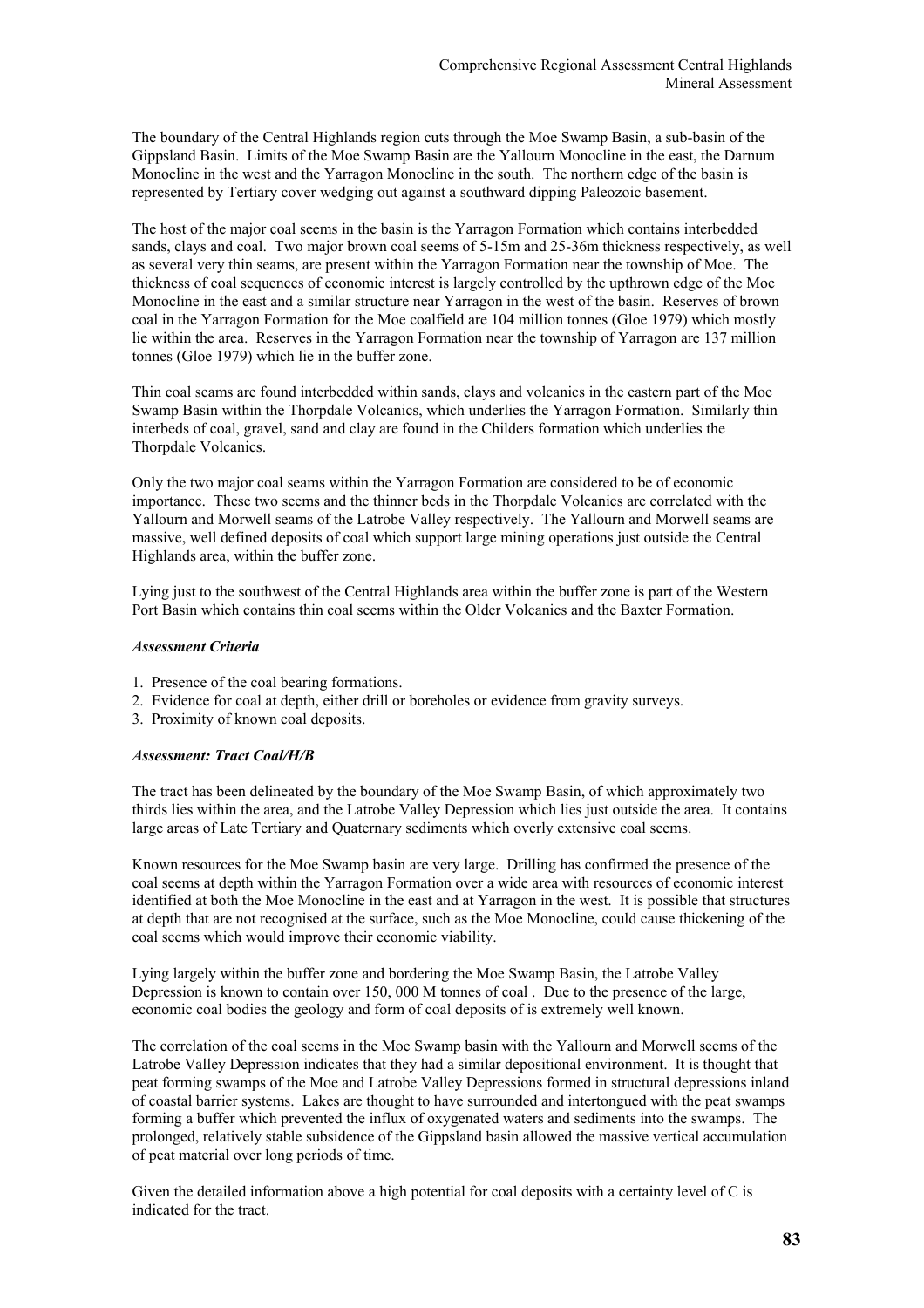The boundary of the Central Highlands region cuts through the Moe Swamp Basin, a sub-basin of the Gippsland Basin. Limits of the Moe Swamp Basin are the Yallourn Monocline in the east, the Darnum Monocline in the west and the Yarragon Monocline in the south. The northern edge of the basin is represented by Tertiary cover wedging out against a southward dipping Paleozoic basement.

The host of the major coal seems in the basin is the Yarragon Formation which contains interbedded sands, clays and coal. Two major brown coal seems of 5-15m and 25-36m thickness respectively, as well as several very thin seams, are present within the Yarragon Formation near the township of Moe. The thickness of coal sequences of economic interest is largely controlled by the upthrown edge of the Moe Monocline in the east and a similar structure near Yarragon in the west of the basin. Reserves of brown coal in the Yarragon Formation for the Moe coalfield are 104 million tonnes (Gloe 1979) which mostly lie within the area. Reserves in the Yarragon Formation near the township of Yarragon are 137 million tonnes (Gloe 1979) which lie in the buffer zone.

Thin coal seams are found interbedded within sands, clays and volcanics in the eastern part of the Moe Swamp Basin within the Thorpdale Volcanics, which underlies the Yarragon Formation. Similarly thin interbeds of coal, gravel, sand and clay are found in the Childers formation which underlies the Thorpdale Volcanics.

Only the two major coal seams within the Yarragon Formation are considered to be of economic importance. These two seems and the thinner beds in the Thorpdale Volcanics are correlated with the Yallourn and Morwell seams of the Latrobe Valley respectively. The Yallourn and Morwell seams are massive, well defined deposits of coal which support large mining operations just outside the Central Highlands area, within the buffer zone.

Lying just to the southwest of the Central Highlands area within the buffer zone is part of the Western Port Basin which contains thin coal seems within the Older Volcanics and the Baxter Formation.

## *Assessment Criteria*

- 1. Presence of the coal bearing formations.
- 2. Evidence for coal at depth, either drill or boreholes or evidence from gravity surveys.
- 3. Proximity of known coal deposits.

#### *Assessment: Tract Coal/H/B*

The tract has been delineated by the boundary of the Moe Swamp Basin, of which approximately two thirds lies within the area, and the Latrobe Valley Depression which lies just outside the area. It contains large areas of Late Tertiary and Quaternary sediments which overly extensive coal seems.

Known resources for the Moe Swamp basin are very large. Drilling has confirmed the presence of the coal seems at depth within the Yarragon Formation over a wide area with resources of economic interest identified at both the Moe Monocline in the east and at Yarragon in the west. It is possible that structures at depth that are not recognised at the surface, such as the Moe Monocline, could cause thickening of the coal seems which would improve their economic viability.

Lying largely within the buffer zone and bordering the Moe Swamp Basin, the Latrobe Valley Depression is known to contain over 150, 000 M tonnes of coal . Due to the presence of the large, economic coal bodies the geology and form of coal deposits of is extremely well known.

The correlation of the coal seems in the Moe Swamp basin with the Yallourn and Morwell seems of the Latrobe Valley Depression indicates that they had a similar depositional environment. It is thought that peat forming swamps of the Moe and Latrobe Valley Depressions formed in structural depressions inland of coastal barrier systems. Lakes are thought to have surrounded and intertongued with the peat swamps forming a buffer which prevented the influx of oxygenated waters and sediments into the swamps. The prolonged, relatively stable subsidence of the Gippsland basin allowed the massive vertical accumulation of peat material over long periods of time.

Given the detailed information above a high potential for coal deposits with a certainty level of C is indicated for the tract.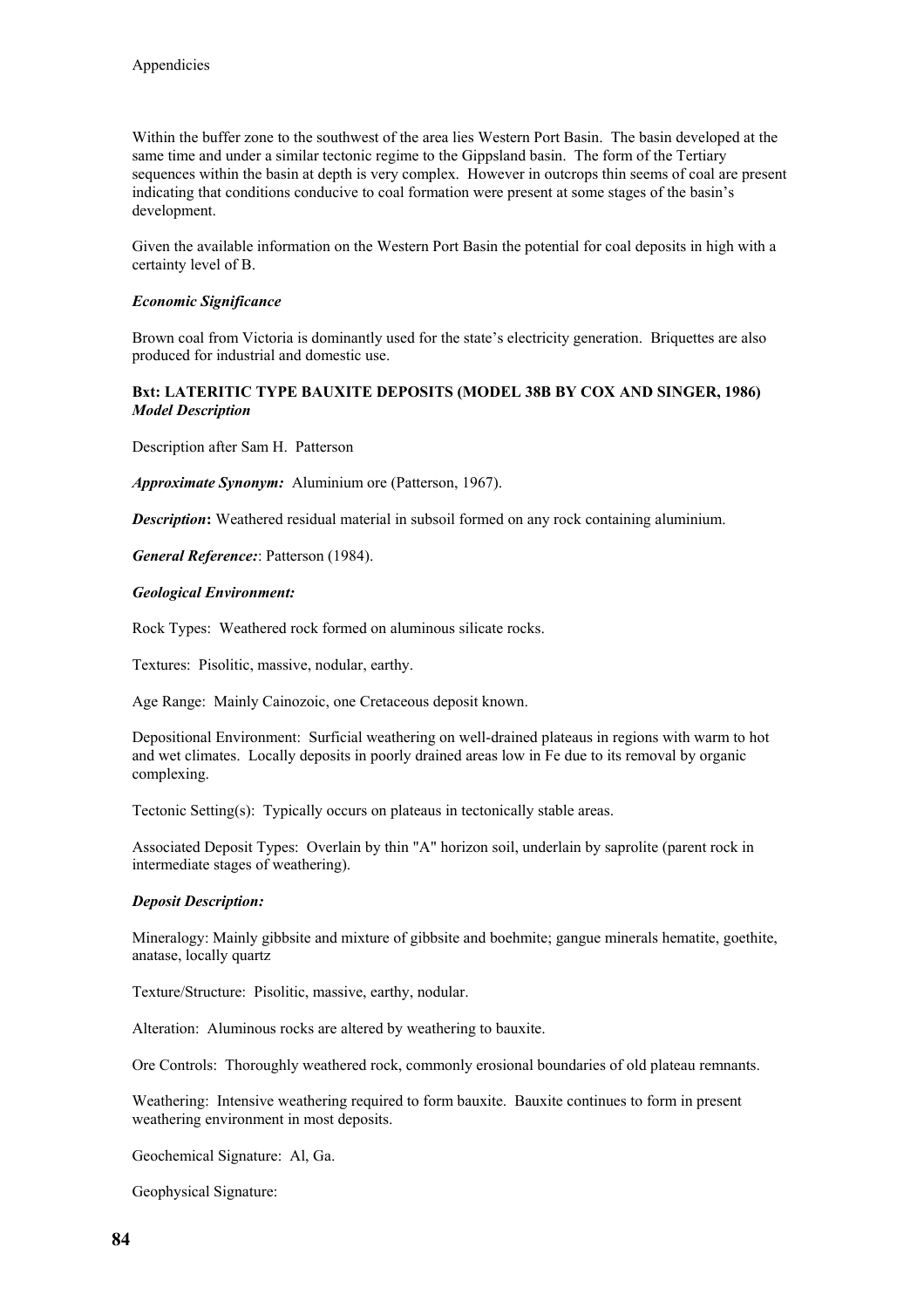Within the buffer zone to the southwest of the area lies Western Port Basin. The basin developed at the same time and under a similar tectonic regime to the Gippsland basin. The form of the Tertiary sequences within the basin at depth is very complex. However in outcrops thin seems of coal are present indicating that conditions conducive to coal formation were present at some stages of the basin's development.

Given the available information on the Western Port Basin the potential for coal deposits in high with a certainty level of B.

# *Economic Significance*

Brown coal from Victoria is dominantly used for the state's electricity generation. Briquettes are also produced for industrial and domestic use.

# **Bxt: LATERITIC TYPE BAUXITE DEPOSITS (MODEL 38B BY COX AND SINGER, 1986)**  *Model Description*

Description after Sam H. Patterson

*Approximate Synonym:* Aluminium ore (Patterson, 1967).

*Description*: Weathered residual material in subsoil formed on any rock containing aluminium.

*General Reference:*: Patterson (1984).

# *Geological Environment:*

Rock Types: Weathered rock formed on aluminous silicate rocks.

Textures: Pisolitic, massive, nodular, earthy.

Age Range: Mainly Cainozoic, one Cretaceous deposit known.

Depositional Environment: Surficial weathering on well-drained plateaus in regions with warm to hot and wet climates. Locally deposits in poorly drained areas low in Fe due to its removal by organic complexing.

Tectonic Setting(s): Typically occurs on plateaus in tectonically stable areas.

Associated Deposit Types: Overlain by thin "A" horizon soil, underlain by saprolite (parent rock in intermediate stages of weathering).

# *Deposit Description:*

Mineralogy: Mainly gibbsite and mixture of gibbsite and boehmite; gangue minerals hematite, goethite, anatase, locally quartz

Texture/Structure: Pisolitic, massive, earthy, nodular.

Alteration: Aluminous rocks are altered by weathering to bauxite.

Ore Controls: Thoroughly weathered rock, commonly erosional boundaries of old plateau remnants.

Weathering: Intensive weathering required to form bauxite. Bauxite continues to form in present weathering environment in most deposits.

Geochemical Signature: Al, Ga.

Geophysical Signature: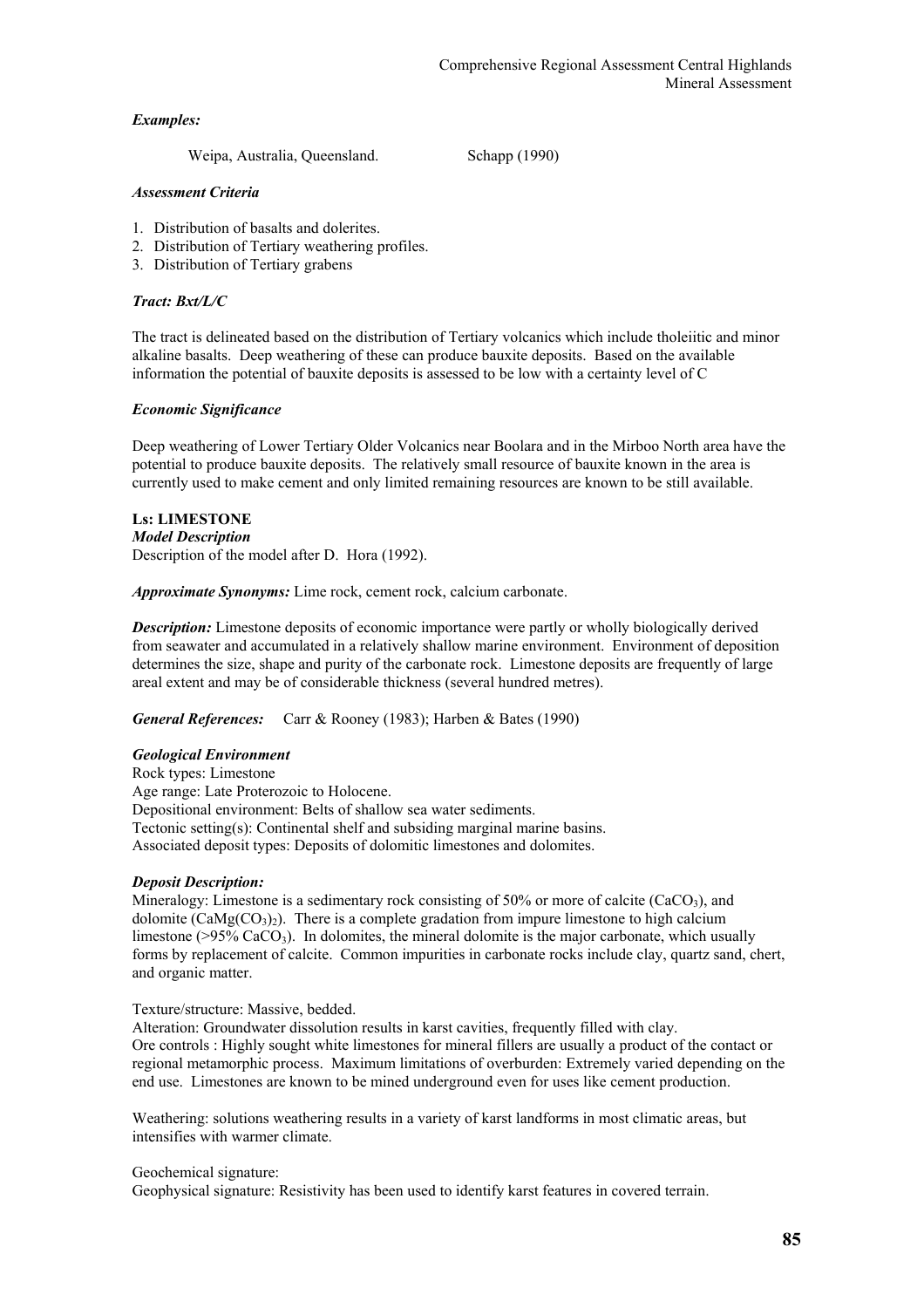# *Examples:*

Weipa, Australia, Queensland. Schapp (1990)

# *Assessment Criteria*

- 1. Distribution of basalts and dolerites.
- 2. Distribution of Tertiary weathering profiles.
- 3. Distribution of Tertiary grabens

# *Tract: Bxt/L/C*

The tract is delineated based on the distribution of Tertiary volcanics which include tholeiitic and minor alkaline basalts. Deep weathering of these can produce bauxite deposits. Based on the available information the potential of bauxite deposits is assessed to be low with a certainty level of C

# *Economic Significance*

Deep weathering of Lower Tertiary Older Volcanics near Boolara and in the Mirboo North area have the potential to produce bauxite deposits. The relatively small resource of bauxite known in the area is currently used to make cement and only limited remaining resources are known to be still available.

# **Ls: LIMESTONE**

*Model Description*  Description of the model after D. Hora (1992).

*Approximate Synonyms:* Lime rock, cement rock, calcium carbonate.

*Description:* Limestone deposits of economic importance were partly or wholly biologically derived from seawater and accumulated in a relatively shallow marine environment. Environment of deposition determines the size, shape and purity of the carbonate rock. Limestone deposits are frequently of large areal extent and may be of considerable thickness (several hundred metres).

*General References:* Carr & Rooney (1983); Harben & Bates (1990)

# *Geological Environment*

Rock types: Limestone Age range: Late Proterozoic to Holocene. Depositional environment: Belts of shallow sea water sediments. Tectonic setting(s): Continental shelf and subsiding marginal marine basins. Associated deposit types: Deposits of dolomitic limestones and dolomites.

# *Deposit Description:*

Mineralogy: Limestone is a sedimentary rock consisting of 50% or more of calcite (CaCO<sub>3</sub>), and dolomite  $(CaMg(CO<sub>3</sub>)<sub>2</sub>)$ . There is a complete gradation from impure limestone to high calcium limestone ( $>95\%$  CaCO<sub>3</sub>). In dolomites, the mineral dolomite is the major carbonate, which usually forms by replacement of calcite. Common impurities in carbonate rocks include clay, quartz sand, chert, and organic matter.

# Texture/structure: Massive, bedded.

Alteration: Groundwater dissolution results in karst cavities, frequently filled with clay. Ore controls : Highly sought white limestones for mineral fillers are usually a product of the contact or regional metamorphic process. Maximum limitations of overburden: Extremely varied depending on the end use. Limestones are known to be mined underground even for uses like cement production.

Weathering: solutions weathering results in a variety of karst landforms in most climatic areas, but intensifies with warmer climate.

# Geochemical signature:

Geophysical signature: Resistivity has been used to identify karst features in covered terrain.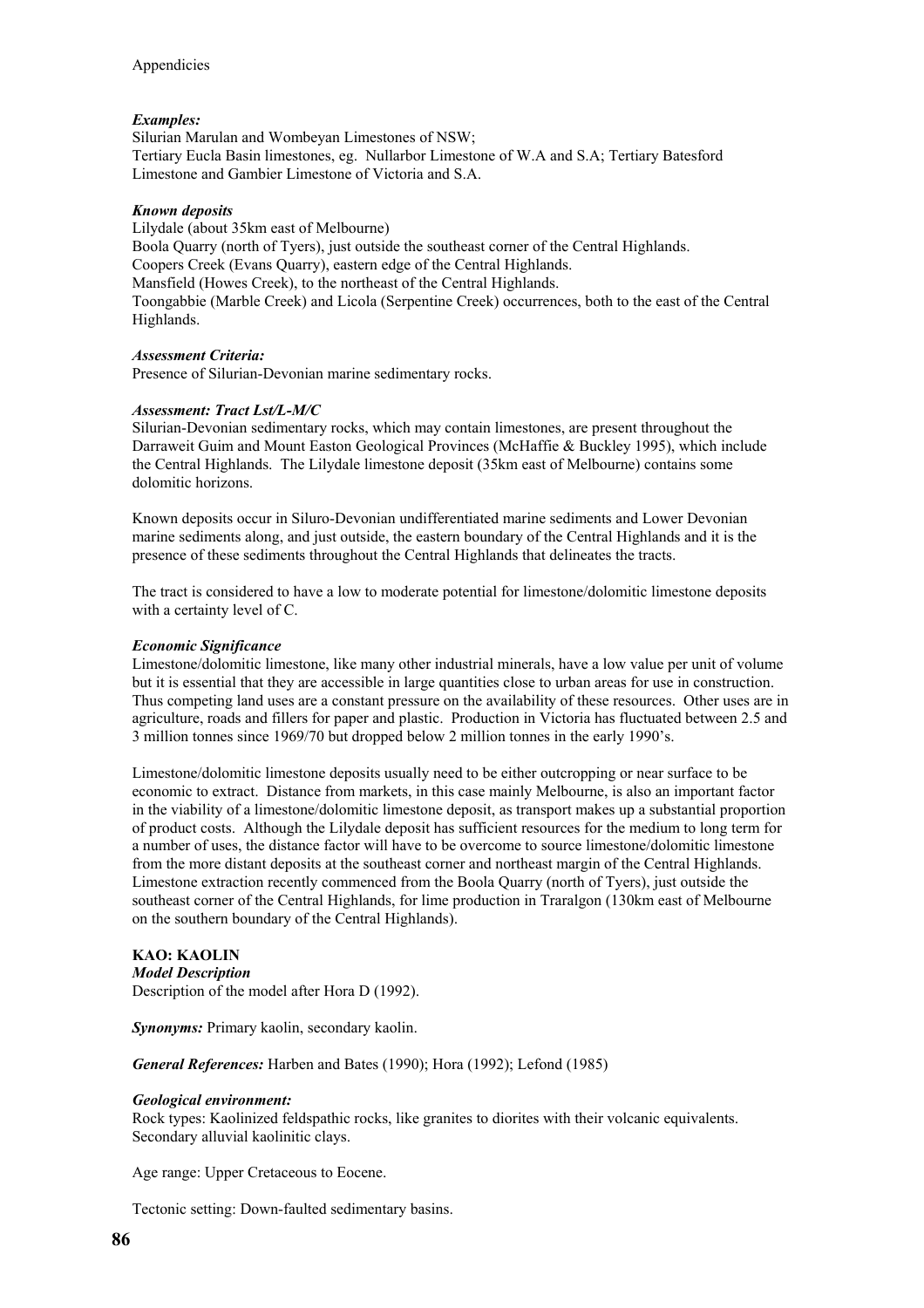# *Examples:*

Silurian Marulan and Wombeyan Limestones of NSW; Tertiary Eucla Basin limestones, eg. Nullarbor Limestone of W.A and S.A; Tertiary Batesford Limestone and Gambier Limestone of Victoria and S.A.

# *Known deposits*

Lilydale (about 35km east of Melbourne) Boola Quarry (north of Tyers), just outside the southeast corner of the Central Highlands. Coopers Creek (Evans Quarry), eastern edge of the Central Highlands. Mansfield (Howes Creek), to the northeast of the Central Highlands. Toongabbie (Marble Creek) and Licola (Serpentine Creek) occurrences, both to the east of the Central Highlands.

# *Assessment Criteria:*

Presence of Silurian-Devonian marine sedimentary rocks.

# *Assessment: Tract Lst/L-M/C*

Silurian-Devonian sedimentary rocks, which may contain limestones, are present throughout the Darraweit Guim and Mount Easton Geological Provinces (McHaffie & Buckley 1995), which include the Central Highlands. The Lilydale limestone deposit (35km east of Melbourne) contains some dolomitic horizons.

Known deposits occur in Siluro-Devonian undifferentiated marine sediments and Lower Devonian marine sediments along, and just outside, the eastern boundary of the Central Highlands and it is the presence of these sediments throughout the Central Highlands that delineates the tracts.

The tract is considered to have a low to moderate potential for limestone/dolomitic limestone deposits with a certainty level of C.

# *Economic Significance*

Limestone/dolomitic limestone, like many other industrial minerals, have a low value per unit of volume but it is essential that they are accessible in large quantities close to urban areas for use in construction. Thus competing land uses are a constant pressure on the availability of these resources. Other uses are in agriculture, roads and fillers for paper and plastic. Production in Victoria has fluctuated between 2.5 and 3 million tonnes since 1969/70 but dropped below 2 million tonnes in the early 1990's.

Limestone/dolomitic limestone deposits usually need to be either outcropping or near surface to be economic to extract. Distance from markets, in this case mainly Melbourne, is also an important factor in the viability of a limestone/dolomitic limestone deposit, as transport makes up a substantial proportion of product costs. Although the Lilydale deposit has sufficient resources for the medium to long term for a number of uses, the distance factor will have to be overcome to source limestone/dolomitic limestone from the more distant deposits at the southeast corner and northeast margin of the Central Highlands. Limestone extraction recently commenced from the Boola Quarry (north of Tyers), just outside the southeast corner of the Central Highlands, for lime production in Traralgon (130km east of Melbourne on the southern boundary of the Central Highlands).

# **KAO: KAOLIN**  *Model Description* Description of the model after Hora D (1992).

*Synonyms:* Primary kaolin, secondary kaolin.

*General References:* Harben and Bates (1990); Hora (1992); Lefond (1985)

# *Geological environment:*

Rock types: Kaolinized feldspathic rocks, like granites to diorites with their volcanic equivalents. Secondary alluvial kaolinitic clays.

Age range: Upper Cretaceous to Eocene.

Tectonic setting: Down-faulted sedimentary basins.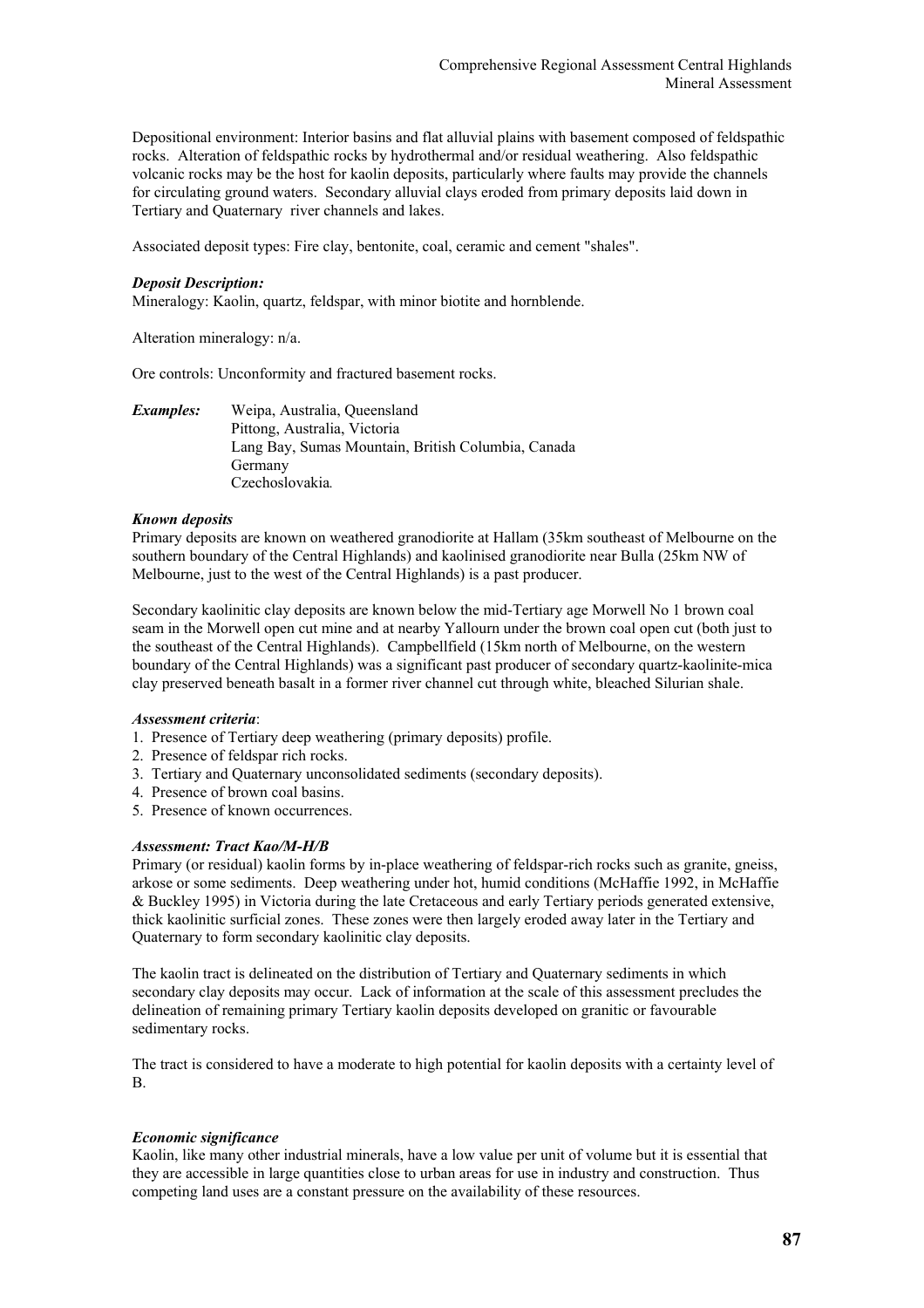Depositional environment: Interior basins and flat alluvial plains with basement composed of feldspathic rocks. Alteration of feldspathic rocks by hydrothermal and/or residual weathering. Also feldspathic volcanic rocks may be the host for kaolin deposits, particularly where faults may provide the channels for circulating ground waters. Secondary alluvial clays eroded from primary deposits laid down in Tertiary and Quaternary river channels and lakes.

Associated deposit types: Fire clay, bentonite, coal, ceramic and cement "shales".

## *Deposit Description:*

Mineralogy: Kaolin, quartz, feldspar, with minor biotite and hornblende.

Alteration mineralogy: n/a.

Ore controls: Unconformity and fractured basement rocks.

| <i>Examples:</i> | Weipa, Australia, Queensland                       |
|------------------|----------------------------------------------------|
|                  | Pittong, Australia, Victoria                       |
|                  | Lang Bay, Sumas Mountain, British Columbia, Canada |
|                  | Germany                                            |
|                  | Czechoslovakia.                                    |

### *Known deposits*

Primary deposits are known on weathered granodiorite at Hallam (35km southeast of Melbourne on the southern boundary of the Central Highlands) and kaolinised granodiorite near Bulla (25km NW of Melbourne, just to the west of the Central Highlands) is a past producer.

Secondary kaolinitic clay deposits are known below the mid-Tertiary age Morwell No 1 brown coal seam in the Morwell open cut mine and at nearby Yallourn under the brown coal open cut (both just to the southeast of the Central Highlands). Campbellfield (15km north of Melbourne, on the western boundary of the Central Highlands) was a significant past producer of secondary quartz-kaolinite-mica clay preserved beneath basalt in a former river channel cut through white, bleached Silurian shale.

#### *Assessment criteria*:

- 1. Presence of Tertiary deep weathering (primary deposits) profile.
- 2. Presence of feldspar rich rocks.
- 3. Tertiary and Quaternary unconsolidated sediments (secondary deposits).
- 4. Presence of brown coal basins.
- 5. Presence of known occurrences.

# *Assessment: Tract Kao/M-H/B*

Primary (or residual) kaolin forms by in-place weathering of feldspar-rich rocks such as granite, gneiss, arkose or some sediments. Deep weathering under hot, humid conditions (McHaffie 1992, in McHaffie & Buckley 1995) in Victoria during the late Cretaceous and early Tertiary periods generated extensive, thick kaolinitic surficial zones. These zones were then largely eroded away later in the Tertiary and Quaternary to form secondary kaolinitic clay deposits.

The kaolin tract is delineated on the distribution of Tertiary and Quaternary sediments in which secondary clay deposits may occur. Lack of information at the scale of this assessment precludes the delineation of remaining primary Tertiary kaolin deposits developed on granitic or favourable sedimentary rocks.

The tract is considered to have a moderate to high potential for kaolin deposits with a certainty level of B.

# *Economic significance*

Kaolin, like many other industrial minerals, have a low value per unit of volume but it is essential that they are accessible in large quantities close to urban areas for use in industry and construction. Thus competing land uses are a constant pressure on the availability of these resources.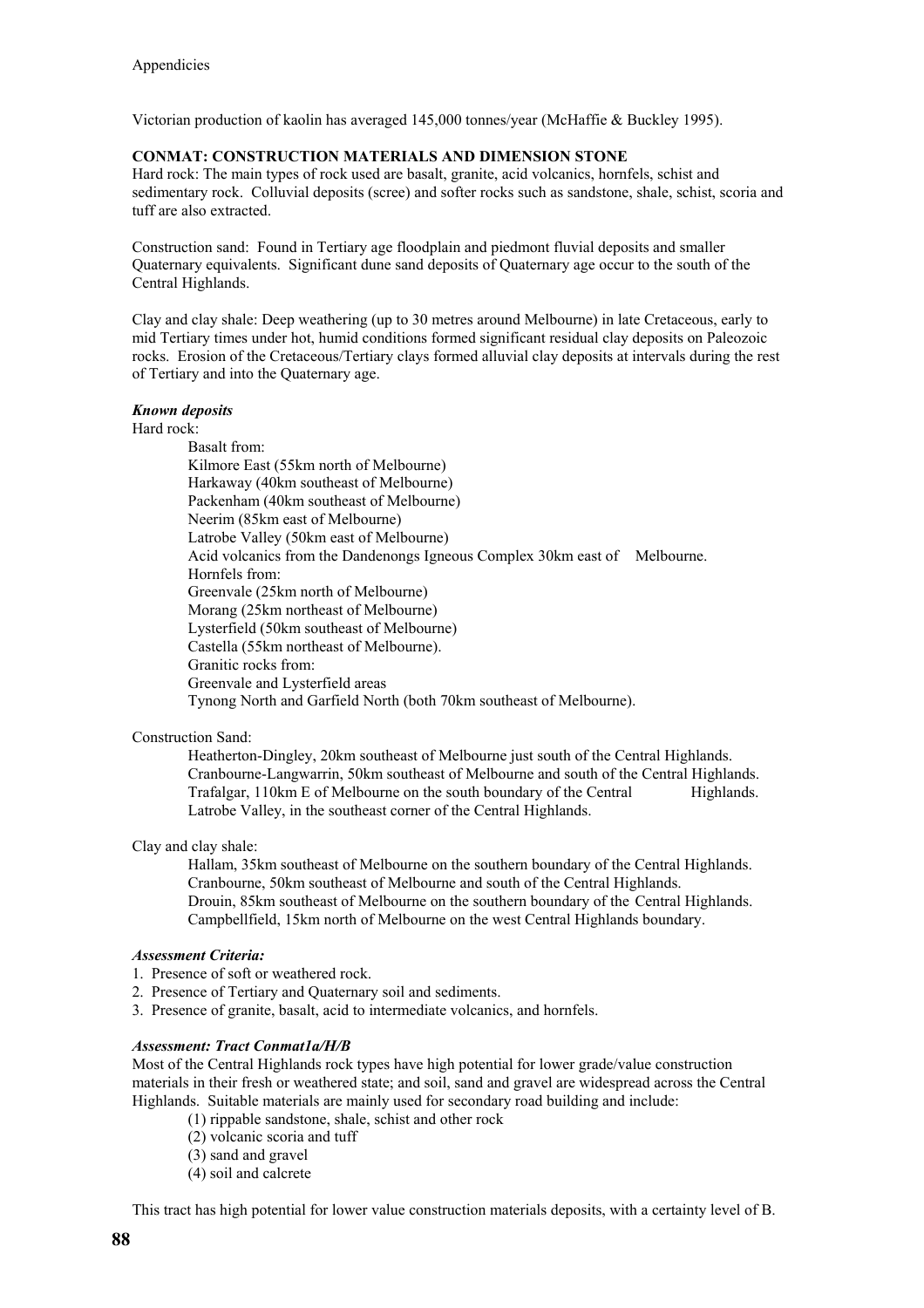Victorian production of kaolin has averaged 145,000 tonnes/year (McHaffie & Buckley 1995).

# **CONMAT: CONSTRUCTION MATERIALS AND DIMENSION STONE**

Hard rock: The main types of rock used are basalt, granite, acid volcanics, hornfels, schist and sedimentary rock. Colluvial deposits (scree) and softer rocks such as sandstone, shale, schist, scoria and tuff are also extracted.

Construction sand: Found in Tertiary age floodplain and piedmont fluvial deposits and smaller Quaternary equivalents. Significant dune sand deposits of Quaternary age occur to the south of the Central Highlands.

Clay and clay shale: Deep weathering (up to 30 metres around Melbourne) in late Cretaceous, early to mid Tertiary times under hot, humid conditions formed significant residual clay deposits on Paleozoic rocks. Erosion of the Cretaceous/Tertiary clays formed alluvial clay deposits at intervals during the rest of Tertiary and into the Quaternary age.

# *Known deposits*

Hard rock:

 Basalt from: Kilmore East (55km north of Melbourne) Harkaway (40km southeast of Melbourne) Packenham (40km southeast of Melbourne) Neerim (85km east of Melbourne) Latrobe Valley (50km east of Melbourne) Acid volcanics from the Dandenongs Igneous Complex 30km east of Melbourne. Hornfels from: Greenvale (25km north of Melbourne) Morang (25km northeast of Melbourne) Lysterfield (50km southeast of Melbourne) Castella (55km northeast of Melbourne). Granitic rocks from: Greenvale and Lysterfield areas Tynong North and Garfield North (both 70km southeast of Melbourne).

# Construction Sand:

 Heatherton-Dingley, 20km southeast of Melbourne just south of the Central Highlands. Cranbourne-Langwarrin, 50km southeast of Melbourne and south of the Central Highlands. Trafalgar, 110km E of Melbourne on the south boundary of the Central Highlands. Latrobe Valley, in the southeast corner of the Central Highlands.

# Clay and clay shale:

 Hallam, 35km southeast of Melbourne on the southern boundary of the Central Highlands. Cranbourne, 50km southeast of Melbourne and south of the Central Highlands. Drouin, 85km southeast of Melbourne on the southern boundary of the Central Highlands. Campbellfield, 15km north of Melbourne on the west Central Highlands boundary.

# *Assessment Criteria:*

1. Presence of soft or weathered rock.

- 2. Presence of Tertiary and Quaternary soil and sediments.
- 3. Presence of granite, basalt, acid to intermediate volcanics, and hornfels.

# *Assessment: Tract Conmat1a/H/B*

Most of the Central Highlands rock types have high potential for lower grade/value construction materials in their fresh or weathered state; and soil, sand and gravel are widespread across the Central Highlands. Suitable materials are mainly used for secondary road building and include:

(1) rippable sandstone, shale, schist and other rock

- (2) volcanic scoria and tuff
- (3) sand and gravel
- (4) soil and calcrete

This tract has high potential for lower value construction materials deposits, with a certainty level of B.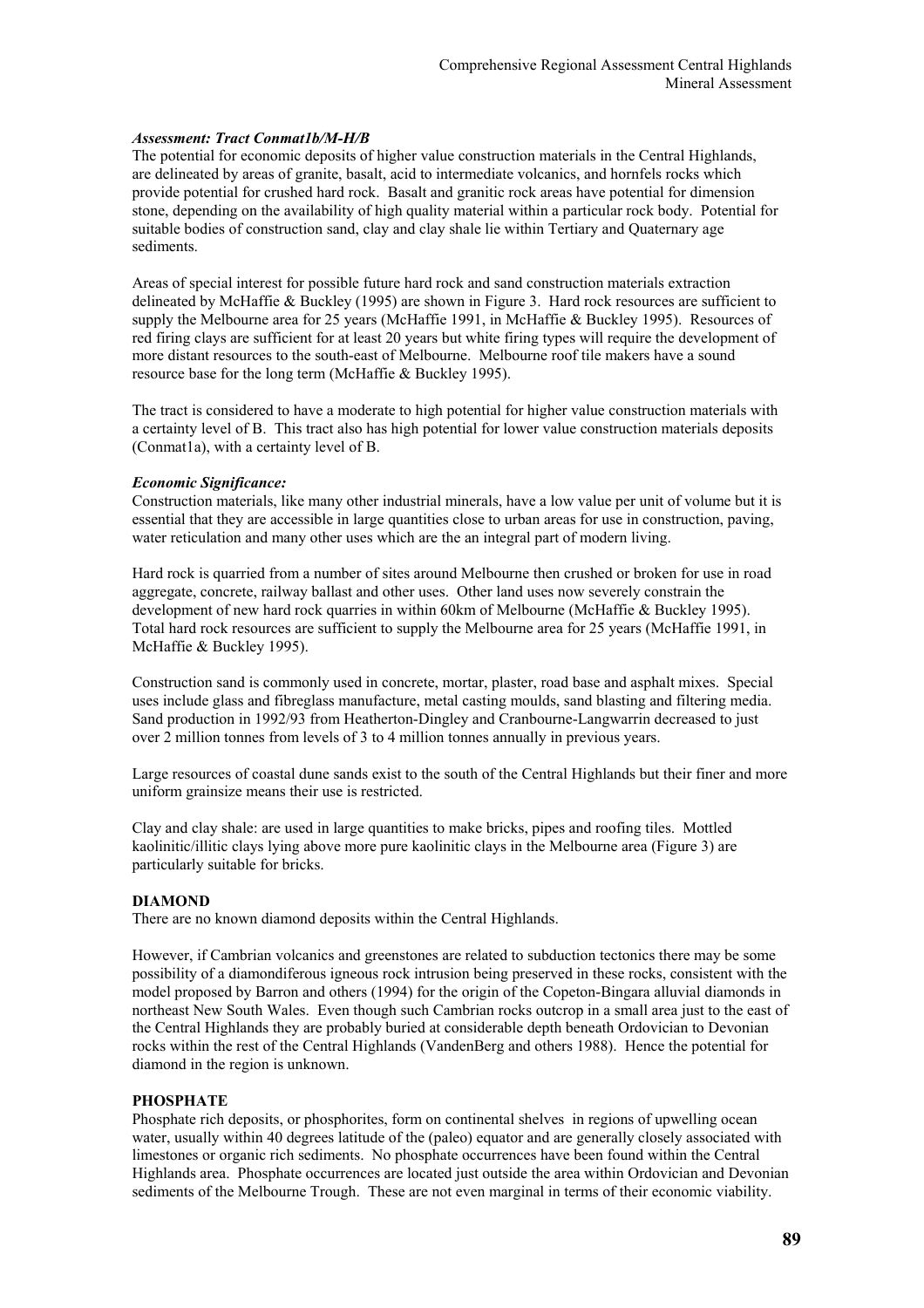# *Assessment: Tract Conmat1b/M-H/B*

The potential for economic deposits of higher value construction materials in the Central Highlands, are delineated by areas of granite, basalt, acid to intermediate volcanics, and hornfels rocks which provide potential for crushed hard rock. Basalt and granitic rock areas have potential for dimension stone, depending on the availability of high quality material within a particular rock body. Potential for suitable bodies of construction sand, clay and clay shale lie within Tertiary and Quaternary age sediments.

Areas of special interest for possible future hard rock and sand construction materials extraction delineated by McHaffie & Buckley (1995) are shown in Figure 3. Hard rock resources are sufficient to supply the Melbourne area for 25 years (McHaffie 1991, in McHaffie & Buckley 1995). Resources of red firing clays are sufficient for at least 20 years but white firing types will require the development of more distant resources to the south-east of Melbourne. Melbourne roof tile makers have a sound resource base for the long term (McHaffie & Buckley 1995).

The tract is considered to have a moderate to high potential for higher value construction materials with a certainty level of B. This tract also has high potential for lower value construction materials deposits (Conmat1a), with a certainty level of B.

#### *Economic Significance:*

Construction materials, like many other industrial minerals, have a low value per unit of volume but it is essential that they are accessible in large quantities close to urban areas for use in construction, paving, water reticulation and many other uses which are the an integral part of modern living.

Hard rock is quarried from a number of sites around Melbourne then crushed or broken for use in road aggregate, concrete, railway ballast and other uses. Other land uses now severely constrain the development of new hard rock quarries in within 60km of Melbourne (McHaffie & Buckley 1995). Total hard rock resources are sufficient to supply the Melbourne area for 25 years (McHaffie 1991, in McHaffie & Buckley 1995).

Construction sand is commonly used in concrete, mortar, plaster, road base and asphalt mixes. Special uses include glass and fibreglass manufacture, metal casting moulds, sand blasting and filtering media. Sand production in 1992/93 from Heatherton-Dingley and Cranbourne-Langwarrin decreased to just over 2 million tonnes from levels of 3 to 4 million tonnes annually in previous years.

Large resources of coastal dune sands exist to the south of the Central Highlands but their finer and more uniform grainsize means their use is restricted.

Clay and clay shale: are used in large quantities to make bricks, pipes and roofing tiles. Mottled kaolinitic/illitic clays lying above more pure kaolinitic clays in the Melbourne area (Figure 3) are particularly suitable for bricks.

# **DIAMOND**

There are no known diamond deposits within the Central Highlands.

However, if Cambrian volcanics and greenstones are related to subduction tectonics there may be some possibility of a diamondiferous igneous rock intrusion being preserved in these rocks, consistent with the model proposed by Barron and others (1994) for the origin of the Copeton-Bingara alluvial diamonds in northeast New South Wales. Even though such Cambrian rocks outcrop in a small area just to the east of the Central Highlands they are probably buried at considerable depth beneath Ordovician to Devonian rocks within the rest of the Central Highlands (VandenBerg and others 1988). Hence the potential for diamond in the region is unknown.

#### **PHOSPHATE**

Phosphate rich deposits, or phosphorites, form on continental shelves in regions of upwelling ocean water, usually within 40 degrees latitude of the (paleo) equator and are generally closely associated with limestones or organic rich sediments. No phosphate occurrences have been found within the Central Highlands area. Phosphate occurrences are located just outside the area within Ordovician and Devonian sediments of the Melbourne Trough. These are not even marginal in terms of their economic viability.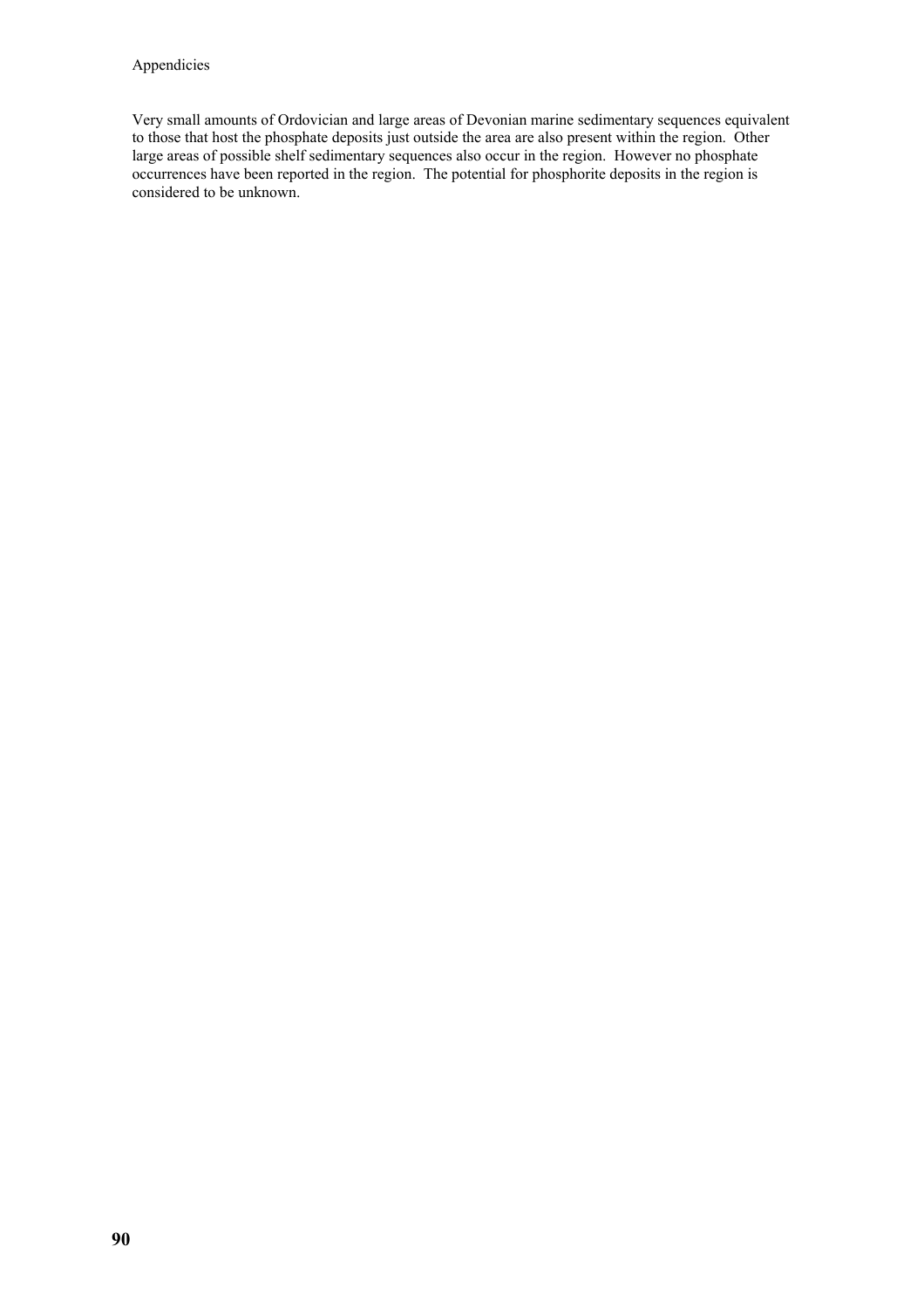# Appendicies

Very small amounts of Ordovician and large areas of Devonian marine sedimentary sequences equivalent to those that host the phosphate deposits just outside the area are also present within the region. Other large areas of possible shelf sedimentary sequences also occur in the region. However no phosphate occurrences have been reported in the region. The potential for phosphorite deposits in the region is considered to be unknown.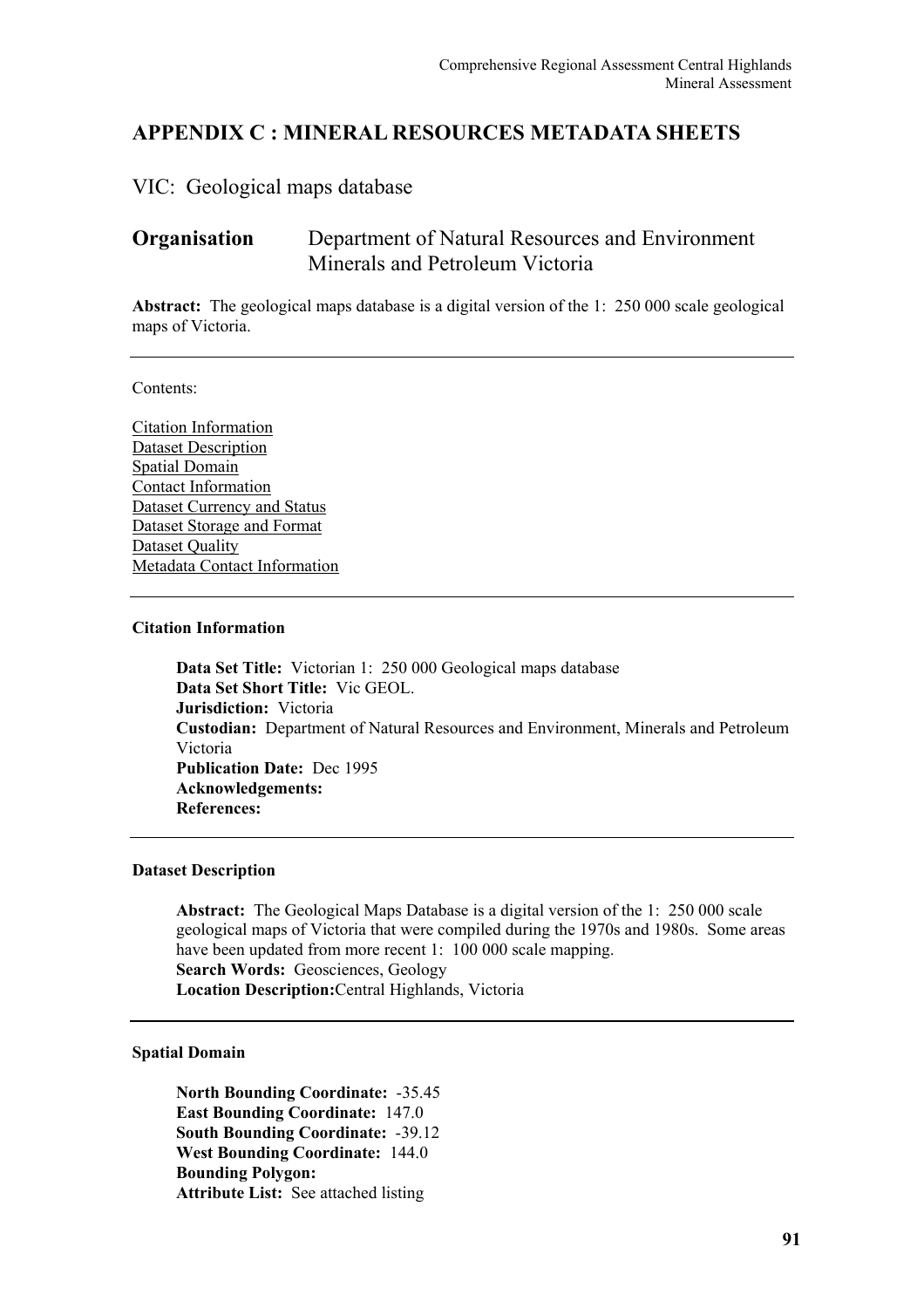# **APPENDIX C : MINERAL RESOURCES METADATA SHEETS**

# VIC: Geological maps database

# **Organisation** Department of Natural Resources and Environment Minerals and Petroleum Victoria

**Abstract:** The geological maps database is a digital version of the 1: 250 000 scale geological maps of Victoria.

Contents:

Citation Information Dataset Description Spatial Domain Contact Information Dataset Currency and Status Dataset Storage and Format Dataset Quality Metadata Contact Information

# **Citation Information**

**Data Set Title:** Victorian 1: 250 000 Geological maps database **Data Set Short Title:** Vic GEOL. **Jurisdiction:** Victoria **Custodian:** Department of Natural Resources and Environment, Minerals and Petroleum Victoria **Publication Date:** Dec 1995 **Acknowledgements: References:** 

# **Dataset Description**

**Abstract:** The Geological Maps Database is a digital version of the 1: 250 000 scale geological maps of Victoria that were compiled during the 1970s and 1980s. Some areas have been updated from more recent 1: 100 000 scale mapping. **Search Words: Geosciences, Geology Location Description:**Central Highlands, Victoria

# **Spatial Domain**

**North Bounding Coordinate:** -35.45 **East Bounding Coordinate:** 147.0 **South Bounding Coordinate:** -39.12 **West Bounding Coordinate:** 144.0 **Bounding Polygon: Attribute List:** See attached listing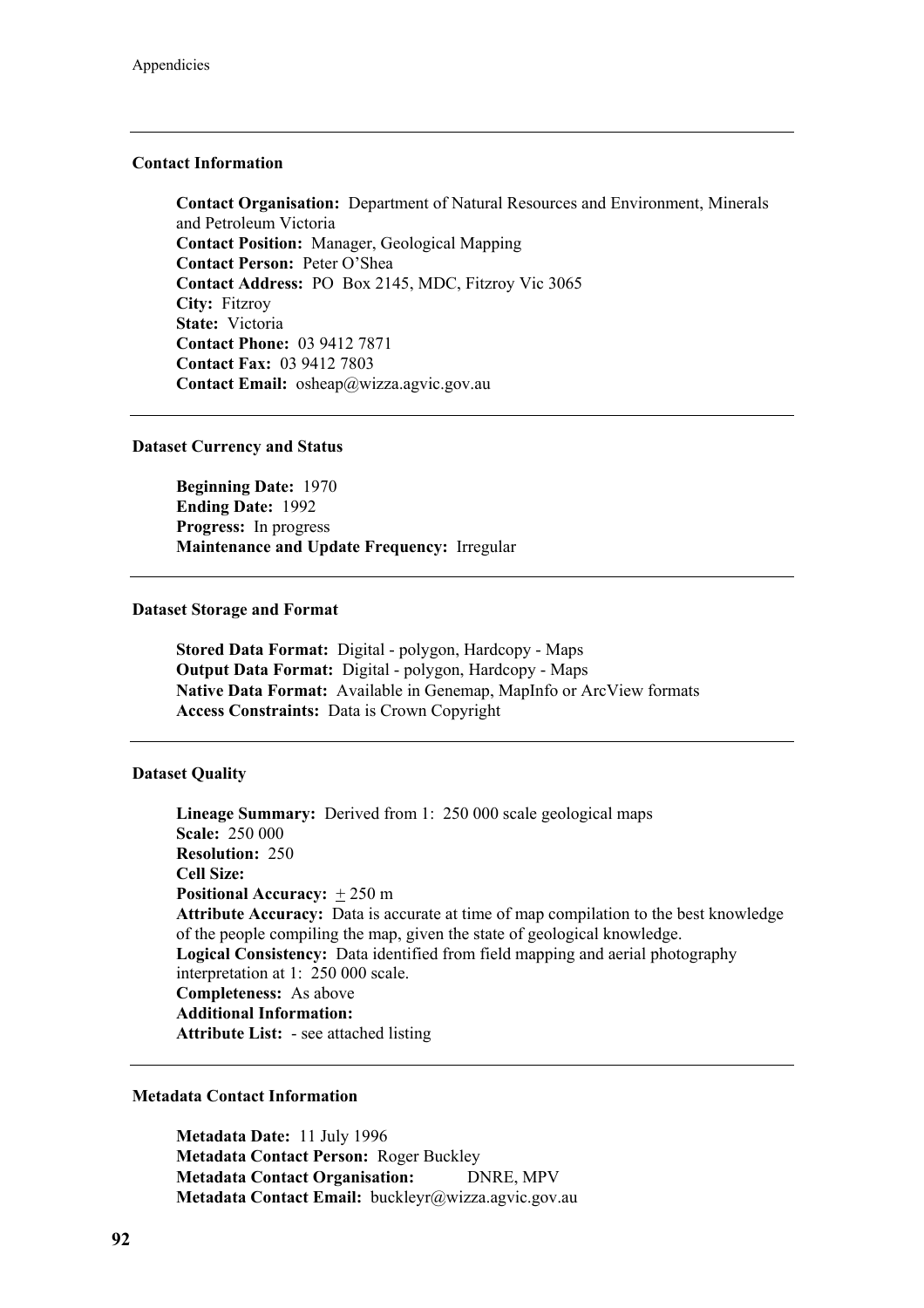# **Contact Information**

**Contact Organisation:** Department of Natural Resources and Environment, Minerals and Petroleum Victoria **Contact Position:** Manager, Geological Mapping **Contact Person:** Peter O'Shea **Contact Address:** PO Box 2145, MDC, Fitzroy Vic 3065 **City:** Fitzroy **State:** Victoria **Contact Phone:** 03 9412 7871 **Contact Fax:** 03 9412 7803 **Contact Email:** osheap@wizza.agvic.gov.au

# **Dataset Currency and Status**

**Beginning Date:** 1970 **Ending Date:** 1992 **Progress:** In progress **Maintenance and Update Frequency:** Irregular

# **Dataset Storage and Format**

**Stored Data Format:** Digital - polygon, Hardcopy - Maps **Output Data Format:** Digital - polygon, Hardcopy - Maps **Native Data Format:** Available in Genemap, MapInfo or ArcView formats **Access Constraints:** Data is Crown Copyright

# **Dataset Quality**

**Lineage Summary:** Derived from 1: 250 000 scale geological maps **Scale:** 250 000 **Resolution:** 250 **Cell Size: Positional Accuracy:** + 250 m **Attribute Accuracy:** Data is accurate at time of map compilation to the best knowledge of the people compiling the map, given the state of geological knowledge. **Logical Consistency:** Data identified from field mapping and aerial photography interpretation at 1: 250 000 scale. **Completeness:** As above **Additional Information: Attribute List:** - see attached listing

# **Metadata Contact Information**

**Metadata Date:** 11 July 1996 **Metadata Contact Person:** Roger Buckley **Metadata Contact Organisation:** DNRE, MPV **Metadata Contact Email:** buckleyr@wizza.agvic.gov.au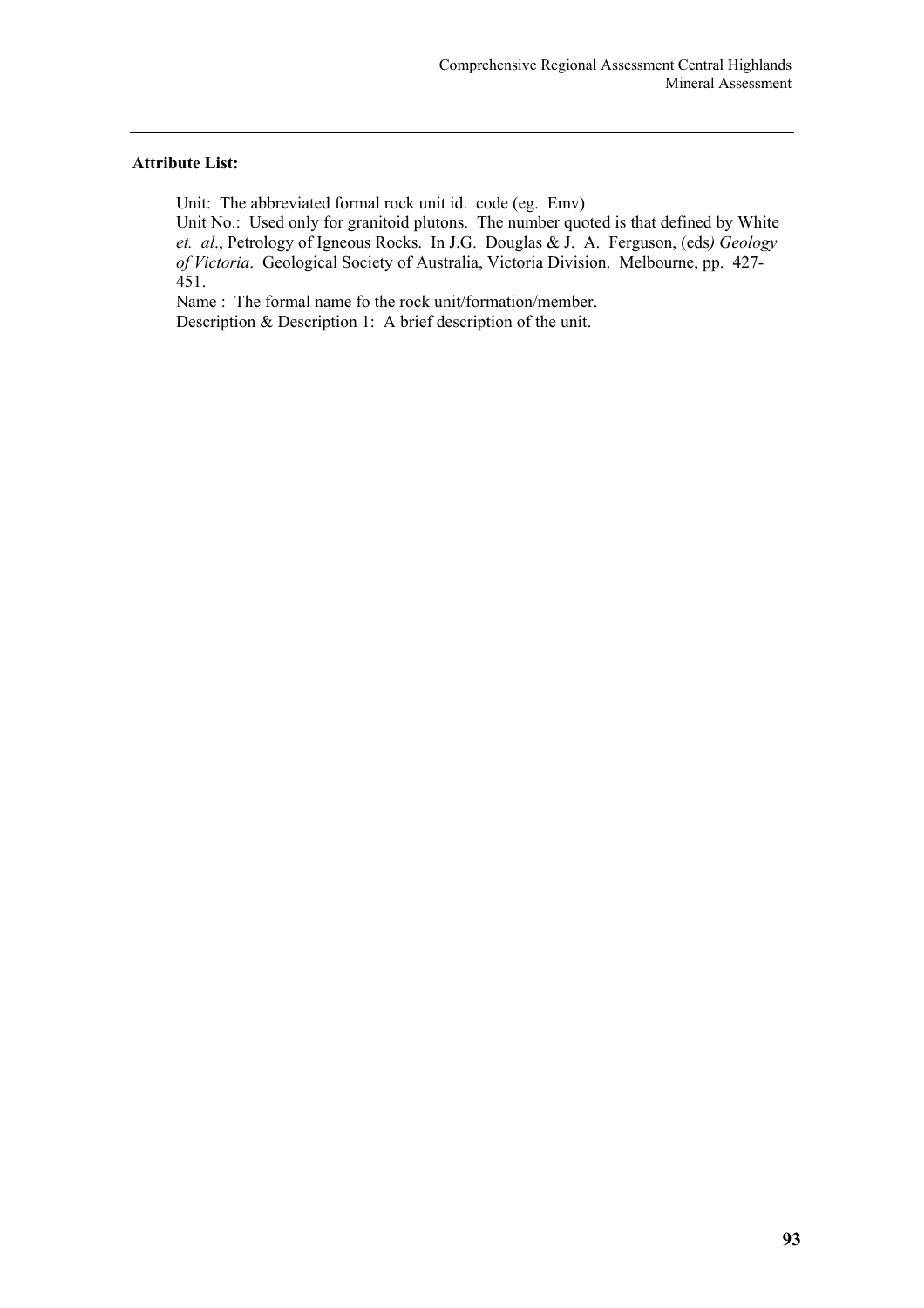# **Attribute List:**

Unit: The abbreviated formal rock unit id. code (eg. Emv)

Unit No.: Used only for granitoid plutons. The number quoted is that defined by White *et. al*., Petrology of Igneous Rocks. In J.G. Douglas & J. A. Ferguson, (eds*) Geology of Victoria*. Geological Society of Australia, Victoria Division. Melbourne, pp. 427- 451.

Name : The formal name fo the rock unit/formation/member. Description & Description 1: A brief description of the unit.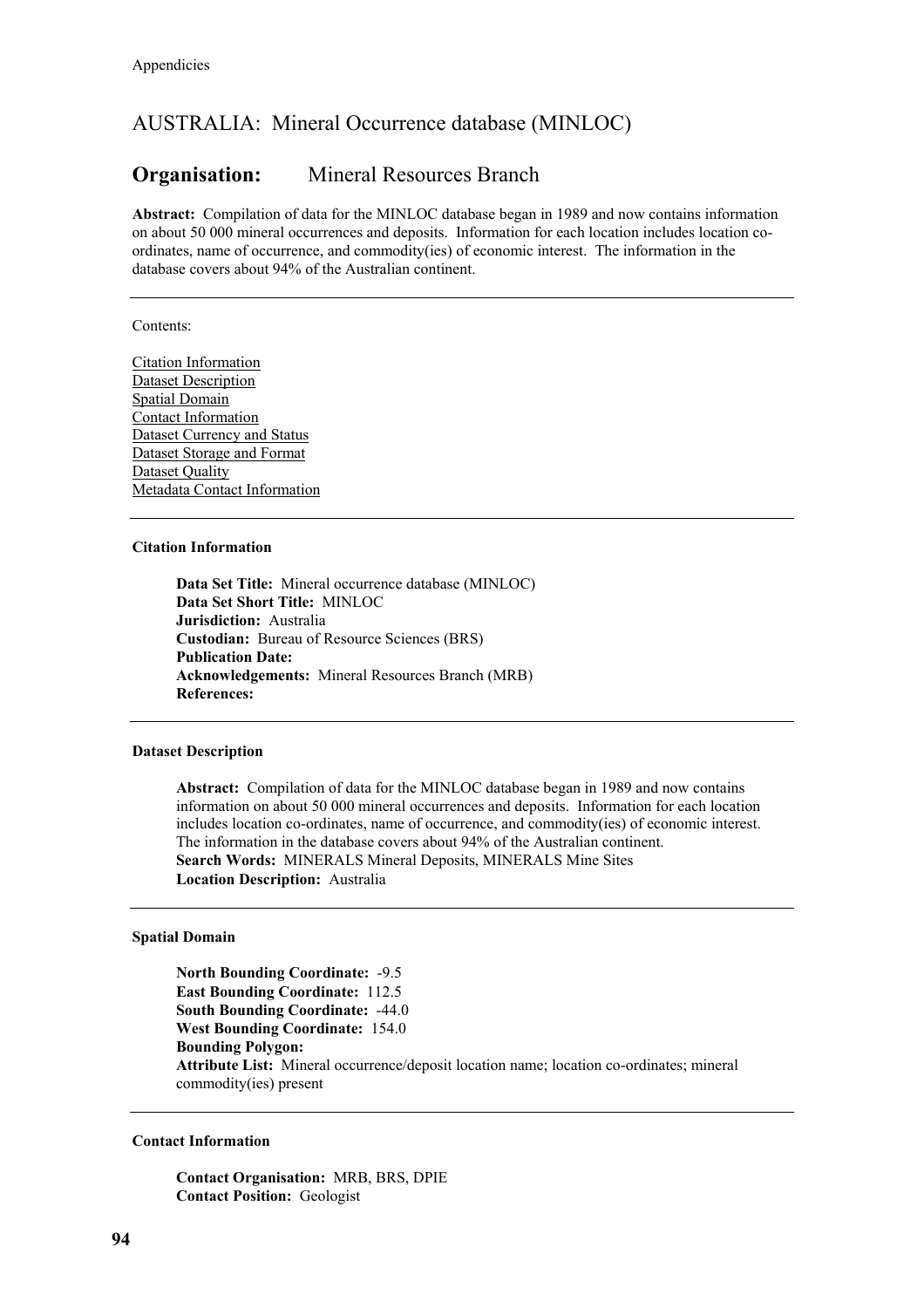# AUSTRALIA: Mineral Occurrence database (MINLOC)

# **Organisation:** Mineral Resources Branch

**Abstract:** Compilation of data for the MINLOC database began in 1989 and now contains information on about 50 000 mineral occurrences and deposits. Information for each location includes location coordinates, name of occurrence, and commodity(ies) of economic interest. The information in the database covers about 94% of the Australian continent.

Contents:

Citation Information Dataset Description Spatial Domain Contact Information Dataset Currency and Status Dataset Storage and Format Dataset Quality Metadata Contact Information

#### **Citation Information**

**Data Set Title:** Mineral occurrence database (MINLOC) **Data Set Short Title:** MINLOC **Jurisdiction:** Australia **Custodian:** Bureau of Resource Sciences (BRS) **Publication Date: Acknowledgements:** Mineral Resources Branch (MRB) **References:** 

# **Dataset Description**

**Abstract:** Compilation of data for the MINLOC database began in 1989 and now contains information on about 50 000 mineral occurrences and deposits. Information for each location includes location co-ordinates, name of occurrence, and commodity(ies) of economic interest. The information in the database covers about 94% of the Australian continent. **Search Words:** MINERALS Mineral Deposits, MINERALS Mine Sites **Location Description:** Australia

# **Spatial Domain**

**North Bounding Coordinate:** -9.5 **East Bounding Coordinate:** 112.5 **South Bounding Coordinate:** -44.0 **West Bounding Coordinate:** 154.0 **Bounding Polygon: Attribute List:** Mineral occurrence/deposit location name; location co-ordinates; mineral commodity(ies) present

#### **Contact Information**

**Contact Organisation:** MRB, BRS, DPIE **Contact Position:** Geologist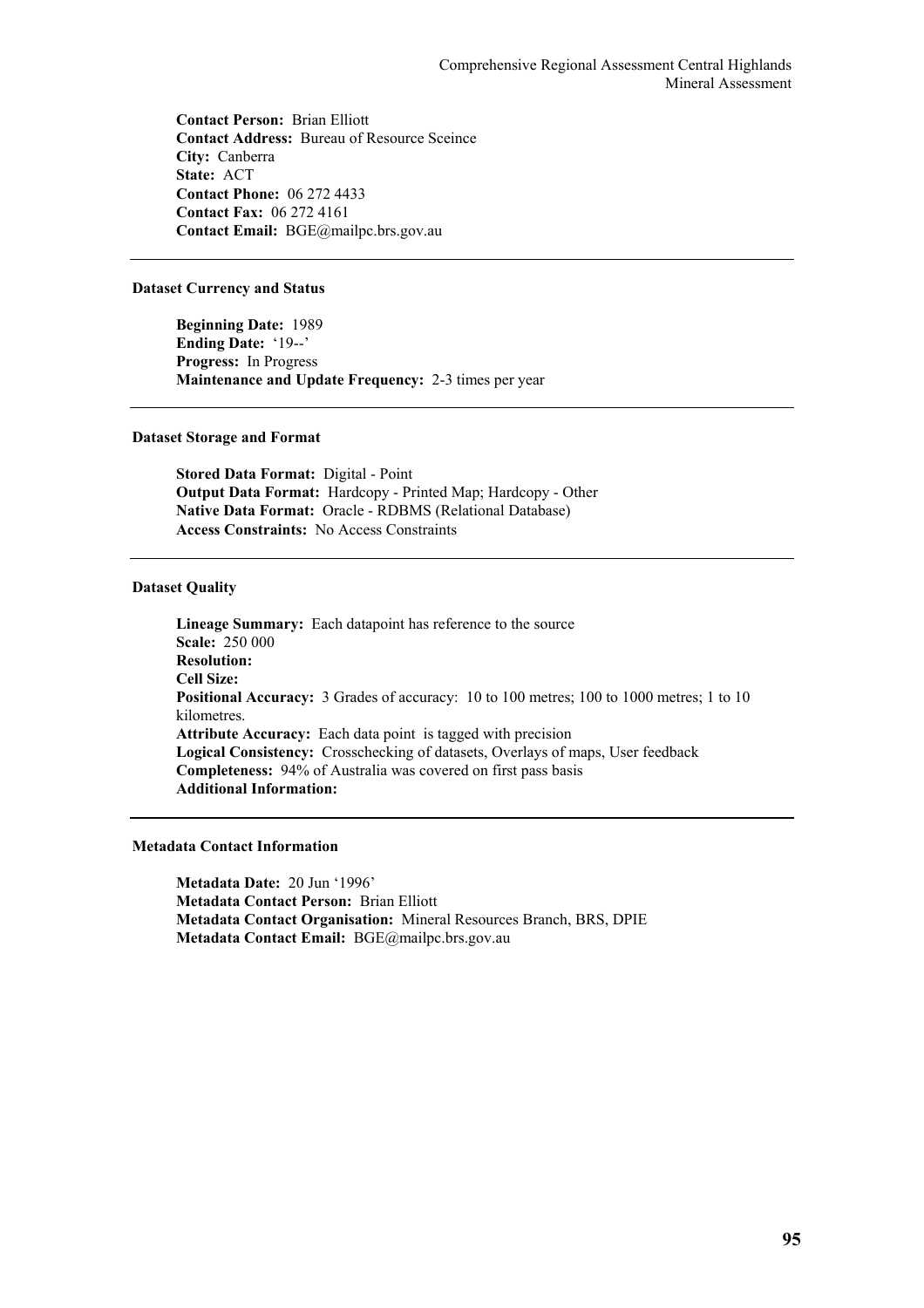**Contact Person:** Brian Elliott **Contact Address:** Bureau of Resource Sceince **City:** Canberra **State:** ACT **Contact Phone:** 06 272 4433 **Contact Fax:** 06 272 4161 **Contact Email:** BGE@mailpc.brs.gov.au

# **Dataset Currency and Status**

**Beginning Date:** 1989 **Ending Date:** '19--' **Progress:** In Progress **Maintenance and Update Frequency:** 2-3 times per year

## **Dataset Storage and Format**

**Stored Data Format:** Digital - Point **Output Data Format:** Hardcopy - Printed Map; Hardcopy - Other **Native Data Format:** Oracle - RDBMS (Relational Database) **Access Constraints:** No Access Constraints

# **Dataset Quality**

**Lineage Summary:** Each datapoint has reference to the source **Scale:** 250 000 **Resolution: Cell Size:**  Positional Accuracy: 3 Grades of accuracy: 10 to 100 metres; 100 to 1000 metres; 1 to 10 kilometres. **Attribute Accuracy:** Each data point is tagged with precision **Logical Consistency:** Crosschecking of datasets, Overlays of maps, User feedback **Completeness:** 94% of Australia was covered on first pass basis **Additional Information:** 

# **Metadata Contact Information**

**Metadata Date:** 20 Jun '1996' **Metadata Contact Person:** Brian Elliott **Metadata Contact Organisation:** Mineral Resources Branch, BRS, DPIE **Metadata Contact Email:** BGE@mailpc.brs.gov.au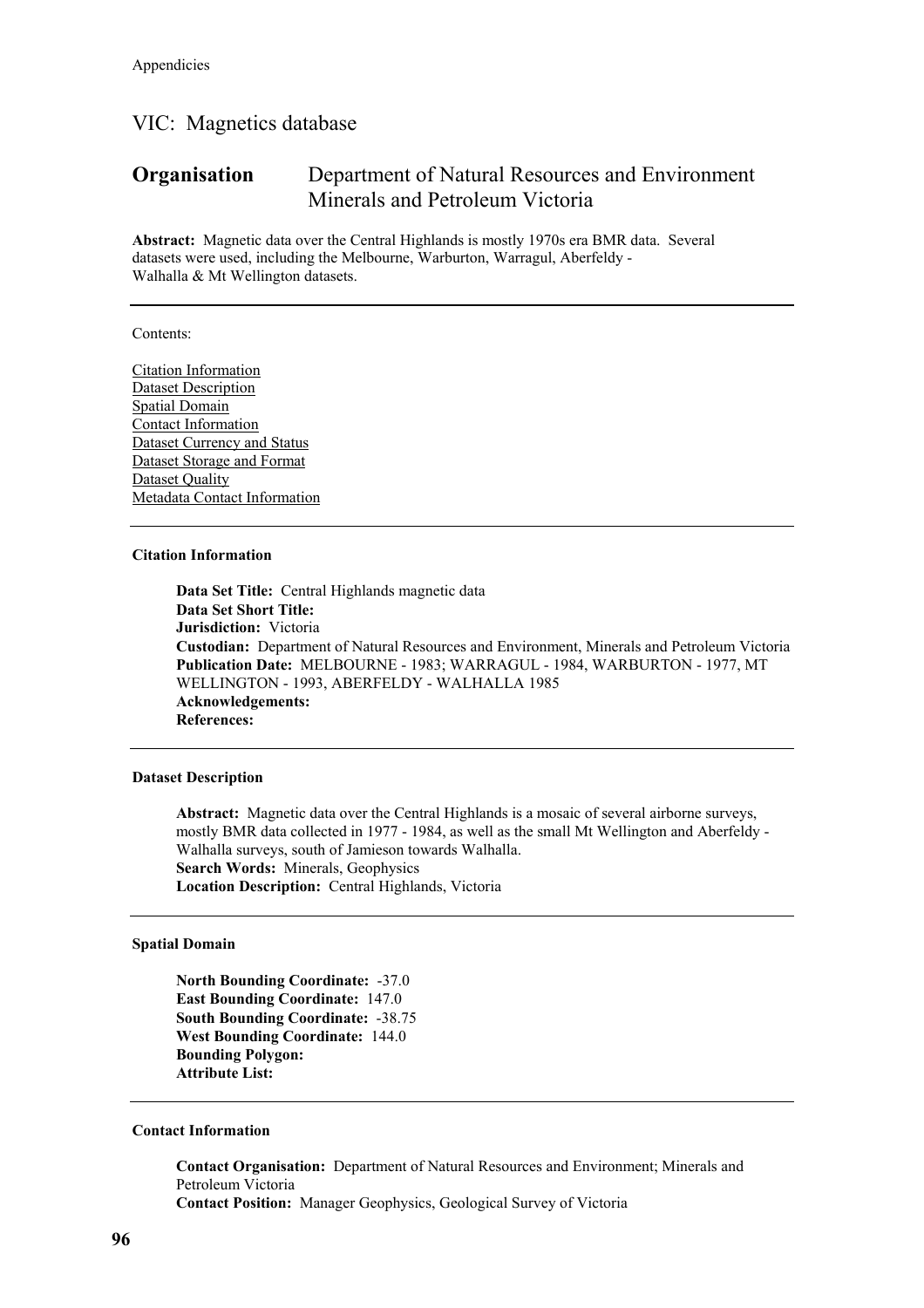# VIC: Magnetics database

# **Organisation** Department of Natural Resources and Environment Minerals and Petroleum Victoria

**Abstract:** Magnetic data over the Central Highlands is mostly 1970s era BMR data. Several datasets were used, including the Melbourne, Warburton, Warragul, Aberfeldy - Walhalla & Mt Wellington datasets.

Contents:

Citation Information Dataset Description Spatial Domain Contact Information Dataset Currency and Status Dataset Storage and Format Dataset Quality Metadata Contact Information

# **Citation Information**

**Data Set Title:** Central Highlands magnetic data **Data Set Short Title: Jurisdiction:** Victoria **Custodian:** Department of Natural Resources and Environment, Minerals and Petroleum Victoria **Publication Date:** MELBOURNE - 1983; WARRAGUL - 1984, WARBURTON - 1977, MT WELLINGTON - 1993, ABERFELDY - WALHALLA 1985 **Acknowledgements: References:**

## **Dataset Description**

**Abstract:** Magnetic data over the Central Highlands is a mosaic of several airborne surveys, mostly BMR data collected in 1977 - 1984, as well as the small Mt Wellington and Aberfeldy - Walhalla surveys, south of Jamieson towards Walhalla. **Search Words:** Minerals, Geophysics **Location Description:** Central Highlands, Victoria

## **Spatial Domain**

**North Bounding Coordinate:** -37.0 **East Bounding Coordinate:** 147.0 **South Bounding Coordinate:** -38.75 **West Bounding Coordinate:** 144.0 **Bounding Polygon: Attribute List:**

# **Contact Information**

**Contact Organisation:** Department of Natural Resources and Environment; Minerals and Petroleum Victoria **Contact Position:** Manager Geophysics, Geological Survey of Victoria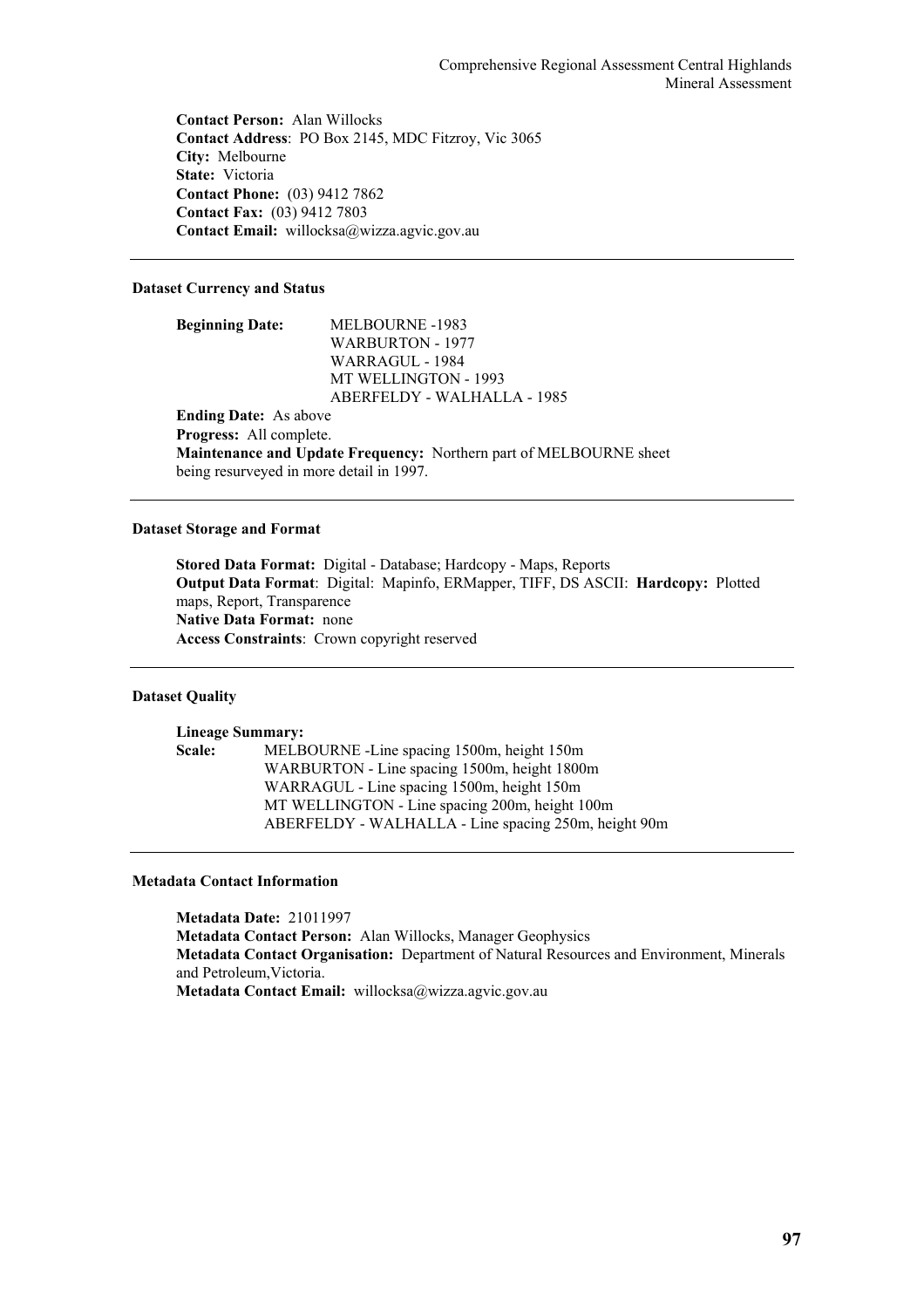**Contact Person:** Alan Willocks **Contact Address**: PO Box 2145, MDC Fitzroy, Vic 3065 **City:** Melbourne **State:** Victoria **Contact Phone:** (03) 9412 7862 **Contact Fax:** (03) 9412 7803 **Contact Email:** willocksa@wizza.agvic.gov.au

## **Dataset Currency and Status**

| <b>Beginning Date:</b>                   | <b>MELBOURNE -1983</b>                                             |
|------------------------------------------|--------------------------------------------------------------------|
|                                          | <b>WARBURTON - 1977</b>                                            |
|                                          | WARRAGUL - 1984                                                    |
|                                          | <b>MT WELLINGTON - 1993</b>                                        |
|                                          | ABERFELDY - WALHALLA - 1985                                        |
| <b>Ending Date:</b> As above             |                                                                    |
| Progress: All complete.                  |                                                                    |
|                                          | Maintenance and Update Frequency: Northern part of MELBOURNE sheet |
| being resurveyed in more detail in 1997. |                                                                    |

## **Dataset Storage and Format**

**Stored Data Format:** Digital - Database; Hardcopy - Maps, Reports **Output Data Format**: Digital: Mapinfo, ERMapper, TIFF, DS ASCII: **Hardcopy:** Plotted maps, Report, Transparence **Native Data Format:** none **Access Constraints**: Crown copyright reserved

# **Dataset Quality**

**Lineage Summary:**

**Scale:** MELBOURNE -Line spacing 1500m, height 150m WARBURTON - Line spacing 1500m, height 1800m WARRAGUL - Line spacing 1500m, height 150m MT WELLINGTON - Line spacing 200m, height 100m ABERFELDY - WALHALLA - Line spacing 250m, height 90m

# **Metadata Contact Information**

**Metadata Date:** 21011997 **Metadata Contact Person:** Alan Willocks, Manager Geophysics **Metadata Contact Organisation:** Department of Natural Resources and Environment, Minerals and Petroleum,Victoria. **Metadata Contact Email:** willocksa@wizza.agvic.gov.au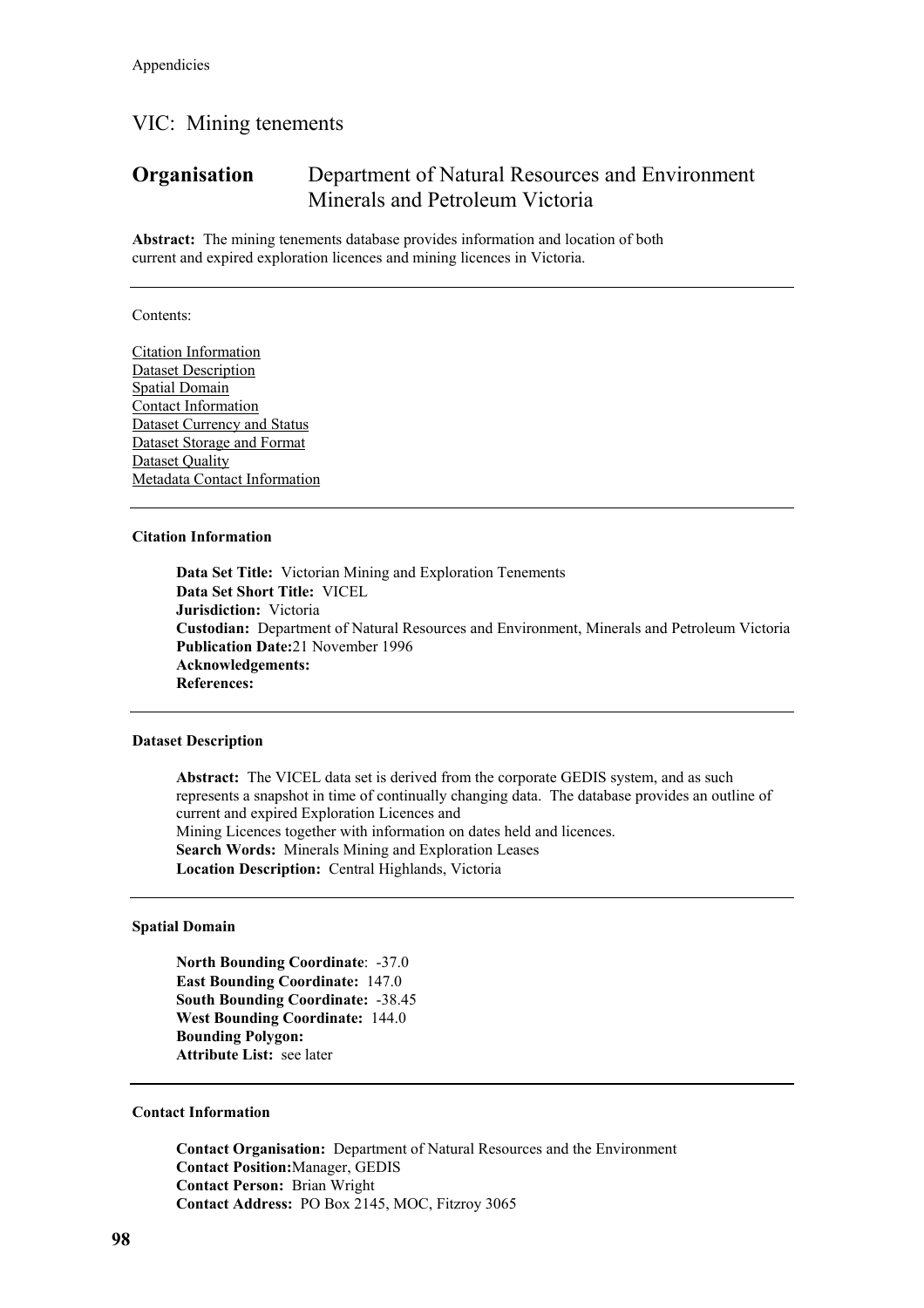# VIC: Mining tenements

# **Organisation** Department of Natural Resources and Environment Minerals and Petroleum Victoria

**Abstract:** The mining tenements database provides information and location of both current and expired exploration licences and mining licences in Victoria.

Contents:

Citation Information Dataset Description Spatial Domain Contact Information Dataset Currency and Status Dataset Storage and Format Dataset Quality Metadata Contact Information

# **Citation Information**

**Data Set Title:** Victorian Mining and Exploration Tenements **Data Set Short Title:** VICEL **Jurisdiction:** Victoria **Custodian:** Department of Natural Resources and Environment, Minerals and Petroleum Victoria **Publication Date:**21 November 1996 **Acknowledgements: References:**

# **Dataset Description**

**Abstract:** The VICEL data set is derived from the corporate GEDIS system, and as such represents a snapshot in time of continually changing data. The database provides an outline of current and expired Exploration Licences and Mining Licences together with information on dates held and licences. **Search Words:** Minerals Mining and Exploration Leases **Location Description:** Central Highlands, Victoria

# **Spatial Domain**

**North Bounding Coordinate**: -37.0 **East Bounding Coordinate:** 147.0 **South Bounding Coordinate:** -38.45 **West Bounding Coordinate:** 144.0 **Bounding Polygon: Attribute List:** see later

# **Contact Information**

**Contact Organisation:** Department of Natural Resources and the Environment **Contact Position:**Manager, GEDIS **Contact Person:** Brian Wright **Contact Address:** PO Box 2145, MOC, Fitzroy 3065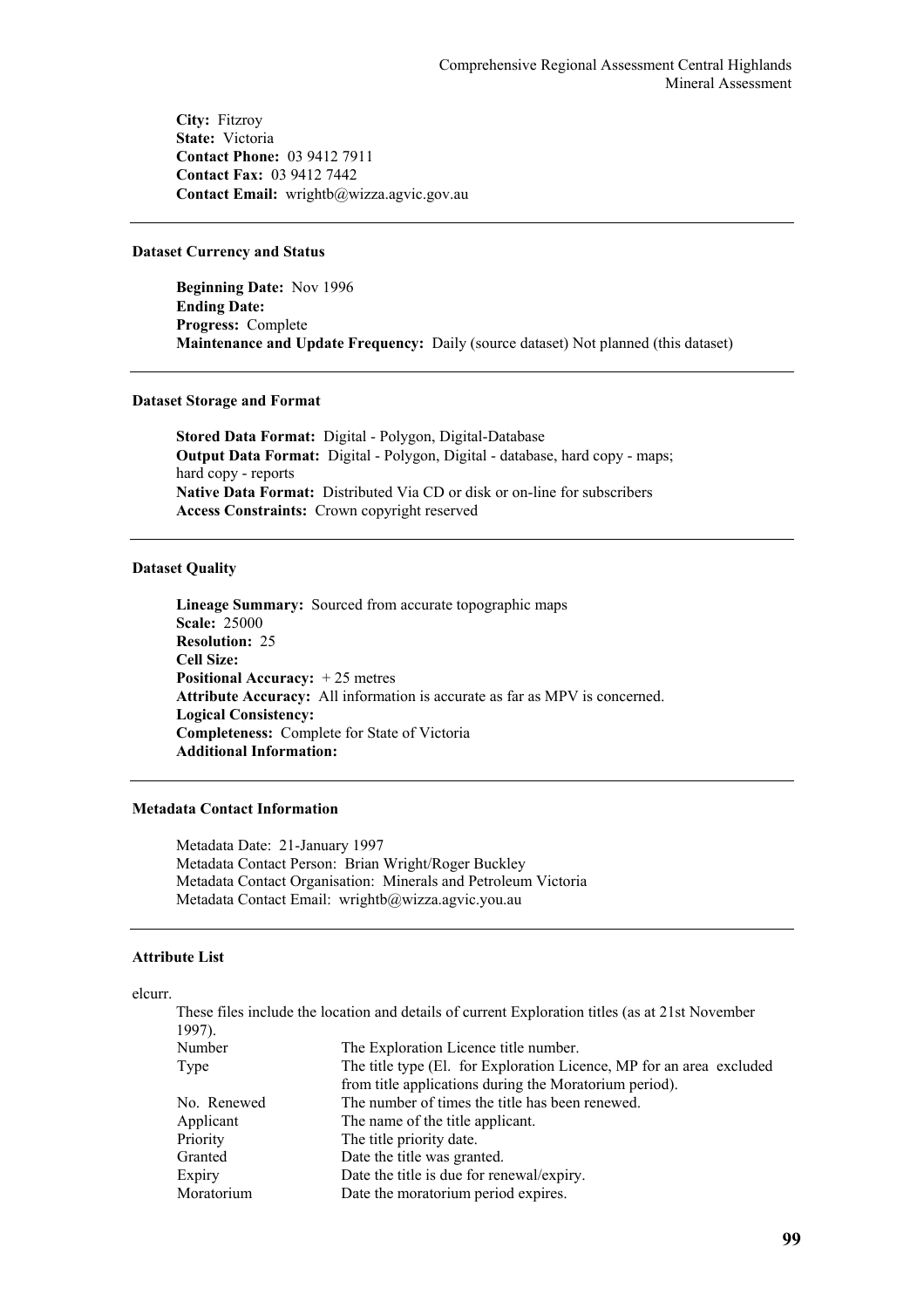**City:** Fitzroy **State:** Victoria **Contact Phone:** 03 9412 7911 **Contact Fax:** 03 9412 7442 **Contact Email:** wrightb@wizza.agvic.gov.au

# **Dataset Currency and Status**

**Beginning Date:** Nov 1996 **Ending Date: Progress:** Complete **Maintenance and Update Frequency:** Daily (source dataset) Not planned (this dataset)

# **Dataset Storage and Format**

**Stored Data Format:** Digital - Polygon, Digital-Database **Output Data Format:** Digital - Polygon, Digital - database, hard copy - maps; hard copy - reports **Native Data Format:** Distributed Via CD or disk or on-line for subscribers **Access Constraints:** Crown copyright reserved

# **Dataset Quality**

**Lineage Summary:** Sourced from accurate topographic maps **Scale:** 25000 **Resolution:** 25 **Cell Size: Positional Accuracy:** + 25 metres **Attribute Accuracy:** All information is accurate as far as MPV is concerned. **Logical Consistency: Completeness:** Complete for State of Victoria **Additional Information:**

# **Metadata Contact Information**

Metadata Date: 21-January 1997 Metadata Contact Person: Brian Wright/Roger Buckley Metadata Contact Organisation: Minerals and Petroleum Victoria Metadata Contact Email: wrightb@wizza.agvic.you.au

## **Attribute List**

#### elcurr.

| 1997).      | These files include the location and details of current Exploration titles (as at 21st November |
|-------------|-------------------------------------------------------------------------------------------------|
| Number      | The Exploration Licence title number.                                                           |
| Type        | The title type (El. for Exploration Licence, MP for an area excluded                            |
|             | from title applications during the Moratorium period).                                          |
| No. Renewed | The number of times the title has been renewed.                                                 |
| Applicant   | The name of the title applicant.                                                                |
| Priority    | The title priority date.                                                                        |
| Granted     | Date the title was granted.                                                                     |
| Expiry      | Date the title is due for renewal/expiry.                                                       |
| Moratorium  | Date the moratorium period expires.                                                             |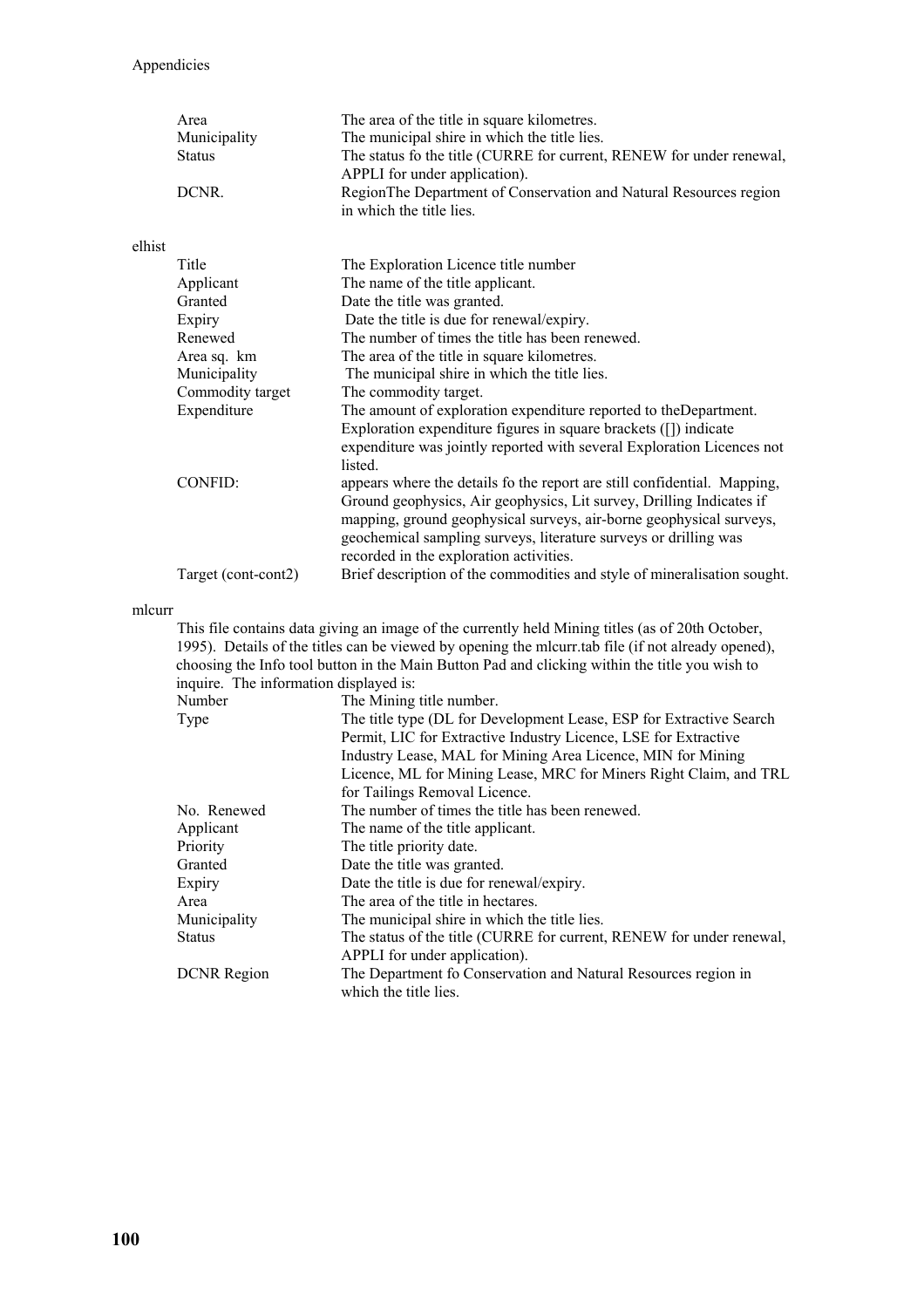|        | Area<br>Municipality<br><b>Status</b><br>DCNR. | The area of the title in square kilometres.<br>The municipal shire in which the title lies.<br>The status fo the title (CURRE for current, RENEW for under renewal,<br>APPLI for under application).<br>RegionThe Department of Conservation and Natural Resources region<br>in which the title lies. |
|--------|------------------------------------------------|-------------------------------------------------------------------------------------------------------------------------------------------------------------------------------------------------------------------------------------------------------------------------------------------------------|
| elhist |                                                |                                                                                                                                                                                                                                                                                                       |
|        | Title                                          | The Exploration Licence title number                                                                                                                                                                                                                                                                  |
|        | Applicant                                      | The name of the title applicant.                                                                                                                                                                                                                                                                      |
|        | Granted                                        | Date the title was granted.                                                                                                                                                                                                                                                                           |
|        | Expiry                                         | Date the title is due for renewal/expiry.                                                                                                                                                                                                                                                             |
|        | Renewed                                        | The number of times the title has been renewed.                                                                                                                                                                                                                                                       |
|        | Area sq. km                                    | The area of the title in square kilometres.                                                                                                                                                                                                                                                           |
|        | Municipality                                   | The municipal shire in which the title lies.                                                                                                                                                                                                                                                          |
|        | Commodity target                               | The commodity target.                                                                                                                                                                                                                                                                                 |
|        | Expenditure                                    | The amount of exploration expenditure reported to the Department.                                                                                                                                                                                                                                     |
|        |                                                | Exploration expenditure figures in square brackets ([]) indicate                                                                                                                                                                                                                                      |
|        |                                                | expenditure was jointly reported with several Exploration Licences not                                                                                                                                                                                                                                |
|        |                                                | listed.                                                                                                                                                                                                                                                                                               |
|        | CONFID:                                        | appears where the details fo the report are still confidential. Mapping,                                                                                                                                                                                                                              |
|        |                                                | Ground geophysics, Air geophysics, Lit survey, Drilling Indicates if                                                                                                                                                                                                                                  |
|        |                                                | mapping, ground geophysical surveys, air-borne geophysical surveys,                                                                                                                                                                                                                                   |
|        |                                                | geochemical sampling surveys, literature surveys or drilling was                                                                                                                                                                                                                                      |
|        |                                                | recorded in the exploration activities.                                                                                                                                                                                                                                                               |
|        | Target (cont-cont2)                            | Brief description of the commodities and style of mineralisation sought.                                                                                                                                                                                                                              |

mlcurr

This file contains data giving an image of the currently held Mining titles (as of 20th October, 1995). Details of the titles can be viewed by opening the mlcurr.tab file (if not already opened), choosing the Info tool button in the Main Button Pad and clicking within the title you wish to inquire. The information displayed is:

| Number             | The Mining title number.                                             |
|--------------------|----------------------------------------------------------------------|
| Type               | The title type (DL for Development Lease, ESP for Extractive Search  |
|                    | Permit, LIC for Extractive Industry Licence, LSE for Extractive      |
|                    | Industry Lease, MAL for Mining Area Licence, MIN for Mining          |
|                    | Licence, ML for Mining Lease, MRC for Miners Right Claim, and TRL    |
|                    | for Tailings Removal Licence.                                        |
| No. Renewed        | The number of times the title has been renewed.                      |
| Applicant          | The name of the title applicant.                                     |
| Priority           | The title priority date.                                             |
| Granted            | Date the title was granted.                                          |
| Expiry             | Date the title is due for renewal/expiry.                            |
| Area               | The area of the title in hectares.                                   |
| Municipality       | The municipal shire in which the title lies.                         |
| <b>Status</b>      | The status of the title (CURRE for current, RENEW for under renewal, |
|                    | APPLI for under application).                                        |
| <b>DCNR</b> Region | The Department fo Conservation and Natural Resources region in       |
|                    | which the title lies.                                                |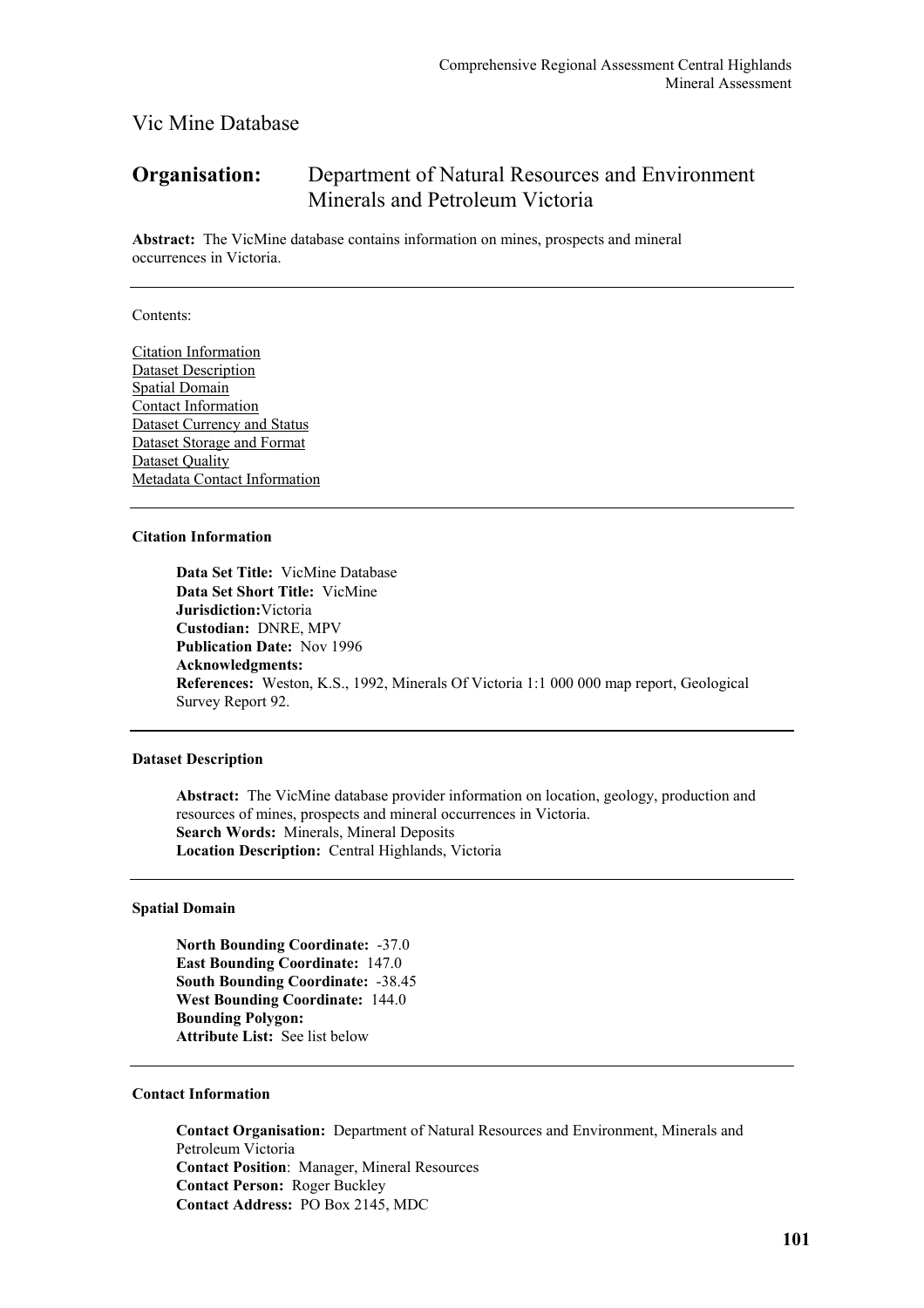# Vic Mine Database

# **Organisation:** Department of Natural Resources and Environment Minerals and Petroleum Victoria

**Abstract:** The VicMine database contains information on mines, prospects and mineral occurrences in Victoria.

Contents:

Citation Information Dataset Description Spatial Domain Contact Information Dataset Currency and Status Dataset Storage and Format Dataset Quality Metadata Contact Information

# **Citation Information**

**Data Set Title:** VicMine Database **Data Set Short Title:** VicMine **Jurisdiction:**Victoria **Custodian:** DNRE, MPV **Publication Date:** Nov 1996 **Acknowledgments: References:** Weston, K.S., 1992, Minerals Of Victoria 1:1 000 000 map report, Geological Survey Report 92.

## **Dataset Description**

**Abstract:** The VicMine database provider information on location, geology, production and resources of mines, prospects and mineral occurrences in Victoria. **Search Words:** Minerals, Mineral Deposits **Location Description:** Central Highlands, Victoria

# **Spatial Domain**

**North Bounding Coordinate:** -37.0 **East Bounding Coordinate:** 147.0 **South Bounding Coordinate:** -38.45 **West Bounding Coordinate:** 144.0 **Bounding Polygon: Attribute List:** See list below

## **Contact Information**

**Contact Organisation:** Department of Natural Resources and Environment, Minerals and Petroleum Victoria **Contact Position**: Manager, Mineral Resources **Contact Person:** Roger Buckley **Contact Address:** PO Box 2145, MDC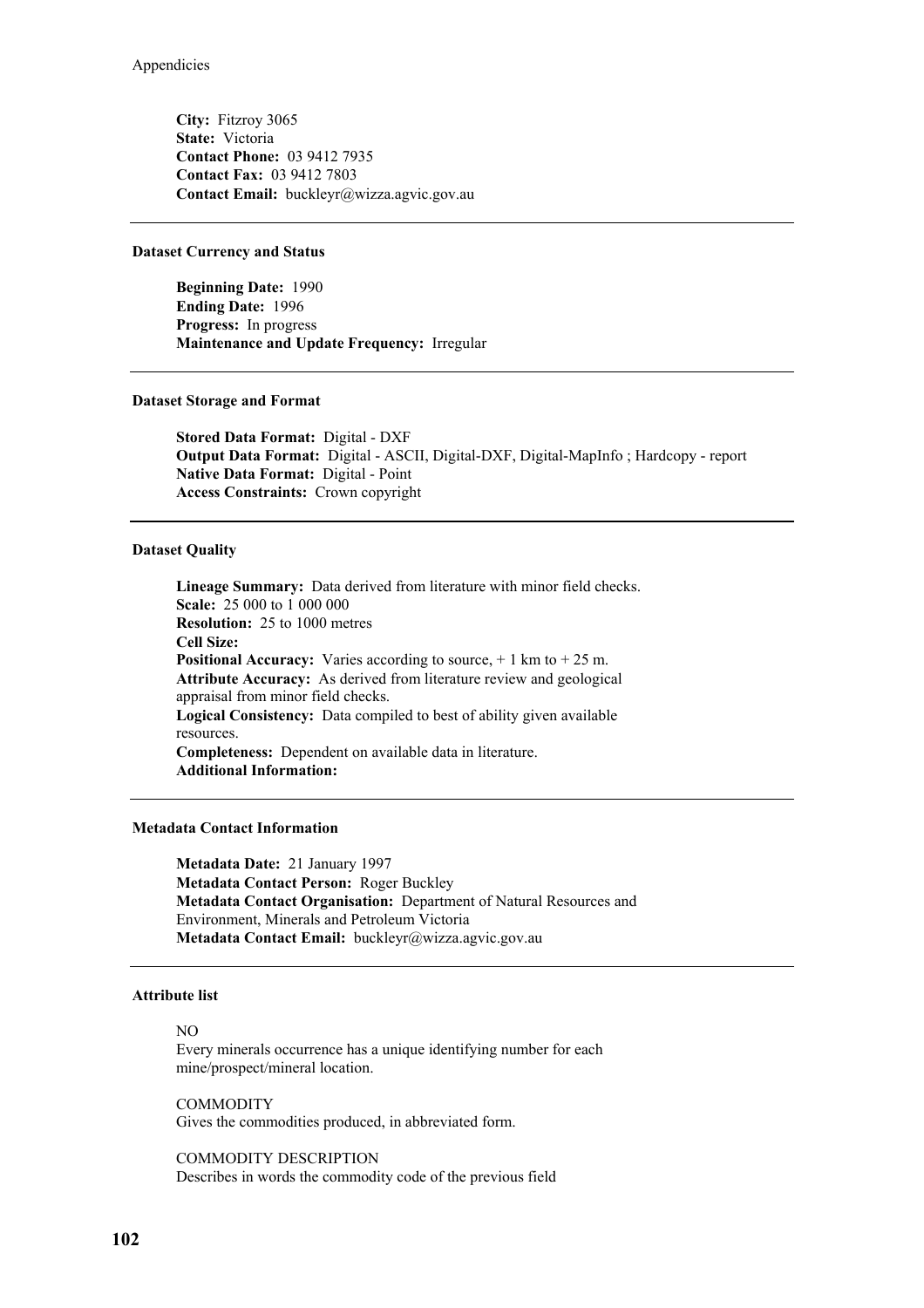**City:** Fitzroy 3065 **State:** Victoria **Contact Phone:** 03 9412 7935 **Contact Fax:** 03 9412 7803 **Contact Email:** buckleyr@wizza.agvic.gov.au

# **Dataset Currency and Status**

**Beginning Date:** 1990 **Ending Date:** 1996 **Progress:** In progress **Maintenance and Update Frequency:** Irregular

# **Dataset Storage and Format**

**Stored Data Format:** Digital - DXF **Output Data Format:** Digital - ASCII, Digital-DXF, Digital-MapInfo ; Hardcopy - report **Native Data Format:** Digital - Point **Access Constraints:** Crown copyright

## **Dataset Quality**

**Lineage Summary:** Data derived from literature with minor field checks. **Scale:** 25 000 to 1 000 000 **Resolution:** 25 to 1000 metres **Cell Size: Positional Accuracy:** Varies according to source,  $+1$  km to  $+25$  m. **Attribute Accuracy:** As derived from literature review and geological appraisal from minor field checks. **Logical Consistency:** Data compiled to best of ability given available resources. **Completeness:** Dependent on available data in literature. **Additional Information:**

# **Metadata Contact Information**

**Metadata Date:** 21 January 1997 **Metadata Contact Person:** Roger Buckley **Metadata Contact Organisation:** Department of Natural Resources and Environment, Minerals and Petroleum Victoria **Metadata Contact Email:** buckleyr@wizza.agvic.gov.au

# **Attribute list**

# NO

Every minerals occurrence has a unique identifying number for each mine/prospect/mineral location.

**COMMODITY** Gives the commodities produced, in abbreviated form.

### COMMODITY DESCRIPTION

Describes in words the commodity code of the previous field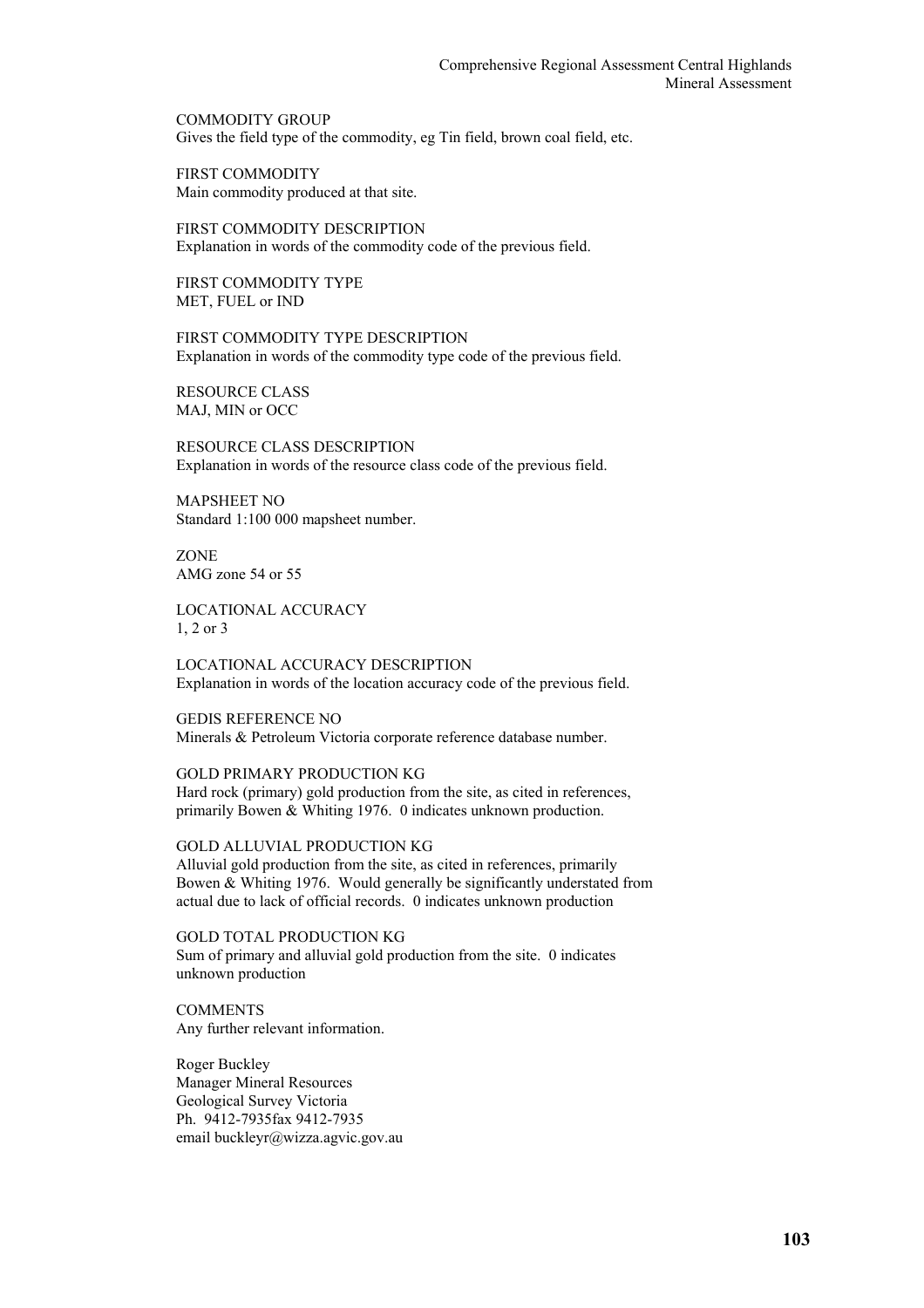COMMODITY GROUP Gives the field type of the commodity, eg Tin field, brown coal field, etc.

FIRST COMMODITY Main commodity produced at that site.

FIRST COMMODITY DESCRIPTION Explanation in words of the commodity code of the previous field.

FIRST COMMODITY TYPE MET, FUEL or IND

FIRST COMMODITY TYPE DESCRIPTION Explanation in words of the commodity type code of the previous field.

RESOURCE CLASS MAJ, MIN or OCC

RESOURCE CLASS DESCRIPTION Explanation in words of the resource class code of the previous field.

MAPSHEET NO Standard 1:100 000 mapsheet number.

ZONE AMG zone 54 or 55

LOCATIONAL ACCURACY 1, 2 or 3

LOCATIONAL ACCURACY DESCRIPTION Explanation in words of the location accuracy code of the previous field.

GEDIS REFERENCE NO Minerals & Petroleum Victoria corporate reference database number.

GOLD PRIMARY PRODUCTION KG Hard rock (primary) gold production from the site, as cited in references, primarily Bowen & Whiting 1976. 0 indicates unknown production.

GOLD ALLUVIAL PRODUCTION KG Alluvial gold production from the site, as cited in references, primarily Bowen  $&$  Whiting 1976. Would generally be significantly understated from actual due to lack of official records. 0 indicates unknown production

GOLD TOTAL PRODUCTION KG Sum of primary and alluvial gold production from the site. 0 indicates unknown production

**COMMENTS** Any further relevant information.

Roger Buckley Manager Mineral Resources Geological Survey Victoria Ph. 9412-7935fax 9412-7935 email buckleyr@wizza.agvic.gov.au